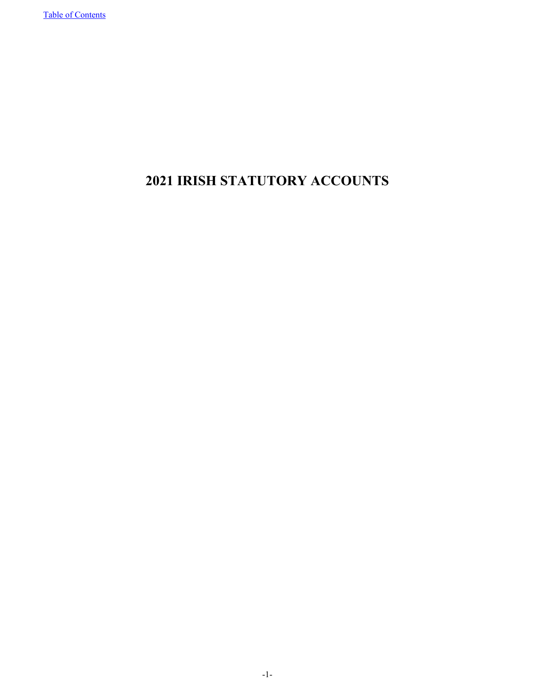# **2021 IRISH STATUTORY ACCOUNTS**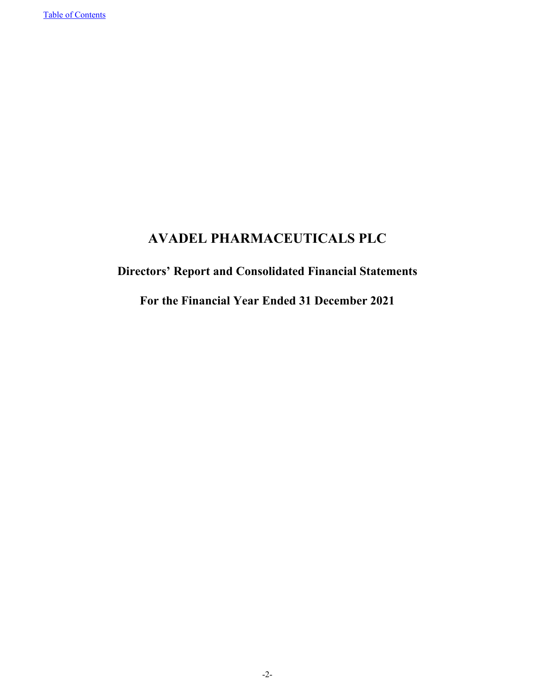# **AVADEL PHARMACEUTICALS PLC**

# **Directors' Report and Consolidated Financial Statements**

**For the Financial Year Ended 31 December 2021**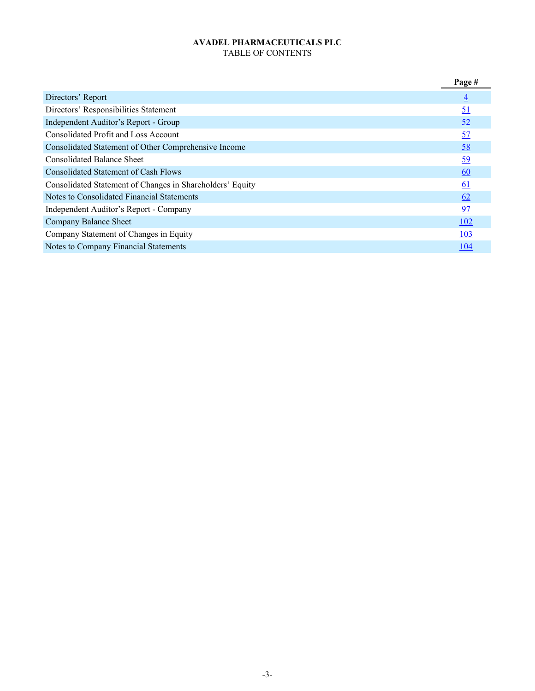# **AVADEL PHARMACEUTICALS PLC** TABLE OF CONTENTS

<span id="page-2-0"></span>

|                                                           | Page #           |
|-----------------------------------------------------------|------------------|
| Directors' Report                                         | $\overline{4}$   |
| Directors' Responsibilities Statement                     | 51               |
| Independent Auditor's Report - Group                      | 52               |
| Consolidated Profit and Loss Account                      | 57               |
| Consolidated Statement of Other Comprehensive Income      | 58               |
| <b>Consolidated Balance Sheet</b>                         | <u>59</u>        |
| Consolidated Statement of Cash Flows                      | 60               |
| Consolidated Statement of Changes in Shareholders' Equity | $\underline{61}$ |
| Notes to Consolidated Financial Statements                | 62               |
| Independent Auditor's Report - Company                    | 97               |
| Company Balance Sheet                                     | <u>102</u>       |
| Company Statement of Changes in Equity                    | <u>103</u>       |
| Notes to Company Financial Statements                     | <u>104</u>       |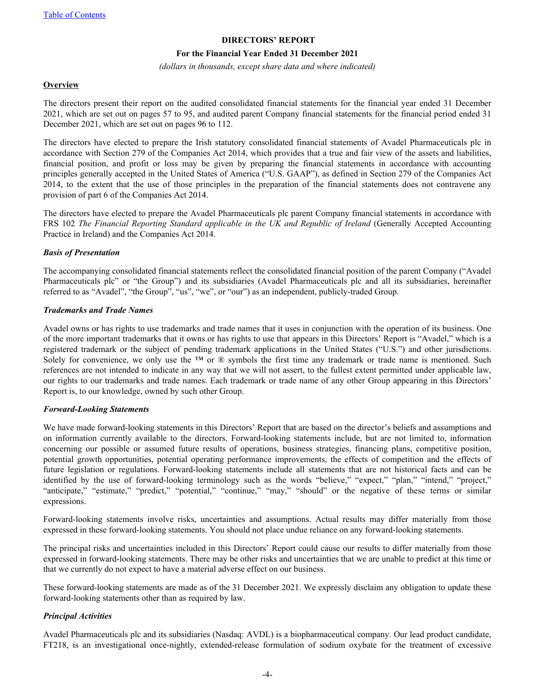#### **DIRECTORS' REPORT**

#### **For the Financial Year Ended 31 December 2021**

*(dollars in thousands, except share data and where indicated)*

#### <span id="page-3-0"></span>**Overview**

The directors present their report on the audited consolidated financial statements for the financial year ended 31 December 2021, which are set out on pages 57 to 95, and audited parent Company financial statements for the financial period ended 31 December 2021, which are set out on pages 96 to 112.

The directors have elected to prepare the Irish statutory consolidated financial statements of Avadel Pharmaceuticals plc in accordance with Section 279 of the Companies Act 2014, which provides that a true and fair view of the assets and liabilities, financial position, and profit or loss may be given by preparing the financial statements in accordance with accounting principles generally accepted in the United States of America ("U.S. GAAP"), as defined in Section 279 of the Companies Act 2014, to the extent that the use of those principles in the preparation of the financial statements does not contravene any provision of part 6 of the Companies Act 2014.

The directors have elected to prepare the Avadel Pharmaceuticals plc parent Company financial statements in accordance with FRS 102 The Financial Reporting Standard applicable in the UK and Republic of Ireland (Generally Accepted Accounting Practice in Ireland) and the Companies Act 2014.

### *Basis of Presentation*

The accompanying consolidated financial statements reflect the consolidated financial position of the parent Company ("Avadel Pharmaceuticals plc" or "the Group") and its subsidiaries (Avadel Pharmaceuticals plc and all its subsidiaries, hereinafter referred to as "Avadel", "the Group", "us", "we", or "our") as an independent, publicly-traded Group.

#### *Trademarks and Trade Names*

Avadel owns or has rights to use trademarks and trade names that it uses in conjunction with the operation of its business. One of the more important trademarks that it owns or has rights to use that appears in this Directors' Report is "Avadel," which is a registered trademark or the subject of pending trademark applications in the United States ("U.S.") and other jurisdictions. Solely for convenience, we only use the ™ or ® symbols the first time any trademark or trade name is mentioned. Such references are not intended to indicate in any way that we will not assert, to the fullest extent permitted under applicable law, our rights to our trademarks and trade names. Each trademark or trade name of any other Group appearing in this Directors' Report is, to our knowledge, owned by such other Group.

#### *Forward-Looking Statements*

We have made forward-looking statements in this Directors' Report that are based on the director's beliefs and assumptions and on information currently available to the directors. Forward-looking statements include, but are not limited to, information concerning our possible or assumed future results of operations, business strategies, financing plans, competitive position, potential growth opportunities, potential operating performance improvements, the effects of competition and the effects of future legislation or regulations. Forward-looking statements include all statements that are not historical facts and can be identified by the use of forward-looking terminology such as the words "believe," "expect," "plan," "intend," "project," "anticipate," "estimate," "predict," "potential," "continue," "may," "should" or the negative of these terms or similar expressions.

Forward-looking statements involve risks, uncertainties and assumptions. Actual results may differ materially from those expressed in these forward-looking statements. You should not place undue reliance on any forward-looking statements.

The principal risks and uncertainties included in this Directors' Report could cause our results to differ materially from those expressed in forward-looking statements. There may be other risks and uncertainties that we are unable to predict at this time or that we currently do not expect to have a material adverse effect on our business.

These forward-looking statements are made as of the 31 December 2021. We expressly disclaim any obligation to update these forward-looking statements other than as required by law.

### *Principal Activities*

Avadel Pharmaceuticals plc and its subsidiaries (Nasdaq: AVDL) is a biopharmaceutical company. Our lead product candidate, FT218, is an investigational once-nightly, extended-release formulation of sodium oxybate for the treatment of excessive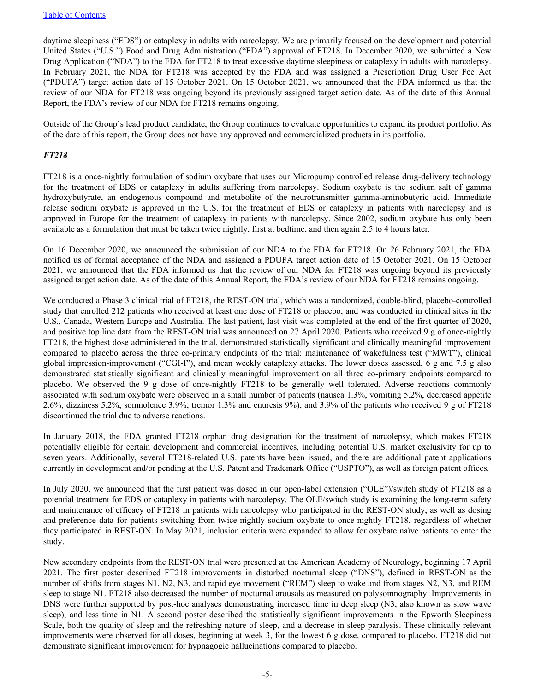daytime sleepiness ("EDS") or cataplexy in adults with narcolepsy. We are primarily focused on the development and potential United States ("U.S.") Food and Drug Administration ("FDA") approval of FT218. In December 2020, we submitted a New Drug Application ("NDA") to the FDA for FT218 to treat excessive daytime sleepiness or cataplexy in adults with narcolepsy. In February 2021, the NDA for FT218 was accepted by the FDA and was assigned a Prescription Drug User Fee Act ("PDUFA") target action date of 15 October 2021. On 15 October 2021, we announced that the FDA informed us that the review of our NDA for FT218 was ongoing beyond its previously assigned target action date. As of the date of this Annual Report, the FDA's review of our NDA for FT218 remains ongoing.

Outside of the Group's lead product candidate, the Group continues to evaluate opportunities to expand its product portfolio. As of the date of this report, the Group does not have any approved and commercialized products in its portfolio.

# *FT218*

FT218 is a once-nightly formulation of sodium oxybate that uses our Micropump controlled release drug-delivery technology for the treatment of EDS or cataplexy in adults suffering from narcolepsy. Sodium oxybate is the sodium salt of gamma hydroxybutyrate, an endogenous compound and metabolite of the neurotransmitter gamma-aminobutyric acid. Immediate release sodium oxybate is approved in the U.S. for the treatment of EDS or cataplexy in patients with narcolepsy and is approved in Europe for the treatment of cataplexy in patients with narcolepsy. Since 2002, sodium oxybate has only been available as a formulation that must be taken twice nightly, first at bedtime, and then again 2.5 to 4 hours later.

On 16 December 2020, we announced the submission of our NDA to the FDA for FT218. On 26 February 2021, the FDA notified us of formal acceptance of the NDA and assigned a PDUFA target action date of 15 October 2021. On 15 October 2021, we announced that the FDA informed us that the review of our NDA for FT218 was ongoing beyond its previously assigned target action date. As of the date of this Annual Report, the FDA's review of our NDA for FT218 remains ongoing.

We conducted a Phase 3 clinical trial of FT218, the REST-ON trial, which was a randomized, double-blind, placebo-controlled study that enrolled 212 patients who received at least one dose of FT218 or placebo, and was conducted in clinical sites in the U.S., Canada, Western Europe and Australia. The last patient, last visit was completed at the end of the first quarter of 2020, and positive top line data from the REST-ON trial was announced on 27 April 2020. Patients who received 9 g of once-nightly FT218, the highest dose administered in the trial, demonstrated statistically significant and clinically meaningful improvement compared to placebo across the three co-primary endpoints of the trial: maintenance of wakefulness test ("MWT"), clinical global impression-improvement ("CGI-I"), and mean weekly cataplexy attacks. The lower doses assessed, 6 g and 7.5 g also demonstrated statistically significant and clinically meaningful improvement on all three co-primary endpoints compared to placebo. We observed the 9 g dose of once-nightly FT218 to be generally well tolerated. Adverse reactions commonly associated with sodium oxybate were observed in a small number of patients (nausea 1.3%, vomiting 5.2%, decreased appetite 2.6%, dizziness 5.2%, somnolence 3.9%, tremor 1.3% and enuresis 9%), and 3.9% of the patients who received 9 g of FT218 discontinued the trial due to adverse reactions.

In January 2018, the FDA granted FT218 orphan drug designation for the treatment of narcolepsy, which makes FT218 potentially eligible for certain development and commercial incentives, including potential U.S. market exclusivity for up to seven years. Additionally, several FT218-related U.S. patents have been issued, and there are additional patent applications currently in development and/or pending at the U.S. Patent and Trademark Office ("USPTO"), as well as foreign patent offices.

In July 2020, we announced that the first patient was dosed in our open-label extension ("OLE")/switch study of FT218 as a potential treatment for EDS or cataplexy in patients with narcolepsy. The OLE/switch study is examining the long-term safety and maintenance of efficacy of FT218 in patients with narcolepsy who participated in the REST-ON study, as well as dosing and preference data for patients switching from twice-nightly sodium oxybate to once-nightly FT218, regardless of whether they participated in REST-ON. In May 2021, inclusion criteria were expanded to allow for oxybate naïve patients to enter the study.

New secondary endpoints from the REST-ON trial were presented at the American Academy of Neurology, beginning 17 April 2021. The first poster described FT218 improvements in disturbed nocturnal sleep ("DNS"), defined in REST-ON as the number of shifts from stages N1, N2, N3, and rapid eye movement ("REM") sleep to wake and from stages N2, N3, and REM sleep to stage N1. FT218 also decreased the number of nocturnal arousals as measured on polysomnography. Improvements in DNS were further supported by post-hoc analyses demonstrating increased time in deep sleep (N3, also known as slow wave sleep), and less time in N1. A second poster described the statistically significant improvements in the Epworth Sleepiness Scale, both the quality of sleep and the refreshing nature of sleep, and a decrease in sleep paralysis. These clinically relevant improvements were observed for all doses, beginning at week 3, for the lowest 6 g dose, compared to placebo. FT218 did not demonstrate significant improvement for hypnagogic hallucinations compared to placebo.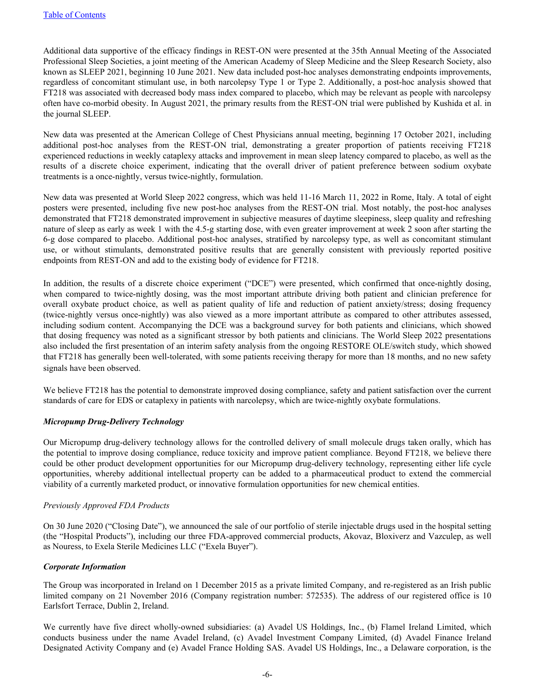Additional data supportive of the efficacy findings in REST-ON were presented at the 35th Annual Meeting of the Associated Professional Sleep Societies, a joint meeting of the American Academy of Sleep Medicine and the Sleep Research Society, also known as SLEEP 2021, beginning 10 June 2021. New data included post-hoc analyses demonstrating endpoints improvements, regardless of concomitant stimulant use, in both narcolepsy Type 1 or Type 2. Additionally, a post-hoc analysis showed that FT218 was associated with decreased body mass index compared to placebo, which may be relevant as people with narcolepsy often have co-morbid obesity. In August 2021, the primary results from the REST-ON trial were published by Kushida et al. in the journal SLEEP.

New data was presented at the American College of Chest Physicians annual meeting, beginning 17 October 2021, including additional post-hoc analyses from the REST-ON trial, demonstrating a greater proportion of patients receiving FT218 experienced reductions in weekly cataplexy attacks and improvement in mean sleep latency compared to placebo, as well as the results of a discrete choice experiment, indicating that the overall driver of patient preference between sodium oxybate treatments is a once-nightly, versus twice-nightly, formulation.

New data was presented at World Sleep 2022 congress, which was held 11-16 March 11, 2022 in Rome, Italy. A total of eight posters were presented, including five new post-hoc analyses from the REST-ON trial. Most notably, the post-hoc analyses demonstrated that FT218 demonstrated improvement in subjective measures of daytime sleepiness, sleep quality and refreshing nature of sleep as early as week 1 with the 4.5-g starting dose, with even greater improvement at week 2 soon after starting the 6-g dose compared to placebo. Additional post-hoc analyses, stratified by narcolepsy type, as well as concomitant stimulant use, or without stimulants, demonstrated positive results that are generally consistent with previously reported positive endpoints from REST-ON and add to the existing body of evidence for FT218.

In addition, the results of a discrete choice experiment ("DCE") were presented, which confirmed that once-nightly dosing, when compared to twice-nightly dosing, was the most important attribute driving both patient and clinician preference for overall oxybate product choice, as well as patient quality of life and reduction of patient anxiety/stress; dosing frequency (twice-nightly versus once-nightly) was also viewed as a more important attribute as compared to other attributes assessed, including sodium content. Accompanying the DCE was a background survey for both patients and clinicians, which showed that dosing frequency was noted as a significant stressor by both patients and clinicians. The World Sleep 2022 presentations also included the first presentation of an interim safety analysis from the ongoing RESTORE OLE/switch study, which showed that FT218 has generally been well-tolerated, with some patients receiving therapy for more than 18 months, and no new safety signals have been observed.

We believe FT218 has the potential to demonstrate improved dosing compliance, safety and patient satisfaction over the current standards of care for EDS or cataplexy in patients with narcolepsy, which are twice-nightly oxybate formulations.

### *Micropump Drug-Delivery Technology*

Our Micropump drug-delivery technology allows for the controlled delivery of small molecule drugs taken orally, which has the potential to improve dosing compliance, reduce toxicity and improve patient compliance. Beyond FT218, we believe there could be other product development opportunities for our Micropump drug-delivery technology, representing either life cycle opportunities, whereby additional intellectual property can be added to a pharmaceutical product to extend the commercial viability of a currently marketed product, or innovative formulation opportunities for new chemical entities.

### *Previously Approved FDA Products*

On 30 June 2020 ("Closing Date"), we announced the sale of our portfolio of sterile injectable drugs used in the hospital setting (the "Hospital Products"), including our three FDA-approved commercial products, Akovaz, Bloxiverz and Vazculep, as well as Nouress, to Exela Sterile Medicines LLC ("Exela Buyer").

### *Corporate Information*

The Group was incorporated in Ireland on 1 December 2015 as a private limited Company, and re-registered as an Irish public limited company on 21 November 2016 (Company registration number: 572535). The address of our registered office is 10 Earlsfort Terrace, Dublin 2, Ireland.

We currently have five direct wholly-owned subsidiaries: (a) Avadel US Holdings, Inc., (b) Flamel Ireland Limited, which conducts business under the name Avadel Ireland, (c) Avadel Investment Company Limited, (d) Avadel Finance Ireland Designated Activity Company and (e) Avadel France Holding SAS. Avadel US Holdings, Inc., a Delaware corporation, is the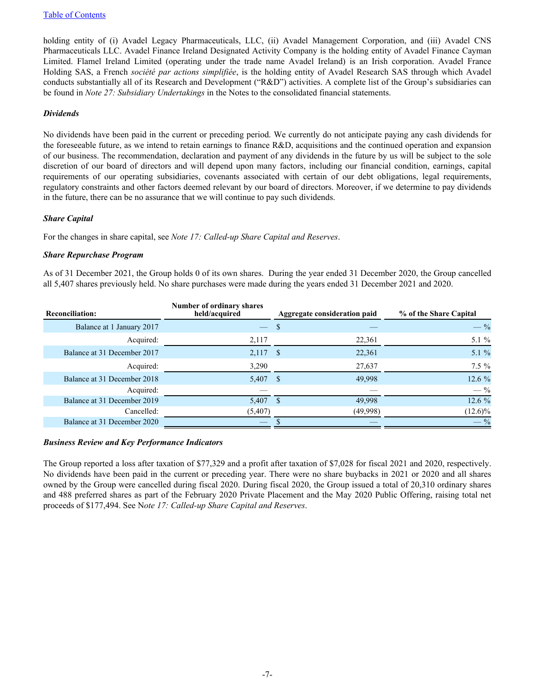holding entity of (i) Avadel Legacy Pharmaceuticals, LLC, (ii) Avadel Management Corporation, and (iii) Avadel CNS Pharmaceuticals LLC. Avadel Finance Ireland Designated Activity Company is the holding entity of Avadel Finance Cayman Limited. Flamel Ireland Limited (operating under the trade name Avadel Ireland) is an Irish corporation. Avadel France Holding SAS, a French *société par actions simplifiée*, is the holding entity of Avadel Research SAS through which Avadel conducts substantially all of its Research and Development ("R&D") activities. A complete list of the Group's subsidiaries can be found in *Note 27: Subsidiary Undertakings* in the Notes to the consolidated financial statements.

#### *Dividends*

No dividends have been paid in the current or preceding period. We currently do not anticipate paying any cash dividends for the foreseeable future, as we intend to retain earnings to finance R&D, acquisitions and the continued operation and expansion of our business. The recommendation, declaration and payment of any dividends in the future by us will be subject to the sole discretion of our board of directors and will depend upon many factors, including our financial condition, earnings, capital requirements of our operating subsidiaries, covenants associated with certain of our debt obligations, legal requirements, regulatory constraints and other factors deemed relevant by our board of directors. Moreover, if we determine to pay dividends in the future, there can be no assurance that we will continue to pay such dividends.

### *Share Capital*

For the changes in share capital, see *Note 17: Called-up Share Capital and Reserves*.

#### *Share Repurchase Program*

As of 31 December 2021, the Group holds 0 of its own shares. During the year ended 31 December 2020, the Group cancelled all 5,407 shares previously held. No share purchases were made during the years ended 31 December 2021 and 2020.

| <b>Reconciliation:</b>      | Number of ordinary shares<br>held/acquired | Aggregate consideration paid | % of the Share Capital |
|-----------------------------|--------------------------------------------|------------------------------|------------------------|
| Balance at 1 January 2017   | $\overline{\phantom{0}}$                   | \$                           | $-$ %                  |
| Acquired:                   | 2,117                                      | 22,361                       | 5.1 %                  |
| Balance at 31 December 2017 | $2,117$ \$                                 | 22,361                       | 5.1 %                  |
| Acquired:                   | 3,290                                      | 27,637                       | $7.5\%$                |
| Balance at 31 December 2018 | 5,407 \$                                   | 49,998                       | 12.6 %                 |
| Acquired:                   |                                            |                              | $-$ %                  |
| Balance at 31 December 2019 | 5,407                                      | <sup>\$</sup><br>49,998      | 12.6 %                 |
| Cancelled:                  | (5,407)                                    | (49,998)                     | $(12.6)\%$             |
| Balance at 31 December 2020 |                                            |                              | $-$ %                  |

#### *Business Review and Key Performance Indicators*

The Group reported a loss after taxation of \$77,329 and a profit after taxation of \$7,028 for fiscal 2021 and 2020, respectively. No dividends have been paid in the current or preceding year. There were no share buybacks in 2021 or 2020 and all shares owned by the Group were cancelled during fiscal 2020. During fiscal 2020, the Group issued a total of 20,310 ordinary shares and 488 preferred shares as part of the February 2020 Private Placement and the May 2020 Public Offering, raising total net proceeds of \$177,494. See N*ote 17: Called-up Share Capital and Reserves*.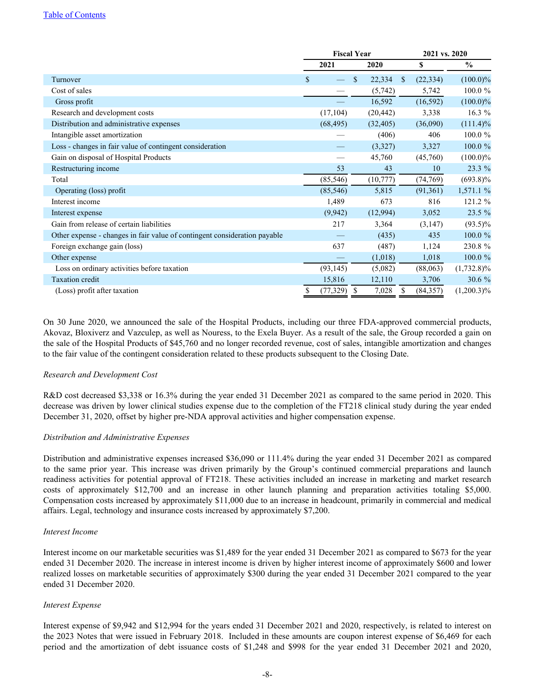#### [Table of Contents](#page-2-0)

|                                                                           | <b>Fiscal Year</b> |              | 2021 vs. 2020              |               |  |
|---------------------------------------------------------------------------|--------------------|--------------|----------------------------|---------------|--|
|                                                                           | 2021               | 2020         | \$                         | $\frac{0}{0}$ |  |
| Turnover                                                                  | \$                 | \$<br>22,334 | (22, 334)<br><sup>\$</sup> | $(100.0)\%$   |  |
| Cost of sales                                                             |                    | (5,742)      | 5,742                      | 100.0%        |  |
| Gross profit                                                              |                    | 16,592       | (16, 592)                  | $(100.0)\%$   |  |
| Research and development costs                                            | (17, 104)          | (20, 442)    | 3,338                      | 16.3 %        |  |
| Distribution and administrative expenses                                  | (68, 495)          | (32, 405)    | (36,090)                   | $(111.4)\%$   |  |
| Intangible asset amortization                                             |                    | (406)        | 406                        | 100.0 %       |  |
| Loss - changes in fair value of contingent consideration                  |                    | (3,327)      | 3,327                      | 100.0 %       |  |
| Gain on disposal of Hospital Products                                     |                    | 45,760       | (45,760)                   | $(100.0)\%$   |  |
| Restructuring income                                                      | 53                 | 43           | 10                         | 23.3 %        |  |
| Total                                                                     | (85, 546)          | (10, 777)    | (74, 769)                  | $(693.8)\%$   |  |
| Operating (loss) profit                                                   | (85, 546)          | 5,815        | (91,361)                   | 1,571.1 %     |  |
| Interest income                                                           | 1,489              | 673          | 816                        | 121.2 %       |  |
| Interest expense                                                          | (9,942)            | (12,994)     | 3,052                      | 23.5 %        |  |
| Gain from release of certain liabilities                                  | 217                | 3,364        | (3,147)                    | $(93.5)\%$    |  |
| Other expense - changes in fair value of contingent consideration payable |                    | (435)        | 435                        | 100.0 %       |  |
| Foreign exchange gain (loss)                                              | 637                | (487)        | 1,124                      | 230.8 %       |  |
| Other expense                                                             |                    | (1,018)      | 1,018                      | 100.0 %       |  |
| Loss on ordinary activities before taxation                               | (93, 145)          | (5,082)      | (88,063)                   | $(1,732.8)\%$ |  |
| <b>Taxation</b> credit                                                    | 15,816             | 12,110       | 3,706                      | 30.6 %        |  |
| (Loss) profit after taxation                                              | (77, 329)          | 7,028<br>\$  | (84, 357)                  | $(1,200.3)\%$ |  |

On 30 June 2020, we announced the sale of the Hospital Products, including our three FDA-approved commercial products, Akovaz, Bloxiverz and Vazculep, as well as Nouress, to the Exela Buyer. As a result of the sale, the Group recorded a gain on the sale of the Hospital Products of \$45,760 and no longer recorded revenue, cost of sales, intangible amortization and changes to the fair value of the contingent consideration related to these products subsequent to the Closing Date.

### *Research and Development Cost*

R&D cost decreased \$3,338 or 16.3% during the year ended 31 December 2021 as compared to the same period in 2020. This decrease was driven by lower clinical studies expense due to the completion of the FT218 clinical study during the year ended December 31, 2020, offset by higher pre-NDA approval activities and higher compensation expense.

#### *Distribution and Administrative Expenses*

Distribution and administrative expenses increased \$36,090 or 111.4% during the year ended 31 December 2021 as compared to the same prior year. This increase was driven primarily by the Group's continued commercial preparations and launch readiness activities for potential approval of FT218. These activities included an increase in marketing and market research costs of approximately \$12,700 and an increase in other launch planning and preparation activities totaling \$5,000. Compensation costs increased by approximately \$11,000 due to an increase in headcount, primarily in commercial and medical affairs. Legal, technology and insurance costs increased by approximately \$7,200.

#### *Interest Income*

Interest income on our marketable securities was \$1,489 for the year ended 31 December 2021 as compared to \$673 for the year ended 31 December 2020. The increase in interest income is driven by higher interest income of approximately \$600 and lower realized losses on marketable securities of approximately \$300 during the year ended 31 December 2021 compared to the year ended 31 December 2020.

### *Interest Expense*

Interest expense of \$9,942 and \$12,994 for the years ended 31 December 2021 and 2020, respectively, is related to interest on the 2023 Notes that were issued in February 2018. Included in these amounts are coupon interest expense of \$6,469 for each period and the amortization of debt issuance costs of \$1,248 and \$998 for the year ended 31 December 2021 and 2020,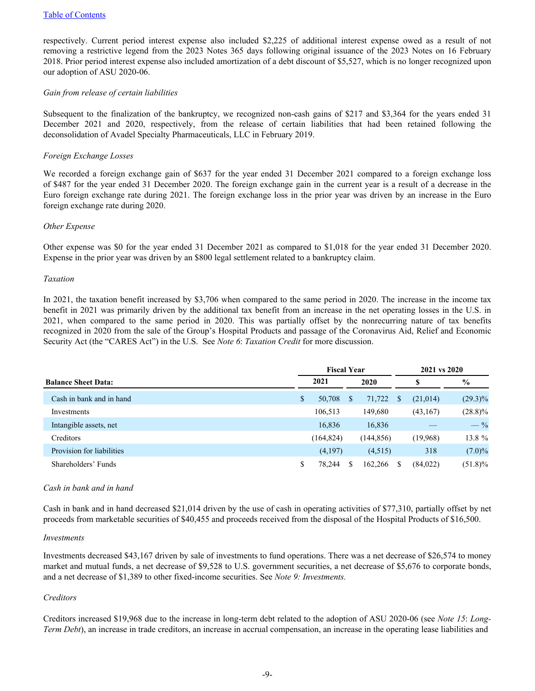respectively. Current period interest expense also included \$2,225 of additional interest expense owed as a result of not removing a restrictive legend from the 2023 Notes 365 days following original issuance of the 2023 Notes on 16 February 2018. Prior period interest expense also included amortization of a debt discount of \$5,527, which is no longer recognized upon our adoption of ASU 2020-06.

#### *Gain from release of certain liabilities*

Subsequent to the finalization of the bankruptcy, we recognized non-cash gains of \$217 and \$3,364 for the years ended 31 December 2021 and 2020, respectively, from the release of certain liabilities that had been retained following the deconsolidation of Avadel Specialty Pharmaceuticals, LLC in February 2019.

#### *Foreign Exchange Losses*

We recorded a foreign exchange gain of \$637 for the year ended 31 December 2021 compared to a foreign exchange loss of \$487 for the year ended 31 December 2020. The foreign exchange gain in the current year is a result of a decrease in the Euro foreign exchange rate during 2021. The foreign exchange loss in the prior year was driven by an increase in the Euro foreign exchange rate during 2020.

#### *Other Expense*

Other expense was \$0 for the year ended 31 December 2021 as compared to \$1,018 for the year ended 31 December 2020. Expense in the prior year was driven by an \$800 legal settlement related to a bankruptcy claim.

#### *Taxation*

In 2021, the taxation benefit increased by \$3,706 when compared to the same period in 2020. The increase in the income tax benefit in 2021 was primarily driven by the additional tax benefit from an increase in the net operating losses in the U.S. in 2021, when compared to the same period in 2020. This was partially offset by the nonrecurring nature of tax benefits recognized in 2020 from the sale of the Group's Hospital Products and passage of the Coronavirus Aid, Relief and Economic Security Act (the "CARES Act") in the U.S. See *Note 6*: *Taxation Credit* for more discussion.

| <b>Fiscal Year</b>         |    |            |          | 2021 vs 2020 |  |           |               |
|----------------------------|----|------------|----------|--------------|--|-----------|---------------|
| <b>Balance Sheet Data:</b> |    | 2021       |          | 2020         |  |           | $\frac{6}{9}$ |
| Cash in bank and in hand   | \$ | 50,708     | <b>S</b> | 71,722       |  | (21, 014) | $(29.3)\%$    |
| Investments                |    | 106,513    |          | 149,680      |  | (43,167)  | $(28.8)\%$    |
| Intangible assets, net     |    | 16,836     |          | 16,836       |  |           | $-$ %         |
| Creditors                  |    | (164, 824) |          | (144, 856)   |  | (19,968)  | 13.8 %        |
| Provision for liabilities  |    | (4,197)    |          | (4,515)      |  | 318       | $(7.0)\%$     |
| Shareholders' Funds        | \$ | 78.244     | S        | 162,266      |  | (84,022)  | $(51.8)\%$    |

#### *Cash in bank and in hand*

Cash in bank and in hand decreased \$21,014 driven by the use of cash in operating activities of \$77,310, partially offset by net proceeds from marketable securities of \$40,455 and proceeds received from the disposal of the Hospital Products of \$16,500.

#### *Investments*

Investments decreased \$43,167 driven by sale of investments to fund operations. There was a net decrease of \$26,574 to money market and mutual funds, a net decrease of \$9,528 to U.S. government securities, a net decrease of \$5,676 to corporate bonds, and a net decrease of \$1,389 to other fixed-income securities. See *Note 9: Investments.*

### *Creditors*

Creditors increased \$19,968 due to the increase in long-term debt related to the adoption of ASU 2020-06 (see *Note 15*: *Long-Term Debt*), an increase in trade creditors, an increase in accrual compensation, an increase in the operating lease liabilities and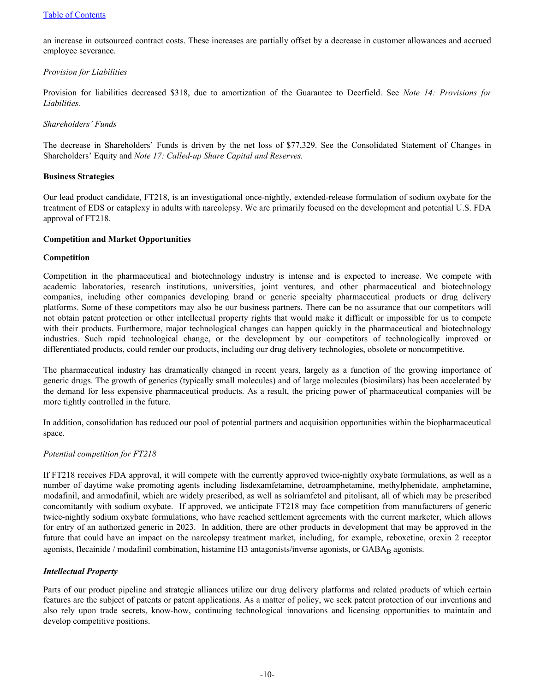#### [Table of Contents](#page-2-0)

an increase in outsourced contract costs. These increases are partially offset by a decrease in customer allowances and accrued employee severance.

#### *Provision for Liabilities*

Provision for liabilities decreased \$318, due to amortization of the Guarantee to Deerfield. See *Note 14: Provisions for Liabilities.*

#### *Shareholders' Funds*

The decrease in Shareholders' Funds is driven by the net loss of \$77,329. See the Consolidated Statement of Changes in Shareholders' Equity and *Note 17: Called-up Share Capital and Reserves.*

#### **Business Strategies**

Our lead product candidate, FT218, is an investigational once-nightly, extended-release formulation of sodium oxybate for the treatment of EDS or cataplexy in adults with narcolepsy. We are primarily focused on the development and potential U.S. FDA approval of FT218.

#### **Competition and Market Opportunities**

#### **Competition**

Competition in the pharmaceutical and biotechnology industry is intense and is expected to increase. We compete with academic laboratories, research institutions, universities, joint ventures, and other pharmaceutical and biotechnology companies, including other companies developing brand or generic specialty pharmaceutical products or drug delivery platforms. Some of these competitors may also be our business partners. There can be no assurance that our competitors will not obtain patent protection or other intellectual property rights that would make it difficult or impossible for us to compete with their products. Furthermore, major technological changes can happen quickly in the pharmaceutical and biotechnology industries. Such rapid technological change, or the development by our competitors of technologically improved or differentiated products, could render our products, including our drug delivery technologies, obsolete or noncompetitive.

The pharmaceutical industry has dramatically changed in recent years, largely as a function of the growing importance of generic drugs. The growth of generics (typically small molecules) and of large molecules (biosimilars) has been accelerated by the demand for less expensive pharmaceutical products. As a result, the pricing power of pharmaceutical companies will be more tightly controlled in the future.

In addition, consolidation has reduced our pool of potential partners and acquisition opportunities within the biopharmaceutical space.

### *Potential competition for FT218*

If FT218 receives FDA approval, it will compete with the currently approved twice-nightly oxybate formulations, as well as a number of daytime wake promoting agents including lisdexamfetamine, detroamphetamine, methylphenidate, amphetamine, modafinil, and armodafinil, which are widely prescribed, as well as solriamfetol and pitolisant, all of which may be prescribed concomitantly with sodium oxybate. If approved, we anticipate FT218 may face competition from manufacturers of generic twice-nightly sodium oxybate formulations, who have reached settlement agreements with the current marketer, which allows for entry of an authorized generic in 2023. In addition, there are other products in development that may be approved in the future that could have an impact on the narcolepsy treatment market, including, for example, reboxetine, orexin 2 receptor agonists, flecainide / modafinil combination, histamine H3 antagonists/inverse agonists, or GABAB agonists.

### *Intellectual Property*

Parts of our product pipeline and strategic alliances utilize our drug delivery platforms and related products of which certain features are the subject of patents or patent applications. As a matter of policy, we seek patent protection of our inventions and also rely upon trade secrets, know-how, continuing technological innovations and licensing opportunities to maintain and develop competitive positions.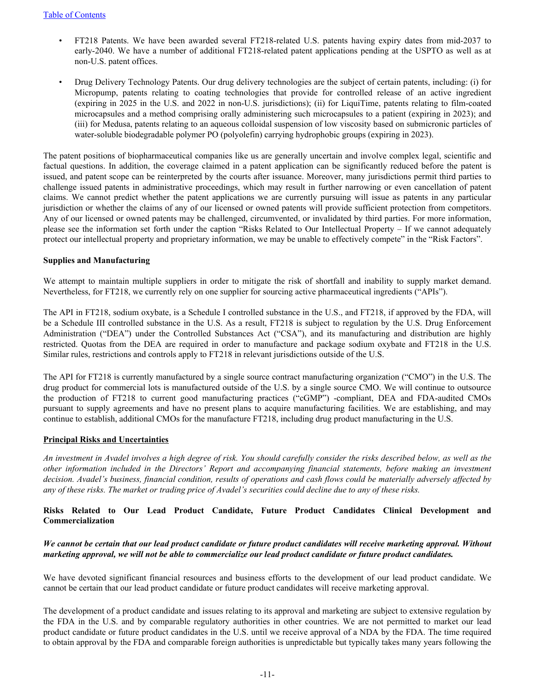- FT218 Patents. We have been awarded several FT218-related U.S. patents having expiry dates from mid-2037 to early-2040. We have a number of additional FT218-related patent applications pending at the USPTO as well as at non-U.S. patent offices.
- Drug Delivery Technology Patents. Our drug delivery technologies are the subject of certain patents, including: (i) for Micropump, patents relating to coating technologies that provide for controlled release of an active ingredient (expiring in 2025 in the U.S. and 2022 in non-U.S. jurisdictions); (ii) for LiquiTime, patents relating to film-coated microcapsules and a method comprising orally administering such microcapsules to a patient (expiring in 2023); and (iii) for Medusa, patents relating to an aqueous colloidal suspension of low viscosity based on submicronic particles of water-soluble biodegradable polymer PO (polyolefin) carrying hydrophobic groups (expiring in 2023).

The patent positions of biopharmaceutical companies like us are generally uncertain and involve complex legal, scientific and factual questions. In addition, the coverage claimed in a patent application can be significantly reduced before the patent is issued, and patent scope can be reinterpreted by the courts after issuance. Moreover, many jurisdictions permit third parties to challenge issued patents in administrative proceedings, which may result in further narrowing or even cancellation of patent claims. We cannot predict whether the patent applications we are currently pursuing will issue as patents in any particular jurisdiction or whether the claims of any of our licensed or owned patents will provide sufficient protection from competitors. Any of our licensed or owned patents may be challenged, circumvented, or invalidated by third parties. For more information, please see the information set forth under the caption "Risks Related to Our Intellectual Property – If we cannot adequately protect our intellectual property and proprietary information, we may be unable to effectively compete" in the "Risk Factors".

#### **Supplies and Manufacturing**

We attempt to maintain multiple suppliers in order to mitigate the risk of shortfall and inability to supply market demand. Nevertheless, for FT218, we currently rely on one supplier for sourcing active pharmaceutical ingredients ("APIs").

The API in FT218, sodium oxybate, is a Schedule I controlled substance in the U.S., and FT218, if approved by the FDA, will be a Schedule III controlled substance in the U.S. As a result, FT218 is subject to regulation by the U.S. Drug Enforcement Administration ("DEA") under the Controlled Substances Act ("CSA"), and its manufacturing and distribution are highly restricted. Quotas from the DEA are required in order to manufacture and package sodium oxybate and FT218 in the U.S. Similar rules, restrictions and controls apply to FT218 in relevant jurisdictions outside of the U.S.

The API for FT218 is currently manufactured by a single source contract manufacturing organization ("CMO") in the U.S. The drug product for commercial lots is manufactured outside of the U.S. by a single source CMO. We will continue to outsource the production of FT218 to current good manufacturing practices ("cGMP") -compliant, DEA and FDA-audited CMOs pursuant to supply agreements and have no present plans to acquire manufacturing facilities. We are establishing, and may continue to establish, additional CMOs for the manufacture FT218, including drug product manufacturing in the U.S.

#### **Principal Risks and Uncertainties**

*An investment in Avadel involves a high degree of risk. You should carefully consider the risks described below, as well as the other information included in the Directors' Report and accompanying financial statements, before making an investment decision. Avadel's business, financial condition, results of operations and cash flows could be materially adversely affected by any of these risks. The market or trading price of Avadel's securities could decline due to any of these risks.* 

# **Risks Related to Our Lead Product Candidate, Future Product Candidates Clinical Development and Commercialization**

### *We cannot be certain that our lead product candidate or future product candidates will receive marketing approval. Without marketing approval, we will not be able to commercialize our lead product candidate or future product candidates.*

We have devoted significant financial resources and business efforts to the development of our lead product candidate. We cannot be certain that our lead product candidate or future product candidates will receive marketing approval.

The development of a product candidate and issues relating to its approval and marketing are subject to extensive regulation by the FDA in the U.S. and by comparable regulatory authorities in other countries. We are not permitted to market our lead product candidate or future product candidates in the U.S. until we receive approval of a NDA by the FDA. The time required to obtain approval by the FDA and comparable foreign authorities is unpredictable but typically takes many years following the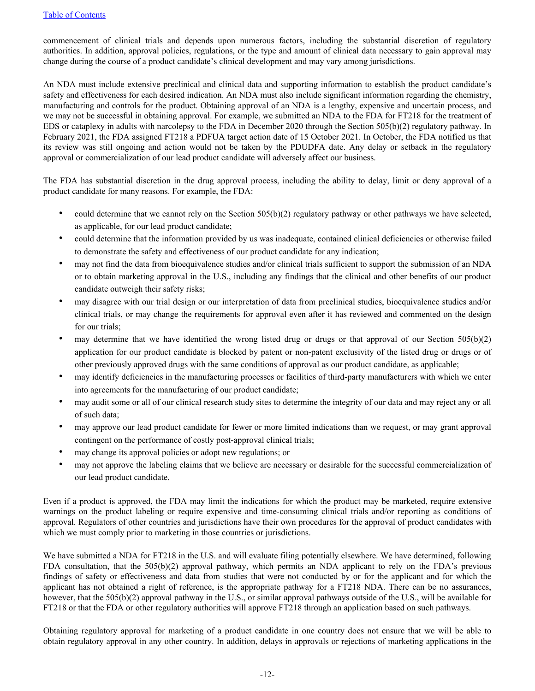commencement of clinical trials and depends upon numerous factors, including the substantial discretion of regulatory authorities. In addition, approval policies, regulations, or the type and amount of clinical data necessary to gain approval may change during the course of a product candidate's clinical development and may vary among jurisdictions.

An NDA must include extensive preclinical and clinical data and supporting information to establish the product candidate's safety and effectiveness for each desired indication. An NDA must also include significant information regarding the chemistry, manufacturing and controls for the product. Obtaining approval of an NDA is a lengthy, expensive and uncertain process, and we may not be successful in obtaining approval. For example, we submitted an NDA to the FDA for FT218 for the treatment of EDS or cataplexy in adults with narcolepsy to the FDA in December 2020 through the Section 505(b)(2) regulatory pathway. In February 2021, the FDA assigned FT218 a PDFUA target action date of 15 October 2021. In October, the FDA notified us that its review was still ongoing and action would not be taken by the PDUDFA date. Any delay or setback in the regulatory approval or commercialization of our lead product candidate will adversely affect our business.

The FDA has substantial discretion in the drug approval process, including the ability to delay, limit or deny approval of a product candidate for many reasons. For example, the FDA:

- could determine that we cannot rely on the Section  $505(b)(2)$  regulatory pathway or other pathways we have selected, as applicable, for our lead product candidate;
- could determine that the information provided by us was inadequate, contained clinical deficiencies or otherwise failed to demonstrate the safety and effectiveness of our product candidate for any indication;
- may not find the data from bioequivalence studies and/or clinical trials sufficient to support the submission of an NDA or to obtain marketing approval in the U.S., including any findings that the clinical and other benefits of our product candidate outweigh their safety risks;
- may disagree with our trial design or our interpretation of data from preclinical studies, bioequivalence studies and/or clinical trials, or may change the requirements for approval even after it has reviewed and commented on the design for our trials;
- may determine that we have identified the wrong listed drug or drugs or that approval of our Section  $505(b)(2)$ application for our product candidate is blocked by patent or non-patent exclusivity of the listed drug or drugs or of other previously approved drugs with the same conditions of approval as our product candidate, as applicable;
- may identify deficiencies in the manufacturing processes or facilities of third-party manufacturers with which we enter into agreements for the manufacturing of our product candidate;
- may audit some or all of our clinical research study sites to determine the integrity of our data and may reject any or all of such data;
- may approve our lead product candidate for fewer or more limited indications than we request, or may grant approval contingent on the performance of costly post-approval clinical trials;
- may change its approval policies or adopt new regulations; or
- may not approve the labeling claims that we believe are necessary or desirable for the successful commercialization of our lead product candidate.

Even if a product is approved, the FDA may limit the indications for which the product may be marketed, require extensive warnings on the product labeling or require expensive and time-consuming clinical trials and/or reporting as conditions of approval. Regulators of other countries and jurisdictions have their own procedures for the approval of product candidates with which we must comply prior to marketing in those countries or jurisdictions.

We have submitted a NDA for FT218 in the U.S. and will evaluate filing potentially elsewhere. We have determined, following FDA consultation, that the 505(b)(2) approval pathway, which permits an NDA applicant to rely on the FDA's previous findings of safety or effectiveness and data from studies that were not conducted by or for the applicant and for which the applicant has not obtained a right of reference, is the appropriate pathway for a FT218 NDA. There can be no assurances, however, that the 505(b)(2) approval pathway in the U.S., or similar approval pathways outside of the U.S., will be available for FT218 or that the FDA or other regulatory authorities will approve FT218 through an application based on such pathways.

Obtaining regulatory approval for marketing of a product candidate in one country does not ensure that we will be able to obtain regulatory approval in any other country. In addition, delays in approvals or rejections of marketing applications in the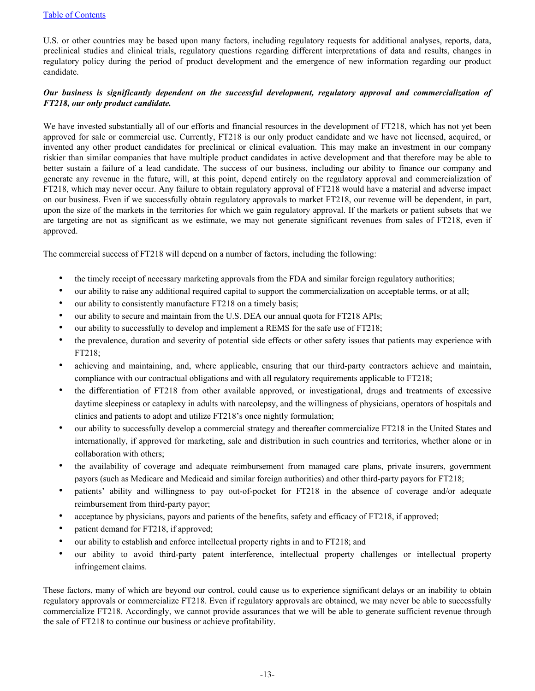U.S. or other countries may be based upon many factors, including regulatory requests for additional analyses, reports, data, preclinical studies and clinical trials, regulatory questions regarding different interpretations of data and results, changes in regulatory policy during the period of product development and the emergence of new information regarding our product candidate.

# *Our business is significantly dependent on the successful development, regulatory approval and commercialization of FT218, our only product candidate.*

We have invested substantially all of our efforts and financial resources in the development of FT218, which has not yet been approved for sale or commercial use. Currently, FT218 is our only product candidate and we have not licensed, acquired, or invented any other product candidates for preclinical or clinical evaluation. This may make an investment in our company riskier than similar companies that have multiple product candidates in active development and that therefore may be able to better sustain a failure of a lead candidate. The success of our business, including our ability to finance our company and generate any revenue in the future, will, at this point, depend entirely on the regulatory approval and commercialization of FT218, which may never occur. Any failure to obtain regulatory approval of FT218 would have a material and adverse impact on our business. Even if we successfully obtain regulatory approvals to market FT218, our revenue will be dependent, in part, upon the size of the markets in the territories for which we gain regulatory approval. If the markets or patient subsets that we are targeting are not as significant as we estimate, we may not generate significant revenues from sales of FT218, even if approved.

The commercial success of FT218 will depend on a number of factors, including the following:

- the timely receipt of necessary marketing approvals from the FDA and similar foreign regulatory authorities;
- our ability to raise any additional required capital to support the commercialization on acceptable terms, or at all;
- our ability to consistently manufacture FT218 on a timely basis;
- our ability to secure and maintain from the U.S. DEA our annual quota for FT218 APIs;
- our ability to successfully to develop and implement a REMS for the safe use of FT218;
- the prevalence, duration and severity of potential side effects or other safety issues that patients may experience with FT218;
- achieving and maintaining, and, where applicable, ensuring that our third-party contractors achieve and maintain, compliance with our contractual obligations and with all regulatory requirements applicable to FT218;
- the differentiation of FT218 from other available approved, or investigational, drugs and treatments of excessive daytime sleepiness or cataplexy in adults with narcolepsy, and the willingness of physicians, operators of hospitals and clinics and patients to adopt and utilize FT218's once nightly formulation;
- our ability to successfully develop a commercial strategy and thereafter commercialize FT218 in the United States and internationally, if approved for marketing, sale and distribution in such countries and territories, whether alone or in collaboration with others;
- the availability of coverage and adequate reimbursement from managed care plans, private insurers, government payors (such as Medicare and Medicaid and similar foreign authorities) and other third-party payors for FT218;
- patients' ability and willingness to pay out-of-pocket for FT218 in the absence of coverage and/or adequate reimbursement from third-party payor;
- acceptance by physicians, payors and patients of the benefits, safety and efficacy of FT218, if approved;
- patient demand for FT218, if approved;
- our ability to establish and enforce intellectual property rights in and to FT218; and
- our ability to avoid third-party patent interference, intellectual property challenges or intellectual property infringement claims.

These factors, many of which are beyond our control, could cause us to experience significant delays or an inability to obtain regulatory approvals or commercialize FT218. Even if regulatory approvals are obtained, we may never be able to successfully commercialize FT218. Accordingly, we cannot provide assurances that we will be able to generate sufficient revenue through the sale of FT218 to continue our business or achieve profitability.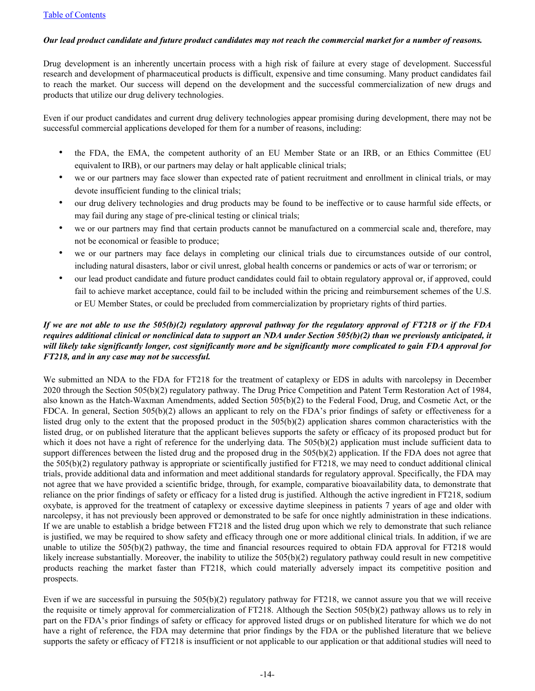## *Our lead product candidate and future product candidates may not reach the commercial market for a number of reasons.*

Drug development is an inherently uncertain process with a high risk of failure at every stage of development. Successful research and development of pharmaceutical products is difficult, expensive and time consuming. Many product candidates fail to reach the market. Our success will depend on the development and the successful commercialization of new drugs and products that utilize our drug delivery technologies.

Even if our product candidates and current drug delivery technologies appear promising during development, there may not be successful commercial applications developed for them for a number of reasons, including:

- the FDA, the EMA, the competent authority of an EU Member State or an IRB, or an Ethics Committee (EU equivalent to IRB), or our partners may delay or halt applicable clinical trials;
- we or our partners may face slower than expected rate of patient recruitment and enrollment in clinical trials, or may devote insufficient funding to the clinical trials;
- our drug delivery technologies and drug products may be found to be ineffective or to cause harmful side effects, or may fail during any stage of pre-clinical testing or clinical trials;
- we or our partners may find that certain products cannot be manufactured on a commercial scale and, therefore, may not be economical or feasible to produce;
- we or our partners may face delays in completing our clinical trials due to circumstances outside of our control, including natural disasters, labor or civil unrest, global health concerns or pandemics or acts of war or terrorism; or
- our lead product candidate and future product candidates could fail to obtain regulatory approval or, if approved, could fail to achieve market acceptance, could fail to be included within the pricing and reimbursement schemes of the U.S. or EU Member States, or could be precluded from commercialization by proprietary rights of third parties.

# *If we are not able to use the 505(b)(2) regulatory approval pathway for the regulatory approval of FT218 or if the FDA requires additional clinical or nonclinical data to support an NDA under Section 505(b)(2) than we previously anticipated, it will likely take significantly longer, cost significantly more and be significantly more complicated to gain FDA approval for FT218, and in any case may not be successful.*

We submitted an NDA to the FDA for FT218 for the treatment of cataplexy or EDS in adults with narcolepsy in December 2020 through the Section 505(b)(2) regulatory pathway. The Drug Price Competition and Patent Term Restoration Act of 1984, also known as the Hatch-Waxman Amendments, added Section 505(b)(2) to the Federal Food, Drug, and Cosmetic Act, or the FDCA. In general, Section 505(b)(2) allows an applicant to rely on the FDA's prior findings of safety or effectiveness for a listed drug only to the extent that the proposed product in the 505(b)(2) application shares common characteristics with the listed drug, or on published literature that the applicant believes supports the safety or efficacy of its proposed product but for which it does not have a right of reference for the underlying data. The  $505(b)(2)$  application must include sufficient data to support differences between the listed drug and the proposed drug in the 505(b)(2) application. If the FDA does not agree that the 505(b)(2) regulatory pathway is appropriate or scientifically justified for FT218, we may need to conduct additional clinical trials, provide additional data and information and meet additional standards for regulatory approval. Specifically, the FDA may not agree that we have provided a scientific bridge, through, for example, comparative bioavailability data, to demonstrate that reliance on the prior findings of safety or efficacy for a listed drug is justified. Although the active ingredient in FT218, sodium oxybate, is approved for the treatment of cataplexy or excessive daytime sleepiness in patients 7 years of age and older with narcolepsy, it has not previously been approved or demonstrated to be safe for once nightly administration in these indications. If we are unable to establish a bridge between FT218 and the listed drug upon which we rely to demonstrate that such reliance is justified, we may be required to show safety and efficacy through one or more additional clinical trials. In addition, if we are unable to utilize the 505(b)(2) pathway, the time and financial resources required to obtain FDA approval for FT218 would likely increase substantially. Moreover, the inability to utilize the 505(b)(2) regulatory pathway could result in new competitive products reaching the market faster than FT218, which could materially adversely impact its competitive position and prospects.

Even if we are successful in pursuing the 505(b)(2) regulatory pathway for FT218, we cannot assure you that we will receive the requisite or timely approval for commercialization of FT218. Although the Section 505(b)(2) pathway allows us to rely in part on the FDA's prior findings of safety or efficacy for approved listed drugs or on published literature for which we do not have a right of reference, the FDA may determine that prior findings by the FDA or the published literature that we believe supports the safety or efficacy of FT218 is insufficient or not applicable to our application or that additional studies will need to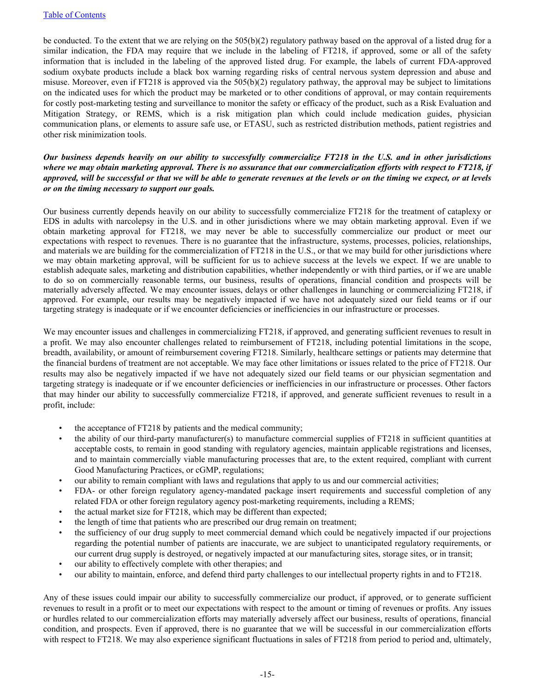be conducted. To the extent that we are relying on the 505(b)(2) regulatory pathway based on the approval of a listed drug for a similar indication, the FDA may require that we include in the labeling of FT218, if approved, some or all of the safety information that is included in the labeling of the approved listed drug. For example, the labels of current FDA-approved sodium oxybate products include a black box warning regarding risks of central nervous system depression and abuse and misuse. Moreover, even if FT218 is approved via the 505(b)(2) regulatory pathway, the approval may be subject to limitations on the indicated uses for which the product may be marketed or to other conditions of approval, or may contain requirements for costly post-marketing testing and surveillance to monitor the safety or efficacy of the product, such as a Risk Evaluation and Mitigation Strategy, or REMS, which is a risk mitigation plan which could include medication guides, physician communication plans, or elements to assure safe use, or ETASU, such as restricted distribution methods, patient registries and other risk minimization tools.

*Our business depends heavily on our ability to successfully commercialize FT218 in the U.S. and in other jurisdictions where we may obtain marketing approval. There is no assurance that our commercialization efforts with respect to FT218, if approved, will be successful or that we will be able to generate revenues at the levels or on the timing we expect, or at levels or on the timing necessary to support our goals.*

Our business currently depends heavily on our ability to successfully commercialize FT218 for the treatment of cataplexy or EDS in adults with narcolepsy in the U.S. and in other jurisdictions where we may obtain marketing approval. Even if we obtain marketing approval for FT218, we may never be able to successfully commercialize our product or meet our expectations with respect to revenues. There is no guarantee that the infrastructure, systems, processes, policies, relationships, and materials we are building for the commercialization of FT218 in the U.S., or that we may build for other jurisdictions where we may obtain marketing approval, will be sufficient for us to achieve success at the levels we expect. If we are unable to establish adequate sales, marketing and distribution capabilities, whether independently or with third parties, or if we are unable to do so on commercially reasonable terms, our business, results of operations, financial condition and prospects will be materially adversely affected. We may encounter issues, delays or other challenges in launching or commercializing FT218, if approved. For example, our results may be negatively impacted if we have not adequately sized our field teams or if our targeting strategy is inadequate or if we encounter deficiencies or inefficiencies in our infrastructure or processes.

We may encounter issues and challenges in commercializing FT218, if approved, and generating sufficient revenues to result in a profit. We may also encounter challenges related to reimbursement of FT218, including potential limitations in the scope, breadth, availability, or amount of reimbursement covering FT218. Similarly, healthcare settings or patients may determine that the financial burdens of treatment are not acceptable. We may face other limitations or issues related to the price of FT218. Our results may also be negatively impacted if we have not adequately sized our field teams or our physician segmentation and targeting strategy is inadequate or if we encounter deficiencies or inefficiencies in our infrastructure or processes. Other factors that may hinder our ability to successfully commercialize FT218, if approved, and generate sufficient revenues to result in a profit, include:

- the acceptance of FT218 by patients and the medical community;
- the ability of our third-party manufacturer(s) to manufacture commercial supplies of FT218 in sufficient quantities at acceptable costs, to remain in good standing with regulatory agencies, maintain applicable registrations and licenses, and to maintain commercially viable manufacturing processes that are, to the extent required, compliant with current Good Manufacturing Practices, or cGMP, regulations;
- our ability to remain compliant with laws and regulations that apply to us and our commercial activities;
- FDA- or other foreign regulatory agency-mandated package insert requirements and successful completion of any related FDA or other foreign regulatory agency post-marketing requirements, including a REMS;
- the actual market size for FT218, which may be different than expected;
- the length of time that patients who are prescribed our drug remain on treatment;
- the sufficiency of our drug supply to meet commercial demand which could be negatively impacted if our projections regarding the potential number of patients are inaccurate, we are subject to unanticipated regulatory requirements, or our current drug supply is destroyed, or negatively impacted at our manufacturing sites, storage sites, or in transit;
- our ability to effectively complete with other therapies; and
- our ability to maintain, enforce, and defend third party challenges to our intellectual property rights in and to FT218.

Any of these issues could impair our ability to successfully commercialize our product, if approved, or to generate sufficient revenues to result in a profit or to meet our expectations with respect to the amount or timing of revenues or profits. Any issues or hurdles related to our commercialization efforts may materially adversely affect our business, results of operations, financial condition, and prospects. Even if approved, there is no guarantee that we will be successful in our commercialization efforts with respect to FT218. We may also experience significant fluctuations in sales of FT218 from period to period and, ultimately,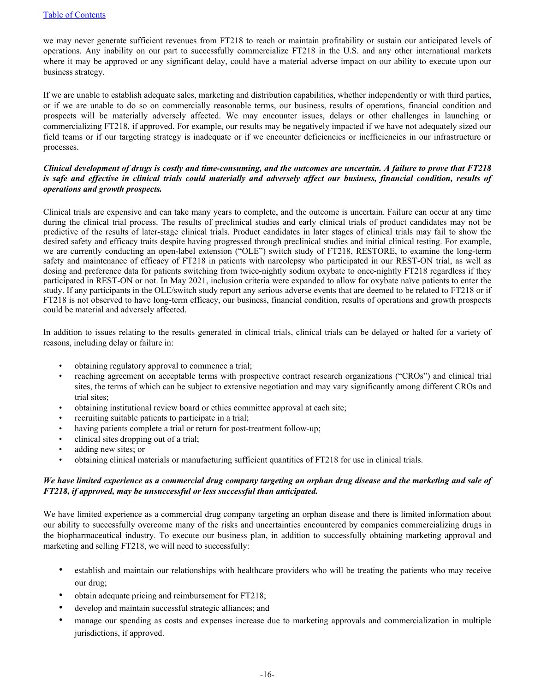we may never generate sufficient revenues from FT218 to reach or maintain profitability or sustain our anticipated levels of operations. Any inability on our part to successfully commercialize FT218 in the U.S. and any other international markets where it may be approved or any significant delay, could have a material adverse impact on our ability to execute upon our business strategy.

If we are unable to establish adequate sales, marketing and distribution capabilities, whether independently or with third parties, or if we are unable to do so on commercially reasonable terms, our business, results of operations, financial condition and prospects will be materially adversely affected. We may encounter issues, delays or other challenges in launching or commercializing FT218, if approved. For example, our results may be negatively impacted if we have not adequately sized our field teams or if our targeting strategy is inadequate or if we encounter deficiencies or inefficiencies in our infrastructure or processes.

## *Clinical development of drugs is costly and time-consuming, and the outcomes are uncertain. A failure to prove that FT218 is safe and effective in clinical trials could materially and adversely affect our business, financial condition, results of operations and growth prospects.*

Clinical trials are expensive and can take many years to complete, and the outcome is uncertain. Failure can occur at any time during the clinical trial process. The results of preclinical studies and early clinical trials of product candidates may not be predictive of the results of later-stage clinical trials. Product candidates in later stages of clinical trials may fail to show the desired safety and efficacy traits despite having progressed through preclinical studies and initial clinical testing. For example, we are currently conducting an open-label extension ("OLE") switch study of FT218, RESTORE, to examine the long-term safety and maintenance of efficacy of FT218 in patients with narcolepsy who participated in our REST-ON trial, as well as dosing and preference data for patients switching from twice-nightly sodium oxybate to once-nightly FT218 regardless if they participated in REST-ON or not. In May 2021, inclusion criteria were expanded to allow for oxybate naïve patients to enter the study. If any participants in the OLE/switch study report any serious adverse events that are deemed to be related to FT218 or if FT218 is not observed to have long-term efficacy, our business, financial condition, results of operations and growth prospects could be material and adversely affected.

In addition to issues relating to the results generated in clinical trials, clinical trials can be delayed or halted for a variety of reasons, including delay or failure in:

- obtaining regulatory approval to commence a trial;
- reaching agreement on acceptable terms with prospective contract research organizations ("CROs") and clinical trial sites, the terms of which can be subject to extensive negotiation and may vary significantly among different CROs and trial sites;
- obtaining institutional review board or ethics committee approval at each site;
- recruiting suitable patients to participate in a trial;
- having patients complete a trial or return for post-treatment follow-up;
- clinical sites dropping out of a trial;
- adding new sites; or
- obtaining clinical materials or manufacturing sufficient quantities of FT218 for use in clinical trials.

### *We have limited experience as a commercial drug company targeting an orphan drug disease and the marketing and sale of FT218, if approved, may be unsuccessful or less successful than anticipated.*

We have limited experience as a commercial drug company targeting an orphan disease and there is limited information about our ability to successfully overcome many of the risks and uncertainties encountered by companies commercializing drugs in the biopharmaceutical industry. To execute our business plan, in addition to successfully obtaining marketing approval and marketing and selling FT218, we will need to successfully:

- establish and maintain our relationships with healthcare providers who will be treating the patients who may receive our drug;
- obtain adequate pricing and reimbursement for FT218;
- develop and maintain successful strategic alliances; and
- manage our spending as costs and expenses increase due to marketing approvals and commercialization in multiple jurisdictions, if approved.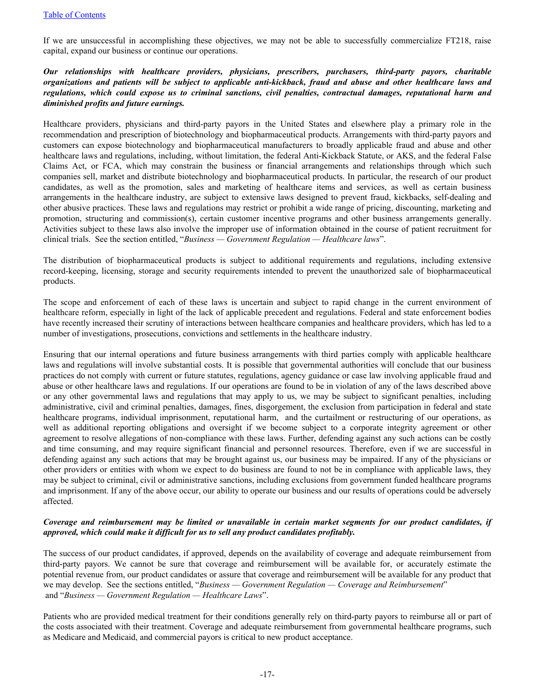If we are unsuccessful in accomplishing these objectives, we may not be able to successfully commercialize FT218, raise capital, expand our business or continue our operations.

*Our relationships with healthcare providers, physicians, prescribers, purchasers, third-party payors, charitable organizations and patients will be subject to applicable anti-kickback, fraud and abuse and other healthcare laws and regulations, which could expose us to criminal sanctions, civil penalties, contractual damages, reputational harm and diminished profits and future earnings.*

Healthcare providers, physicians and third-party payors in the United States and elsewhere play a primary role in the recommendation and prescription of biotechnology and biopharmaceutical products. Arrangements with third-party payors and customers can expose biotechnology and biopharmaceutical manufacturers to broadly applicable fraud and abuse and other healthcare laws and regulations, including, without limitation, the federal Anti-Kickback Statute, or AKS, and the federal False Claims Act, or FCA, which may constrain the business or financial arrangements and relationships through which such companies sell, market and distribute biotechnology and biopharmaceutical products. In particular, the research of our product candidates, as well as the promotion, sales and marketing of healthcare items and services, as well as certain business arrangements in the healthcare industry, are subject to extensive laws designed to prevent fraud, kickbacks, self-dealing and other abusive practices. These laws and regulations may restrict or prohibit a wide range of pricing, discounting, marketing and promotion, structuring and commission(s), certain customer incentive programs and other business arrangements generally. Activities subject to these laws also involve the improper use of information obtained in the course of patient recruitment for clinical trials. See the section entitled, "*Business — Government Regulation — Healthcare laws*".

The distribution of biopharmaceutical products is subject to additional requirements and regulations, including extensive record-keeping, licensing, storage and security requirements intended to prevent the unauthorized sale of biopharmaceutical products.

The scope and enforcement of each of these laws is uncertain and subject to rapid change in the current environment of healthcare reform, especially in light of the lack of applicable precedent and regulations. Federal and state enforcement bodies have recently increased their scrutiny of interactions between healthcare companies and healthcare providers, which has led to a number of investigations, prosecutions, convictions and settlements in the healthcare industry.

Ensuring that our internal operations and future business arrangements with third parties comply with applicable healthcare laws and regulations will involve substantial costs. It is possible that governmental authorities will conclude that our business practices do not comply with current or future statutes, regulations, agency guidance or case law involving applicable fraud and abuse or other healthcare laws and regulations. If our operations are found to be in violation of any of the laws described above or any other governmental laws and regulations that may apply to us, we may be subject to significant penalties, including administrative, civil and criminal penalties, damages, fines, disgorgement, the exclusion from participation in federal and state healthcare programs, individual imprisonment, reputational harm, and the curtailment or restructuring of our operations, as well as additional reporting obligations and oversight if we become subject to a corporate integrity agreement or other agreement to resolve allegations of non-compliance with these laws. Further, defending against any such actions can be costly and time consuming, and may require significant financial and personnel resources. Therefore, even if we are successful in defending against any such actions that may be brought against us, our business may be impaired. If any of the physicians or other providers or entities with whom we expect to do business are found to not be in compliance with applicable laws, they may be subject to criminal, civil or administrative sanctions, including exclusions from government funded healthcare programs and imprisonment. If any of the above occur, our ability to operate our business and our results of operations could be adversely affected.

### *Coverage and reimbursement may be limited or unavailable in certain market segments for our product candidates, if approved, which could make it difficult for us to sell any product candidates profitably.*

The success of our product candidates, if approved, depends on the availability of coverage and adequate reimbursement from third-party payors. We cannot be sure that coverage and reimbursement will be available for, or accurately estimate the potential revenue from, our product candidates or assure that coverage and reimbursement will be available for any product that we may develop. See the sections entitled, "*Business — Government Regulation — Coverage and Reimbursement*" and "*Business — Government Regulation — Healthcare Laws*".

Patients who are provided medical treatment for their conditions generally rely on third-party payors to reimburse all or part of the costs associated with their treatment. Coverage and adequate reimbursement from governmental healthcare programs, such as Medicare and Medicaid, and commercial payors is critical to new product acceptance.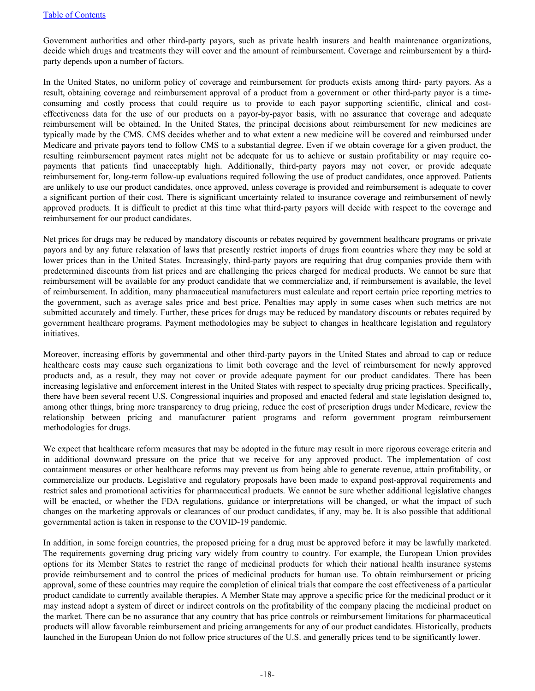Government authorities and other third-party payors, such as private health insurers and health maintenance organizations, decide which drugs and treatments they will cover and the amount of reimbursement. Coverage and reimbursement by a thirdparty depends upon a number of factors.

In the United States, no uniform policy of coverage and reimbursement for products exists among third- party payors. As a result, obtaining coverage and reimbursement approval of a product from a government or other third-party payor is a timeconsuming and costly process that could require us to provide to each payor supporting scientific, clinical and costeffectiveness data for the use of our products on a payor-by-payor basis, with no assurance that coverage and adequate reimbursement will be obtained. In the United States, the principal decisions about reimbursement for new medicines are typically made by the CMS. CMS decides whether and to what extent a new medicine will be covered and reimbursed under Medicare and private payors tend to follow CMS to a substantial degree. Even if we obtain coverage for a given product, the resulting reimbursement payment rates might not be adequate for us to achieve or sustain profitability or may require copayments that patients find unacceptably high. Additionally, third-party payors may not cover, or provide adequate reimbursement for, long-term follow-up evaluations required following the use of product candidates, once approved. Patients are unlikely to use our product candidates, once approved, unless coverage is provided and reimbursement is adequate to cover a significant portion of their cost. There is significant uncertainty related to insurance coverage and reimbursement of newly approved products. It is difficult to predict at this time what third-party payors will decide with respect to the coverage and reimbursement for our product candidates.

Net prices for drugs may be reduced by mandatory discounts or rebates required by government healthcare programs or private payors and by any future relaxation of laws that presently restrict imports of drugs from countries where they may be sold at lower prices than in the United States. Increasingly, third-party payors are requiring that drug companies provide them with predetermined discounts from list prices and are challenging the prices charged for medical products. We cannot be sure that reimbursement will be available for any product candidate that we commercialize and, if reimbursement is available, the level of reimbursement. In addition, many pharmaceutical manufacturers must calculate and report certain price reporting metrics to the government, such as average sales price and best price. Penalties may apply in some cases when such metrics are not submitted accurately and timely. Further, these prices for drugs may be reduced by mandatory discounts or rebates required by government healthcare programs. Payment methodologies may be subject to changes in healthcare legislation and regulatory initiatives.

Moreover, increasing efforts by governmental and other third-party payors in the United States and abroad to cap or reduce healthcare costs may cause such organizations to limit both coverage and the level of reimbursement for newly approved products and, as a result, they may not cover or provide adequate payment for our product candidates. There has been increasing legislative and enforcement interest in the United States with respect to specialty drug pricing practices. Specifically, there have been several recent U.S. Congressional inquiries and proposed and enacted federal and state legislation designed to, among other things, bring more transparency to drug pricing, reduce the cost of prescription drugs under Medicare, review the relationship between pricing and manufacturer patient programs and reform government program reimbursement methodologies for drugs.

We expect that healthcare reform measures that may be adopted in the future may result in more rigorous coverage criteria and in additional downward pressure on the price that we receive for any approved product. The implementation of cost containment measures or other healthcare reforms may prevent us from being able to generate revenue, attain profitability, or commercialize our products. Legislative and regulatory proposals have been made to expand post-approval requirements and restrict sales and promotional activities for pharmaceutical products. We cannot be sure whether additional legislative changes will be enacted, or whether the FDA regulations, guidance or interpretations will be changed, or what the impact of such changes on the marketing approvals or clearances of our product candidates, if any, may be. It is also possible that additional governmental action is taken in response to the COVID-19 pandemic.

In addition, in some foreign countries, the proposed pricing for a drug must be approved before it may be lawfully marketed. The requirements governing drug pricing vary widely from country to country. For example, the European Union provides options for its Member States to restrict the range of medicinal products for which their national health insurance systems provide reimbursement and to control the prices of medicinal products for human use. To obtain reimbursement or pricing approval, some of these countries may require the completion of clinical trials that compare the cost effectiveness of a particular product candidate to currently available therapies. A Member State may approve a specific price for the medicinal product or it may instead adopt a system of direct or indirect controls on the profitability of the company placing the medicinal product on the market. There can be no assurance that any country that has price controls or reimbursement limitations for pharmaceutical products will allow favorable reimbursement and pricing arrangements for any of our product candidates. Historically, products launched in the European Union do not follow price structures of the U.S. and generally prices tend to be significantly lower.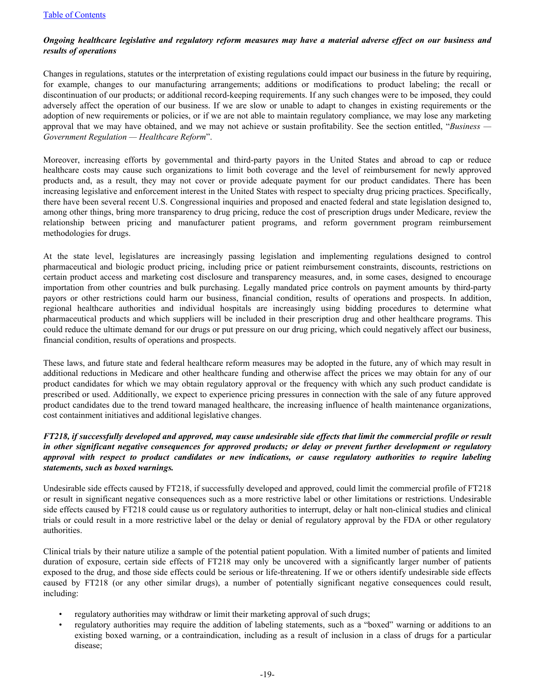## *Ongoing healthcare legislative and regulatory reform measures may have a material adverse effect on our business and results of operations*

Changes in regulations, statutes or the interpretation of existing regulations could impact our business in the future by requiring, for example, changes to our manufacturing arrangements; additions or modifications to product labeling; the recall or discontinuation of our products; or additional record-keeping requirements. If any such changes were to be imposed, they could adversely affect the operation of our business. If we are slow or unable to adapt to changes in existing requirements or the adoption of new requirements or policies, or if we are not able to maintain regulatory compliance, we may lose any marketing approval that we may have obtained, and we may not achieve or sustain profitability. See the section entitled, "*Business — Government Regulation — Healthcare Reform*".

Moreover, increasing efforts by governmental and third-party payors in the United States and abroad to cap or reduce healthcare costs may cause such organizations to limit both coverage and the level of reimbursement for newly approved products and, as a result, they may not cover or provide adequate payment for our product candidates. There has been increasing legislative and enforcement interest in the United States with respect to specialty drug pricing practices. Specifically, there have been several recent U.S. Congressional inquiries and proposed and enacted federal and state legislation designed to, among other things, bring more transparency to drug pricing, reduce the cost of prescription drugs under Medicare, review the relationship between pricing and manufacturer patient programs, and reform government program reimbursement methodologies for drugs.

At the state level, legislatures are increasingly passing legislation and implementing regulations designed to control pharmaceutical and biologic product pricing, including price or patient reimbursement constraints, discounts, restrictions on certain product access and marketing cost disclosure and transparency measures, and, in some cases, designed to encourage importation from other countries and bulk purchasing. Legally mandated price controls on payment amounts by third-party payors or other restrictions could harm our business, financial condition, results of operations and prospects. In addition, regional healthcare authorities and individual hospitals are increasingly using bidding procedures to determine what pharmaceutical products and which suppliers will be included in their prescription drug and other healthcare programs. This could reduce the ultimate demand for our drugs or put pressure on our drug pricing, which could negatively affect our business, financial condition, results of operations and prospects.

These laws, and future state and federal healthcare reform measures may be adopted in the future, any of which may result in additional reductions in Medicare and other healthcare funding and otherwise affect the prices we may obtain for any of our product candidates for which we may obtain regulatory approval or the frequency with which any such product candidate is prescribed or used. Additionally, we expect to experience pricing pressures in connection with the sale of any future approved product candidates due to the trend toward managed healthcare, the increasing influence of health maintenance organizations, cost containment initiatives and additional legislative changes.

## *FT218, if successfully developed and approved, may cause undesirable side effects that limit the commercial profile or result in other significant negative consequences for approved products; or delay or prevent further development or regulatory approval with respect to product candidates or new indications, or cause regulatory authorities to require labeling statements, such as boxed warnings.*

Undesirable side effects caused by FT218, if successfully developed and approved, could limit the commercial profile of FT218 or result in significant negative consequences such as a more restrictive label or other limitations or restrictions. Undesirable side effects caused by FT218 could cause us or regulatory authorities to interrupt, delay or halt non-clinical studies and clinical trials or could result in a more restrictive label or the delay or denial of regulatory approval by the FDA or other regulatory authorities.

Clinical trials by their nature utilize a sample of the potential patient population. With a limited number of patients and limited duration of exposure, certain side effects of FT218 may only be uncovered with a significantly larger number of patients exposed to the drug, and those side effects could be serious or life-threatening. If we or others identify undesirable side effects caused by FT218 (or any other similar drugs), a number of potentially significant negative consequences could result, including:

- regulatory authorities may withdraw or limit their marketing approval of such drugs;
- regulatory authorities may require the addition of labeling statements, such as a "boxed" warning or additions to an existing boxed warning, or a contraindication, including as a result of inclusion in a class of drugs for a particular disease;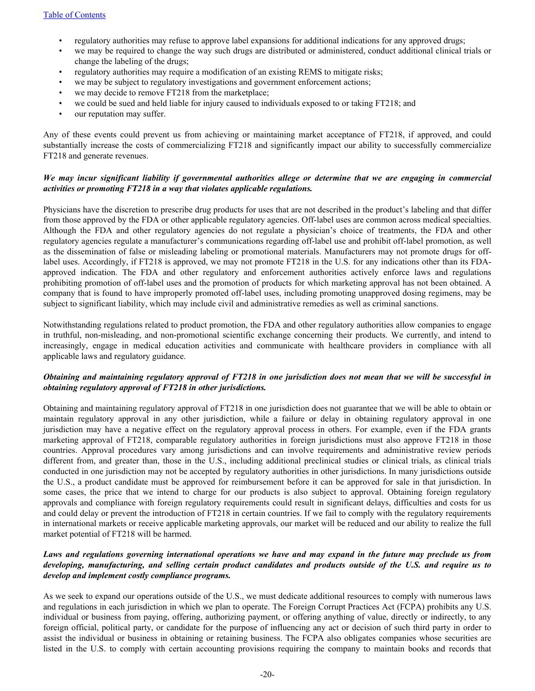- regulatory authorities may refuse to approve label expansions for additional indications for any approved drugs;
- we may be required to change the way such drugs are distributed or administered, conduct additional clinical trials or change the labeling of the drugs;
- regulatory authorities may require a modification of an existing REMS to mitigate risks;
- we may be subject to regulatory investigations and government enforcement actions;
- we may decide to remove FT218 from the marketplace;
- we could be sued and held liable for injury caused to individuals exposed to or taking FT218; and
- our reputation may suffer.

Any of these events could prevent us from achieving or maintaining market acceptance of FT218, if approved, and could substantially increase the costs of commercializing FT218 and significantly impact our ability to successfully commercialize FT218 and generate revenues.

### *We may incur significant liability if governmental authorities allege or determine that we are engaging in commercial activities or promoting FT218 in a way that violates applicable regulations.*

Physicians have the discretion to prescribe drug products for uses that are not described in the product's labeling and that differ from those approved by the FDA or other applicable regulatory agencies. Off-label uses are common across medical specialties. Although the FDA and other regulatory agencies do not regulate a physician's choice of treatments, the FDA and other regulatory agencies regulate a manufacturer's communications regarding off-label use and prohibit off-label promotion, as well as the dissemination of false or misleading labeling or promotional materials. Manufacturers may not promote drugs for offlabel uses. Accordingly, if FT218 is approved, we may not promote FT218 in the U.S. for any indications other than its FDAapproved indication. The FDA and other regulatory and enforcement authorities actively enforce laws and regulations prohibiting promotion of off-label uses and the promotion of products for which marketing approval has not been obtained. A company that is found to have improperly promoted off-label uses, including promoting unapproved dosing regimens, may be subject to significant liability, which may include civil and administrative remedies as well as criminal sanctions.

Notwithstanding regulations related to product promotion, the FDA and other regulatory authorities allow companies to engage in truthful, non-misleading, and non-promotional scientific exchange concerning their products. We currently, and intend to increasingly, engage in medical education activities and communicate with healthcare providers in compliance with all applicable laws and regulatory guidance.

### *Obtaining and maintaining regulatory approval of FT218 in one jurisdiction does not mean that we will be successful in obtaining regulatory approval of FT218 in other jurisdictions.*

Obtaining and maintaining regulatory approval of FT218 in one jurisdiction does not guarantee that we will be able to obtain or maintain regulatory approval in any other jurisdiction, while a failure or delay in obtaining regulatory approval in one jurisdiction may have a negative effect on the regulatory approval process in others. For example, even if the FDA grants marketing approval of FT218, comparable regulatory authorities in foreign jurisdictions must also approve FT218 in those countries. Approval procedures vary among jurisdictions and can involve requirements and administrative review periods different from, and greater than, those in the U.S., including additional preclinical studies or clinical trials, as clinical trials conducted in one jurisdiction may not be accepted by regulatory authorities in other jurisdictions. In many jurisdictions outside the U.S., a product candidate must be approved for reimbursement before it can be approved for sale in that jurisdiction. In some cases, the price that we intend to charge for our products is also subject to approval. Obtaining foreign regulatory approvals and compliance with foreign regulatory requirements could result in significant delays, difficulties and costs for us and could delay or prevent the introduction of FT218 in certain countries. If we fail to comply with the regulatory requirements in international markets or receive applicable marketing approvals, our market will be reduced and our ability to realize the full market potential of FT218 will be harmed.

# *Laws and regulations governing international operations we have and may expand in the future may preclude us from developing, manufacturing, and selling certain product candidates and products outside of the U.S. and require us to develop and implement costly compliance programs.*

As we seek to expand our operations outside of the U.S., we must dedicate additional resources to comply with numerous laws and regulations in each jurisdiction in which we plan to operate. The Foreign Corrupt Practices Act (FCPA) prohibits any U.S. individual or business from paying, offering, authorizing payment, or offering anything of value, directly or indirectly, to any foreign official, political party, or candidate for the purpose of influencing any act or decision of such third party in order to assist the individual or business in obtaining or retaining business. The FCPA also obligates companies whose securities are listed in the U.S. to comply with certain accounting provisions requiring the company to maintain books and records that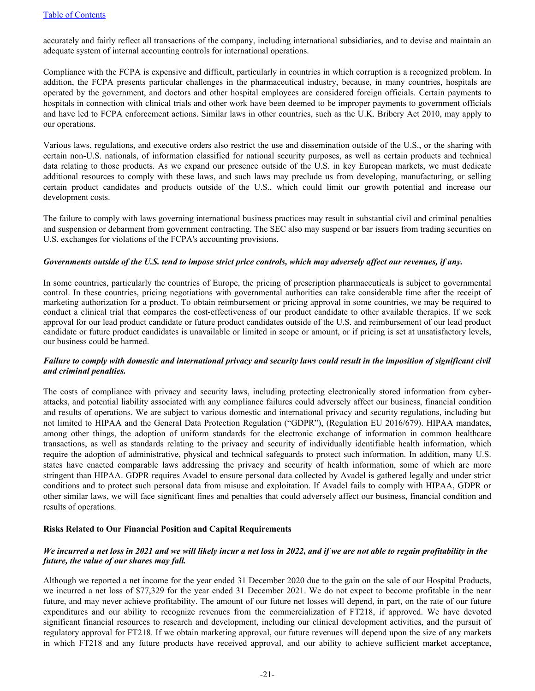accurately and fairly reflect all transactions of the company, including international subsidiaries, and to devise and maintain an adequate system of internal accounting controls for international operations.

Compliance with the FCPA is expensive and difficult, particularly in countries in which corruption is a recognized problem. In addition, the FCPA presents particular challenges in the pharmaceutical industry, because, in many countries, hospitals are operated by the government, and doctors and other hospital employees are considered foreign officials. Certain payments to hospitals in connection with clinical trials and other work have been deemed to be improper payments to government officials and have led to FCPA enforcement actions. Similar laws in other countries, such as the U.K. Bribery Act 2010, may apply to our operations.

Various laws, regulations, and executive orders also restrict the use and dissemination outside of the U.S., or the sharing with certain non-U.S. nationals, of information classified for national security purposes, as well as certain products and technical data relating to those products. As we expand our presence outside of the U.S. in key European markets, we must dedicate additional resources to comply with these laws, and such laws may preclude us from developing, manufacturing, or selling certain product candidates and products outside of the U.S., which could limit our growth potential and increase our development costs.

The failure to comply with laws governing international business practices may result in substantial civil and criminal penalties and suspension or debarment from government contracting. The SEC also may suspend or bar issuers from trading securities on U.S. exchanges for violations of the FCPA's accounting provisions.

#### *Governments outside of the U.S. tend to impose strict price controls, which may adversely affect our revenues, if any.*

In some countries, particularly the countries of Europe, the pricing of prescription pharmaceuticals is subject to governmental control. In these countries, pricing negotiations with governmental authorities can take considerable time after the receipt of marketing authorization for a product. To obtain reimbursement or pricing approval in some countries, we may be required to conduct a clinical trial that compares the cost-effectiveness of our product candidate to other available therapies. If we seek approval for our lead product candidate or future product candidates outside of the U.S. and reimbursement of our lead product candidate or future product candidates is unavailable or limited in scope or amount, or if pricing is set at unsatisfactory levels, our business could be harmed.

#### *Failure to comply with domestic and international privacy and security laws could result in the imposition of significant civil and criminal penalties.*

The costs of compliance with privacy and security laws, including protecting electronically stored information from cyberattacks, and potential liability associated with any compliance failures could adversely affect our business, financial condition and results of operations. We are subject to various domestic and international privacy and security regulations, including but not limited to HIPAA and the General Data Protection Regulation ("GDPR"), (Regulation EU 2016/679). HIPAA mandates, among other things, the adoption of uniform standards for the electronic exchange of information in common healthcare transactions, as well as standards relating to the privacy and security of individually identifiable health information, which require the adoption of administrative, physical and technical safeguards to protect such information. In addition, many U.S. states have enacted comparable laws addressing the privacy and security of health information, some of which are more stringent than HIPAA. GDPR requires Avadel to ensure personal data collected by Avadel is gathered legally and under strict conditions and to protect such personal data from misuse and exploitation. If Avadel fails to comply with HIPAA, GDPR or other similar laws, we will face significant fines and penalties that could adversely affect our business, financial condition and results of operations.

### **Risks Related to Our Financial Position and Capital Requirements**

### *We incurred a net loss in 2021 and we will likely incur a net loss in 2022, and if we are not able to regain profitability in the future, the value of our shares may fall.*

Although we reported a net income for the year ended 31 December 2020 due to the gain on the sale of our Hospital Products, we incurred a net loss of \$77,329 for the year ended 31 December 2021. We do not expect to become profitable in the near future, and may never achieve profitability. The amount of our future net losses will depend, in part, on the rate of our future expenditures and our ability to recognize revenues from the commercialization of FT218, if approved. We have devoted significant financial resources to research and development, including our clinical development activities, and the pursuit of regulatory approval for FT218. If we obtain marketing approval, our future revenues will depend upon the size of any markets in which FT218 and any future products have received approval, and our ability to achieve sufficient market acceptance,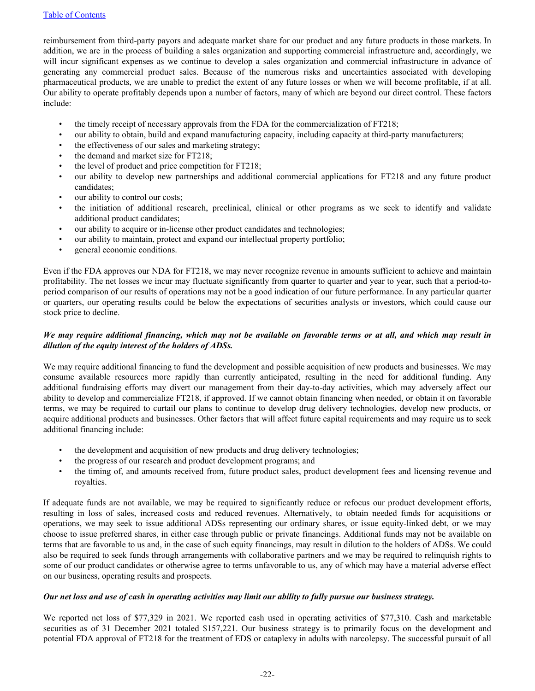reimbursement from third-party payors and adequate market share for our product and any future products in those markets. In addition, we are in the process of building a sales organization and supporting commercial infrastructure and, accordingly, we will incur significant expenses as we continue to develop a sales organization and commercial infrastructure in advance of generating any commercial product sales. Because of the numerous risks and uncertainties associated with developing pharmaceutical products, we are unable to predict the extent of any future losses or when we will become profitable, if at all. Our ability to operate profitably depends upon a number of factors, many of which are beyond our direct control. These factors include:

- the timely receipt of necessary approvals from the FDA for the commercialization of FT218;
- our ability to obtain, build and expand manufacturing capacity, including capacity at third-party manufacturers;
- the effectiveness of our sales and marketing strategy;
- the demand and market size for FT218;
- the level of product and price competition for FT218;
- our ability to develop new partnerships and additional commercial applications for FT218 and any future product candidates;
- our ability to control our costs;
- the initiation of additional research, preclinical, clinical or other programs as we seek to identify and validate additional product candidates;
- our ability to acquire or in-license other product candidates and technologies;
- our ability to maintain, protect and expand our intellectual property portfolio;
- general economic conditions.

Even if the FDA approves our NDA for FT218, we may never recognize revenue in amounts sufficient to achieve and maintain profitability. The net losses we incur may fluctuate significantly from quarter to quarter and year to year, such that a period-toperiod comparison of our results of operations may not be a good indication of our future performance. In any particular quarter or quarters, our operating results could be below the expectations of securities analysts or investors, which could cause our stock price to decline.

# *We may require additional financing, which may not be available on favorable terms or at all, and which may result in dilution of the equity interest of the holders of ADSs.*

We may require additional financing to fund the development and possible acquisition of new products and businesses. We may consume available resources more rapidly than currently anticipated, resulting in the need for additional funding. Any additional fundraising efforts may divert our management from their day-to-day activities, which may adversely affect our ability to develop and commercialize FT218, if approved. If we cannot obtain financing when needed, or obtain it on favorable terms, we may be required to curtail our plans to continue to develop drug delivery technologies, develop new products, or acquire additional products and businesses. Other factors that will affect future capital requirements and may require us to seek additional financing include:

- the development and acquisition of new products and drug delivery technologies;
- the progress of our research and product development programs; and
- the timing of, and amounts received from, future product sales, product development fees and licensing revenue and royalties.

If adequate funds are not available, we may be required to significantly reduce or refocus our product development efforts, resulting in loss of sales, increased costs and reduced revenues. Alternatively, to obtain needed funds for acquisitions or operations, we may seek to issue additional ADSs representing our ordinary shares, or issue equity-linked debt, or we may choose to issue preferred shares, in either case through public or private financings. Additional funds may not be available on terms that are favorable to us and, in the case of such equity financings, may result in dilution to the holders of ADSs. We could also be required to seek funds through arrangements with collaborative partners and we may be required to relinquish rights to some of our product candidates or otherwise agree to terms unfavorable to us, any of which may have a material adverse effect on our business, operating results and prospects.

### *Our net loss and use of cash in operating activities may limit our ability to fully pursue our business strategy.*

We reported net loss of \$77,329 in 2021. We reported cash used in operating activities of \$77,310. Cash and marketable securities as of 31 December 2021 totaled \$157,221. Our business strategy is to primarily focus on the development and potential FDA approval of FT218 for the treatment of EDS or cataplexy in adults with narcolepsy. The successful pursuit of all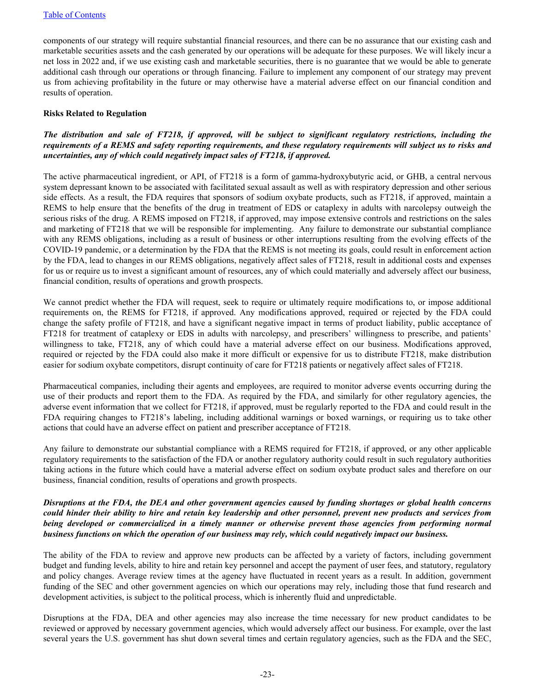components of our strategy will require substantial financial resources, and there can be no assurance that our existing cash and marketable securities assets and the cash generated by our operations will be adequate for these purposes. We will likely incur a net loss in 2022 and, if we use existing cash and marketable securities, there is no guarantee that we would be able to generate additional cash through our operations or through financing. Failure to implement any component of our strategy may prevent us from achieving profitability in the future or may otherwise have a material adverse effect on our financial condition and results of operation.

#### **Risks Related to Regulation**

## *The distribution and sale of FT218, if approved, will be subject to significant regulatory restrictions, including the requirements of a REMS and safety reporting requirements, and these regulatory requirements will subject us to risks and uncertainties, any of which could negatively impact sales of FT218, if approved.*

The active pharmaceutical ingredient, or API, of FT218 is a form of gamma-hydroxybutyric acid, or GHB, a central nervous system depressant known to be associated with facilitated sexual assault as well as with respiratory depression and other serious side effects. As a result, the FDA requires that sponsors of sodium oxybate products, such as FT218, if approved, maintain a REMS to help ensure that the benefits of the drug in treatment of EDS or cataplexy in adults with narcolepsy outweigh the serious risks of the drug. A REMS imposed on FT218, if approved, may impose extensive controls and restrictions on the sales and marketing of FT218 that we will be responsible for implementing. Any failure to demonstrate our substantial compliance with any REMS obligations, including as a result of business or other interruptions resulting from the evolving effects of the COVID-19 pandemic, or a determination by the FDA that the REMS is not meeting its goals, could result in enforcement action by the FDA, lead to changes in our REMS obligations, negatively affect sales of FT218, result in additional costs and expenses for us or require us to invest a significant amount of resources, any of which could materially and adversely affect our business, financial condition, results of operations and growth prospects.

We cannot predict whether the FDA will request, seek to require or ultimately require modifications to, or impose additional requirements on, the REMS for FT218, if approved. Any modifications approved, required or rejected by the FDA could change the safety profile of FT218, and have a significant negative impact in terms of product liability, public acceptance of FT218 for treatment of cataplexy or EDS in adults with narcolepsy, and prescribers' willingness to prescribe, and patients' willingness to take, FT218, any of which could have a material adverse effect on our business. Modifications approved, required or rejected by the FDA could also make it more difficult or expensive for us to distribute FT218, make distribution easier for sodium oxybate competitors, disrupt continuity of care for FT218 patients or negatively affect sales of FT218.

Pharmaceutical companies, including their agents and employees, are required to monitor adverse events occurring during the use of their products and report them to the FDA. As required by the FDA, and similarly for other regulatory agencies, the adverse event information that we collect for FT218, if approved, must be regularly reported to the FDA and could result in the FDA requiring changes to FT218's labeling, including additional warnings or boxed warnings, or requiring us to take other actions that could have an adverse effect on patient and prescriber acceptance of FT218.

Any failure to demonstrate our substantial compliance with a REMS required for FT218, if approved, or any other applicable regulatory requirements to the satisfaction of the FDA or another regulatory authority could result in such regulatory authorities taking actions in the future which could have a material adverse effect on sodium oxybate product sales and therefore on our business, financial condition, results of operations and growth prospects.

## *Disruptions at the FDA, the DEA and other government agencies caused by funding shortages or global health concerns could hinder their ability to hire and retain key leadership and other personnel, prevent new products and services from being developed or commercialized in a timely manner or otherwise prevent those agencies from performing normal business functions on which the operation of our business may rely, which could negatively impact our business.*

The ability of the FDA to review and approve new products can be affected by a variety of factors, including government budget and funding levels, ability to hire and retain key personnel and accept the payment of user fees, and statutory, regulatory and policy changes. Average review times at the agency have fluctuated in recent years as a result. In addition, government funding of the SEC and other government agencies on which our operations may rely, including those that fund research and development activities, is subject to the political process, which is inherently fluid and unpredictable.

Disruptions at the FDA, DEA and other agencies may also increase the time necessary for new product candidates to be reviewed or approved by necessary government agencies, which would adversely affect our business. For example, over the last several years the U.S. government has shut down several times and certain regulatory agencies, such as the FDA and the SEC,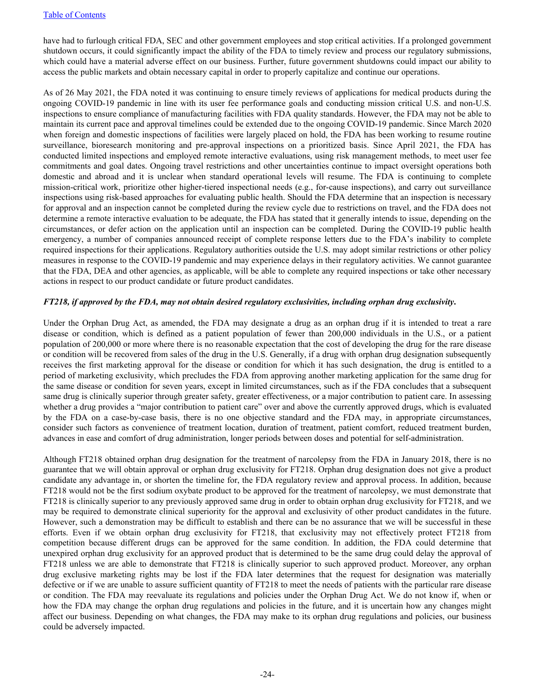have had to furlough critical FDA, SEC and other government employees and stop critical activities. If a prolonged government shutdown occurs, it could significantly impact the ability of the FDA to timely review and process our regulatory submissions, which could have a material adverse effect on our business. Further, future government shutdowns could impact our ability to access the public markets and obtain necessary capital in order to properly capitalize and continue our operations.

As of 26 May 2021, the FDA noted it was continuing to ensure timely reviews of applications for medical products during the ongoing COVID-19 pandemic in line with its user fee performance goals and conducting mission critical U.S. and non-U.S. inspections to ensure compliance of manufacturing facilities with FDA quality standards. However, the FDA may not be able to maintain its current pace and approval timelines could be extended due to the ongoing COVID-19 pandemic. Since March 2020 when foreign and domestic inspections of facilities were largely placed on hold, the FDA has been working to resume routine surveillance, bioresearch monitoring and pre-approval inspections on a prioritized basis. Since April 2021, the FDA has conducted limited inspections and employed remote interactive evaluations, using risk management methods, to meet user fee commitments and goal dates. Ongoing travel restrictions and other uncertainties continue to impact oversight operations both domestic and abroad and it is unclear when standard operational levels will resume. The FDA is continuing to complete mission-critical work, prioritize other higher-tiered inspectional needs (e.g., for-cause inspections), and carry out surveillance inspections using risk-based approaches for evaluating public health. Should the FDA determine that an inspection is necessary for approval and an inspection cannot be completed during the review cycle due to restrictions on travel, and the FDA does not determine a remote interactive evaluation to be adequate, the FDA has stated that it generally intends to issue, depending on the circumstances, or defer action on the application until an inspection can be completed. During the COVID-19 public health emergency, a number of companies announced receipt of complete response letters due to the FDA's inability to complete required inspections for their applications. Regulatory authorities outside the U.S. may adopt similar restrictions or other policy measures in response to the COVID-19 pandemic and may experience delays in their regulatory activities. We cannot guarantee that the FDA, DEA and other agencies, as applicable, will be able to complete any required inspections or take other necessary actions in respect to our product candidate or future product candidates.

### *FT218, if approved by the FDA, may not obtain desired regulatory exclusivities, including orphan drug exclusivity***.**

Under the Orphan Drug Act, as amended, the FDA may designate a drug as an orphan drug if it is intended to treat a rare disease or condition, which is defined as a patient population of fewer than 200,000 individuals in the U.S., or a patient population of 200,000 or more where there is no reasonable expectation that the cost of developing the drug for the rare disease or condition will be recovered from sales of the drug in the U.S. Generally, if a drug with orphan drug designation subsequently receives the first marketing approval for the disease or condition for which it has such designation, the drug is entitled to a period of marketing exclusivity, which precludes the FDA from approving another marketing application for the same drug for the same disease or condition for seven years, except in limited circumstances, such as if the FDA concludes that a subsequent same drug is clinically superior through greater safety, greater effectiveness, or a major contribution to patient care. In assessing whether a drug provides a "major contribution to patient care" over and above the currently approved drugs, which is evaluated by the FDA on a case-by-case basis, there is no one objective standard and the FDA may, in appropriate circumstances, consider such factors as convenience of treatment location, duration of treatment, patient comfort, reduced treatment burden, advances in ease and comfort of drug administration, longer periods between doses and potential for self-administration.

Although FT218 obtained orphan drug designation for the treatment of narcolepsy from the FDA in January 2018, there is no guarantee that we will obtain approval or orphan drug exclusivity for FT218. Orphan drug designation does not give a product candidate any advantage in, or shorten the timeline for, the FDA regulatory review and approval process. In addition, because FT218 would not be the first sodium oxybate product to be approved for the treatment of narcolepsy, we must demonstrate that FT218 is clinically superior to any previously approved same drug in order to obtain orphan drug exclusivity for FT218, and we may be required to demonstrate clinical superiority for the approval and exclusivity of other product candidates in the future. However, such a demonstration may be difficult to establish and there can be no assurance that we will be successful in these efforts. Even if we obtain orphan drug exclusivity for FT218, that exclusivity may not effectively protect FT218 from competition because different drugs can be approved for the same condition. In addition, the FDA could determine that unexpired orphan drug exclusivity for an approved product that is determined to be the same drug could delay the approval of FT218 unless we are able to demonstrate that FT218 is clinically superior to such approved product. Moreover, any orphan drug exclusive marketing rights may be lost if the FDA later determines that the request for designation was materially defective or if we are unable to assure sufficient quantity of FT218 to meet the needs of patients with the particular rare disease or condition. The FDA may reevaluate its regulations and policies under the Orphan Drug Act. We do not know if, when or how the FDA may change the orphan drug regulations and policies in the future, and it is uncertain how any changes might affect our business. Depending on what changes, the FDA may make to its orphan drug regulations and policies, our business could be adversely impacted.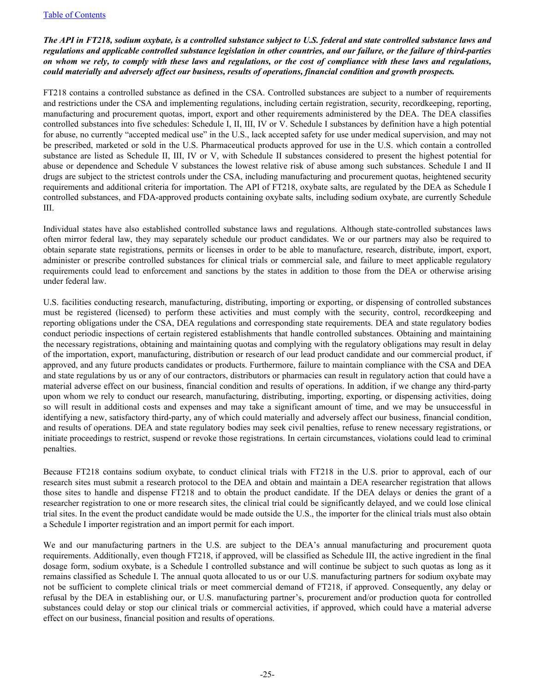## *The API in FT218, sodium oxybate, is a controlled substance subject to U.S. federal and state controlled substance laws and regulations and applicable controlled substance legislation in other countries, and our failure, or the failure of third-parties on whom we rely, to comply with these laws and regulations, or the cost of compliance with these laws and regulations, could materially and adversely affect our business, results of operations, financial condition and growth prospects.*

FT218 contains a controlled substance as defined in the CSA. Controlled substances are subject to a number of requirements and restrictions under the CSA and implementing regulations, including certain registration, security, recordkeeping, reporting, manufacturing and procurement quotas, import, export and other requirements administered by the DEA. The DEA classifies controlled substances into five schedules: Schedule I, II, III, IV or V. Schedule I substances by definition have a high potential for abuse, no currently "accepted medical use" in the U.S., lack accepted safety for use under medical supervision, and may not be prescribed, marketed or sold in the U.S. Pharmaceutical products approved for use in the U.S. which contain a controlled substance are listed as Schedule II, III, IV or V, with Schedule II substances considered to present the highest potential for abuse or dependence and Schedule V substances the lowest relative risk of abuse among such substances. Schedule I and II drugs are subject to the strictest controls under the CSA, including manufacturing and procurement quotas, heightened security requirements and additional criteria for importation. The API of FT218, oxybate salts, are regulated by the DEA as Schedule I controlled substances, and FDA-approved products containing oxybate salts, including sodium oxybate, are currently Schedule III.

Individual states have also established controlled substance laws and regulations. Although state-controlled substances laws often mirror federal law, they may separately schedule our product candidates. We or our partners may also be required to obtain separate state registrations, permits or licenses in order to be able to manufacture, research, distribute, import, export, administer or prescribe controlled substances for clinical trials or commercial sale, and failure to meet applicable regulatory requirements could lead to enforcement and sanctions by the states in addition to those from the DEA or otherwise arising under federal law.

U.S. facilities conducting research, manufacturing, distributing, importing or exporting, or dispensing of controlled substances must be registered (licensed) to perform these activities and must comply with the security, control, recordkeeping and reporting obligations under the CSA, DEA regulations and corresponding state requirements. DEA and state regulatory bodies conduct periodic inspections of certain registered establishments that handle controlled substances. Obtaining and maintaining the necessary registrations, obtaining and maintaining quotas and complying with the regulatory obligations may result in delay of the importation, export, manufacturing, distribution or research of our lead product candidate and our commercial product, if approved, and any future products candidates or products. Furthermore, failure to maintain compliance with the CSA and DEA and state regulations by us or any of our contractors, distributors or pharmacies can result in regulatory action that could have a material adverse effect on our business, financial condition and results of operations. In addition, if we change any third-party upon whom we rely to conduct our research, manufacturing, distributing, importing, exporting, or dispensing activities, doing so will result in additional costs and expenses and may take a significant amount of time, and we may be unsuccessful in identifying a new, satisfactory third-party, any of which could materially and adversely affect our business, financial condition, and results of operations. DEA and state regulatory bodies may seek civil penalties, refuse to renew necessary registrations, or initiate proceedings to restrict, suspend or revoke those registrations. In certain circumstances, violations could lead to criminal penalties.

Because FT218 contains sodium oxybate, to conduct clinical trials with FT218 in the U.S. prior to approval, each of our research sites must submit a research protocol to the DEA and obtain and maintain a DEA researcher registration that allows those sites to handle and dispense FT218 and to obtain the product candidate. If the DEA delays or denies the grant of a researcher registration to one or more research sites, the clinical trial could be significantly delayed, and we could lose clinical trial sites. In the event the product candidate would be made outside the U.S., the importer for the clinical trials must also obtain a Schedule I importer registration and an import permit for each import.

We and our manufacturing partners in the U.S. are subject to the DEA's annual manufacturing and procurement quota requirements. Additionally, even though FT218, if approved, will be classified as Schedule III, the active ingredient in the final dosage form, sodium oxybate, is a Schedule I controlled substance and will continue be subject to such quotas as long as it remains classified as Schedule I. The annual quota allocated to us or our U.S. manufacturing partners for sodium oxybate may not be sufficient to complete clinical trials or meet commercial demand of FT218, if approved. Consequently, any delay or refusal by the DEA in establishing our, or U.S. manufacturing partner's, procurement and/or production quota for controlled substances could delay or stop our clinical trials or commercial activities, if approved, which could have a material adverse effect on our business, financial position and results of operations.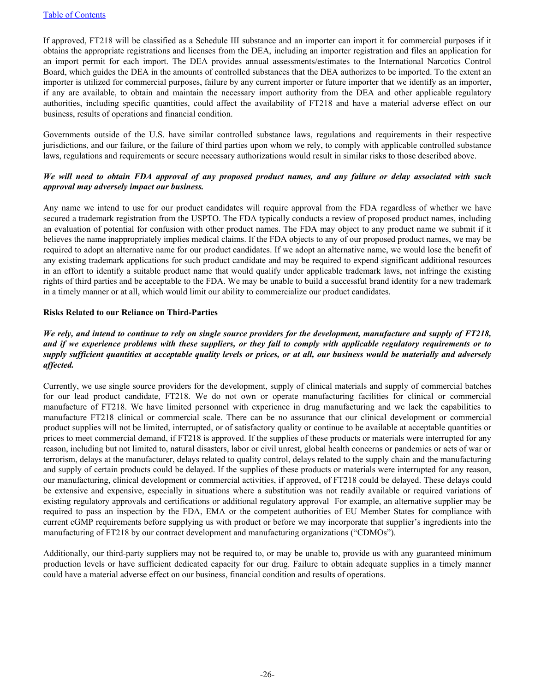If approved, FT218 will be classified as a Schedule III substance and an importer can import it for commercial purposes if it obtains the appropriate registrations and licenses from the DEA, including an importer registration and files an application for an import permit for each import. The DEA provides annual assessments/estimates to the International Narcotics Control Board, which guides the DEA in the amounts of controlled substances that the DEA authorizes to be imported. To the extent an importer is utilized for commercial purposes, failure by any current importer or future importer that we identify as an importer, if any are available, to obtain and maintain the necessary import authority from the DEA and other applicable regulatory authorities, including specific quantities, could affect the availability of FT218 and have a material adverse effect on our business, results of operations and financial condition.

Governments outside of the U.S. have similar controlled substance laws, regulations and requirements in their respective jurisdictions, and our failure, or the failure of third parties upon whom we rely, to comply with applicable controlled substance laws, regulations and requirements or secure necessary authorizations would result in similar risks to those described above.

# *We will need to obtain FDA approval of any proposed product names, and any failure or delay associated with such approval may adversely impact our business.*

Any name we intend to use for our product candidates will require approval from the FDA regardless of whether we have secured a trademark registration from the USPTO. The FDA typically conducts a review of proposed product names, including an evaluation of potential for confusion with other product names. The FDA may object to any product name we submit if it believes the name inappropriately implies medical claims. If the FDA objects to any of our proposed product names, we may be required to adopt an alternative name for our product candidates. If we adopt an alternative name, we would lose the benefit of any existing trademark applications for such product candidate and may be required to expend significant additional resources in an effort to identify a suitable product name that would qualify under applicable trademark laws, not infringe the existing rights of third parties and be acceptable to the FDA. We may be unable to build a successful brand identity for a new trademark in a timely manner or at all, which would limit our ability to commercialize our product candidates.

### **Risks Related to our Reliance on Third-Parties**

# *We rely, and intend to continue to rely on single source providers for the development, manufacture and supply of FT218, and if we experience problems with these suppliers, or they fail to comply with applicable regulatory requirements or to supply sufficient quantities at acceptable quality levels or prices, or at all, our business would be materially and adversely affected.*

Currently, we use single source providers for the development, supply of clinical materials and supply of commercial batches for our lead product candidate, FT218. We do not own or operate manufacturing facilities for clinical or commercial manufacture of FT218. We have limited personnel with experience in drug manufacturing and we lack the capabilities to manufacture FT218 clinical or commercial scale. There can be no assurance that our clinical development or commercial product supplies will not be limited, interrupted, or of satisfactory quality or continue to be available at acceptable quantities or prices to meet commercial demand, if FT218 is approved. If the supplies of these products or materials were interrupted for any reason, including but not limited to, natural disasters, labor or civil unrest, global health concerns or pandemics or acts of war or terrorism, delays at the manufacturer, delays related to quality control, delays related to the supply chain and the manufacturing and supply of certain products could be delayed. If the supplies of these products or materials were interrupted for any reason, our manufacturing, clinical development or commercial activities, if approved, of FT218 could be delayed. These delays could be extensive and expensive, especially in situations where a substitution was not readily available or required variations of existing regulatory approvals and certifications or additional regulatory approval For example, an alternative supplier may be required to pass an inspection by the FDA, EMA or the competent authorities of EU Member States for compliance with current cGMP requirements before supplying us with product or before we may incorporate that supplier's ingredients into the manufacturing of FT218 by our contract development and manufacturing organizations ("CDMOs").

Additionally, our third-party suppliers may not be required to, or may be unable to, provide us with any guaranteed minimum production levels or have sufficient dedicated capacity for our drug. Failure to obtain adequate supplies in a timely manner could have a material adverse effect on our business, financial condition and results of operations.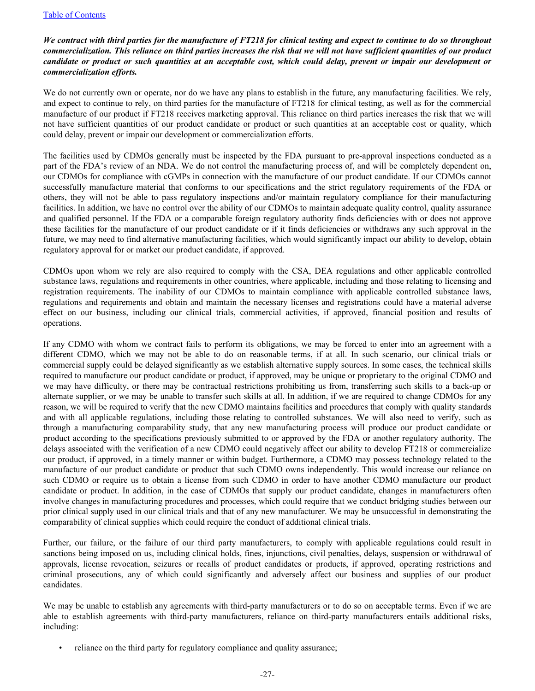## *We contract with third parties for the manufacture of FT218 for clinical testing and expect to continue to do so throughout commercialization. This reliance on third parties increases the risk that we will not have sufficient quantities of our product candidate or product or such quantities at an acceptable cost, which could delay, prevent or impair our development or commercialization efforts.*

We do not currently own or operate, nor do we have any plans to establish in the future, any manufacturing facilities. We rely, and expect to continue to rely, on third parties for the manufacture of FT218 for clinical testing, as well as for the commercial manufacture of our product if FT218 receives marketing approval. This reliance on third parties increases the risk that we will not have sufficient quantities of our product candidate or product or such quantities at an acceptable cost or quality, which could delay, prevent or impair our development or commercialization efforts.

The facilities used by CDMOs generally must be inspected by the FDA pursuant to pre-approval inspections conducted as a part of the FDA's review of an NDA. We do not control the manufacturing process of, and will be completely dependent on, our CDMOs for compliance with cGMPs in connection with the manufacture of our product candidate. If our CDMOs cannot successfully manufacture material that conforms to our specifications and the strict regulatory requirements of the FDA or others, they will not be able to pass regulatory inspections and/or maintain regulatory compliance for their manufacturing facilities. In addition, we have no control over the ability of our CDMOs to maintain adequate quality control, quality assurance and qualified personnel. If the FDA or a comparable foreign regulatory authority finds deficiencies with or does not approve these facilities for the manufacture of our product candidate or if it finds deficiencies or withdraws any such approval in the future, we may need to find alternative manufacturing facilities, which would significantly impact our ability to develop, obtain regulatory approval for or market our product candidate, if approved.

CDMOs upon whom we rely are also required to comply with the CSA, DEA regulations and other applicable controlled substance laws, regulations and requirements in other countries, where applicable, including and those relating to licensing and registration requirements. The inability of our CDMOs to maintain compliance with applicable controlled substance laws, regulations and requirements and obtain and maintain the necessary licenses and registrations could have a material adverse effect on our business, including our clinical trials, commercial activities, if approved, financial position and results of operations.

If any CDMO with whom we contract fails to perform its obligations, we may be forced to enter into an agreement with a different CDMO, which we may not be able to do on reasonable terms, if at all. In such scenario, our clinical trials or commercial supply could be delayed significantly as we establish alternative supply sources. In some cases, the technical skills required to manufacture our product candidate or product, if approved, may be unique or proprietary to the original CDMO and we may have difficulty, or there may be contractual restrictions prohibiting us from, transferring such skills to a back-up or alternate supplier, or we may be unable to transfer such skills at all. In addition, if we are required to change CDMOs for any reason, we will be required to verify that the new CDMO maintains facilities and procedures that comply with quality standards and with all applicable regulations, including those relating to controlled substances. We will also need to verify, such as through a manufacturing comparability study, that any new manufacturing process will produce our product candidate or product according to the specifications previously submitted to or approved by the FDA or another regulatory authority. The delays associated with the verification of a new CDMO could negatively affect our ability to develop FT218 or commercialize our product, if approved, in a timely manner or within budget. Furthermore, a CDMO may possess technology related to the manufacture of our product candidate or product that such CDMO owns independently. This would increase our reliance on such CDMO or require us to obtain a license from such CDMO in order to have another CDMO manufacture our product candidate or product. In addition, in the case of CDMOs that supply our product candidate, changes in manufacturers often involve changes in manufacturing procedures and processes, which could require that we conduct bridging studies between our prior clinical supply used in our clinical trials and that of any new manufacturer. We may be unsuccessful in demonstrating the comparability of clinical supplies which could require the conduct of additional clinical trials.

Further, our failure, or the failure of our third party manufacturers, to comply with applicable regulations could result in sanctions being imposed on us, including clinical holds, fines, injunctions, civil penalties, delays, suspension or withdrawal of approvals, license revocation, seizures or recalls of product candidates or products, if approved, operating restrictions and criminal prosecutions, any of which could significantly and adversely affect our business and supplies of our product candidates.

We may be unable to establish any agreements with third-party manufacturers or to do so on acceptable terms. Even if we are able to establish agreements with third-party manufacturers, reliance on third-party manufacturers entails additional risks, including:

reliance on the third party for regulatory compliance and quality assurance;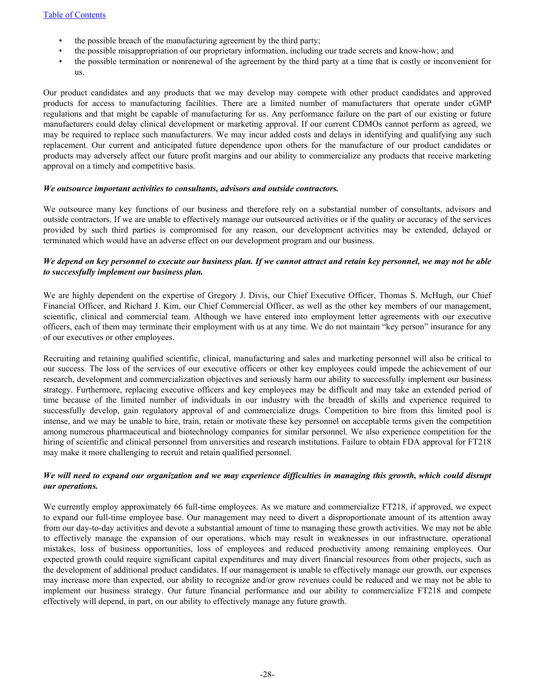- the possible breach of the manufacturing agreement by the third party;
- the possible misappropriation of our proprietary information, including our trade secrets and know-how; and
- the possible termination or nonrenewal of the agreement by the third party at a time that is costly or inconvenient for us.

Our product candidates and any products that we may develop may compete with other product candidates and approved products for access to manufacturing facilities. There are a limited number of manufacturers that operate under cGMP regulations and that might be capable of manufacturing for us. Any performance failure on the part of our existing or future manufacturers could delay clinical development or marketing approval. If our current CDMOs cannot perform as agreed, we may be required to replace such manufacturers. We may incur added costs and delays in identifying and qualifying any such replacement. Our current and anticipated future dependence upon others for the manufacture of our product candidates or products may adversely affect our future profit margins and our ability to commercialize any products that receive marketing approval on a timely and competitive basis.

#### *We outsource important activities to consultants, advisors and outside contractors.*

We outsource many key functions of our business and therefore rely on a substantial number of consultants, advisors and outside contractors. If we are unable to effectively manage our outsourced activities or if the quality or accuracy of the services provided by such third parties is compromised for any reason, our development activities may be extended, delayed or terminated which would have an adverse effect on our development program and our business.

### *We depend on key personnel to execute our business plan. If we cannot attract and retain key personnel, we may not be able to successfully implement our business plan.*

We are highly dependent on the expertise of Gregory J. Divis, our Chief Executive Officer, Thomas S. McHugh, our Chief Financial Officer, and Richard J. Kim, our Chief Commercial Officer, as well as the other key members of our management, scientific, clinical and commercial team. Although we have entered into employment letter agreements with our executive officers, each of them may terminate their employment with us at any time. We do not maintain "key person" insurance for any of our executives or other employees.

Recruiting and retaining qualified scientific, clinical, manufacturing and sales and marketing personnel will also be critical to our success. The loss of the services of our executive officers or other key employees could impede the achievement of our research, development and commercialization objectives and seriously harm our ability to successfully implement our business strategy. Furthermore, replacing executive officers and key employees may be difficult and may take an extended period of time because of the limited number of individuals in our industry with the breadth of skills and experience required to successfully develop, gain regulatory approval of and commercialize drugs. Competition to hire from this limited pool is intense, and we may be unable to hire, train, retain or motivate these key personnel on acceptable terms given the competition among numerous pharmaceutical and biotechnology companies for similar personnel. We also experience competition for the hiring of scientific and clinical personnel from universities and research institutions. Failure to obtain FDA approval for FT218 may make it more challenging to recruit and retain qualified personnel.

### *We will need to expand our organization and we may experience difficulties in managing this growth, which could disrupt our operations.*

We currently employ approximately 66 full-time employees. As we mature and commercialize FT218, if approved, we expect to expand our full-time employee base. Our management may need to divert a disproportionate amount of its attention away from our day-to-day activities and devote a substantial amount of time to managing these growth activities. We may not be able to effectively manage the expansion of our operations, which may result in weaknesses in our infrastructure, operational mistakes, loss of business opportunities, loss of employees and reduced productivity among remaining employees. Our expected growth could require significant capital expenditures and may divert financial resources from other projects, such as the development of additional product candidates. If our management is unable to effectively manage our growth, our expenses may increase more than expected, our ability to recognize and/or grow revenues could be reduced and we may not be able to implement our business strategy. Our future financial performance and our ability to commercialize FT218 and compete effectively will depend, in part, on our ability to effectively manage any future growth.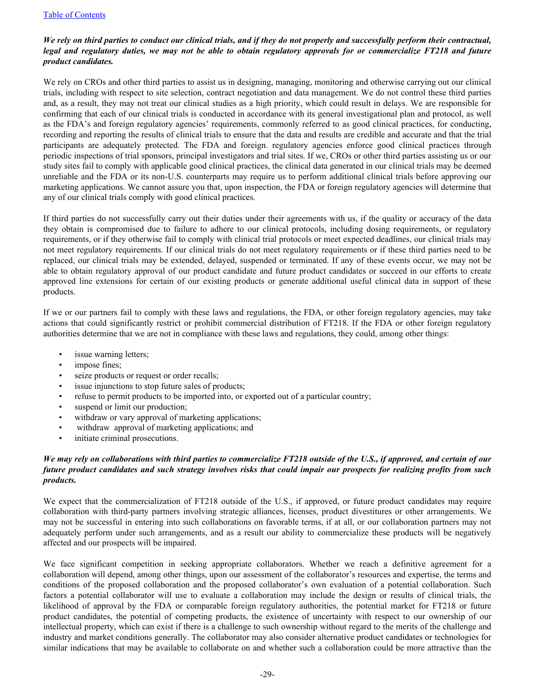# *We rely on third parties to conduct our clinical trials, and if they do not properly and successfully perform their contractual, legal and regulatory duties, we may not be able to obtain regulatory approvals for or commercialize FT218 and future product candidates.*

We rely on CROs and other third parties to assist us in designing, managing, monitoring and otherwise carrying out our clinical trials, including with respect to site selection, contract negotiation and data management. We do not control these third parties and, as a result, they may not treat our clinical studies as a high priority, which could result in delays. We are responsible for confirming that each of our clinical trials is conducted in accordance with its general investigational plan and protocol, as well as the FDA's and foreign regulatory agencies' requirements, commonly referred to as good clinical practices, for conducting, recording and reporting the results of clinical trials to ensure that the data and results are credible and accurate and that the trial participants are adequately protected. The FDA and foreign. regulatory agencies enforce good clinical practices through periodic inspections of trial sponsors, principal investigators and trial sites. If we, CROs or other third parties assisting us or our study sites fail to comply with applicable good clinical practices, the clinical data generated in our clinical trials may be deemed unreliable and the FDA or its non-U.S. counterparts may require us to perform additional clinical trials before approving our marketing applications. We cannot assure you that, upon inspection, the FDA or foreign regulatory agencies will determine that any of our clinical trials comply with good clinical practices.

If third parties do not successfully carry out their duties under their agreements with us, if the quality or accuracy of the data they obtain is compromised due to failure to adhere to our clinical protocols, including dosing requirements, or regulatory requirements, or if they otherwise fail to comply with clinical trial protocols or meet expected deadlines, our clinical trials may not meet regulatory requirements. If our clinical trials do not meet regulatory requirements or if these third parties need to be replaced, our clinical trials may be extended, delayed, suspended or terminated. If any of these events occur, we may not be able to obtain regulatory approval of our product candidate and future product candidates or succeed in our efforts to create approved line extensions for certain of our existing products or generate additional useful clinical data in support of these products.

If we or our partners fail to comply with these laws and regulations, the FDA, or other foreign regulatory agencies, may take actions that could significantly restrict or prohibit commercial distribution of FT218. If the FDA or other foreign regulatory authorities determine that we are not in compliance with these laws and regulations, they could, among other things:

- issue warning letters;
- impose fines;
- seize products or request or order recalls;
- issue injunctions to stop future sales of products;
- refuse to permit products to be imported into, or exported out of a particular country;
- suspend or limit our production;
- withdraw or vary approval of marketing applications;
- withdraw approval of marketing applications; and
- initiate criminal prosecutions.

## *We may rely on collaborations with third parties to commercialize FT218 outside of the U.S., if approved, and certain of our future product candidates and such strategy involves risks that could impair our prospects for realizing profits from such products.*

We expect that the commercialization of FT218 outside of the U.S., if approved, or future product candidates may require collaboration with third-party partners involving strategic alliances, licenses, product divestitures or other arrangements. We may not be successful in entering into such collaborations on favorable terms, if at all, or our collaboration partners may not adequately perform under such arrangements, and as a result our ability to commercialize these products will be negatively affected and our prospects will be impaired.

We face significant competition in seeking appropriate collaborators. Whether we reach a definitive agreement for a collaboration will depend, among other things, upon our assessment of the collaborator's resources and expertise, the terms and conditions of the proposed collaboration and the proposed collaborator's own evaluation of a potential collaboration. Such factors a potential collaborator will use to evaluate a collaboration may include the design or results of clinical trials, the likelihood of approval by the FDA or comparable foreign regulatory authorities, the potential market for FT218 or future product candidates, the potential of competing products, the existence of uncertainty with respect to our ownership of our intellectual property, which can exist if there is a challenge to such ownership without regard to the merits of the challenge and industry and market conditions generally. The collaborator may also consider alternative product candidates or technologies for similar indications that may be available to collaborate on and whether such a collaboration could be more attractive than the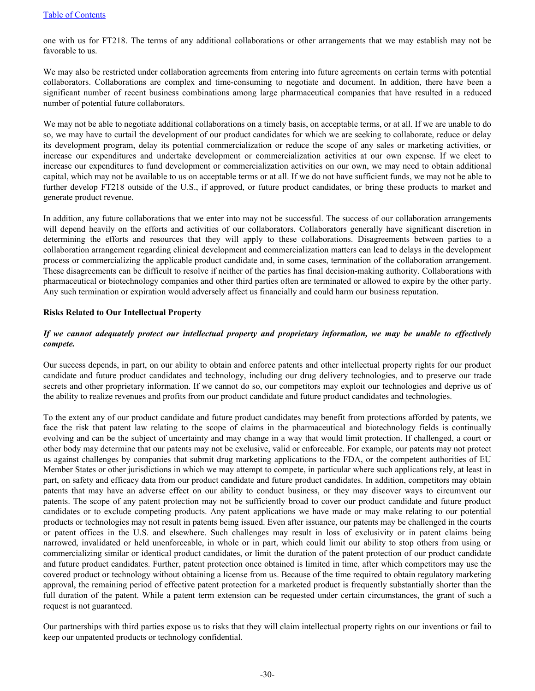one with us for FT218. The terms of any additional collaborations or other arrangements that we may establish may not be favorable to us.

We may also be restricted under collaboration agreements from entering into future agreements on certain terms with potential collaborators. Collaborations are complex and time-consuming to negotiate and document. In addition, there have been a significant number of recent business combinations among large pharmaceutical companies that have resulted in a reduced number of potential future collaborators.

We may not be able to negotiate additional collaborations on a timely basis, on acceptable terms, or at all. If we are unable to do so, we may have to curtail the development of our product candidates for which we are seeking to collaborate, reduce or delay its development program, delay its potential commercialization or reduce the scope of any sales or marketing activities, or increase our expenditures and undertake development or commercialization activities at our own expense. If we elect to increase our expenditures to fund development or commercialization activities on our own, we may need to obtain additional capital, which may not be available to us on acceptable terms or at all. If we do not have sufficient funds, we may not be able to further develop FT218 outside of the U.S., if approved, or future product candidates, or bring these products to market and generate product revenue.

In addition, any future collaborations that we enter into may not be successful. The success of our collaboration arrangements will depend heavily on the efforts and activities of our collaborators. Collaborators generally have significant discretion in determining the efforts and resources that they will apply to these collaborations. Disagreements between parties to a collaboration arrangement regarding clinical development and commercialization matters can lead to delays in the development process or commercializing the applicable product candidate and, in some cases, termination of the collaboration arrangement. These disagreements can be difficult to resolve if neither of the parties has final decision-making authority. Collaborations with pharmaceutical or biotechnology companies and other third parties often are terminated or allowed to expire by the other party. Any such termination or expiration would adversely affect us financially and could harm our business reputation.

### **Risks Related to Our Intellectual Property**

## *If we cannot adequately protect our intellectual property and proprietary information, we may be unable to effectively compete.*

Our success depends, in part, on our ability to obtain and enforce patents and other intellectual property rights for our product candidate and future product candidates and technology, including our drug delivery technologies, and to preserve our trade secrets and other proprietary information. If we cannot do so, our competitors may exploit our technologies and deprive us of the ability to realize revenues and profits from our product candidate and future product candidates and technologies.

To the extent any of our product candidate and future product candidates may benefit from protections afforded by patents, we face the risk that patent law relating to the scope of claims in the pharmaceutical and biotechnology fields is continually evolving and can be the subject of uncertainty and may change in a way that would limit protection. If challenged, a court or other body may determine that our patents may not be exclusive, valid or enforceable. For example, our patents may not protect us against challenges by companies that submit drug marketing applications to the FDA, or the competent authorities of EU Member States or other jurisdictions in which we may attempt to compete, in particular where such applications rely, at least in part, on safety and efficacy data from our product candidate and future product candidates. In addition, competitors may obtain patents that may have an adverse effect on our ability to conduct business, or they may discover ways to circumvent our patents. The scope of any patent protection may not be sufficiently broad to cover our product candidate and future product candidates or to exclude competing products. Any patent applications we have made or may make relating to our potential products or technologies may not result in patents being issued. Even after issuance, our patents may be challenged in the courts or patent offices in the U.S. and elsewhere. Such challenges may result in loss of exclusivity or in patent claims being narrowed, invalidated or held unenforceable, in whole or in part, which could limit our ability to stop others from using or commercializing similar or identical product candidates, or limit the duration of the patent protection of our product candidate and future product candidates. Further, patent protection once obtained is limited in time, after which competitors may use the covered product or technology without obtaining a license from us. Because of the time required to obtain regulatory marketing approval, the remaining period of effective patent protection for a marketed product is frequently substantially shorter than the full duration of the patent. While a patent term extension can be requested under certain circumstances, the grant of such a request is not guaranteed.

Our partnerships with third parties expose us to risks that they will claim intellectual property rights on our inventions or fail to keep our unpatented products or technology confidential.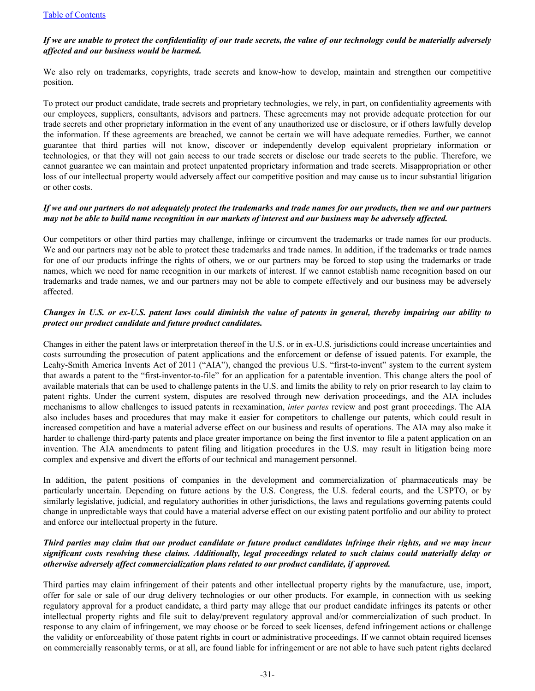## *If we are unable to protect the confidentiality of our trade secrets, the value of our technology could be materially adversely affected and our business would be harmed.*

We also rely on trademarks, copyrights, trade secrets and know-how to develop, maintain and strengthen our competitive position.

To protect our product candidate, trade secrets and proprietary technologies, we rely, in part, on confidentiality agreements with our employees, suppliers, consultants, advisors and partners. These agreements may not provide adequate protection for our trade secrets and other proprietary information in the event of any unauthorized use or disclosure, or if others lawfully develop the information. If these agreements are breached, we cannot be certain we will have adequate remedies. Further, we cannot guarantee that third parties will not know, discover or independently develop equivalent proprietary information or technologies, or that they will not gain access to our trade secrets or disclose our trade secrets to the public. Therefore, we cannot guarantee we can maintain and protect unpatented proprietary information and trade secrets. Misappropriation or other loss of our intellectual property would adversely affect our competitive position and may cause us to incur substantial litigation or other costs.

### *If we and our partners do not adequately protect the trademarks and trade names for our products, then we and our partners may not be able to build name recognition in our markets of interest and our business may be adversely affected.*

Our competitors or other third parties may challenge, infringe or circumvent the trademarks or trade names for our products. We and our partners may not be able to protect these trademarks and trade names. In addition, if the trademarks or trade names for one of our products infringe the rights of others, we or our partners may be forced to stop using the trademarks or trade names, which we need for name recognition in our markets of interest. If we cannot establish name recognition based on our trademarks and trade names, we and our partners may not be able to compete effectively and our business may be adversely affected.

# *Changes in U.S. or ex-U.S. patent laws could diminish the value of patents in general, thereby impairing our ability to protect our product candidate and future product candidates.*

Changes in either the patent laws or interpretation thereof in the U.S. or in ex-U.S. jurisdictions could increase uncertainties and costs surrounding the prosecution of patent applications and the enforcement or defense of issued patents. For example, the Leahy-Smith America Invents Act of 2011 ("AIA"), changed the previous U.S. "first-to-invent" system to the current system that awards a patent to the "first-inventor-to-file" for an application for a patentable invention. This change alters the pool of available materials that can be used to challenge patents in the U.S. and limits the ability to rely on prior research to lay claim to patent rights. Under the current system, disputes are resolved through new derivation proceedings, and the AIA includes mechanisms to allow challenges to issued patents in reexamination, *inter partes* review and post grant proceedings. The AIA also includes bases and procedures that may make it easier for competitors to challenge our patents, which could result in increased competition and have a material adverse effect on our business and results of operations. The AIA may also make it harder to challenge third-party patents and place greater importance on being the first inventor to file a patent application on an invention. The AIA amendments to patent filing and litigation procedures in the U.S. may result in litigation being more complex and expensive and divert the efforts of our technical and management personnel.

In addition, the patent positions of companies in the development and commercialization of pharmaceuticals may be particularly uncertain. Depending on future actions by the U.S. Congress, the U.S. federal courts, and the USPTO, or by similarly legislative, judicial, and regulatory authorities in other jurisdictions, the laws and regulations governing patents could change in unpredictable ways that could have a material adverse effect on our existing patent portfolio and our ability to protect and enforce our intellectual property in the future.

## *Third parties may claim that our product candidate or future product candidates infringe their rights, and we may incur significant costs resolving these claims. Additionally, legal proceedings related to such claims could materially delay or otherwise adversely affect commercialization plans related to our product candidate, if approved.*

Third parties may claim infringement of their patents and other intellectual property rights by the manufacture, use, import, offer for sale or sale of our drug delivery technologies or our other products. For example, in connection with us seeking regulatory approval for a product candidate, a third party may allege that our product candidate infringes its patents or other intellectual property rights and file suit to delay/prevent regulatory approval and/or commercialization of such product. In response to any claim of infringement, we may choose or be forced to seek licenses, defend infringement actions or challenge the validity or enforceability of those patent rights in court or administrative proceedings. If we cannot obtain required licenses on commercially reasonably terms, or at all, are found liable for infringement or are not able to have such patent rights declared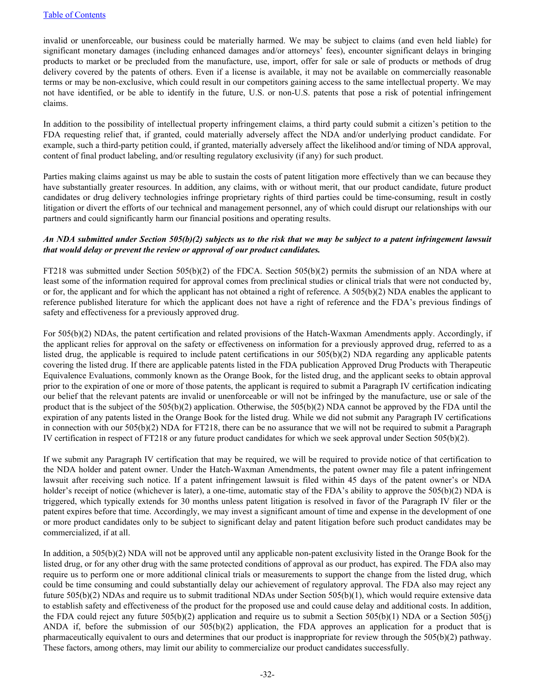invalid or unenforceable, our business could be materially harmed. We may be subject to claims (and even held liable) for significant monetary damages (including enhanced damages and/or attorneys' fees), encounter significant delays in bringing products to market or be precluded from the manufacture, use, import, offer for sale or sale of products or methods of drug delivery covered by the patents of others. Even if a license is available, it may not be available on commercially reasonable terms or may be non-exclusive, which could result in our competitors gaining access to the same intellectual property. We may not have identified, or be able to identify in the future, U.S. or non-U.S. patents that pose a risk of potential infringement claims.

In addition to the possibility of intellectual property infringement claims, a third party could submit a citizen's petition to the FDA requesting relief that, if granted, could materially adversely affect the NDA and/or underlying product candidate. For example, such a third-party petition could, if granted, materially adversely affect the likelihood and/or timing of NDA approval, content of final product labeling, and/or resulting regulatory exclusivity (if any) for such product.

Parties making claims against us may be able to sustain the costs of patent litigation more effectively than we can because they have substantially greater resources. In addition, any claims, with or without merit, that our product candidate, future product candidates or drug delivery technologies infringe proprietary rights of third parties could be time-consuming, result in costly litigation or divert the efforts of our technical and management personnel, any of which could disrupt our relationships with our partners and could significantly harm our financial positions and operating results.

### *An NDA submitted under Section 505(b)(2) subjects us to the risk that we may be subject to a patent infringement lawsuit that would delay or prevent the review or approval of our product candidates.*

FT218 was submitted under Section 505(b)(2) of the FDCA. Section 505(b)(2) permits the submission of an NDA where at least some of the information required for approval comes from preclinical studies or clinical trials that were not conducted by, or for, the applicant and for which the applicant has not obtained a right of reference. A 505(b)(2) NDA enables the applicant to reference published literature for which the applicant does not have a right of reference and the FDA's previous findings of safety and effectiveness for a previously approved drug.

For 505(b)(2) NDAs, the patent certification and related provisions of the Hatch-Waxman Amendments apply. Accordingly, if the applicant relies for approval on the safety or effectiveness on information for a previously approved drug, referred to as a listed drug, the applicable is required to include patent certifications in our 505(b)(2) NDA regarding any applicable patents covering the listed drug. If there are applicable patents listed in the FDA publication Approved Drug Products with Therapeutic Equivalence Evaluations, commonly known as the Orange Book, for the listed drug, and the applicant seeks to obtain approval prior to the expiration of one or more of those patents, the applicant is required to submit a Paragraph IV certification indicating our belief that the relevant patents are invalid or unenforceable or will not be infringed by the manufacture, use or sale of the product that is the subject of the 505(b)(2) application. Otherwise, the 505(b)(2) NDA cannot be approved by the FDA until the expiration of any patents listed in the Orange Book for the listed drug. While we did not submit any Paragraph IV certifications in connection with our 505(b)(2) NDA for FT218, there can be no assurance that we will not be required to submit a Paragraph IV certification in respect of FT218 or any future product candidates for which we seek approval under Section 505(b)(2).

If we submit any Paragraph IV certification that may be required, we will be required to provide notice of that certification to the NDA holder and patent owner. Under the Hatch-Waxman Amendments, the patent owner may file a patent infringement lawsuit after receiving such notice. If a patent infringement lawsuit is filed within 45 days of the patent owner's or NDA holder's receipt of notice (whichever is later), a one-time, automatic stay of the FDA's ability to approve the 505(b)(2) NDA is triggered, which typically extends for 30 months unless patent litigation is resolved in favor of the Paragraph IV filer or the patent expires before that time. Accordingly, we may invest a significant amount of time and expense in the development of one or more product candidates only to be subject to significant delay and patent litigation before such product candidates may be commercialized, if at all.

In addition, a 505(b)(2) NDA will not be approved until any applicable non-patent exclusivity listed in the Orange Book for the listed drug, or for any other drug with the same protected conditions of approval as our product, has expired. The FDA also may require us to perform one or more additional clinical trials or measurements to support the change from the listed drug, which could be time consuming and could substantially delay our achievement of regulatory approval. The FDA also may reject any future 505(b)(2) NDAs and require us to submit traditional NDAs under Section 505(b)(1), which would require extensive data to establish safety and effectiveness of the product for the proposed use and could cause delay and additional costs. In addition, the FDA could reject any future 505(b)(2) application and require us to submit a Section 505(b)(1) NDA or a Section 505(j) ANDA if, before the submission of our  $505(b)(2)$  application, the FDA approves an application for a product that is pharmaceutically equivalent to ours and determines that our product is inappropriate for review through the 505(b)(2) pathway. These factors, among others, may limit our ability to commercialize our product candidates successfully.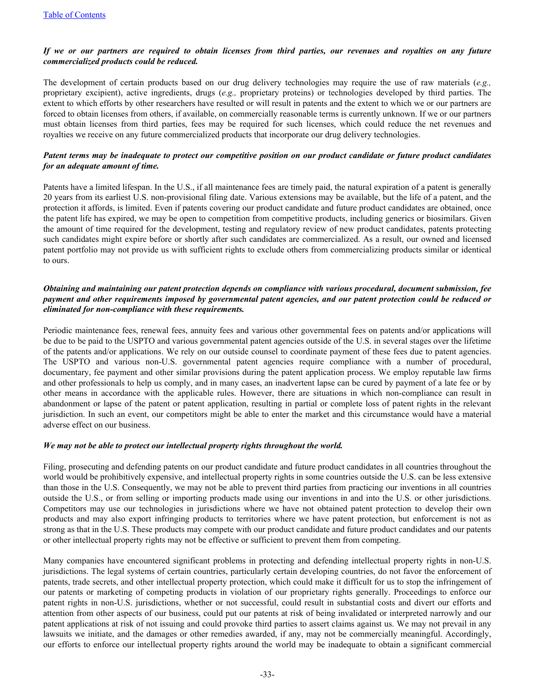## *If we or our partners are required to obtain licenses from third parties, our revenues and royalties on any future commercialized products could be reduced.*

The development of certain products based on our drug delivery technologies may require the use of raw materials (*e.g.,* proprietary excipient), active ingredients, drugs (*e.g.,* proprietary proteins) or technologies developed by third parties. The extent to which efforts by other researchers have resulted or will result in patents and the extent to which we or our partners are forced to obtain licenses from others, if available, on commercially reasonable terms is currently unknown. If we or our partners must obtain licenses from third parties, fees may be required for such licenses, which could reduce the net revenues and royalties we receive on any future commercialized products that incorporate our drug delivery technologies.

## *Patent terms may be inadequate to protect our competitive position on our product candidate or future product candidates for an adequate amount of time.*

Patents have a limited lifespan. In the U.S., if all maintenance fees are timely paid, the natural expiration of a patent is generally 20 years from its earliest U.S. non-provisional filing date. Various extensions may be available, but the life of a patent, and the protection it affords, is limited. Even if patents covering our product candidate and future product candidates are obtained, once the patent life has expired, we may be open to competition from competitive products, including generics or biosimilars. Given the amount of time required for the development, testing and regulatory review of new product candidates, patents protecting such candidates might expire before or shortly after such candidates are commercialized. As a result, our owned and licensed patent portfolio may not provide us with sufficient rights to exclude others from commercializing products similar or identical to ours.

# *Obtaining and maintaining our patent protection depends on compliance with various procedural, document submission, fee payment and other requirements imposed by governmental patent agencies, and our patent protection could be reduced or eliminated for non-compliance with these requirements.*

Periodic maintenance fees, renewal fees, annuity fees and various other governmental fees on patents and/or applications will be due to be paid to the USPTO and various governmental patent agencies outside of the U.S. in several stages over the lifetime of the patents and/or applications. We rely on our outside counsel to coordinate payment of these fees due to patent agencies. The USPTO and various non-U.S. governmental patent agencies require compliance with a number of procedural, documentary, fee payment and other similar provisions during the patent application process. We employ reputable law firms and other professionals to help us comply, and in many cases, an inadvertent lapse can be cured by payment of a late fee or by other means in accordance with the applicable rules. However, there are situations in which non-compliance can result in abandonment or lapse of the patent or patent application, resulting in partial or complete loss of patent rights in the relevant jurisdiction. In such an event, our competitors might be able to enter the market and this circumstance would have a material adverse effect on our business.

### *We may not be able to protect our intellectual property rights throughout the world.*

Filing, prosecuting and defending patents on our product candidate and future product candidates in all countries throughout the world would be prohibitively expensive, and intellectual property rights in some countries outside the U.S. can be less extensive than those in the U.S. Consequently, we may not be able to prevent third parties from practicing our inventions in all countries outside the U.S., or from selling or importing products made using our inventions in and into the U.S. or other jurisdictions. Competitors may use our technologies in jurisdictions where we have not obtained patent protection to develop their own products and may also export infringing products to territories where we have patent protection, but enforcement is not as strong as that in the U.S. These products may compete with our product candidate and future product candidates and our patents or other intellectual property rights may not be effective or sufficient to prevent them from competing.

Many companies have encountered significant problems in protecting and defending intellectual property rights in non-U.S. jurisdictions. The legal systems of certain countries, particularly certain developing countries, do not favor the enforcement of patents, trade secrets, and other intellectual property protection, which could make it difficult for us to stop the infringement of our patents or marketing of competing products in violation of our proprietary rights generally. Proceedings to enforce our patent rights in non-U.S. jurisdictions, whether or not successful, could result in substantial costs and divert our efforts and attention from other aspects of our business, could put our patents at risk of being invalidated or interpreted narrowly and our patent applications at risk of not issuing and could provoke third parties to assert claims against us. We may not prevail in any lawsuits we initiate, and the damages or other remedies awarded, if any, may not be commercially meaningful. Accordingly, our efforts to enforce our intellectual property rights around the world may be inadequate to obtain a significant commercial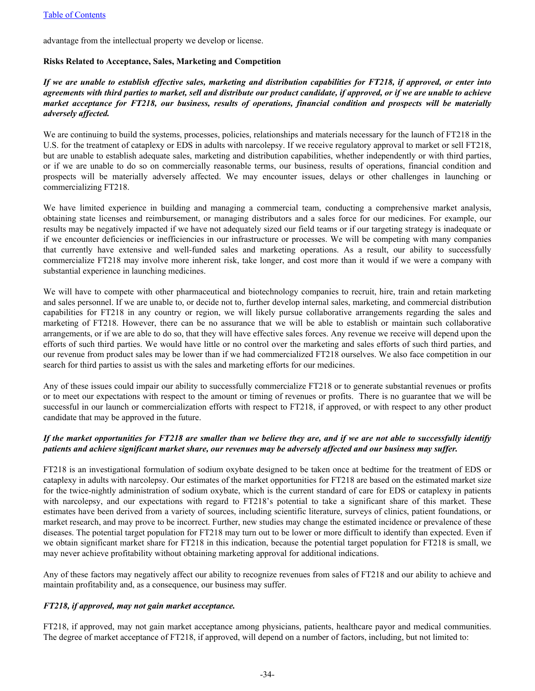advantage from the intellectual property we develop or license.

#### **Risks Related to Acceptance, Sales, Marketing and Competition**

## *If we are unable to establish effective sales, marketing and distribution capabilities for FT218, if approved, or enter into agreements with third parties to market, sell and distribute our product candidate, if approved, or if we are unable to achieve market acceptance for FT218, our business, results of operations, financial condition and prospects will be materially adversely affected.*

We are continuing to build the systems, processes, policies, relationships and materials necessary for the launch of FT218 in the U.S. for the treatment of cataplexy or EDS in adults with narcolepsy. If we receive regulatory approval to market or sell FT218, but are unable to establish adequate sales, marketing and distribution capabilities, whether independently or with third parties, or if we are unable to do so on commercially reasonable terms, our business, results of operations, financial condition and prospects will be materially adversely affected. We may encounter issues, delays or other challenges in launching or commercializing FT218.

We have limited experience in building and managing a commercial team, conducting a comprehensive market analysis, obtaining state licenses and reimbursement, or managing distributors and a sales force for our medicines. For example, our results may be negatively impacted if we have not adequately sized our field teams or if our targeting strategy is inadequate or if we encounter deficiencies or inefficiencies in our infrastructure or processes. We will be competing with many companies that currently have extensive and well-funded sales and marketing operations. As a result, our ability to successfully commercialize FT218 may involve more inherent risk, take longer, and cost more than it would if we were a company with substantial experience in launching medicines.

We will have to compete with other pharmaceutical and biotechnology companies to recruit, hire, train and retain marketing and sales personnel. If we are unable to, or decide not to, further develop internal sales, marketing, and commercial distribution capabilities for FT218 in any country or region, we will likely pursue collaborative arrangements regarding the sales and marketing of FT218. However, there can be no assurance that we will be able to establish or maintain such collaborative arrangements, or if we are able to do so, that they will have effective sales forces. Any revenue we receive will depend upon the efforts of such third parties. We would have little or no control over the marketing and sales efforts of such third parties, and our revenue from product sales may be lower than if we had commercialized FT218 ourselves. We also face competition in our search for third parties to assist us with the sales and marketing efforts for our medicines.

Any of these issues could impair our ability to successfully commercialize FT218 or to generate substantial revenues or profits or to meet our expectations with respect to the amount or timing of revenues or profits. There is no guarantee that we will be successful in our launch or commercialization efforts with respect to FT218, if approved, or with respect to any other product candidate that may be approved in the future.

# *If the market opportunities for FT218 are smaller than we believe they are, and if we are not able to successfully identify patients and achieve significant market share, our revenues may be adversely affected and our business may suffer.*

FT218 is an investigational formulation of sodium oxybate designed to be taken once at bedtime for the treatment of EDS or cataplexy in adults with narcolepsy. Our estimates of the market opportunities for FT218 are based on the estimated market size for the twice-nightly administration of sodium oxybate, which is the current standard of care for EDS or cataplexy in patients with narcolepsy, and our expectations with regard to FT218's potential to take a significant share of this market. These estimates have been derived from a variety of sources, including scientific literature, surveys of clinics, patient foundations, or market research, and may prove to be incorrect. Further, new studies may change the estimated incidence or prevalence of these diseases. The potential target population for FT218 may turn out to be lower or more difficult to identify than expected. Even if we obtain significant market share for FT218 in this indication, because the potential target population for FT218 is small, we may never achieve profitability without obtaining marketing approval for additional indications.

Any of these factors may negatively affect our ability to recognize revenues from sales of FT218 and our ability to achieve and maintain profitability and, as a consequence, our business may suffer.

### *FT218, if approved, may not gain market acceptance.*

FT218, if approved, may not gain market acceptance among physicians, patients, healthcare payor and medical communities. The degree of market acceptance of FT218, if approved, will depend on a number of factors, including, but not limited to: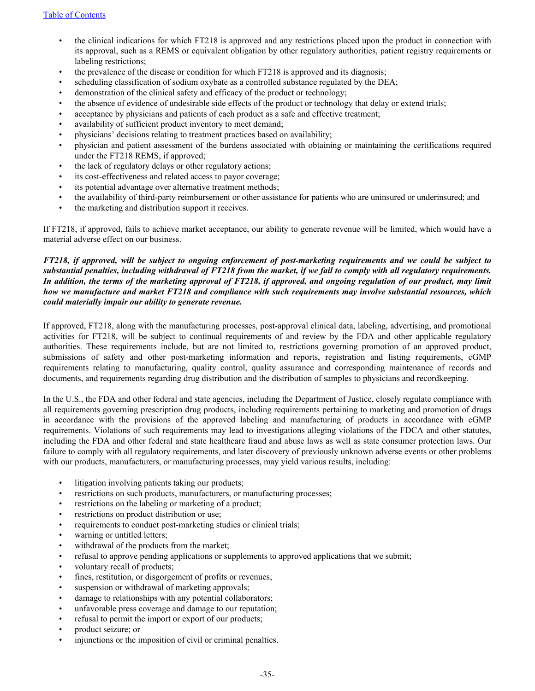- the clinical indications for which FT218 is approved and any restrictions placed upon the product in connection with its approval, such as a REMS or equivalent obligation by other regulatory authorities, patient registry requirements or labeling restrictions;
- the prevalence of the disease or condition for which FT218 is approved and its diagnosis;
- scheduling classification of sodium oxybate as a controlled substance regulated by the DEA;
- demonstration of the clinical safety and efficacy of the product or technology;
- the absence of evidence of undesirable side effects of the product or technology that delay or extend trials;
- acceptance by physicians and patients of each product as a safe and effective treatment;
- availability of sufficient product inventory to meet demand;
- physicians' decisions relating to treatment practices based on availability;
- physician and patient assessment of the burdens associated with obtaining or maintaining the certifications required under the FT218 REMS, if approved;
- the lack of regulatory delays or other regulatory actions;
- its cost-effectiveness and related access to payor coverage;
- its potential advantage over alternative treatment methods;
- the availability of third-party reimbursement or other assistance for patients who are uninsured or underinsured; and
- the marketing and distribution support it receives.

If FT218, if approved, fails to achieve market acceptance, our ability to generate revenue will be limited, which would have a material adverse effect on our business.

## *FT218, if approved, will be subject to ongoing enforcement of post-marketing requirements and we could be subject to substantial penalties, including withdrawal of FT218 from the market, if we fail to comply with all regulatory requirements. In addition, the terms of the marketing approval of FT218, if approved, and ongoing regulation of our product, may limit how we manufacture and market FT218 and compliance with such requirements may involve substantial resources, which could materially impair our ability to generate revenue.*

If approved, FT218, along with the manufacturing processes, post-approval clinical data, labeling, advertising, and promotional activities for FT218, will be subject to continual requirements of and review by the FDA and other applicable regulatory authorities. These requirements include, but are not limited to, restrictions governing promotion of an approved product, submissions of safety and other post-marketing information and reports, registration and listing requirements, cGMP requirements relating to manufacturing, quality control, quality assurance and corresponding maintenance of records and documents, and requirements regarding drug distribution and the distribution of samples to physicians and recordkeeping.

In the U.S., the FDA and other federal and state agencies, including the Department of Justice, closely regulate compliance with all requirements governing prescription drug products, including requirements pertaining to marketing and promotion of drugs in accordance with the provisions of the approved labeling and manufacturing of products in accordance with cGMP requirements. Violations of such requirements may lead to investigations alleging violations of the FDCA and other statutes, including the FDA and other federal and state healthcare fraud and abuse laws as well as state consumer protection laws. Our failure to comply with all regulatory requirements, and later discovery of previously unknown adverse events or other problems with our products, manufacturers, or manufacturing processes, may yield various results, including:

- litigation involving patients taking our products;
- restrictions on such products, manufacturers, or manufacturing processes;
- restrictions on the labeling or marketing of a product;
- restrictions on product distribution or use;
- requirements to conduct post-marketing studies or clinical trials;
- warning or untitled letters;
- withdrawal of the products from the market;
- refusal to approve pending applications or supplements to approved applications that we submit;
- voluntary recall of products;
- fines, restitution, or disgorgement of profits or revenues;
- suspension or withdrawal of marketing approvals;
- damage to relationships with any potential collaborators;
- unfavorable press coverage and damage to our reputation;
- refusal to permit the import or export of our products;
- product seizure; or
- injunctions or the imposition of civil or criminal penalties.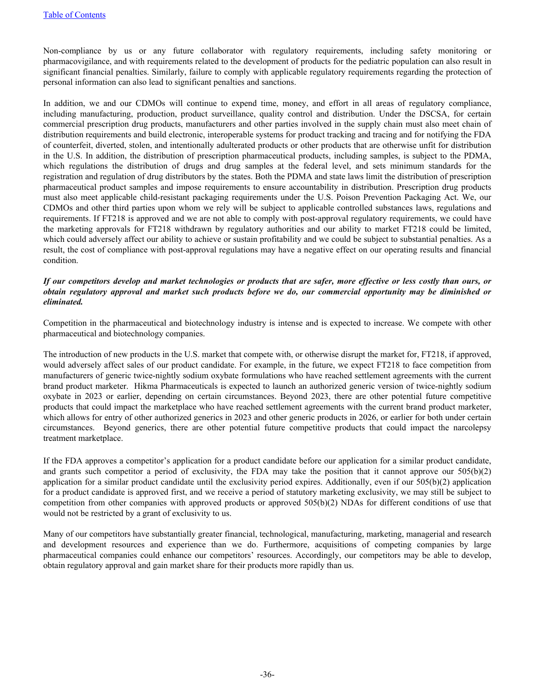Non-compliance by us or any future collaborator with regulatory requirements, including safety monitoring or pharmacovigilance, and with requirements related to the development of products for the pediatric population can also result in significant financial penalties. Similarly, failure to comply with applicable regulatory requirements regarding the protection of personal information can also lead to significant penalties and sanctions.

In addition, we and our CDMOs will continue to expend time, money, and effort in all areas of regulatory compliance, including manufacturing, production, product surveillance, quality control and distribution. Under the DSCSA, for certain commercial prescription drug products, manufacturers and other parties involved in the supply chain must also meet chain of distribution requirements and build electronic, interoperable systems for product tracking and tracing and for notifying the FDA of counterfeit, diverted, stolen, and intentionally adulterated products or other products that are otherwise unfit for distribution in the U.S. In addition, the distribution of prescription pharmaceutical products, including samples, is subject to the PDMA, which regulations the distribution of drugs and drug samples at the federal level, and sets minimum standards for the registration and regulation of drug distributors by the states. Both the PDMA and state laws limit the distribution of prescription pharmaceutical product samples and impose requirements to ensure accountability in distribution. Prescription drug products must also meet applicable child-resistant packaging requirements under the U.S. Poison Prevention Packaging Act. We, our CDMOs and other third parties upon whom we rely will be subject to applicable controlled substances laws, regulations and requirements. If FT218 is approved and we are not able to comply with post-approval regulatory requirements, we could have the marketing approvals for FT218 withdrawn by regulatory authorities and our ability to market FT218 could be limited, which could adversely affect our ability to achieve or sustain profitability and we could be subject to substantial penalties. As a result, the cost of compliance with post-approval regulations may have a negative effect on our operating results and financial condition.

## *If our competitors develop and market technologies or products that are safer, more effective or less costly than ours, or obtain regulatory approval and market such products before we do, our commercial opportunity may be diminished or eliminated.*

Competition in the pharmaceutical and biotechnology industry is intense and is expected to increase. We compete with other pharmaceutical and biotechnology companies.

The introduction of new products in the U.S. market that compete with, or otherwise disrupt the market for, FT218, if approved, would adversely affect sales of our product candidate. For example, in the future, we expect FT218 to face competition from manufacturers of generic twice-nightly sodium oxybate formulations who have reached settlement agreements with the current brand product marketer. Hikma Pharmaceuticals is expected to launch an authorized generic version of twice-nightly sodium oxybate in 2023 or earlier, depending on certain circumstances. Beyond 2023, there are other potential future competitive products that could impact the marketplace who have reached settlement agreements with the current brand product marketer, which allows for entry of other authorized generics in 2023 and other generic products in 2026, or earlier for both under certain circumstances. Beyond generics, there are other potential future competitive products that could impact the narcolepsy treatment marketplace.

If the FDA approves a competitor's application for a product candidate before our application for a similar product candidate, and grants such competitor a period of exclusivity, the FDA may take the position that it cannot approve our  $505(b)(2)$ application for a similar product candidate until the exclusivity period expires. Additionally, even if our 505(b)(2) application for a product candidate is approved first, and we receive a period of statutory marketing exclusivity, we may still be subject to competition from other companies with approved products or approved 505(b)(2) NDAs for different conditions of use that would not be restricted by a grant of exclusivity to us.

Many of our competitors have substantially greater financial, technological, manufacturing, marketing, managerial and research and development resources and experience than we do. Furthermore, acquisitions of competing companies by large pharmaceutical companies could enhance our competitors' resources. Accordingly, our competitors may be able to develop, obtain regulatory approval and gain market share for their products more rapidly than us.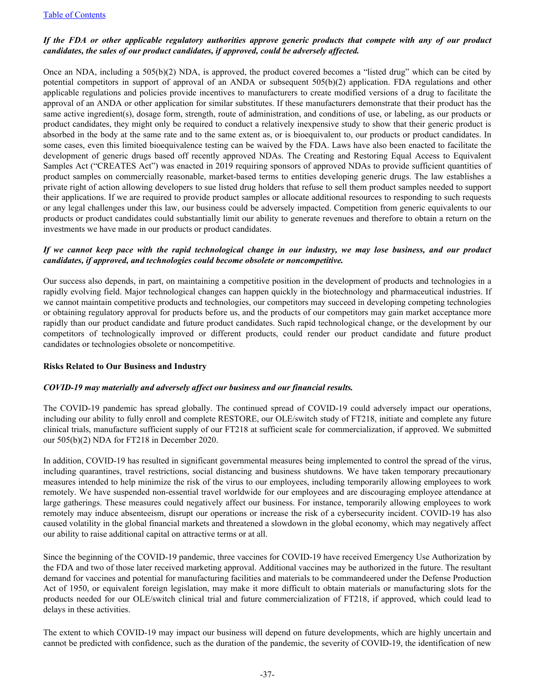## *If the FDA or other applicable regulatory authorities approve generic products that compete with any of our product candidates, the sales of our product candidates, if approved, could be adversely affected.*

Once an NDA, including a 505(b)(2) NDA, is approved, the product covered becomes a "listed drug" which can be cited by potential competitors in support of approval of an ANDA or subsequent 505(b)(2) application. FDA regulations and other applicable regulations and policies provide incentives to manufacturers to create modified versions of a drug to facilitate the approval of an ANDA or other application for similar substitutes. If these manufacturers demonstrate that their product has the same active ingredient(s), dosage form, strength, route of administration, and conditions of use, or labeling, as our products or product candidates, they might only be required to conduct a relatively inexpensive study to show that their generic product is absorbed in the body at the same rate and to the same extent as, or is bioequivalent to, our products or product candidates. In some cases, even this limited bioequivalence testing can be waived by the FDA. Laws have also been enacted to facilitate the development of generic drugs based off recently approved NDAs. The Creating and Restoring Equal Access to Equivalent Samples Act ("CREATES Act") was enacted in 2019 requiring sponsors of approved NDAs to provide sufficient quantities of product samples on commercially reasonable, market-based terms to entities developing generic drugs. The law establishes a private right of action allowing developers to sue listed drug holders that refuse to sell them product samples needed to support their applications. If we are required to provide product samples or allocate additional resources to responding to such requests or any legal challenges under this law, our business could be adversely impacted. Competition from generic equivalents to our products or product candidates could substantially limit our ability to generate revenues and therefore to obtain a return on the investments we have made in our products or product candidates.

## *If we cannot keep pace with the rapid technological change in our industry, we may lose business, and our product candidates, if approved, and technologies could become obsolete or noncompetitive.*

Our success also depends, in part, on maintaining a competitive position in the development of products and technologies in a rapidly evolving field. Major technological changes can happen quickly in the biotechnology and pharmaceutical industries. If we cannot maintain competitive products and technologies, our competitors may succeed in developing competing technologies or obtaining regulatory approval for products before us, and the products of our competitors may gain market acceptance more rapidly than our product candidate and future product candidates. Such rapid technological change, or the development by our competitors of technologically improved or different products, could render our product candidate and future product candidates or technologies obsolete or noncompetitive.

## **Risks Related to Our Business and Industry**

## *COVID-19 may materially and adversely affect our business and our financial results.*

The COVID-19 pandemic has spread globally. The continued spread of COVID-19 could adversely impact our operations, including our ability to fully enroll and complete RESTORE, our OLE/switch study of FT218, initiate and complete any future clinical trials, manufacture sufficient supply of our FT218 at sufficient scale for commercialization, if approved. We submitted our 505(b)(2) NDA for FT218 in December 2020.

In addition, COVID-19 has resulted in significant governmental measures being implemented to control the spread of the virus, including quarantines, travel restrictions, social distancing and business shutdowns. We have taken temporary precautionary measures intended to help minimize the risk of the virus to our employees, including temporarily allowing employees to work remotely. We have suspended non-essential travel worldwide for our employees and are discouraging employee attendance at large gatherings. These measures could negatively affect our business. For instance, temporarily allowing employees to work remotely may induce absenteeism, disrupt our operations or increase the risk of a cybersecurity incident. COVID-19 has also caused volatility in the global financial markets and threatened a slowdown in the global economy, which may negatively affect our ability to raise additional capital on attractive terms or at all.

Since the beginning of the COVID-19 pandemic, three vaccines for COVID-19 have received Emergency Use Authorization by the FDA and two of those later received marketing approval. Additional vaccines may be authorized in the future. The resultant demand for vaccines and potential for manufacturing facilities and materials to be commandeered under the Defense Production Act of 1950, or equivalent foreign legislation, may make it more difficult to obtain materials or manufacturing slots for the products needed for our OLE/switch clinical trial and future commercialization of FT218, if approved, which could lead to delays in these activities.

The extent to which COVID-19 may impact our business will depend on future developments, which are highly uncertain and cannot be predicted with confidence, such as the duration of the pandemic, the severity of COVID-19, the identification of new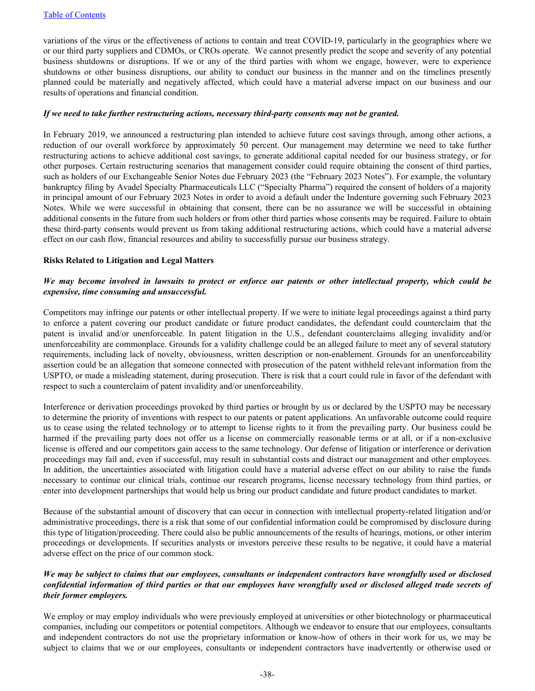variations of the virus or the effectiveness of actions to contain and treat COVID-19, particularly in the geographies where we or our third party suppliers and CDMOs, or CROs operate. We cannot presently predict the scope and severity of any potential business shutdowns or disruptions. If we or any of the third parties with whom we engage, however, were to experience shutdowns or other business disruptions, our ability to conduct our business in the manner and on the timelines presently planned could be materially and negatively affected, which could have a material adverse impact on our business and our results of operations and financial condition.

#### *If we need to take further restructuring actions, necessary third-party consents may not be granted.*

In February 2019, we announced a restructuring plan intended to achieve future cost savings through, among other actions, a reduction of our overall workforce by approximately 50 percent. Our management may determine we need to take further restructuring actions to achieve additional cost savings, to generate additional capital needed for our business strategy, or for other purposes. Certain restructuring scenarios that management consider could require obtaining the consent of third parties, such as holders of our Exchangeable Senior Notes due February 2023 (the "February 2023 Notes"). For example, the voluntary bankruptcy filing by Avadel Specialty Pharmaceuticals LLC ("Specialty Pharma") required the consent of holders of a majority in principal amount of our February 2023 Notes in order to avoid a default under the Indenture governing such February 2023 Notes. While we were successful in obtaining that consent, there can be no assurance we will be successful in obtaining additional consents in the future from such holders or from other third parties whose consents may be required. Failure to obtain these third-party consents would prevent us from taking additional restructuring actions, which could have a material adverse effect on our cash flow, financial resources and ability to successfully pursue our business strategy.

#### **Risks Related to Litigation and Legal Matters**

## *We may become involved in lawsuits to protect or enforce our patents or other intellectual property, which could be expensive, time consuming and unsuccessful.*

Competitors may infringe our patents or other intellectual property. If we were to initiate legal proceedings against a third party to enforce a patent covering our product candidate or future product candidates, the defendant could counterclaim that the patent is invalid and/or unenforceable. In patent litigation in the U.S., defendant counterclaims alleging invalidity and/or unenforceability are commonplace. Grounds for a validity challenge could be an alleged failure to meet any of several statutory requirements, including lack of novelty, obviousness, written description or non-enablement. Grounds for an unenforceability assertion could be an allegation that someone connected with prosecution of the patent withheld relevant information from the USPTO, or made a misleading statement, during prosecution. There is risk that a court could rule in favor of the defendant with respect to such a counterclaim of patent invalidity and/or unenforceability.

Interference or derivation proceedings provoked by third parties or brought by us or declared by the USPTO may be necessary to determine the priority of inventions with respect to our patents or patent applications. An unfavorable outcome could require us to cease using the related technology or to attempt to license rights to it from the prevailing party. Our business could be harmed if the prevailing party does not offer us a license on commercially reasonable terms or at all, or if a non-exclusive license is offered and our competitors gain access to the same technology. Our defense of litigation or interference or derivation proceedings may fail and, even if successful, may result in substantial costs and distract our management and other employees. In addition, the uncertainties associated with litigation could have a material adverse effect on our ability to raise the funds necessary to continue our clinical trials, continue our research programs, license necessary technology from third parties, or enter into development partnerships that would help us bring our product candidate and future product candidates to market.

Because of the substantial amount of discovery that can occur in connection with intellectual property-related litigation and/or administrative proceedings, there is a risk that some of our confidential information could be compromised by disclosure during this type of litigation/proceeding. There could also be public announcements of the results of hearings, motions, or other interim proceedings or developments. If securities analysts or investors perceive these results to be negative, it could have a material adverse effect on the price of our common stock.

## *We may be subject to claims that our employees, consultants or independent contractors have wrongfully used or disclosed confidential information of third parties or that our employees have wrongfully used or disclosed alleged trade secrets of their former employers.*

We employ or may employ individuals who were previously employed at universities or other biotechnology or pharmaceutical companies, including our competitors or potential competitors. Although we endeavor to ensure that our employees, consultants and independent contractors do not use the proprietary information or know-how of others in their work for us, we may be subject to claims that we or our employees, consultants or independent contractors have inadvertently or otherwise used or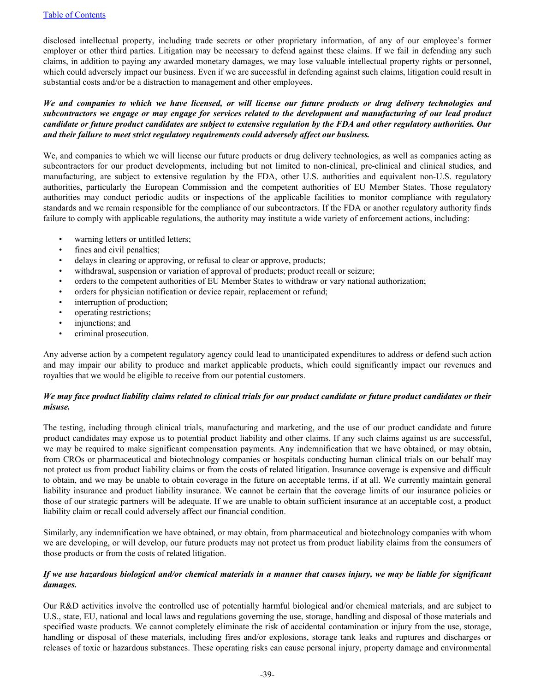disclosed intellectual property, including trade secrets or other proprietary information, of any of our employee's former employer or other third parties. Litigation may be necessary to defend against these claims. If we fail in defending any such claims, in addition to paying any awarded monetary damages, we may lose valuable intellectual property rights or personnel, which could adversely impact our business. Even if we are successful in defending against such claims, litigation could result in substantial costs and/or be a distraction to management and other employees.

*We and companies to which we have licensed, or will license our future products or drug delivery technologies and subcontractors we engage or may engage for services related to the development and manufacturing of our lead product candidate or future product candidates are subject to extensive regulation by the FDA and other regulatory authorities. Our and their failure to meet strict regulatory requirements could adversely affect our business.*

We, and companies to which we will license our future products or drug delivery technologies, as well as companies acting as subcontractors for our product developments, including but not limited to non-clinical, pre-clinical and clinical studies, and manufacturing, are subject to extensive regulation by the FDA, other U.S. authorities and equivalent non-U.S. regulatory authorities, particularly the European Commission and the competent authorities of EU Member States. Those regulatory authorities may conduct periodic audits or inspections of the applicable facilities to monitor compliance with regulatory standards and we remain responsible for the compliance of our subcontractors. If the FDA or another regulatory authority finds failure to comply with applicable regulations, the authority may institute a wide variety of enforcement actions, including:

- warning letters or untitled letters;
- fines and civil penalties;
- delays in clearing or approving, or refusal to clear or approve, products;
- withdrawal, suspension or variation of approval of products; product recall or seizure;
- orders to the competent authorities of EU Member States to withdraw or vary national authorization;
- orders for physician notification or device repair, replacement or refund;
- interruption of production;
- operating restrictions;
- injunctions; and
- criminal prosecution.

Any adverse action by a competent regulatory agency could lead to unanticipated expenditures to address or defend such action and may impair our ability to produce and market applicable products, which could significantly impact our revenues and royalties that we would be eligible to receive from our potential customers.

## *We may face product liability claims related to clinical trials for our product candidate or future product candidates or their misuse.*

The testing, including through clinical trials, manufacturing and marketing, and the use of our product candidate and future product candidates may expose us to potential product liability and other claims. If any such claims against us are successful, we may be required to make significant compensation payments. Any indemnification that we have obtained, or may obtain, from CROs or pharmaceutical and biotechnology companies or hospitals conducting human clinical trials on our behalf may not protect us from product liability claims or from the costs of related litigation. Insurance coverage is expensive and difficult to obtain, and we may be unable to obtain coverage in the future on acceptable terms, if at all. We currently maintain general liability insurance and product liability insurance. We cannot be certain that the coverage limits of our insurance policies or those of our strategic partners will be adequate. If we are unable to obtain sufficient insurance at an acceptable cost, a product liability claim or recall could adversely affect our financial condition.

Similarly, any indemnification we have obtained, or may obtain, from pharmaceutical and biotechnology companies with whom we are developing, or will develop, our future products may not protect us from product liability claims from the consumers of those products or from the costs of related litigation.

## *If we use hazardous biological and/or chemical materials in a manner that causes injury, we may be liable for significant damages.*

Our R&D activities involve the controlled use of potentially harmful biological and/or chemical materials, and are subject to U.S., state, EU, national and local laws and regulations governing the use, storage, handling and disposal of those materials and specified waste products. We cannot completely eliminate the risk of accidental contamination or injury from the use, storage, handling or disposal of these materials, including fires and/or explosions, storage tank leaks and ruptures and discharges or releases of toxic or hazardous substances. These operating risks can cause personal injury, property damage and environmental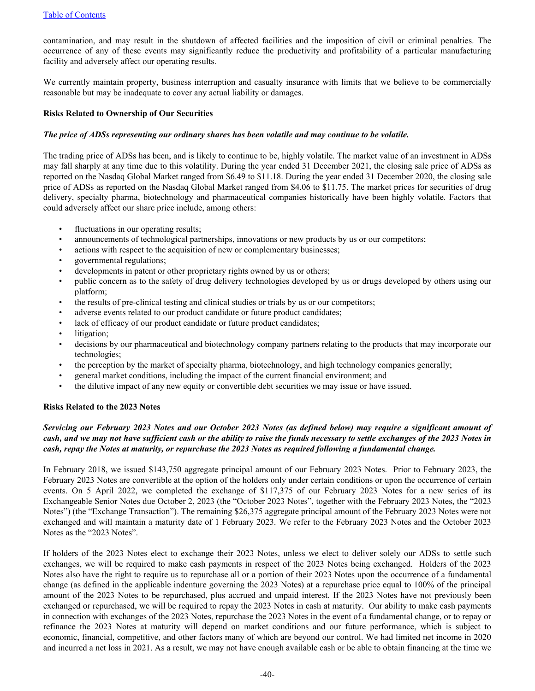contamination, and may result in the shutdown of affected facilities and the imposition of civil or criminal penalties. The occurrence of any of these events may significantly reduce the productivity and profitability of a particular manufacturing facility and adversely affect our operating results.

We currently maintain property, business interruption and casualty insurance with limits that we believe to be commercially reasonable but may be inadequate to cover any actual liability or damages.

#### **Risks Related to Ownership of Our Securities**

#### *The price of ADSs representing our ordinary shares has been volatile and may continue to be volatile.*

The trading price of ADSs has been, and is likely to continue to be, highly volatile. The market value of an investment in ADSs may fall sharply at any time due to this volatility. During the year ended 31 December 2021, the closing sale price of ADSs as reported on the Nasdaq Global Market ranged from \$6.49 to \$11.18. During the year ended 31 December 2020, the closing sale price of ADSs as reported on the Nasdaq Global Market ranged from \$4.06 to \$11.75. The market prices for securities of drug delivery, specialty pharma, biotechnology and pharmaceutical companies historically have been highly volatile. Factors that could adversely affect our share price include, among others:

- fluctuations in our operating results;
- announcements of technological partnerships, innovations or new products by us or our competitors;
- actions with respect to the acquisition of new or complementary businesses;
- governmental regulations;
- developments in patent or other proprietary rights owned by us or others;
- public concern as to the safety of drug delivery technologies developed by us or drugs developed by others using our platform;
- the results of pre-clinical testing and clinical studies or trials by us or our competitors;
- adverse events related to our product candidate or future product candidates;
- lack of efficacy of our product candidate or future product candidates;
- litigation;
- decisions by our pharmaceutical and biotechnology company partners relating to the products that may incorporate our technologies;
- the perception by the market of specialty pharma, biotechnology, and high technology companies generally;
- general market conditions, including the impact of the current financial environment; and
- the dilutive impact of any new equity or convertible debt securities we may issue or have issued.

#### **Risks Related to the 2023 Notes**

## *Servicing our February 2023 Notes and our October 2023 Notes (as defined below) may require a significant amount of cash, and we may not have sufficient cash or the ability to raise the funds necessary to settle exchanges of the 2023 Notes in cash, repay the Notes at maturity, or repurchase the 2023 Notes as required following a fundamental change.*

In February 2018, we issued \$143,750 aggregate principal amount of our February 2023 Notes. Prior to February 2023, the February 2023 Notes are convertible at the option of the holders only under certain conditions or upon the occurrence of certain events. On 5 April 2022, we completed the exchange of \$117,375 of our February 2023 Notes for a new series of its Exchangeable Senior Notes due October 2, 2023 (the "October 2023 Notes", together with the February 2023 Notes, the "2023 Notes") (the "Exchange Transaction"). The remaining \$26,375 aggregate principal amount of the February 2023 Notes were not exchanged and will maintain a maturity date of 1 February 2023. We refer to the February 2023 Notes and the October 2023 Notes as the "2023 Notes".

If holders of the 2023 Notes elect to exchange their 2023 Notes, unless we elect to deliver solely our ADSs to settle such exchanges, we will be required to make cash payments in respect of the 2023 Notes being exchanged. Holders of the 2023 Notes also have the right to require us to repurchase all or a portion of their 2023 Notes upon the occurrence of a fundamental change (as defined in the applicable indenture governing the 2023 Notes) at a repurchase price equal to 100% of the principal amount of the 2023 Notes to be repurchased, plus accrued and unpaid interest. If the 2023 Notes have not previously been exchanged or repurchased, we will be required to repay the 2023 Notes in cash at maturity. Our ability to make cash payments in connection with exchanges of the 2023 Notes, repurchase the 2023 Notes in the event of a fundamental change, or to repay or refinance the 2023 Notes at maturity will depend on market conditions and our future performance, which is subject to economic, financial, competitive, and other factors many of which are beyond our control. We had limited net income in 2020 and incurred a net loss in 2021. As a result, we may not have enough available cash or be able to obtain financing at the time we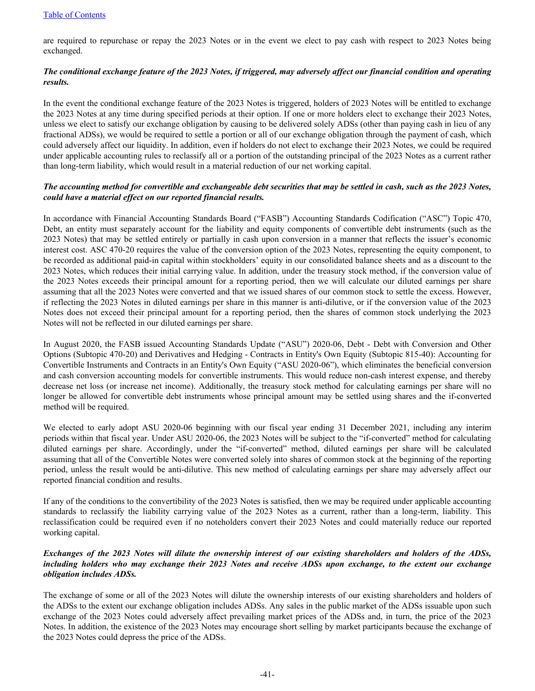are required to repurchase or repay the 2023 Notes or in the event we elect to pay cash with respect to 2023 Notes being exchanged.

## *The conditional exchange feature of the 2023 Notes, if triggered, may adversely affect our financial condition and operating results.*

In the event the conditional exchange feature of the 2023 Notes is triggered, holders of 2023 Notes will be entitled to exchange the 2023 Notes at any time during specified periods at their option. If one or more holders elect to exchange their 2023 Notes, unless we elect to satisfy our exchange obligation by causing to be delivered solely ADSs (other than paying cash in lieu of any fractional ADSs), we would be required to settle a portion or all of our exchange obligation through the payment of cash, which could adversely affect our liquidity. In addition, even if holders do not elect to exchange their 2023 Notes, we could be required under applicable accounting rules to reclassify all or a portion of the outstanding principal of the 2023 Notes as a current rather than long-term liability, which would result in a material reduction of our net working capital.

## *The accounting method for convertible and exchangeable debt securities that may be settled in cash, such as the 2023 Notes, could have a material effect on our reported financial results.*

In accordance with Financial Accounting Standards Board ("FASB") Accounting Standards Codification ("ASC") Topic 470, Debt, an entity must separately account for the liability and equity components of convertible debt instruments (such as the 2023 Notes) that may be settled entirely or partially in cash upon conversion in a manner that reflects the issuer's economic interest cost. ASC 470-20 requires the value of the conversion option of the 2023 Notes, representing the equity component, to be recorded as additional paid-in capital within stockholders' equity in our consolidated balance sheets and as a discount to the 2023 Notes, which reduces their initial carrying value. In addition, under the treasury stock method, if the conversion value of the 2023 Notes exceeds their principal amount for a reporting period, then we will calculate our diluted earnings per share assuming that all the 2023 Notes were converted and that we issued shares of our common stock to settle the excess. However, if reflecting the 2023 Notes in diluted earnings per share in this manner is anti-dilutive, or if the conversion value of the 2023 Notes does not exceed their principal amount for a reporting period, then the shares of common stock underlying the 2023 Notes will not be reflected in our diluted earnings per share.

In August 2020, the FASB issued Accounting Standards Update ("ASU") 2020-06, Debt - Debt with Conversion and Other Options (Subtopic 470-20) and Derivatives and Hedging - Contracts in Entity's Own Equity (Subtopic 815-40): Accounting for Convertible Instruments and Contracts in an Entity's Own Equity ("ASU 2020-06"), which eliminates the beneficial conversion and cash conversion accounting models for convertible instruments. This would reduce non-cash interest expense, and thereby decrease net loss (or increase net income). Additionally, the treasury stock method for calculating earnings per share will no longer be allowed for convertible debt instruments whose principal amount may be settled using shares and the if-converted method will be required.

We elected to early adopt ASU 2020-06 beginning with our fiscal year ending 31 December 2021, including any interim periods within that fiscal year. Under ASU 2020-06, the 2023 Notes will be subject to the "if-converted" method for calculating diluted earnings per share. Accordingly, under the "if-converted" method, diluted earnings per share will be calculated assuming that all of the Convertible Notes were converted solely into shares of common stock at the beginning of the reporting period, unless the result would be anti-dilutive. This new method of calculating earnings per share may adversely affect our reported financial condition and results.

If any of the conditions to the convertibility of the 2023 Notes is satisfied, then we may be required under applicable accounting standards to reclassify the liability carrying value of the 2023 Notes as a current, rather than a long-term, liability. This reclassification could be required even if no noteholders convert their 2023 Notes and could materially reduce our reported working capital.

## *Exchanges of the 2023 Notes will dilute the ownership interest of our existing shareholders and holders of the ADSs, including holders who may exchange their 2023 Notes and receive ADSs upon exchange, to the extent our exchange obligation includes ADSs.*

The exchange of some or all of the 2023 Notes will dilute the ownership interests of our existing shareholders and holders of the ADSs to the extent our exchange obligation includes ADSs. Any sales in the public market of the ADSs issuable upon such exchange of the 2023 Notes could adversely affect prevailing market prices of the ADSs and, in turn, the price of the 2023 Notes. In addition, the existence of the 2023 Notes may encourage short selling by market participants because the exchange of the 2023 Notes could depress the price of the ADSs.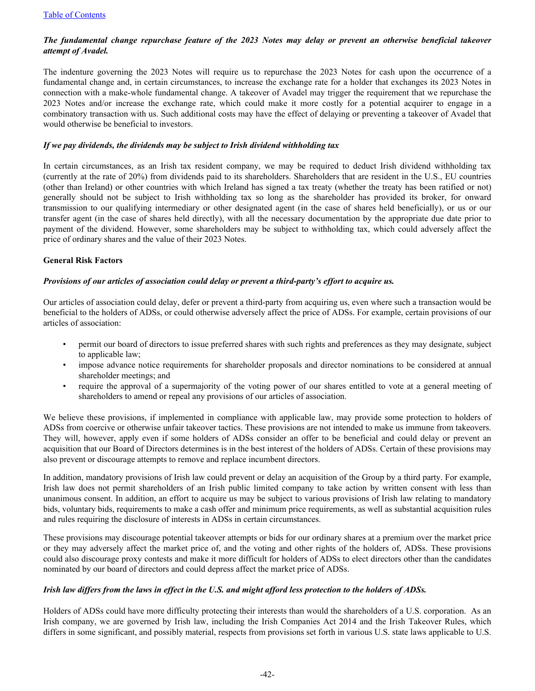## *The fundamental change repurchase feature of the 2023 Notes may delay or prevent an otherwise beneficial takeover attempt of Avadel.*

The indenture governing the 2023 Notes will require us to repurchase the 2023 Notes for cash upon the occurrence of a fundamental change and, in certain circumstances, to increase the exchange rate for a holder that exchanges its 2023 Notes in connection with a make-whole fundamental change. A takeover of Avadel may trigger the requirement that we repurchase the 2023 Notes and/or increase the exchange rate, which could make it more costly for a potential acquirer to engage in a combinatory transaction with us. Such additional costs may have the effect of delaying or preventing a takeover of Avadel that would otherwise be beneficial to investors.

## *If we pay dividends, the dividends may be subject to Irish dividend withholding tax*

In certain circumstances, as an Irish tax resident company, we may be required to deduct Irish dividend withholding tax (currently at the rate of 20%) from dividends paid to its shareholders. Shareholders that are resident in the U.S., EU countries (other than Ireland) or other countries with which Ireland has signed a tax treaty (whether the treaty has been ratified or not) generally should not be subject to Irish withholding tax so long as the shareholder has provided its broker, for onward transmission to our qualifying intermediary or other designated agent (in the case of shares held beneficially), or us or our transfer agent (in the case of shares held directly), with all the necessary documentation by the appropriate due date prior to payment of the dividend. However, some shareholders may be subject to withholding tax, which could adversely affect the price of ordinary shares and the value of their 2023 Notes.

#### **General Risk Factors**

## *Provisions of our articles of association could delay or prevent a third-party's effort to acquire us.*

Our articles of association could delay, defer or prevent a third-party from acquiring us, even where such a transaction would be beneficial to the holders of ADSs, or could otherwise adversely affect the price of ADSs. For example, certain provisions of our articles of association:

- permit our board of directors to issue preferred shares with such rights and preferences as they may designate, subject to applicable law;
- impose advance notice requirements for shareholder proposals and director nominations to be considered at annual shareholder meetings; and
- require the approval of a supermajority of the voting power of our shares entitled to vote at a general meeting of shareholders to amend or repeal any provisions of our articles of association.

We believe these provisions, if implemented in compliance with applicable law, may provide some protection to holders of ADSs from coercive or otherwise unfair takeover tactics. These provisions are not intended to make us immune from takeovers. They will, however, apply even if some holders of ADSs consider an offer to be beneficial and could delay or prevent an acquisition that our Board of Directors determines is in the best interest of the holders of ADSs. Certain of these provisions may also prevent or discourage attempts to remove and replace incumbent directors.

In addition, mandatory provisions of Irish law could prevent or delay an acquisition of the Group by a third party. For example, Irish law does not permit shareholders of an Irish public limited company to take action by written consent with less than unanimous consent. In addition, an effort to acquire us may be subject to various provisions of Irish law relating to mandatory bids, voluntary bids, requirements to make a cash offer and minimum price requirements, as well as substantial acquisition rules and rules requiring the disclosure of interests in ADSs in certain circumstances.

These provisions may discourage potential takeover attempts or bids for our ordinary shares at a premium over the market price or they may adversely affect the market price of, and the voting and other rights of the holders of, ADSs. These provisions could also discourage proxy contests and make it more difficult for holders of ADSs to elect directors other than the candidates nominated by our board of directors and could depress affect the market price of ADSs.

#### *Irish law differs from the laws in effect in the U.S. and might afford less protection to the holders of ADSs.*

Holders of ADSs could have more difficulty protecting their interests than would the shareholders of a U.S. corporation. As an Irish company, we are governed by Irish law, including the Irish Companies Act 2014 and the Irish Takeover Rules, which differs in some significant, and possibly material, respects from provisions set forth in various U.S. state laws applicable to U.S.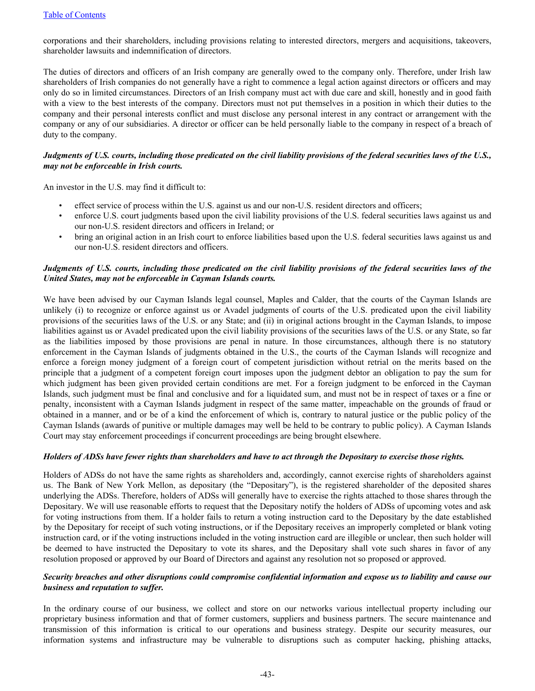corporations and their shareholders, including provisions relating to interested directors, mergers and acquisitions, takeovers, shareholder lawsuits and indemnification of directors.

The duties of directors and officers of an Irish company are generally owed to the company only. Therefore, under Irish law shareholders of Irish companies do not generally have a right to commence a legal action against directors or officers and may only do so in limited circumstances. Directors of an Irish company must act with due care and skill, honestly and in good faith with a view to the best interests of the company. Directors must not put themselves in a position in which their duties to the company and their personal interests conflict and must disclose any personal interest in any contract or arrangement with the company or any of our subsidiaries. A director or officer can be held personally liable to the company in respect of a breach of duty to the company.

## *Judgments of U.S. courts, including those predicated on the civil liability provisions of the federal securities laws of the U.S., may not be enforceable in Irish courts.*

An investor in the U.S. may find it difficult to:

- effect service of process within the U.S. against us and our non-U.S. resident directors and officers;
- enforce U.S. court judgments based upon the civil liability provisions of the U.S. federal securities laws against us and our non-U.S. resident directors and officers in Ireland; or
- bring an original action in an Irish court to enforce liabilities based upon the U.S. federal securities laws against us and our non-U.S. resident directors and officers.

## *Judgments of U.S. courts, including those predicated on the civil liability provisions of the federal securities laws of the United States, may not be enforceable in Cayman Islands courts.*

We have been advised by our Cayman Islands legal counsel, Maples and Calder, that the courts of the Cayman Islands are unlikely (i) to recognize or enforce against us or Avadel judgments of courts of the U.S. predicated upon the civil liability provisions of the securities laws of the U.S. or any State; and (ii) in original actions brought in the Cayman Islands, to impose liabilities against us or Avadel predicated upon the civil liability provisions of the securities laws of the U.S. or any State, so far as the liabilities imposed by those provisions are penal in nature. In those circumstances, although there is no statutory enforcement in the Cayman Islands of judgments obtained in the U.S., the courts of the Cayman Islands will recognize and enforce a foreign money judgment of a foreign court of competent jurisdiction without retrial on the merits based on the principle that a judgment of a competent foreign court imposes upon the judgment debtor an obligation to pay the sum for which judgment has been given provided certain conditions are met. For a foreign judgment to be enforced in the Cayman Islands, such judgment must be final and conclusive and for a liquidated sum, and must not be in respect of taxes or a fine or penalty, inconsistent with a Cayman Islands judgment in respect of the same matter, impeachable on the grounds of fraud or obtained in a manner, and or be of a kind the enforcement of which is, contrary to natural justice or the public policy of the Cayman Islands (awards of punitive or multiple damages may well be held to be contrary to public policy). A Cayman Islands Court may stay enforcement proceedings if concurrent proceedings are being brought elsewhere.

## *Holders of ADSs have fewer rights than shareholders and have to act through the Depositary to exercise those rights.*

Holders of ADSs do not have the same rights as shareholders and, accordingly, cannot exercise rights of shareholders against us. The Bank of New York Mellon, as depositary (the "Depositary"), is the registered shareholder of the deposited shares underlying the ADSs. Therefore, holders of ADSs will generally have to exercise the rights attached to those shares through the Depositary. We will use reasonable efforts to request that the Depositary notify the holders of ADSs of upcoming votes and ask for voting instructions from them. If a holder fails to return a voting instruction card to the Depositary by the date established by the Depositary for receipt of such voting instructions, or if the Depositary receives an improperly completed or blank voting instruction card, or if the voting instructions included in the voting instruction card are illegible or unclear, then such holder will be deemed to have instructed the Depositary to vote its shares, and the Depositary shall vote such shares in favor of any resolution proposed or approved by our Board of Directors and against any resolution not so proposed or approved.

## *Security breaches and other disruptions could compromise confidential information and expose us to liability and cause our business and reputation to suffer.*

In the ordinary course of our business, we collect and store on our networks various intellectual property including our proprietary business information and that of former customers, suppliers and business partners. The secure maintenance and transmission of this information is critical to our operations and business strategy. Despite our security measures, our information systems and infrastructure may be vulnerable to disruptions such as computer hacking, phishing attacks,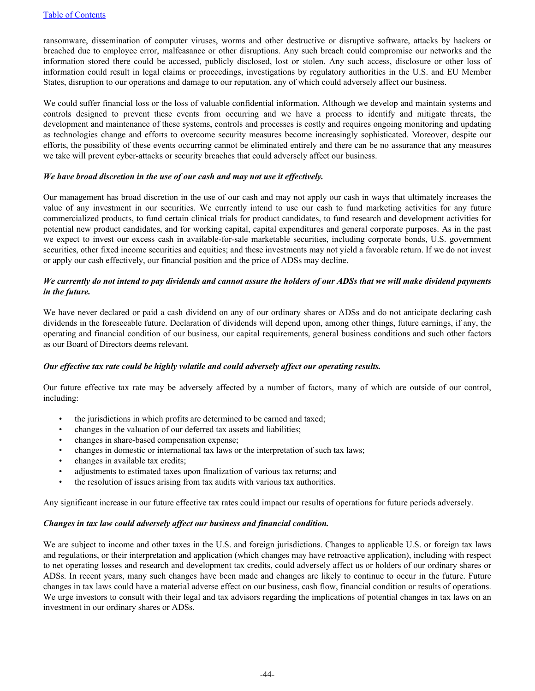ransomware, dissemination of computer viruses, worms and other destructive or disruptive software, attacks by hackers or breached due to employee error, malfeasance or other disruptions. Any such breach could compromise our networks and the information stored there could be accessed, publicly disclosed, lost or stolen. Any such access, disclosure or other loss of information could result in legal claims or proceedings, investigations by regulatory authorities in the U.S. and EU Member States, disruption to our operations and damage to our reputation, any of which could adversely affect our business.

We could suffer financial loss or the loss of valuable confidential information. Although we develop and maintain systems and controls designed to prevent these events from occurring and we have a process to identify and mitigate threats, the development and maintenance of these systems, controls and processes is costly and requires ongoing monitoring and updating as technologies change and efforts to overcome security measures become increasingly sophisticated. Moreover, despite our efforts, the possibility of these events occurring cannot be eliminated entirely and there can be no assurance that any measures we take will prevent cyber-attacks or security breaches that could adversely affect our business.

#### *We have broad discretion in the use of our cash and may not use it effectively.*

Our management has broad discretion in the use of our cash and may not apply our cash in ways that ultimately increases the value of any investment in our securities. We currently intend to use our cash to fund marketing activities for any future commercialized products, to fund certain clinical trials for product candidates, to fund research and development activities for potential new product candidates, and for working capital, capital expenditures and general corporate purposes. As in the past we expect to invest our excess cash in available-for-sale marketable securities, including corporate bonds, U.S. government securities, other fixed income securities and equities; and these investments may not yield a favorable return. If we do not invest or apply our cash effectively, our financial position and the price of ADSs may decline.

## *We currently do not intend to pay dividends and cannot assure the holders of our ADSs that we will make dividend payments in the future.*

We have never declared or paid a cash dividend on any of our ordinary shares or ADSs and do not anticipate declaring cash dividends in the foreseeable future. Declaration of dividends will depend upon, among other things, future earnings, if any, the operating and financial condition of our business, our capital requirements, general business conditions and such other factors as our Board of Directors deems relevant.

## *Our effective tax rate could be highly volatile and could adversely affect our operating results.*

Our future effective tax rate may be adversely affected by a number of factors, many of which are outside of our control, including:

- the jurisdictions in which profits are determined to be earned and taxed;
- changes in the valuation of our deferred tax assets and liabilities;
- changes in share-based compensation expense;
- changes in domestic or international tax laws or the interpretation of such tax laws;
- changes in available tax credits;
- adjustments to estimated taxes upon finalization of various tax returns; and
- the resolution of issues arising from tax audits with various tax authorities.

Any significant increase in our future effective tax rates could impact our results of operations for future periods adversely.

## *Changes in tax law could adversely affect our business and financial condition.*

We are subject to income and other taxes in the U.S. and foreign jurisdictions. Changes to applicable U.S. or foreign tax laws and regulations, or their interpretation and application (which changes may have retroactive application), including with respect to net operating losses and research and development tax credits, could adversely affect us or holders of our ordinary shares or ADSs. In recent years, many such changes have been made and changes are likely to continue to occur in the future. Future changes in tax laws could have a material adverse effect on our business, cash flow, financial condition or results of operations. We urge investors to consult with their legal and tax advisors regarding the implications of potential changes in tax laws on an investment in our ordinary shares or ADSs.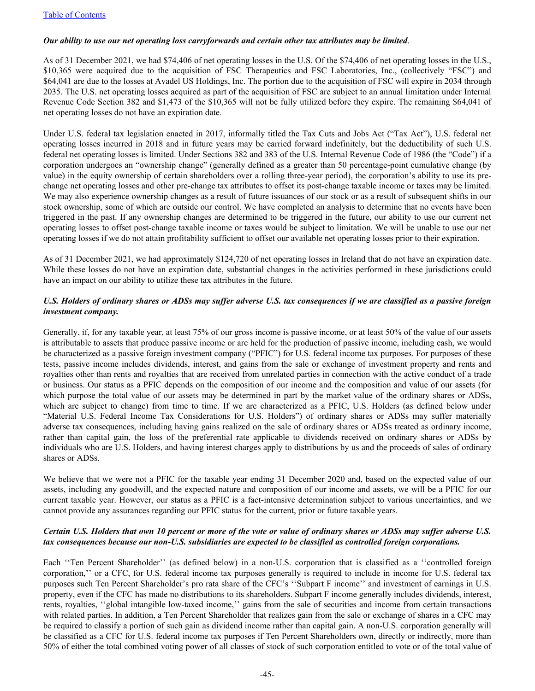## [Table of Contents](#page-2-0)

## *Our ability to use our net operating loss carryforwards and certain other tax attributes may be limited*.

As of 31 December 2021, we had \$74,406 of net operating losses in the U.S. Of the \$74,406 of net operating losses in the U.S., \$10,365 were acquired due to the acquisition of FSC Therapeutics and FSC Laboratories, Inc., (collectively "FSC") and \$64,041 are due to the losses at Avadel US Holdings, Inc. The portion due to the acquisition of FSC will expire in 2034 through 2035. The U.S. net operating losses acquired as part of the acquisition of FSC are subject to an annual limitation under Internal Revenue Code Section 382 and \$1,473 of the \$10,365 will not be fully utilized before they expire. The remaining \$64,041 of net operating losses do not have an expiration date.

Under U.S. federal tax legislation enacted in 2017, informally titled the Tax Cuts and Jobs Act ("Tax Act"), U.S. federal net operating losses incurred in 2018 and in future years may be carried forward indefinitely, but the deductibility of such U.S. federal net operating losses is limited. Under Sections 382 and 383 of the U.S. Internal Revenue Code of 1986 (the "Code") if a corporation undergoes an "ownership change" (generally defined as a greater than 50 percentage-point cumulative change (by value) in the equity ownership of certain shareholders over a rolling three-year period), the corporation's ability to use its prechange net operating losses and other pre-change tax attributes to offset its post-change taxable income or taxes may be limited. We may also experience ownership changes as a result of future issuances of our stock or as a result of subsequent shifts in our stock ownership, some of which are outside our control. We have completed an analysis to determine that no events have been triggered in the past. If any ownership changes are determined to be triggered in the future, our ability to use our current net operating losses to offset post-change taxable income or taxes would be subject to limitation. We will be unable to use our net operating losses if we do not attain profitability sufficient to offset our available net operating losses prior to their expiration.

As of 31 December 2021, we had approximately \$124,720 of net operating losses in Ireland that do not have an expiration date. While these losses do not have an expiration date, substantial changes in the activities performed in these jurisdictions could have an impact on our ability to utilize these tax attributes in the future.

## *U.S. Holders of ordinary shares or ADSs may suffer adverse U.S. tax consequences if we are classified as a passive foreign investment company.*

Generally, if, for any taxable year, at least 75% of our gross income is passive income, or at least 50% of the value of our assets is attributable to assets that produce passive income or are held for the production of passive income, including cash, we would be characterized as a passive foreign investment company ("PFIC") for U.S. federal income tax purposes. For purposes of these tests, passive income includes dividends, interest, and gains from the sale or exchange of investment property and rents and royalties other than rents and royalties that are received from unrelated parties in connection with the active conduct of a trade or business. Our status as a PFIC depends on the composition of our income and the composition and value of our assets (for which purpose the total value of our assets may be determined in part by the market value of the ordinary shares or ADSs, which are subject to change) from time to time. If we are characterized as a PFIC, U.S. Holders (as defined below under "Material U.S. Federal Income Tax Considerations for U.S. Holders") of ordinary shares or ADSs may suffer materially adverse tax consequences, including having gains realized on the sale of ordinary shares or ADSs treated as ordinary income, rather than capital gain, the loss of the preferential rate applicable to dividends received on ordinary shares or ADSs by individuals who are U.S. Holders, and having interest charges apply to distributions by us and the proceeds of sales of ordinary shares or ADSs.

We believe that we were not a PFIC for the taxable year ending 31 December 2020 and, based on the expected value of our assets, including any goodwill, and the expected nature and composition of our income and assets, we will be a PFIC for our current taxable year. However, our status as a PFIC is a fact-intensive determination subject to various uncertainties, and we cannot provide any assurances regarding our PFIC status for the current, prior or future taxable years.

## *Certain U.S. Holders that own 10 percent or more of the vote or value of ordinary shares or ADSs may suffer adverse U.S. tax consequences because our non-U.S. subsidiaries are expected to be classified as controlled foreign corporations.*

Each "Ten Percent Shareholder" (as defined below) in a non-U.S. corporation that is classified as a "controlled foreign corporation,'' or a CFC, for U.S. federal income tax purposes generally is required to include in income for U.S. federal tax purposes such Ten Percent Shareholder's pro rata share of the CFC's ''Subpart F income'' and investment of earnings in U.S. property, even if the CFC has made no distributions to its shareholders. Subpart F income generally includes dividends, interest, rents, royalties, ''global intangible low-taxed income,'' gains from the sale of securities and income from certain transactions with related parties. In addition, a Ten Percent Shareholder that realizes gain from the sale or exchange of shares in a CFC may be required to classify a portion of such gain as dividend income rather than capital gain. A non-U.S. corporation generally will be classified as a CFC for U.S. federal income tax purposes if Ten Percent Shareholders own, directly or indirectly, more than 50% of either the total combined voting power of all classes of stock of such corporation entitled to vote or of the total value of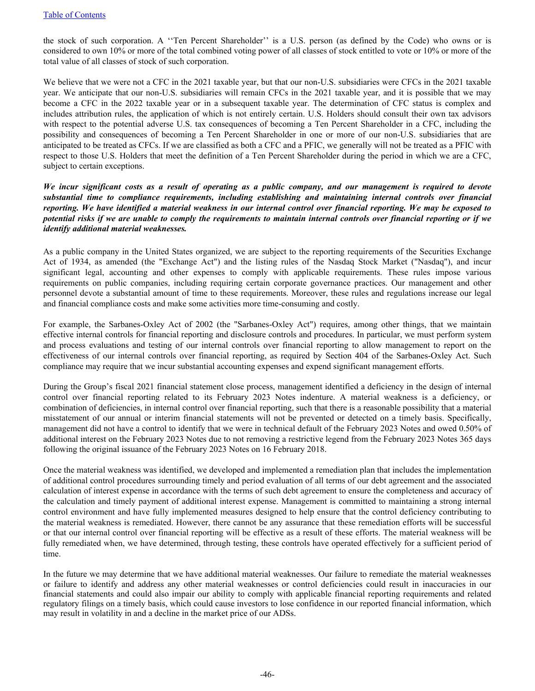the stock of such corporation. A ''Ten Percent Shareholder'' is a U.S. person (as defined by the Code) who owns or is considered to own 10% or more of the total combined voting power of all classes of stock entitled to vote or 10% or more of the total value of all classes of stock of such corporation.

We believe that we were not a CFC in the 2021 taxable year, but that our non-U.S. subsidiaries were CFCs in the 2021 taxable year. We anticipate that our non-U.S. subsidiaries will remain CFCs in the 2021 taxable year, and it is possible that we may become a CFC in the 2022 taxable year or in a subsequent taxable year. The determination of CFC status is complex and includes attribution rules, the application of which is not entirely certain. U.S. Holders should consult their own tax advisors with respect to the potential adverse U.S. tax consequences of becoming a Ten Percent Shareholder in a CFC, including the possibility and consequences of becoming a Ten Percent Shareholder in one or more of our non-U.S. subsidiaries that are anticipated to be treated as CFCs. If we are classified as both a CFC and a PFIC, we generally will not be treated as a PFIC with respect to those U.S. Holders that meet the definition of a Ten Percent Shareholder during the period in which we are a CFC, subject to certain exceptions.

*We incur significant costs as a result of operating as a public company, and our management is required to devote substantial time to compliance requirements, including establishing and maintaining internal controls over financial reporting. We have identified a material weakness in our internal control over financial reporting. We may be exposed to potential risks if we are unable to comply the requirements to maintain internal controls over financial reporting or if we identify additional material weaknesses.* 

As a public company in the United States organized, we are subject to the reporting requirements of the Securities Exchange Act of 1934, as amended (the "Exchange Act") and the listing rules of the Nasdaq Stock Market ("Nasdaq"), and incur significant legal, accounting and other expenses to comply with applicable requirements. These rules impose various requirements on public companies, including requiring certain corporate governance practices. Our management and other personnel devote a substantial amount of time to these requirements. Moreover, these rules and regulations increase our legal and financial compliance costs and make some activities more time-consuming and costly.

For example, the Sarbanes-Oxley Act of 2002 (the "Sarbanes-Oxley Act") requires, among other things, that we maintain effective internal controls for financial reporting and disclosure controls and procedures. In particular, we must perform system and process evaluations and testing of our internal controls over financial reporting to allow management to report on the effectiveness of our internal controls over financial reporting, as required by Section 404 of the Sarbanes-Oxley Act. Such compliance may require that we incur substantial accounting expenses and expend significant management efforts.

During the Group's fiscal 2021 financial statement close process, management identified a deficiency in the design of internal control over financial reporting related to its February 2023 Notes indenture. A material weakness is a deficiency, or combination of deficiencies, in internal control over financial reporting, such that there is a reasonable possibility that a material misstatement of our annual or interim financial statements will not be prevented or detected on a timely basis. Specifically, management did not have a control to identify that we were in technical default of the February 2023 Notes and owed 0.50% of additional interest on the February 2023 Notes due to not removing a restrictive legend from the February 2023 Notes 365 days following the original issuance of the February 2023 Notes on 16 February 2018.

Once the material weakness was identified, we developed and implemented a remediation plan that includes the implementation of additional control procedures surrounding timely and period evaluation of all terms of our debt agreement and the associated calculation of interest expense in accordance with the terms of such debt agreement to ensure the completeness and accuracy of the calculation and timely payment of additional interest expense. Management is committed to maintaining a strong internal control environment and have fully implemented measures designed to help ensure that the control deficiency contributing to the material weakness is remediated. However, there cannot be any assurance that these remediation efforts will be successful or that our internal control over financial reporting will be effective as a result of these efforts. The material weakness will be fully remediated when, we have determined, through testing, these controls have operated effectively for a sufficient period of time.

In the future we may determine that we have additional material weaknesses. Our failure to remediate the material weaknesses or failure to identify and address any other material weaknesses or control deficiencies could result in inaccuracies in our financial statements and could also impair our ability to comply with applicable financial reporting requirements and related regulatory filings on a timely basis, which could cause investors to lose confidence in our reported financial information, which may result in volatility in and a decline in the market price of our ADSs.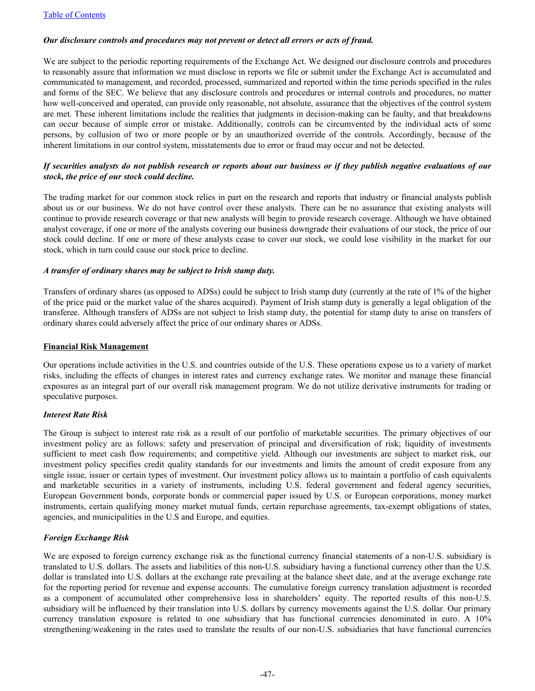## *Our disclosure controls and procedures may not prevent or detect all errors or acts of fraud.*

We are subject to the periodic reporting requirements of the Exchange Act. We designed our disclosure controls and procedures to reasonably assure that information we must disclose in reports we file or submit under the Exchange Act is accumulated and communicated to management, and recorded, processed, summarized and reported within the time periods specified in the rules and forms of the SEC. We believe that any disclosure controls and procedures or internal controls and procedures, no matter how well-conceived and operated, can provide only reasonable, not absolute, assurance that the objectives of the control system are met. These inherent limitations include the realities that judgments in decision-making can be faulty, and that breakdowns can occur because of simple error or mistake. Additionally, controls can be circumvented by the individual acts of some persons, by collusion of two or more people or by an unauthorized override of the controls. Accordingly, because of the inherent limitations in our control system, misstatements due to error or fraud may occur and not be detected.

## *If securities analysts do not publish research or reports about our business or if they publish negative evaluations of our stock, the price of our stock could decline.*

The trading market for our common stock relies in part on the research and reports that industry or financial analysts publish about us or our business. We do not have control over these analysts. There can be no assurance that existing analysts will continue to provide research coverage or that new analysts will begin to provide research coverage. Although we have obtained analyst coverage, if one or more of the analysts covering our business downgrade their evaluations of our stock, the price of our stock could decline. If one or more of these analysts cease to cover our stock, we could lose visibility in the market for our stock, which in turn could cause our stock price to decline.

## *A transfer of ordinary shares may be subject to Irish stamp duty.*

Transfers of ordinary shares (as opposed to ADSs) could be subject to Irish stamp duty (currently at the rate of 1% of the higher of the price paid or the market value of the shares acquired). Payment of Irish stamp duty is generally a legal obligation of the transferee. Although transfers of ADSs are not subject to Irish stamp duty, the potential for stamp duty to arise on transfers of ordinary shares could adversely affect the price of our ordinary shares or ADSs.

#### **Financial Risk Management**

Our operations include activities in the U.S. and countries outside of the U.S. These operations expose us to a variety of market risks, including the effects of changes in interest rates and currency exchange rates. We monitor and manage these financial exposures as an integral part of our overall risk management program. We do not utilize derivative instruments for trading or speculative purposes.

## *Interest Rate Risk*

The Group is subject to interest rate risk as a result of our portfolio of marketable securities. The primary objectives of our investment policy are as follows: safety and preservation of principal and diversification of risk; liquidity of investments sufficient to meet cash flow requirements; and competitive yield. Although our investments are subject to market risk, our investment policy specifies credit quality standards for our investments and limits the amount of credit exposure from any single issue, issuer or certain types of investment. Our investment policy allows us to maintain a portfolio of cash equivalents and marketable securities in a variety of instruments, including U.S. federal government and federal agency securities, European Government bonds, corporate bonds or commercial paper issued by U.S. or European corporations, money market instruments, certain qualifying money market mutual funds, certain repurchase agreements, tax-exempt obligations of states, agencies, and municipalities in the U.S and Europe, and equities.

## *Foreign Exchange Risk*

We are exposed to foreign currency exchange risk as the functional currency financial statements of a non-U.S. subsidiary is translated to U.S. dollars. The assets and liabilities of this non-U.S. subsidiary having a functional currency other than the U.S. dollar is translated into U.S. dollars at the exchange rate prevailing at the balance sheet date, and at the average exchange rate for the reporting period for revenue and expense accounts. The cumulative foreign currency translation adjustment is recorded as a component of accumulated other comprehensive loss in shareholders' equity. The reported results of this non-U.S. subsidiary will be influenced by their translation into U.S. dollars by currency movements against the U.S. dollar. Our primary currency translation exposure is related to one subsidiary that has functional currencies denominated in euro. A 10% strengthening/weakening in the rates used to translate the results of our non-U.S. subsidiaries that have functional currencies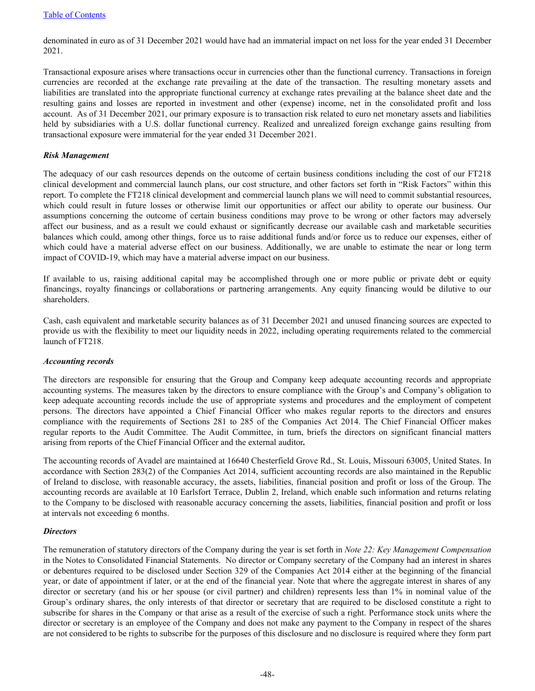denominated in euro as of 31 December 2021 would have had an immaterial impact on net loss for the year ended 31 December 2021.

Transactional exposure arises where transactions occur in currencies other than the functional currency. Transactions in foreign currencies are recorded at the exchange rate prevailing at the date of the transaction. The resulting monetary assets and liabilities are translated into the appropriate functional currency at exchange rates prevailing at the balance sheet date and the resulting gains and losses are reported in investment and other (expense) income, net in the consolidated profit and loss account. As of 31 December 2021, our primary exposure is to transaction risk related to euro net monetary assets and liabilities held by subsidiaries with a U.S. dollar functional currency. Realized and unrealized foreign exchange gains resulting from transactional exposure were immaterial for the year ended 31 December 2021.

## *Risk Management*

The adequacy of our cash resources depends on the outcome of certain business conditions including the cost of our FT218 clinical development and commercial launch plans, our cost structure, and other factors set forth in "Risk Factors" within this report. To complete the FT218 clinical development and commercial launch plans we will need to commit substantial resources, which could result in future losses or otherwise limit our opportunities or affect our ability to operate our business. Our assumptions concerning the outcome of certain business conditions may prove to be wrong or other factors may adversely affect our business, and as a result we could exhaust or significantly decrease our available cash and marketable securities balances which could, among other things, force us to raise additional funds and/or force us to reduce our expenses, either of which could have a material adverse effect on our business. Additionally, we are unable to estimate the near or long term impact of COVID-19, which may have a material adverse impact on our business.

If available to us, raising additional capital may be accomplished through one or more public or private debt or equity financings, royalty financings or collaborations or partnering arrangements. Any equity financing would be dilutive to our shareholders.

Cash, cash equivalent and marketable security balances as of 31 December 2021 and unused financing sources are expected to provide us with the flexibility to meet our liquidity needs in 2022, including operating requirements related to the commercial launch of FT218.

## *Accounting records*

The directors are responsible for ensuring that the Group and Company keep adequate accounting records and appropriate accounting systems. The measures taken by the directors to ensure compliance with the Group's and Company's obligation to keep adequate accounting records include the use of appropriate systems and procedures and the employment of competent persons. The directors have appointed a Chief Financial Officer who makes regular reports to the directors and ensures compliance with the requirements of Sections 281 to 285 of the Companies Act 2014. The Chief Financial Officer makes regular reports to the Audit Committee. The Audit Committee, in turn, briefs the directors on significant financial matters arising from reports of the Chief Financial Officer and the external auditor*.*

The accounting records of Avadel are maintained at 16640 Chesterfield Grove Rd., St. Louis, Missouri 63005, United States. In accordance with Section 283(2) of the Companies Act 2014, sufficient accounting records are also maintained in the Republic of Ireland to disclose, with reasonable accuracy, the assets, liabilities, financial position and profit or loss of the Group. The accounting records are available at 10 Earlsfort Terrace, Dublin 2, Ireland, which enable such information and returns relating to the Company to be disclosed with reasonable accuracy concerning the assets, liabilities, financial position and profit or loss at intervals not exceeding 6 months.

## *Directors*

The remuneration of statutory directors of the Company during the year is set forth in *Note 22: Key Management Compensation* in the Notes to Consolidated Financial Statements. No director or Company secretary of the Company had an interest in shares or debentures required to be disclosed under Section 329 of the Companies Act 2014 either at the beginning of the financial year, or date of appointment if later, or at the end of the financial year. Note that where the aggregate interest in shares of any director or secretary (and his or her spouse (or civil partner) and children) represents less than 1% in nominal value of the Group's ordinary shares, the only interests of that director or secretary that are required to be disclosed constitute a right to subscribe for shares in the Company or that arise as a result of the exercise of such a right. Performance stock units where the director or secretary is an employee of the Company and does not make any payment to the Company in respect of the shares are not considered to be rights to subscribe for the purposes of this disclosure and no disclosure is required where they form part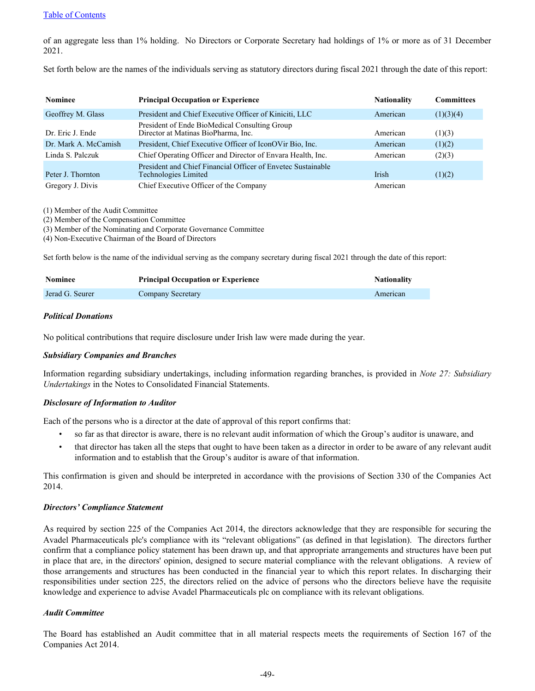#### [Table of Contents](#page-2-0)

of an aggregate less than 1% holding. No Directors or Corporate Secretary had holdings of 1% or more as of 31 December 2021.

Set forth below are the names of the individuals serving as statutory directors during fiscal 2021 through the date of this report:

| <b>Nominee</b>       | <b>Principal Occupation or Experience</b>                                            | <b>Nationality</b> | <b>Committees</b> |
|----------------------|--------------------------------------------------------------------------------------|--------------------|-------------------|
| Geoffrey M. Glass    | President and Chief Executive Officer of Kiniciti, LLC                               | American           | (1)(3)(4)         |
| Dr. Eric J. Ende     | President of Ende BioMedical Consulting Group<br>Director at Matinas BioPharma, Inc. | American           | (1)(3)            |
| Dr. Mark A. McCamish | President, Chief Executive Officer of IconOVir Bio, Inc.                             | American           | (1)(2)            |
| Linda S. Palczuk     | Chief Operating Officer and Director of Envara Health, Inc.                          | American           | (2)(3)            |
| Peter J. Thornton    | President and Chief Financial Officer of Envetec Sustainable<br>Technologies Limited | Irish              | (1)(2)            |
| Gregory J. Divis     | Chief Executive Officer of the Company                                               | American           |                   |

(1) Member of the Audit Committee

(2) Member of the Compensation Committee

(3) Member of the Nominating and Corporate Governance Committee

(4) Non-Executive Chairman of the Board of Directors

Set forth below is the name of the individual serving as the company secretary during fiscal 2021 through the date of this report:

| Nominee         | <b>Principal Occupation or Experience</b> | <b>Nationality</b> |
|-----------------|-------------------------------------------|--------------------|
| Jerad G. Seurer | Company Secretary                         | American           |

### *Political Donations*

No political contributions that require disclosure under Irish law were made during the year.

#### *Subsidiary Companies and Branches*

Information regarding subsidiary undertakings, including information regarding branches, is provided in *Note 27: Subsidiary Undertakings* in the Notes to Consolidated Financial Statements.

#### *Disclosure of Information to Auditor*

Each of the persons who is a director at the date of approval of this report confirms that:

- so far as that director is aware, there is no relevant audit information of which the Group's auditor is unaware, and
- that director has taken all the steps that ought to have been taken as a director in order to be aware of any relevant audit information and to establish that the Group's auditor is aware of that information.

This confirmation is given and should be interpreted in accordance with the provisions of Section 330 of the Companies Act 2014.

#### *Directors' Compliance Statement*

As required by section 225 of the Companies Act 2014, the directors acknowledge that they are responsible for securing the Avadel Pharmaceuticals plc's compliance with its "relevant obligations" (as defined in that legislation). The directors further confirm that a compliance policy statement has been drawn up, and that appropriate arrangements and structures have been put in place that are, in the directors' opinion, designed to secure material compliance with the relevant obligations. A review of those arrangements and structures has been conducted in the financial year to which this report relates. In discharging their responsibilities under section 225, the directors relied on the advice of persons who the directors believe have the requisite knowledge and experience to advise Avadel Pharmaceuticals plc on compliance with its relevant obligations.

#### *Audit Committee*

The Board has established an Audit committee that in all material respects meets the requirements of Section 167 of the Companies Act 2014.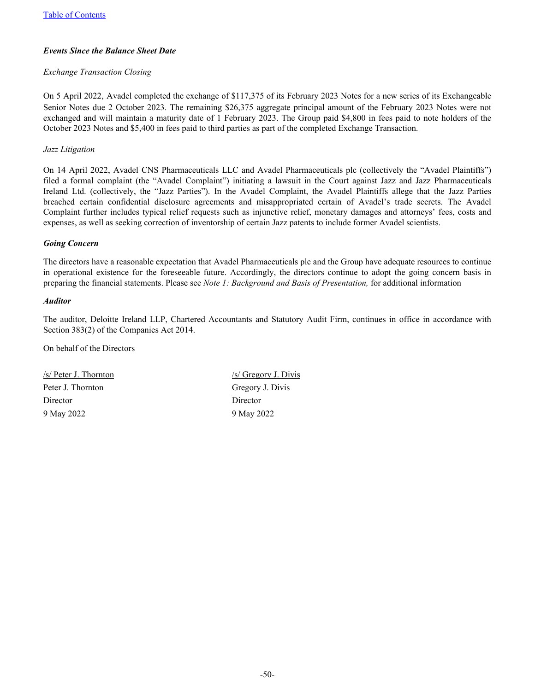## *Events Since the Balance Sheet Date*

## *Exchange Transaction Closing*

On 5 April 2022, Avadel completed the exchange of \$117,375 of its February 2023 Notes for a new series of its Exchangeable Senior Notes due 2 October 2023. The remaining \$26,375 aggregate principal amount of the February 2023 Notes were not exchanged and will maintain a maturity date of 1 February 2023. The Group paid \$4,800 in fees paid to note holders of the October 2023 Notes and \$5,400 in fees paid to third parties as part of the completed Exchange Transaction.

## *Jazz Litigation*

On 14 April 2022, Avadel CNS Pharmaceuticals LLC and Avadel Pharmaceuticals plc (collectively the "Avadel Plaintiffs") filed a formal complaint (the "Avadel Complaint") initiating a lawsuit in the Court against Jazz and Jazz Pharmaceuticals Ireland Ltd. (collectively, the "Jazz Parties"). In the Avadel Complaint, the Avadel Plaintiffs allege that the Jazz Parties breached certain confidential disclosure agreements and misappropriated certain of Avadel's trade secrets. The Avadel Complaint further includes typical relief requests such as injunctive relief, monetary damages and attorneys' fees, costs and expenses, as well as seeking correction of inventorship of certain Jazz patents to include former Avadel scientists.

## *Going Concern*

The directors have a reasonable expectation that Avadel Pharmaceuticals plc and the Group have adequate resources to continue in operational existence for the foreseeable future. Accordingly, the directors continue to adopt the going concern basis in preparing the financial statements. Please see *Note 1: Background and Basis of Presentation,* for additional information

## *Auditor*

The auditor, Deloitte Ireland LLP, Chartered Accountants and Statutory Audit Firm, continues in office in accordance with Section 383(2) of the Companies Act 2014.

On behalf of the Directors

 $\frac{s}{\text{S}}$  Peter J. Thornton /s/ Gregory J. Divis Peter J. Thornton Gregory J. Divis Director Director 9 May 2022 9 May 2022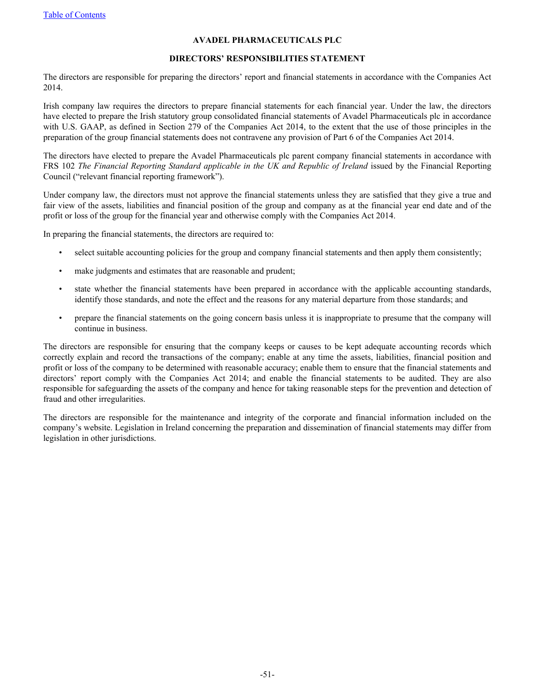## **AVADEL PHARMACEUTICALS PLC**

#### **DIRECTORS' RESPONSIBILITIES STATEMENT**

The directors are responsible for preparing the directors' report and financial statements in accordance with the Companies Act 2014.

Irish company law requires the directors to prepare financial statements for each financial year. Under the law, the directors have elected to prepare the Irish statutory group consolidated financial statements of Avadel Pharmaceuticals plc in accordance with U.S. GAAP, as defined in Section 279 of the Companies Act 2014, to the extent that the use of those principles in the preparation of the group financial statements does not contravene any provision of Part 6 of the Companies Act 2014.

The directors have elected to prepare the Avadel Pharmaceuticals plc parent company financial statements in accordance with FRS 102 *The Financial Reporting Standard applicable in the UK and Republic of Ireland* issued by the Financial Reporting Council ("relevant financial reporting framework").

Under company law, the directors must not approve the financial statements unless they are satisfied that they give a true and fair view of the assets, liabilities and financial position of the group and company as at the financial year end date and of the profit or loss of the group for the financial year and otherwise comply with the Companies Act 2014.

In preparing the financial statements, the directors are required to:

- select suitable accounting policies for the group and company financial statements and then apply them consistently;
- make judgments and estimates that are reasonable and prudent;
- state whether the financial statements have been prepared in accordance with the applicable accounting standards, identify those standards, and note the effect and the reasons for any material departure from those standards; and
- prepare the financial statements on the going concern basis unless it is inappropriate to presume that the company will continue in business.

The directors are responsible for ensuring that the company keeps or causes to be kept adequate accounting records which correctly explain and record the transactions of the company; enable at any time the assets, liabilities, financial position and profit or loss of the company to be determined with reasonable accuracy; enable them to ensure that the financial statements and directors' report comply with the Companies Act 2014; and enable the financial statements to be audited. They are also responsible for safeguarding the assets of the company and hence for taking reasonable steps for the prevention and detection of fraud and other irregularities.

The directors are responsible for the maintenance and integrity of the corporate and financial information included on the company's website. Legislation in Ireland concerning the preparation and dissemination of financial statements may differ from legislation in other jurisdictions.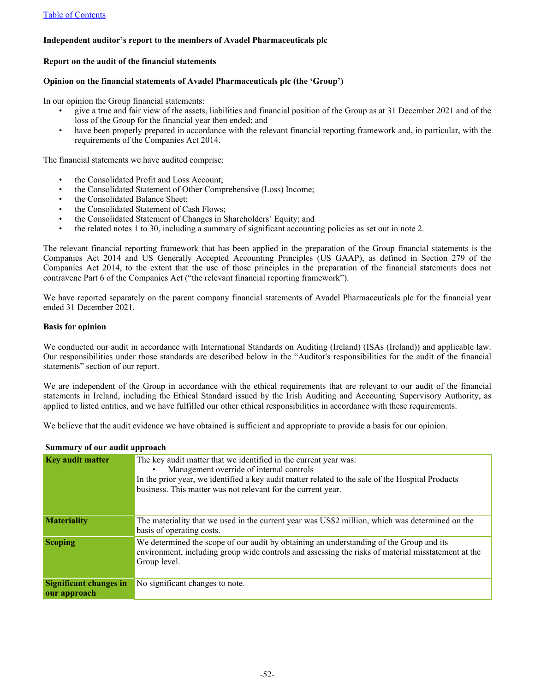## **Independent auditor's report to the members of Avadel Pharmaceuticals plc**

#### **Report on the audit of the financial statements**

#### **Opinion on the financial statements of Avadel Pharmaceuticals plc (the 'Group')**

In our opinion the Group financial statements:

- give a true and fair view of the assets, liabilities and financial position of the Group as at 31 December 2021 and of the loss of the Group for the financial year then ended; and
- have been properly prepared in accordance with the relevant financial reporting framework and, in particular, with the requirements of the Companies Act 2014.

The financial statements we have audited comprise:

- the Consolidated Profit and Loss Account;
- the Consolidated Statement of Other Comprehensive (Loss) Income;
- the Consolidated Balance Sheet:
- the Consolidated Statement of Cash Flows;
- the Consolidated Statement of Changes in Shareholders' Equity; and
- the related notes 1 to 30, including a summary of significant accounting policies as set out in note 2.

The relevant financial reporting framework that has been applied in the preparation of the Group financial statements is the Companies Act 2014 and US Generally Accepted Accounting Principles (US GAAP), as defined in Section 279 of the Companies Act 2014, to the extent that the use of those principles in the preparation of the financial statements does not contravene Part 6 of the Companies Act ("the relevant financial reporting framework").

We have reported separately on the parent company financial statements of Avadel Pharmaceuticals plc for the financial year ended 31 December 2021.

#### **Basis for opinion**

We conducted our audit in accordance with International Standards on Auditing (Ireland) (ISAs (Ireland)) and applicable law. Our responsibilities under those standards are described below in the "Auditor's responsibilities for the audit of the financial statements" section of our report.

We are independent of the Group in accordance with the ethical requirements that are relevant to our audit of the financial statements in Ireland, including the Ethical Standard issued by the Irish Auditing and Accounting Supervisory Authority, as applied to listed entities, and we have fulfilled our other ethical responsibilities in accordance with these requirements.

We believe that the audit evidence we have obtained is sufficient and appropriate to provide a basis for our opinion.

#### **Summary of our audit approach**

| <b>Key audit matter</b>                       | The key audit matter that we identified in the current year was:<br>Management override of internal controls<br>In the prior year, we identified a key audit matter related to the sale of the Hospital Products<br>business. This matter was not relevant for the current year. |
|-----------------------------------------------|----------------------------------------------------------------------------------------------------------------------------------------------------------------------------------------------------------------------------------------------------------------------------------|
| <b>Materiality</b>                            | The materiality that we used in the current year was US\$2 million, which was determined on the<br>basis of operating costs.                                                                                                                                                     |
| <b>Scoping</b>                                | We determined the scope of our audit by obtaining an understanding of the Group and its<br>environment, including group wide controls and assessing the risks of material misstatement at the<br>Group level.                                                                    |
| <b>Significant changes in</b><br>our approach | No significant changes to note.                                                                                                                                                                                                                                                  |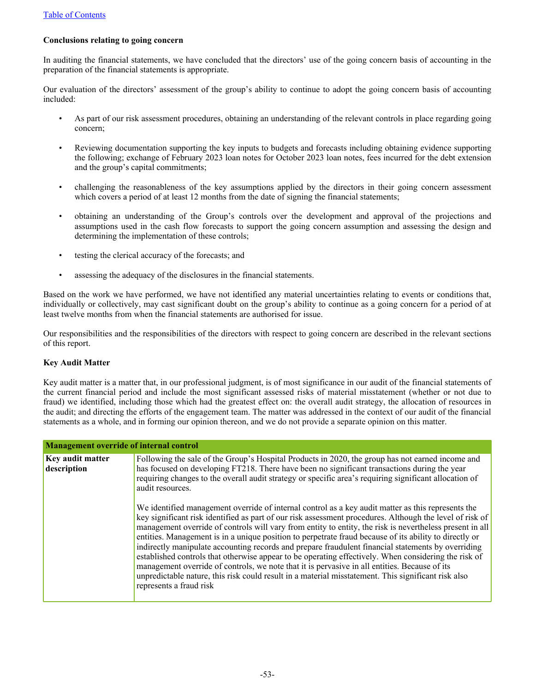## **Conclusions relating to going concern**

In auditing the financial statements, we have concluded that the directors' use of the going concern basis of accounting in the preparation of the financial statements is appropriate.

Our evaluation of the directors' assessment of the group's ability to continue to adopt the going concern basis of accounting included:

- As part of our risk assessment procedures, obtaining an understanding of the relevant controls in place regarding going concern;
- Reviewing documentation supporting the key inputs to budgets and forecasts including obtaining evidence supporting the following; exchange of February 2023 loan notes for October 2023 loan notes, fees incurred for the debt extension and the group's capital commitments;
- challenging the reasonableness of the key assumptions applied by the directors in their going concern assessment which covers a period of at least 12 months from the date of signing the financial statements;
- obtaining an understanding of the Group's controls over the development and approval of the projections and assumptions used in the cash flow forecasts to support the going concern assumption and assessing the design and determining the implementation of these controls;
- testing the clerical accuracy of the forecasts; and
- assessing the adequacy of the disclosures in the financial statements.

Based on the work we have performed, we have not identified any material uncertainties relating to events or conditions that, individually or collectively, may cast significant doubt on the group's ability to continue as a going concern for a period of at least twelve months from when the financial statements are authorised for issue.

Our responsibilities and the responsibilities of the directors with respect to going concern are described in the relevant sections of this report.

## **Key Audit Matter**

Key audit matter is a matter that, in our professional judgment, is of most significance in our audit of the financial statements of the current financial period and include the most significant assessed risks of material misstatement (whether or not due to fraud) we identified, including those which had the greatest effect on: the overall audit strategy, the allocation of resources in the audit; and directing the efforts of the engagement team. The matter was addressed in the context of our audit of the financial statements as a whole, and in forming our opinion thereon, and we do not provide a separate opinion on this matter.

| <b>Management override of internal control</b> |                                                                                                                                                                                                                                                                                                                                                                                                                                                                                                                                                                                                                                                                                                                                                                                                                                                                                                                                                                                                                                                                                       |
|------------------------------------------------|---------------------------------------------------------------------------------------------------------------------------------------------------------------------------------------------------------------------------------------------------------------------------------------------------------------------------------------------------------------------------------------------------------------------------------------------------------------------------------------------------------------------------------------------------------------------------------------------------------------------------------------------------------------------------------------------------------------------------------------------------------------------------------------------------------------------------------------------------------------------------------------------------------------------------------------------------------------------------------------------------------------------------------------------------------------------------------------|
| <b>Key audit matter</b><br>description         | Following the sale of the Group's Hospital Products in 2020, the group has not earned income and<br>has focused on developing FT218. There have been no significant transactions during the year<br>requiring changes to the overall audit strategy or specific area's requiring significant allocation of<br>audit resources.<br>We identified management override of internal control as a key audit matter as this represents the<br>key significant risk identified as part of our risk assessment procedures. Although the level of risk of<br>management override of controls will vary from entity to entity, the risk is nevertheless present in all<br>entities. Management is in a unique position to perpetrate fraud because of its ability to directly or<br>indirectly manipulate accounting records and prepare fraudulent financial statements by overriding<br>established controls that otherwise appear to be operating effectively. When considering the risk of<br>management override of controls, we note that it is pervasive in all entities. Because of its |
|                                                | unpredictable nature, this risk could result in a material misstatement. This significant risk also<br>represents a fraud risk                                                                                                                                                                                                                                                                                                                                                                                                                                                                                                                                                                                                                                                                                                                                                                                                                                                                                                                                                        |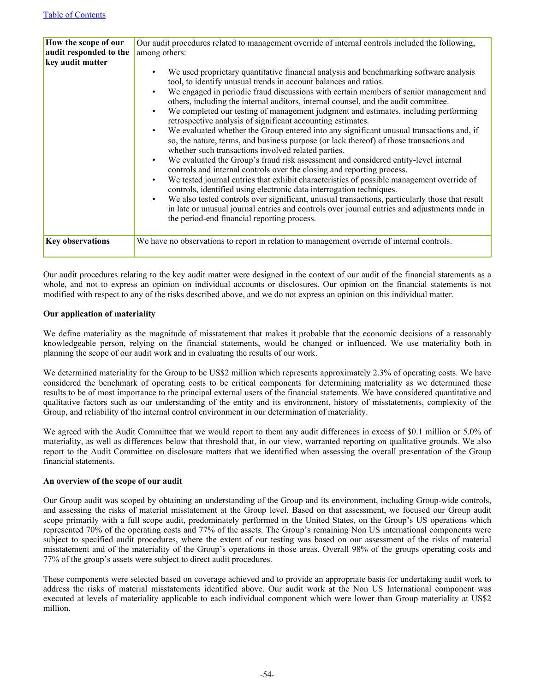| How the scope of our    | Our audit procedures related to management override of internal controls included the following,                                                                                                                                                                                                                                                                                                                                                                                                                                                                                                                                                                                                                                                                                                                                                                                                                                                                                                                                                                                                                                                                                                                                                                                                                                                                                                                                  |
|-------------------------|-----------------------------------------------------------------------------------------------------------------------------------------------------------------------------------------------------------------------------------------------------------------------------------------------------------------------------------------------------------------------------------------------------------------------------------------------------------------------------------------------------------------------------------------------------------------------------------------------------------------------------------------------------------------------------------------------------------------------------------------------------------------------------------------------------------------------------------------------------------------------------------------------------------------------------------------------------------------------------------------------------------------------------------------------------------------------------------------------------------------------------------------------------------------------------------------------------------------------------------------------------------------------------------------------------------------------------------------------------------------------------------------------------------------------------------|
| audit responded to the  | among others:                                                                                                                                                                                                                                                                                                                                                                                                                                                                                                                                                                                                                                                                                                                                                                                                                                                                                                                                                                                                                                                                                                                                                                                                                                                                                                                                                                                                                     |
| key audit matter        |                                                                                                                                                                                                                                                                                                                                                                                                                                                                                                                                                                                                                                                                                                                                                                                                                                                                                                                                                                                                                                                                                                                                                                                                                                                                                                                                                                                                                                   |
|                         | We used proprietary quantitative financial analysis and benchmarking software analysis<br>$\bullet$<br>tool, to identify unusual trends in account balances and ratios.<br>We engaged in periodic fraud discussions with certain members of senior management and<br>$\bullet$<br>others, including the internal auditors, internal counsel, and the audit committee.<br>We completed our testing of management judgment and estimates, including performing<br>$\bullet$<br>retrospective analysis of significant accounting estimates.<br>We evaluated whether the Group entered into any significant unusual transactions and, if<br>$\bullet$<br>so, the nature, terms, and business purpose (or lack thereof) of those transactions and<br>whether such transactions involved related parties.<br>We evaluated the Group's fraud risk assessment and considered entity-level internal<br>$\bullet$<br>controls and internal controls over the closing and reporting process.<br>We tested journal entries that exhibit characteristics of possible management override of<br>$\bullet$<br>controls, identified using electronic data interrogation techniques.<br>We also tested controls over significant, unusual transactions, particularly those that result<br>$\bullet$<br>in late or unusual journal entries and controls over journal entries and adjustments made in<br>the period-end financial reporting process. |
| <b>Key observations</b> | We have no observations to report in relation to management override of internal controls.                                                                                                                                                                                                                                                                                                                                                                                                                                                                                                                                                                                                                                                                                                                                                                                                                                                                                                                                                                                                                                                                                                                                                                                                                                                                                                                                        |

Our audit procedures relating to the key audit matter were designed in the context of our audit of the financial statements as a whole, and not to express an opinion on individual accounts or disclosures. Our opinion on the financial statements is not modified with respect to any of the risks described above, and we do not express an opinion on this individual matter.

## **Our application of materiality**

We define materiality as the magnitude of misstatement that makes it probable that the economic decisions of a reasonably knowledgeable person, relying on the financial statements, would be changed or influenced. We use materiality both in planning the scope of our audit work and in evaluating the results of our work.

We determined materiality for the Group to be US\$2 million which represents approximately 2.3% of operating costs. We have considered the benchmark of operating costs to be critical components for determining materiality as we determined these results to be of most importance to the principal external users of the financial statements. We have considered quantitative and qualitative factors such as our understanding of the entity and its environment, history of misstatements, complexity of the Group, and reliability of the internal control environment in our determination of materiality.

We agreed with the Audit Committee that we would report to them any audit differences in excess of \$0.1 million or 5.0% of materiality, as well as differences below that threshold that, in our view, warranted reporting on qualitative grounds. We also report to the Audit Committee on disclosure matters that we identified when assessing the overall presentation of the Group financial statements.

#### **An overview of the scope of our audit**

Our Group audit was scoped by obtaining an understanding of the Group and its environment, including Group-wide controls, and assessing the risks of material misstatement at the Group level. Based on that assessment, we focused our Group audit scope primarily with a full scope audit, predominately performed in the United States, on the Group's US operations which represented 70% of the operating costs and 77% of the assets. The Group's remaining Non US international components were subject to specified audit procedures, where the extent of our testing was based on our assessment of the risks of material misstatement and of the materiality of the Group's operations in those areas. Overall 98% of the groups operating costs and 77% of the group's assets were subject to direct audit procedures.

These components were selected based on coverage achieved and to provide an appropriate basis for undertaking audit work to address the risks of material misstatements identified above. Our audit work at the Non US International component was executed at levels of materiality applicable to each individual component which were lower than Group materiality at US\$2 million.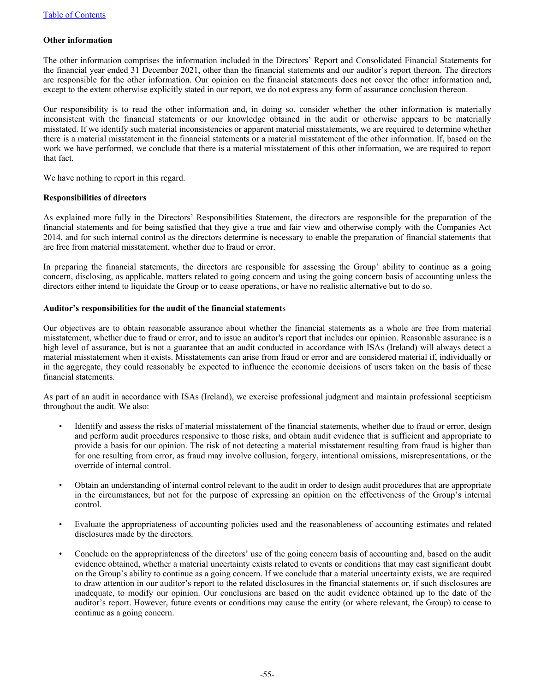### **Other information**

The other information comprises the information included in the Directors' Report and Consolidated Financial Statements for the financial year ended 31 December 2021, other than the financial statements and our auditor's report thereon. The directors are responsible for the other information. Our opinion on the financial statements does not cover the other information and, except to the extent otherwise explicitly stated in our report, we do not express any form of assurance conclusion thereon.

Our responsibility is to read the other information and, in doing so, consider whether the other information is materially inconsistent with the financial statements or our knowledge obtained in the audit or otherwise appears to be materially misstated. If we identify such material inconsistencies or apparent material misstatements, we are required to determine whether there is a material misstatement in the financial statements or a material misstatement of the other information. If, based on the work we have performed, we conclude that there is a material misstatement of this other information, we are required to report that fact.

We have nothing to report in this regard.

#### **Responsibilities of directors**

As explained more fully in the Directors' Responsibilities Statement, the directors are responsible for the preparation of the financial statements and for being satisfied that they give a true and fair view and otherwise comply with the Companies Act 2014, and for such internal control as the directors determine is necessary to enable the preparation of financial statements that are free from material misstatement, whether due to fraud or error.

In preparing the financial statements, the directors are responsible for assessing the Group' ability to continue as a going concern, disclosing, as applicable, matters related to going concern and using the going concern basis of accounting unless the directors either intend to liquidate the Group or to cease operations, or have no realistic alternative but to do so.

#### **Auditor's responsibilities for the audit of the financial statement**s

Our objectives are to obtain reasonable assurance about whether the financial statements as a whole are free from material misstatement, whether due to fraud or error, and to issue an auditor's report that includes our opinion. Reasonable assurance is a high level of assurance, but is not a guarantee that an audit conducted in accordance with ISAs (Ireland) will always detect a material misstatement when it exists. Misstatements can arise from fraud or error and are considered material if, individually or in the aggregate, they could reasonably be expected to influence the economic decisions of users taken on the basis of these financial statements.

As part of an audit in accordance with ISAs (Ireland), we exercise professional judgment and maintain professional scepticism throughout the audit. We also:

- Identify and assess the risks of material misstatement of the financial statements, whether due to fraud or error, design and perform audit procedures responsive to those risks, and obtain audit evidence that is sufficient and appropriate to provide a basis for our opinion. The risk of not detecting a material misstatement resulting from fraud is higher than for one resulting from error, as fraud may involve collusion, forgery, intentional omissions, misrepresentations, or the override of internal control.
- Obtain an understanding of internal control relevant to the audit in order to design audit procedures that are appropriate in the circumstances, but not for the purpose of expressing an opinion on the effectiveness of the Group's internal control.
- Evaluate the appropriateness of accounting policies used and the reasonableness of accounting estimates and related disclosures made by the directors.
- Conclude on the appropriateness of the directors' use of the going concern basis of accounting and, based on the audit evidence obtained, whether a material uncertainty exists related to events or conditions that may cast significant doubt on the Group's ability to continue as a going concern. If we conclude that a material uncertainty exists, we are required to draw attention in our auditor's report to the related disclosures in the financial statements or, if such disclosures are inadequate, to modify our opinion. Our conclusions are based on the audit evidence obtained up to the date of the auditor's report. However, future events or conditions may cause the entity (or where relevant, the Group) to cease to continue as a going concern.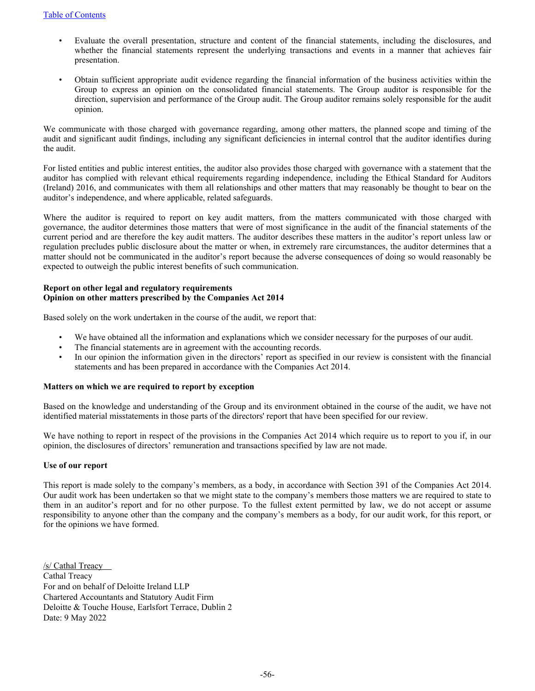- Evaluate the overall presentation, structure and content of the financial statements, including the disclosures, and whether the financial statements represent the underlying transactions and events in a manner that achieves fair presentation.
- Obtain sufficient appropriate audit evidence regarding the financial information of the business activities within the Group to express an opinion on the consolidated financial statements. The Group auditor is responsible for the direction, supervision and performance of the Group audit. The Group auditor remains solely responsible for the audit opinion.

We communicate with those charged with governance regarding, among other matters, the planned scope and timing of the audit and significant audit findings, including any significant deficiencies in internal control that the auditor identifies during the audit.

For listed entities and public interest entities, the auditor also provides those charged with governance with a statement that the auditor has complied with relevant ethical requirements regarding independence, including the Ethical Standard for Auditors (Ireland) 2016, and communicates with them all relationships and other matters that may reasonably be thought to bear on the auditor's independence, and where applicable, related safeguards.

Where the auditor is required to report on key audit matters, from the matters communicated with those charged with governance, the auditor determines those matters that were of most significance in the audit of the financial statements of the current period and are therefore the key audit matters. The auditor describes these matters in the auditor's report unless law or regulation precludes public disclosure about the matter or when, in extremely rare circumstances, the auditor determines that a matter should not be communicated in the auditor's report because the adverse consequences of doing so would reasonably be expected to outweigh the public interest benefits of such communication.

#### **Report on other legal and regulatory requirements Opinion on other matters prescribed by the Companies Act 2014**

Based solely on the work undertaken in the course of the audit, we report that:

- We have obtained all the information and explanations which we consider necessary for the purposes of our audit.
- The financial statements are in agreement with the accounting records.
- In our opinion the information given in the directors' report as specified in our review is consistent with the financial statements and has been prepared in accordance with the Companies Act 2014.

## **Matters on which we are required to report by exception**

Based on the knowledge and understanding of the Group and its environment obtained in the course of the audit, we have not identified material misstatements in those parts of the directors' report that have been specified for our review.

We have nothing to report in respect of the provisions in the Companies Act 2014 which require us to report to you if, in our opinion, the disclosures of directors' remuneration and transactions specified by law are not made.

## **Use of our report**

This report is made solely to the company's members, as a body, in accordance with Section 391 of the Companies Act 2014. Our audit work has been undertaken so that we might state to the company's members those matters we are required to state to them in an auditor's report and for no other purpose. To the fullest extent permitted by law, we do not accept or assume responsibility to anyone other than the company and the company's members as a body, for our audit work, for this report, or for the opinions we have formed.

/s/ Cathal Treacy Cathal Treacy For and on behalf of Deloitte Ireland LLP Chartered Accountants and Statutory Audit Firm Deloitte & Touche House, Earlsfort Terrace, Dublin 2 Date: 9 May 2022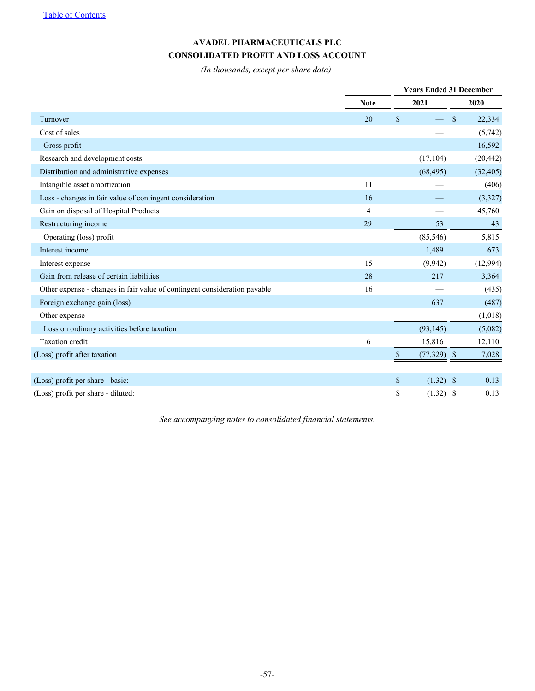# **AVADEL PHARMACEUTICALS PLC CONSOLIDATED PROFIT AND LOSS ACCOUNT**

*(In thousands, except per share data)*

|                                                                           |                | <b>Years Ended 31 December</b> |    |           |  |  |
|---------------------------------------------------------------------------|----------------|--------------------------------|----|-----------|--|--|
|                                                                           | <b>Note</b>    | 2021                           |    | 2020      |  |  |
| Turnover                                                                  | 20             | $\mathsf{\$}$                  | \$ | 22,334    |  |  |
| Cost of sales                                                             |                |                                |    | (5,742)   |  |  |
| Gross profit                                                              |                |                                |    | 16,592    |  |  |
| Research and development costs                                            |                | (17, 104)                      |    | (20, 442) |  |  |
| Distribution and administrative expenses                                  |                | (68, 495)                      |    | (32, 405) |  |  |
| Intangible asset amortization                                             | 11             |                                |    | (406)     |  |  |
| Loss - changes in fair value of contingent consideration                  | 16             |                                |    | (3,327)   |  |  |
| Gain on disposal of Hospital Products                                     | $\overline{4}$ |                                |    | 45,760    |  |  |
| Restructuring income                                                      | 29             | 53                             |    | 43        |  |  |
| Operating (loss) profit                                                   |                | (85, 546)                      |    | 5,815     |  |  |
| Interest income                                                           |                | 1,489                          |    | 673       |  |  |
| Interest expense                                                          | 15             | (9,942)                        |    | (12,994)  |  |  |
| Gain from release of certain liabilities                                  | 28             | 217                            |    | 3,364     |  |  |
| Other expense - changes in fair value of contingent consideration payable | 16             |                                |    | (435)     |  |  |
| Foreign exchange gain (loss)                                              |                | 637                            |    | (487)     |  |  |
| Other expense                                                             |                |                                |    | (1,018)   |  |  |
| Loss on ordinary activities before taxation                               |                | (93, 145)                      |    | (5,082)   |  |  |
| <b>Taxation</b> credit                                                    | 6              | 15,816                         |    | 12,110    |  |  |
| (Loss) profit after taxation                                              |                | $(77,329)$ \$<br><sup>\$</sup> |    | 7,028     |  |  |
|                                                                           |                |                                |    |           |  |  |
| (Loss) profit per share - basic:                                          |                | \$<br>$(1.32)$ \$              |    | 0.13      |  |  |
| (Loss) profit per share - diluted:                                        |                | \$<br>$(1.32)$ \$              |    | 0.13      |  |  |

*See accompanying notes to consolidated financial statements.*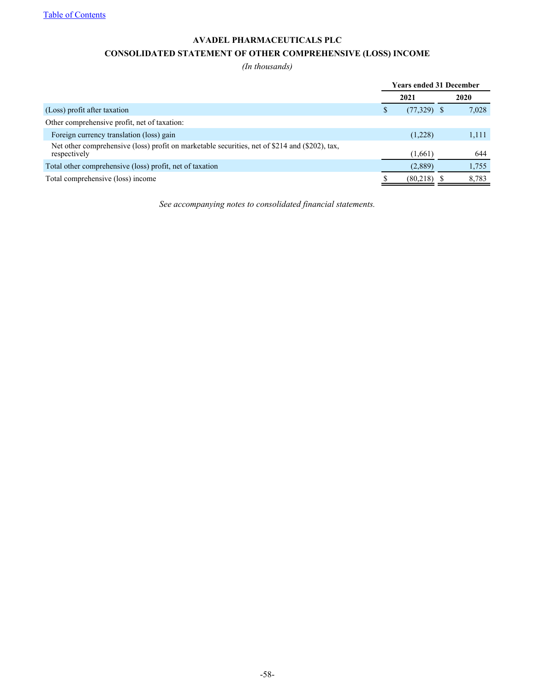[Table of Contents](#page-2-0)

# **AVADEL PHARMACEUTICALS PLC CONSOLIDATED STATEMENT OF OTHER COMPREHENSIVE (LOSS) INCOME**

*(In thousands)*

|                                                                                                                | <b>Years ended 31 December</b> |               |  |       |
|----------------------------------------------------------------------------------------------------------------|--------------------------------|---------------|--|-------|
|                                                                                                                |                                | 2021          |  | 2020  |
| (Loss) profit after taxation                                                                                   |                                | $(77,329)$ \$ |  | 7,028 |
| Other comprehensive profit, net of taxation:                                                                   |                                |               |  |       |
| Foreign currency translation (loss) gain                                                                       |                                | (1,228)       |  | 1,111 |
| Net other comprehensive (loss) profit on marketable securities, net of \$214 and (\$202), tax,<br>respectively |                                | (1,661)       |  | 644   |
| Total other comprehensive (loss) profit, net of taxation                                                       |                                | (2,889)       |  | 1,755 |
| Total comprehensive (loss) income                                                                              |                                | (80,218)      |  | 8,783 |

*See accompanying notes to consolidated financial statements.*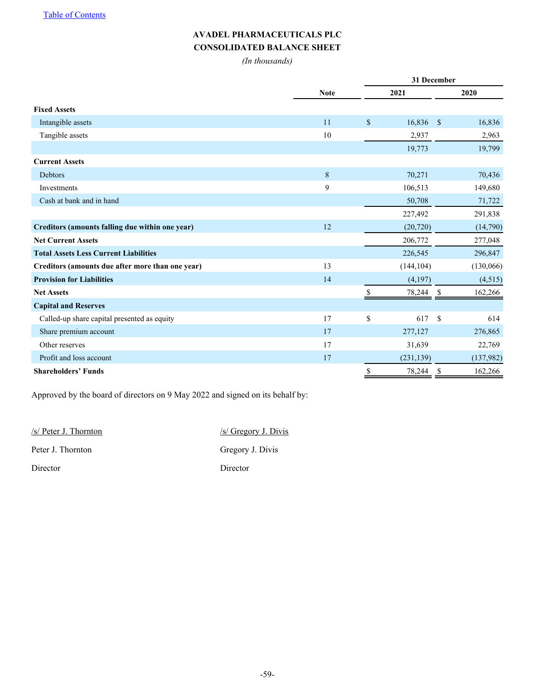# **AVADEL PHARMACEUTICALS PLC CONSOLIDATED BALANCE SHEET**

*(In thousands)*

|                                                  |             | 31 December  |            |                    |           |  |  |
|--------------------------------------------------|-------------|--------------|------------|--------------------|-----------|--|--|
|                                                  | <b>Note</b> | 2021         |            |                    | 2020      |  |  |
| <b>Fixed Assets</b>                              |             |              |            |                    |           |  |  |
| Intangible assets                                | 11          | $\mathbb{S}$ | 16,836     | $\mathbf{\hat{S}}$ | 16,836    |  |  |
| Tangible assets                                  | 10          |              | 2,937      |                    | 2,963     |  |  |
|                                                  |             |              | 19,773     |                    | 19,799    |  |  |
| <b>Current Assets</b>                            |             |              |            |                    |           |  |  |
| <b>Debtors</b>                                   | 8           |              | 70,271     |                    | 70,436    |  |  |
| Investments                                      | 9           |              | 106,513    |                    | 149,680   |  |  |
| Cash at bank and in hand                         |             |              | 50,708     |                    | 71,722    |  |  |
|                                                  |             |              | 227,492    |                    | 291,838   |  |  |
| Creditors (amounts falling due within one year)  | 12          |              | (20, 720)  |                    | (14,790)  |  |  |
| <b>Net Current Assets</b>                        |             |              | 206,772    |                    | 277,048   |  |  |
| <b>Total Assets Less Current Liabilities</b>     |             |              | 226,545    |                    | 296,847   |  |  |
| Creditors (amounts due after more than one year) | 13          |              | (144, 104) |                    | (130,066) |  |  |
| <b>Provision for Liabilities</b>                 | 14          |              | (4,197)    |                    | (4,515)   |  |  |
| <b>Net Assets</b>                                |             |              | 78,244     | S                  | 162,266   |  |  |
| <b>Capital and Reserves</b>                      |             |              |            |                    |           |  |  |
| Called-up share capital presented as equity      | 17          | \$           | 617        | \$                 | 614       |  |  |
| Share premium account                            | 17          |              | 277,127    |                    | 276,865   |  |  |
| Other reserves                                   | 17          |              | 31,639     |                    | 22,769    |  |  |
| Profit and loss account                          | 17          |              | (231, 139) |                    | (137,982) |  |  |
| <b>Shareholders' Funds</b>                       |             | \$           | 78,244     | \$                 | 162,266   |  |  |

Approved by the board of directors on 9 May 2022 and signed on its behalf by:

| $\sqrt{s}$ Peter J. Thornton | $\frac{1}{s}$ Gregory J. Divis |
|------------------------------|--------------------------------|
| Peter J. Thornton            | Gregory J. Divis               |
| Director                     | Director                       |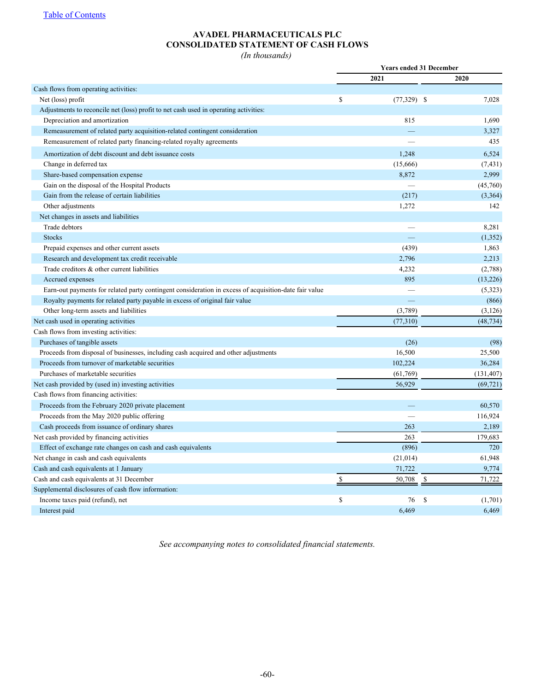# **AVADEL PHARMACEUTICALS PLC CONSOLIDATED STATEMENT OF CASH FLOWS**

*(In thousands)*

|                                                                                                       | <b>Years ended 31 December</b> |                          |    |            |
|-------------------------------------------------------------------------------------------------------|--------------------------------|--------------------------|----|------------|
|                                                                                                       |                                | 2021                     |    | 2020       |
| Cash flows from operating activities:                                                                 |                                |                          |    |            |
| Net (loss) profit                                                                                     | \$                             | $(77,329)$ \$            |    | 7,028      |
| Adjustments to reconcile net (loss) profit to net cash used in operating activities:                  |                                |                          |    |            |
| Depreciation and amortization                                                                         |                                | 815                      |    | 1,690      |
| Remeasurement of related party acquisition-related contingent consideration                           |                                |                          |    | 3,327      |
| Remeasurement of related party financing-related royalty agreements                                   |                                |                          |    | 435        |
| Amortization of debt discount and debt issuance costs                                                 |                                | 1,248                    |    | 6,524      |
| Change in deferred tax                                                                                |                                | (15,666)                 |    | (7, 431)   |
| Share-based compensation expense                                                                      |                                | 8,872                    |    | 2,999      |
| Gain on the disposal of the Hospital Products                                                         |                                |                          |    | (45,760)   |
| Gain from the release of certain liabilities                                                          |                                | (217)                    |    | (3,364)    |
| Other adjustments                                                                                     |                                | 1,272                    |    | 142        |
| Net changes in assets and liabilities                                                                 |                                |                          |    |            |
| Trade debtors                                                                                         |                                |                          |    | 8,281      |
| <b>Stocks</b>                                                                                         |                                |                          |    | (1, 352)   |
| Prepaid expenses and other current assets                                                             |                                | (439)                    |    | 1,863      |
| Research and development tax credit receivable                                                        |                                | 2,796                    |    | 2,213      |
| Trade creditors & other current liabilities                                                           |                                | 4,232                    |    | (2,788)    |
| Accrued expenses                                                                                      |                                | 895                      |    | (13, 226)  |
| Earn-out payments for related party contingent consideration in excess of acquisition-date fair value |                                |                          |    | (5,323)    |
| Royalty payments for related party payable in excess of original fair value                           |                                | $\qquad \qquad -$        |    | (866)      |
| Other long-term assets and liabilities                                                                |                                | (3,789)                  |    | (3, 126)   |
| Net cash used in operating activities                                                                 |                                | (77, 310)                |    | (48, 734)  |
| Cash flows from investing activities:                                                                 |                                |                          |    |            |
| Purchases of tangible assets                                                                          |                                | (26)                     |    | (98)       |
| Proceeds from disposal of businesses, including cash acquired and other adjustments                   |                                | 16,500                   |    | 25,500     |
| Proceeds from turnover of marketable securities                                                       |                                | 102,224                  |    | 36,284     |
| Purchases of marketable securities                                                                    |                                | (61,769)                 |    | (131, 407) |
| Net cash provided by (used in) investing activities                                                   |                                | 56,929                   |    | (69, 721)  |
| Cash flows from financing activities:                                                                 |                                |                          |    |            |
| Proceeds from the February 2020 private placement                                                     |                                |                          |    | 60,570     |
| Proceeds from the May 2020 public offering                                                            |                                | $\overline{\phantom{0}}$ |    | 116,924    |
| Cash proceeds from issuance of ordinary shares                                                        |                                | 263                      |    | 2,189      |
| Net cash provided by financing activities                                                             |                                | 263                      |    | 179,683    |
| Effect of exchange rate changes on cash and cash equivalents                                          |                                | (896)                    |    | 720        |
| Net change in cash and cash equivalents                                                               |                                | (21, 014)                |    | 61,948     |
| Cash and cash equivalents at 1 January                                                                |                                | 71,722                   |    | 9,774      |
| Cash and cash equivalents at 31 December                                                              | <sup>\$</sup>                  | 50,708                   | \$ | 71,722     |
| Supplemental disclosures of cash flow information:                                                    |                                |                          |    |            |
| Income taxes paid (refund), net                                                                       | \$                             | 76                       | \$ | (1,701)    |
| Interest paid                                                                                         |                                | 6.469                    |    | 6,469      |

*See accompanying notes to consolidated financial statements.*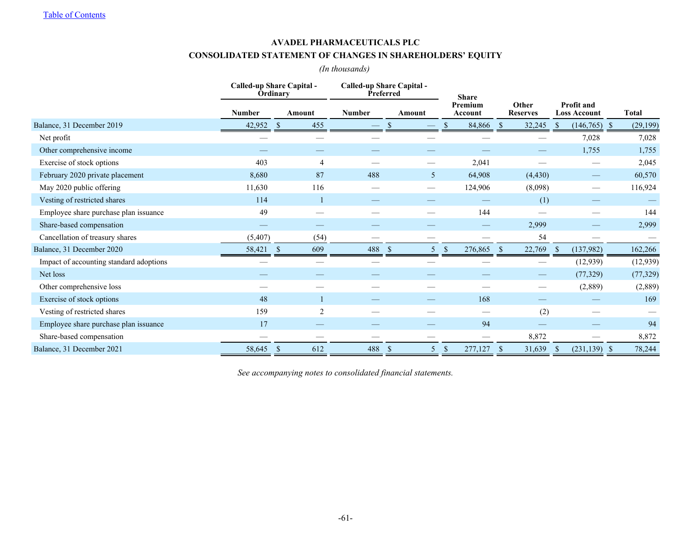### **AVADEL PHARMACEUTICALS PLC**

# **CONSOLIDATED STATEMENT OF CHANGES IN SHAREHOLDERS' EQUITY**

# *(In thousands)*

|                                         | Called-up Share Capital -<br>Called-up Share Capital -<br><b>Ordinary</b><br>Preferred |                      |                |           | <b>Share</b>                         |                          |                                          |                  |
|-----------------------------------------|----------------------------------------------------------------------------------------|----------------------|----------------|-----------|--------------------------------------|--------------------------|------------------------------------------|------------------|
|                                         | <b>Number</b>                                                                          | Amount               | Number         | Amount    | Premium<br>Account                   | Other<br><b>Reserves</b> | <b>Profit and</b><br><b>Loss Account</b> | <b>Total</b>     |
| Balance, 31 December 2019               | 42,952                                                                                 | 455<br>-S            |                | -8        | 84,866<br>Ъ.                         | 32,245<br>- 8            | (146, 765)<br><sup>S</sup>               | (29, 199)<br>- S |
| Net profit                              |                                                                                        |                      |                |           |                                      |                          | 7,028                                    | 7,028            |
| Other comprehensive income              |                                                                                        |                      |                |           |                                      |                          | 1,755                                    | 1,755            |
| Exercise of stock options               | 403                                                                                    |                      | 4              |           | 2,041                                |                          |                                          | 2,045            |
| February 2020 private placement         | 8,680                                                                                  |                      | 87<br>488      | 5         | 64,908                               | (4, 430)                 | $\hspace{0.1mm}-\hspace{0.1mm}$          | 60,570           |
| May 2020 public offering                | 11,630                                                                                 | 116                  |                |           | 124,906                              | (8,098)                  |                                          | 116,924          |
| Vesting of restricted shares            | 114                                                                                    |                      |                |           |                                      | (1)                      |                                          |                  |
| Employee share purchase plan issuance   | 49                                                                                     |                      |                |           | 144                                  |                          |                                          | 144              |
| Share-based compensation                |                                                                                        |                      |                |           |                                      | 2,999                    |                                          | 2,999            |
| Cancellation of treasury shares         | (5,407)                                                                                |                      | (54)           |           |                                      | 54                       |                                          |                  |
| Balance, 31 December 2020               | 58,421                                                                                 | 609<br><sup>\$</sup> | 488            | -S        | 276,865<br><sup>\$</sup>             | 22,769<br>-85            | (137,982)<br>-S                          | 162,266          |
| Impact of accounting standard adoptions |                                                                                        |                      |                |           |                                      |                          | (12, 939)                                | (12, 939)        |
| Net loss                                |                                                                                        |                      |                |           |                                      |                          | (77, 329)                                | (77, 329)        |
| Other comprehensive loss                |                                                                                        |                      |                |           |                                      |                          | (2,889)                                  | (2,889)          |
| Exercise of stock options               | 48                                                                                     |                      |                |           | 168                                  |                          |                                          | 169              |
| Vesting of restricted shares            | 159                                                                                    |                      | $\overline{2}$ |           |                                      | (2)                      |                                          |                  |
| Employee share purchase plan issuance   | 17                                                                                     |                      |                |           | 94                                   |                          |                                          | 94               |
| Share-based compensation                |                                                                                        |                      |                |           |                                      | 8,872                    |                                          | 8,872            |
| Balance, 31 December 2021               | 58,645                                                                                 | $\mathbf{s}$<br>612  | 488            | - \$<br>5 | 277,127<br>$\boldsymbol{\mathsf{S}}$ | 31,639<br>-S             | $(231, 139)$ \$<br>-S                    | 78,244           |

*See accompanying notes to consolidated financial statements.*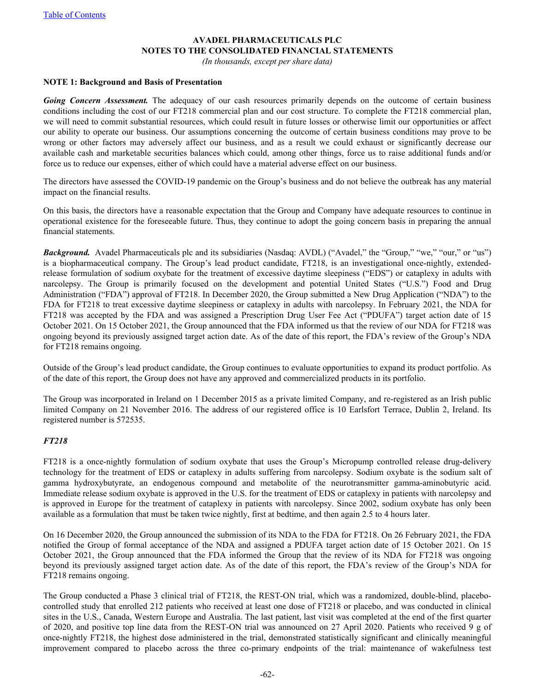## **AVADEL PHARMACEUTICALS PLC NOTES TO THE CONSOLIDATED FINANCIAL STATEMENTS**

*(In thousands, except per share data)*

#### **NOTE 1: Background and Basis of Presentation**

**Going Concern Assessment.** The adequacy of our cash resources primarily depends on the outcome of certain business conditions including the cost of our FT218 commercial plan and our cost structure. To complete the FT218 commercial plan, we will need to commit substantial resources, which could result in future losses or otherwise limit our opportunities or affect our ability to operate our business. Our assumptions concerning the outcome of certain business conditions may prove to be wrong or other factors may adversely affect our business, and as a result we could exhaust or significantly decrease our available cash and marketable securities balances which could, among other things, force us to raise additional funds and/or force us to reduce our expenses, either of which could have a material adverse effect on our business.

The directors have assessed the COVID-19 pandemic on the Group's business and do not believe the outbreak has any material impact on the financial results.

On this basis, the directors have a reasonable expectation that the Group and Company have adequate resources to continue in operational existence for the foreseeable future. Thus, they continue to adopt the going concern basis in preparing the annual financial statements.

*Background.* Avadel Pharmaceuticals plc and its subsidiaries (Nasdaq: AVDL) ("Avadel," the "Group," "we," "our," or "us") is a biopharmaceutical company. The Group's lead product candidate, FT218, is an investigational once-nightly, extendedrelease formulation of sodium oxybate for the treatment of excessive daytime sleepiness ("EDS") or cataplexy in adults with narcolepsy. The Group is primarily focused on the development and potential United States ("U.S.") Food and Drug Administration ("FDA") approval of FT218. In December 2020, the Group submitted a New Drug Application ("NDA") to the FDA for FT218 to treat excessive daytime sleepiness or cataplexy in adults with narcolepsy. In February 2021, the NDA for FT218 was accepted by the FDA and was assigned a Prescription Drug User Fee Act ("PDUFA") target action date of 15 October 2021. On 15 October 2021, the Group announced that the FDA informed us that the review of our NDA for FT218 was ongoing beyond its previously assigned target action date. As of the date of this report, the FDA's review of the Group's NDA for FT218 remains ongoing.

Outside of the Group's lead product candidate, the Group continues to evaluate opportunities to expand its product portfolio. As of the date of this report, the Group does not have any approved and commercialized products in its portfolio.

The Group was incorporated in Ireland on 1 December 2015 as a private limited Company, and re-registered as an Irish public limited Company on 21 November 2016. The address of our registered office is 10 Earlsfort Terrace, Dublin 2, Ireland. Its registered number is 572535.

## *FT218*

FT218 is a once-nightly formulation of sodium oxybate that uses the Group's Micropump controlled release drug-delivery technology for the treatment of EDS or cataplexy in adults suffering from narcolepsy. Sodium oxybate is the sodium salt of gamma hydroxybutyrate, an endogenous compound and metabolite of the neurotransmitter gamma-aminobutyric acid. Immediate release sodium oxybate is approved in the U.S. for the treatment of EDS or cataplexy in patients with narcolepsy and is approved in Europe for the treatment of cataplexy in patients with narcolepsy. Since 2002, sodium oxybate has only been available as a formulation that must be taken twice nightly, first at bedtime, and then again 2.5 to 4 hours later.

On 16 December 2020, the Group announced the submission of its NDA to the FDA for FT218. On 26 February 2021, the FDA notified the Group of formal acceptance of the NDA and assigned a PDUFA target action date of 15 October 2021. On 15 October 2021, the Group announced that the FDA informed the Group that the review of its NDA for FT218 was ongoing beyond its previously assigned target action date. As of the date of this report, the FDA's review of the Group's NDA for FT218 remains ongoing.

The Group conducted a Phase 3 clinical trial of FT218, the REST-ON trial, which was a randomized, double-blind, placebocontrolled study that enrolled 212 patients who received at least one dose of FT218 or placebo, and was conducted in clinical sites in the U.S., Canada, Western Europe and Australia. The last patient, last visit was completed at the end of the first quarter of 2020, and positive top line data from the REST-ON trial was announced on 27 April 2020. Patients who received 9 g of once-nightly FT218, the highest dose administered in the trial, demonstrated statistically significant and clinically meaningful improvement compared to placebo across the three co-primary endpoints of the trial: maintenance of wakefulness test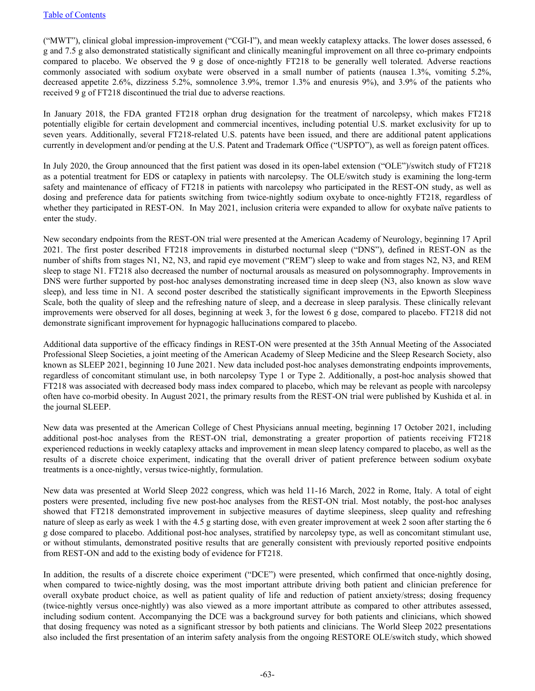("MWT"), clinical global impression-improvement ("CGI-I"), and mean weekly cataplexy attacks. The lower doses assessed, 6 g and 7.5 g also demonstrated statistically significant and clinically meaningful improvement on all three co-primary endpoints compared to placebo. We observed the 9 g dose of once-nightly FT218 to be generally well tolerated. Adverse reactions commonly associated with sodium oxybate were observed in a small number of patients (nausea 1.3%, vomiting 5.2%, decreased appetite 2.6%, dizziness 5.2%, somnolence 3.9%, tremor 1.3% and enuresis 9%), and 3.9% of the patients who received 9 g of FT218 discontinued the trial due to adverse reactions.

In January 2018, the FDA granted FT218 orphan drug designation for the treatment of narcolepsy, which makes FT218 potentially eligible for certain development and commercial incentives, including potential U.S. market exclusivity for up to seven years. Additionally, several FT218-related U.S. patents have been issued, and there are additional patent applications currently in development and/or pending at the U.S. Patent and Trademark Office ("USPTO"), as well as foreign patent offices.

In July 2020, the Group announced that the first patient was dosed in its open-label extension ("OLE")/switch study of FT218 as a potential treatment for EDS or cataplexy in patients with narcolepsy. The OLE/switch study is examining the long-term safety and maintenance of efficacy of FT218 in patients with narcolepsy who participated in the REST-ON study, as well as dosing and preference data for patients switching from twice-nightly sodium oxybate to once-nightly FT218, regardless of whether they participated in REST-ON. In May 2021, inclusion criteria were expanded to allow for oxybate naïve patients to enter the study.

New secondary endpoints from the REST-ON trial were presented at the American Academy of Neurology, beginning 17 April 2021. The first poster described FT218 improvements in disturbed nocturnal sleep ("DNS"), defined in REST-ON as the number of shifts from stages N1, N2, N3, and rapid eye movement ("REM") sleep to wake and from stages N2, N3, and REM sleep to stage N1. FT218 also decreased the number of nocturnal arousals as measured on polysomnography. Improvements in DNS were further supported by post-hoc analyses demonstrating increased time in deep sleep (N3, also known as slow wave sleep), and less time in N1. A second poster described the statistically significant improvements in the Epworth Sleepiness Scale, both the quality of sleep and the refreshing nature of sleep, and a decrease in sleep paralysis. These clinically relevant improvements were observed for all doses, beginning at week 3, for the lowest 6 g dose, compared to placebo. FT218 did not demonstrate significant improvement for hypnagogic hallucinations compared to placebo.

Additional data supportive of the efficacy findings in REST-ON were presented at the 35th Annual Meeting of the Associated Professional Sleep Societies, a joint meeting of the American Academy of Sleep Medicine and the Sleep Research Society, also known as SLEEP 2021, beginning 10 June 2021. New data included post-hoc analyses demonstrating endpoints improvements, regardless of concomitant stimulant use, in both narcolepsy Type 1 or Type 2. Additionally, a post-hoc analysis showed that FT218 was associated with decreased body mass index compared to placebo, which may be relevant as people with narcolepsy often have co-morbid obesity. In August 2021, the primary results from the REST-ON trial were published by Kushida et al. in the journal SLEEP.

New data was presented at the American College of Chest Physicians annual meeting, beginning 17 October 2021, including additional post-hoc analyses from the REST-ON trial, demonstrating a greater proportion of patients receiving FT218 experienced reductions in weekly cataplexy attacks and improvement in mean sleep latency compared to placebo, as well as the results of a discrete choice experiment, indicating that the overall driver of patient preference between sodium oxybate treatments is a once-nightly, versus twice-nightly, formulation.

New data was presented at World Sleep 2022 congress, which was held 11-16 March, 2022 in Rome, Italy. A total of eight posters were presented, including five new post-hoc analyses from the REST-ON trial. Most notably, the post-hoc analyses showed that FT218 demonstrated improvement in subjective measures of daytime sleepiness, sleep quality and refreshing nature of sleep as early as week 1 with the 4.5 g starting dose, with even greater improvement at week 2 soon after starting the 6 g dose compared to placebo. Additional post-hoc analyses, stratified by narcolepsy type, as well as concomitant stimulant use, or without stimulants, demonstrated positive results that are generally consistent with previously reported positive endpoints from REST-ON and add to the existing body of evidence for FT218.

In addition, the results of a discrete choice experiment ("DCE") were presented, which confirmed that once-nightly dosing, when compared to twice-nightly dosing, was the most important attribute driving both patient and clinician preference for overall oxybate product choice, as well as patient quality of life and reduction of patient anxiety/stress; dosing frequency (twice-nightly versus once-nightly) was also viewed as a more important attribute as compared to other attributes assessed, including sodium content. Accompanying the DCE was a background survey for both patients and clinicians, which showed that dosing frequency was noted as a significant stressor by both patients and clinicians. The World Sleep 2022 presentations also included the first presentation of an interim safety analysis from the ongoing RESTORE OLE/switch study, which showed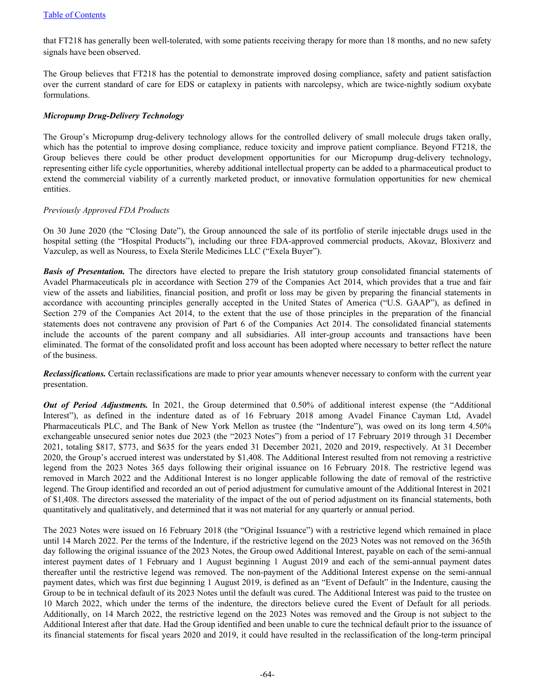that FT218 has generally been well-tolerated, with some patients receiving therapy for more than 18 months, and no new safety signals have been observed.

The Group believes that FT218 has the potential to demonstrate improved dosing compliance, safety and patient satisfaction over the current standard of care for EDS or cataplexy in patients with narcolepsy, which are twice-nightly sodium oxybate formulations.

## *Micropump Drug-Delivery Technology*

The Group's Micropump drug-delivery technology allows for the controlled delivery of small molecule drugs taken orally, which has the potential to improve dosing compliance, reduce toxicity and improve patient compliance. Beyond FT218, the Group believes there could be other product development opportunities for our Micropump drug-delivery technology, representing either life cycle opportunities, whereby additional intellectual property can be added to a pharmaceutical product to extend the commercial viability of a currently marketed product, or innovative formulation opportunities for new chemical entities.

## *Previously Approved FDA Products*

On 30 June 2020 (the "Closing Date"), the Group announced the sale of its portfolio of sterile injectable drugs used in the hospital setting (the "Hospital Products"), including our three FDA-approved commercial products, Akovaz, Bloxiverz and Vazculep, as well as Nouress, to Exela Sterile Medicines LLC ("Exela Buyer").

*Basis of Presentation.* The directors have elected to prepare the Irish statutory group consolidated financial statements of Avadel Pharmaceuticals plc in accordance with Section 279 of the Companies Act 2014, which provides that a true and fair view of the assets and liabilities, financial position, and profit or loss may be given by preparing the financial statements in accordance with accounting principles generally accepted in the United States of America ("U.S. GAAP"), as defined in Section 279 of the Companies Act 2014, to the extent that the use of those principles in the preparation of the financial statements does not contravene any provision of Part 6 of the Companies Act 2014. The consolidated financial statements include the accounts of the parent company and all subsidiaries. All inter-group accounts and transactions have been eliminated. The format of the consolidated profit and loss account has been adopted where necessary to better reflect the nature of the business.

*Reclassifications.* Certain reclassifications are made to prior year amounts whenever necessary to conform with the current year presentation.

*Out of Period Adjustments.* In 2021, the Group determined that 0.50% of additional interest expense (the "Additional Interest"), as defined in the indenture dated as of 16 February 2018 among Avadel Finance Cayman Ltd, Avadel Pharmaceuticals PLC, and The Bank of New York Mellon as trustee (the "Indenture"), was owed on its long term 4.50% exchangeable unsecured senior notes due 2023 (the "2023 Notes") from a period of 17 February 2019 through 31 December 2021, totaling \$817, \$773, and \$635 for the years ended 31 December 2021, 2020 and 2019, respectively. At 31 December 2020, the Group's accrued interest was understated by \$1,408. The Additional Interest resulted from not removing a restrictive legend from the 2023 Notes 365 days following their original issuance on 16 February 2018. The restrictive legend was removed in March 2022 and the Additional Interest is no longer applicable following the date of removal of the restrictive legend. The Group identified and recorded an out of period adjustment for cumulative amount of the Additional Interest in 2021 of \$1,408. The directors assessed the materiality of the impact of the out of period adjustment on its financial statements, both quantitatively and qualitatively, and determined that it was not material for any quarterly or annual period.

The 2023 Notes were issued on 16 February 2018 (the "Original Issuance") with a restrictive legend which remained in place until 14 March 2022. Per the terms of the Indenture, if the restrictive legend on the 2023 Notes was not removed on the 365th day following the original issuance of the 2023 Notes, the Group owed Additional Interest, payable on each of the semi-annual interest payment dates of 1 February and 1 August beginning 1 August 2019 and each of the semi-annual payment dates thereafter until the restrictive legend was removed. The non-payment of the Additional Interest expense on the semi-annual payment dates, which was first due beginning 1 August 2019, is defined as an "Event of Default" in the Indenture, causing the Group to be in technical default of its 2023 Notes until the default was cured. The Additional Interest was paid to the trustee on 10 March 2022, which under the terms of the indenture, the directors believe cured the Event of Default for all periods. Additionally, on 14 March 2022, the restrictive legend on the 2023 Notes was removed and the Group is not subject to the Additional Interest after that date. Had the Group identified and been unable to cure the technical default prior to the issuance of its financial statements for fiscal years 2020 and 2019, it could have resulted in the reclassification of the long-term principal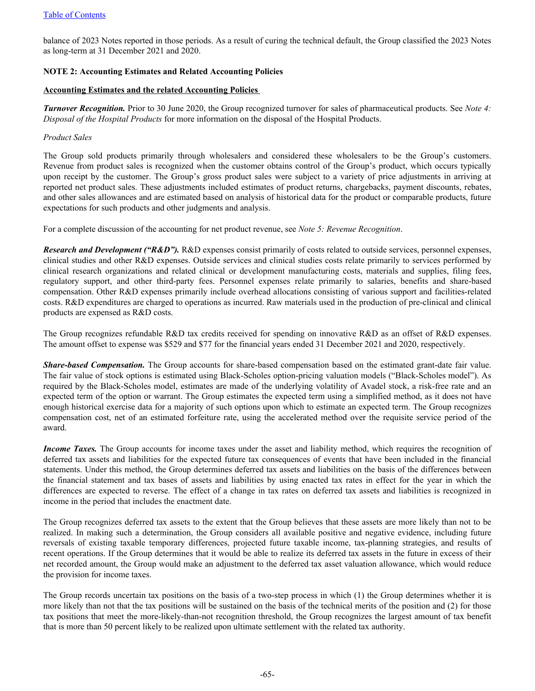balance of 2023 Notes reported in those periods. As a result of curing the technical default, the Group classified the 2023 Notes as long-term at 31 December 2021 and 2020.

## **NOTE 2: Accounting Estimates and Related Accounting Policies**

#### **Accounting Estimates and the related Accounting Policies**

*Turnover Recognition.* Prior to 30 June 2020, the Group recognized turnover for sales of pharmaceutical products. See *Note 4: Disposal of the Hospital Products* for more information on the disposal of the Hospital Products.

#### *Product Sales*

The Group sold products primarily through wholesalers and considered these wholesalers to be the Group's customers. Revenue from product sales is recognized when the customer obtains control of the Group's product, which occurs typically upon receipt by the customer. The Group's gross product sales were subject to a variety of price adjustments in arriving at reported net product sales. These adjustments included estimates of product returns, chargebacks, payment discounts, rebates, and other sales allowances and are estimated based on analysis of historical data for the product or comparable products, future expectations for such products and other judgments and analysis.

For a complete discussion of the accounting for net product revenue, see *Note 5: Revenue Recognition*.

*Research and Development ("R&D").* R&D expenses consist primarily of costs related to outside services, personnel expenses, clinical studies and other R&D expenses. Outside services and clinical studies costs relate primarily to services performed by clinical research organizations and related clinical or development manufacturing costs, materials and supplies, filing fees, regulatory support, and other third-party fees. Personnel expenses relate primarily to salaries, benefits and share-based compensation. Other R&D expenses primarily include overhead allocations consisting of various support and facilities-related costs. R&D expenditures are charged to operations as incurred. Raw materials used in the production of pre-clinical and clinical products are expensed as R&D costs.

The Group recognizes refundable R&D tax credits received for spending on innovative R&D as an offset of R&D expenses. The amount offset to expense was \$529 and \$77 for the financial years ended 31 December 2021 and 2020, respectively.

*Share-based Compensation.* The Group accounts for share-based compensation based on the estimated grant-date fair value. The fair value of stock options is estimated using Black-Scholes option-pricing valuation models ("Black-Scholes model"). As required by the Black-Scholes model, estimates are made of the underlying volatility of Avadel stock, a risk-free rate and an expected term of the option or warrant. The Group estimates the expected term using a simplified method, as it does not have enough historical exercise data for a majority of such options upon which to estimate an expected term. The Group recognizes compensation cost, net of an estimated forfeiture rate, using the accelerated method over the requisite service period of the award.

*Income Taxes.* The Group accounts for income taxes under the asset and liability method, which requires the recognition of deferred tax assets and liabilities for the expected future tax consequences of events that have been included in the financial statements. Under this method, the Group determines deferred tax assets and liabilities on the basis of the differences between the financial statement and tax bases of assets and liabilities by using enacted tax rates in effect for the year in which the differences are expected to reverse. The effect of a change in tax rates on deferred tax assets and liabilities is recognized in income in the period that includes the enactment date.

The Group recognizes deferred tax assets to the extent that the Group believes that these assets are more likely than not to be realized. In making such a determination, the Group considers all available positive and negative evidence, including future reversals of existing taxable temporary differences, projected future taxable income, tax-planning strategies, and results of recent operations. If the Group determines that it would be able to realize its deferred tax assets in the future in excess of their net recorded amount, the Group would make an adjustment to the deferred tax asset valuation allowance, which would reduce the provision for income taxes.

The Group records uncertain tax positions on the basis of a two-step process in which (1) the Group determines whether it is more likely than not that the tax positions will be sustained on the basis of the technical merits of the position and (2) for those tax positions that meet the more-likely-than-not recognition threshold, the Group recognizes the largest amount of tax benefit that is more than 50 percent likely to be realized upon ultimate settlement with the related tax authority.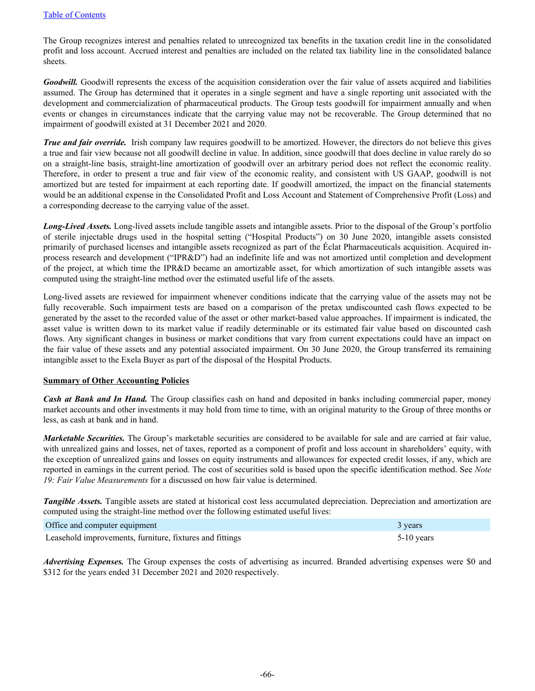The Group recognizes interest and penalties related to unrecognized tax benefits in the taxation credit line in the consolidated profit and loss account. Accrued interest and penalties are included on the related tax liability line in the consolidated balance sheets.

*Goodwill.* Goodwill represents the excess of the acquisition consideration over the fair value of assets acquired and liabilities assumed. The Group has determined that it operates in a single segment and have a single reporting unit associated with the development and commercialization of pharmaceutical products. The Group tests goodwill for impairment annually and when events or changes in circumstances indicate that the carrying value may not be recoverable. The Group determined that no impairment of goodwill existed at 31 December 2021 and 2020.

*True and fair override.* Irish company law requires goodwill to be amortized. However, the directors do not believe this gives a true and fair view because not all goodwill decline in value. In addition, since goodwill that does decline in value rarely do so on a straight-line basis, straight-line amortization of goodwill over an arbitrary period does not reflect the economic reality. Therefore, in order to present a true and fair view of the economic reality, and consistent with US GAAP, goodwill is not amortized but are tested for impairment at each reporting date. If goodwill amortized, the impact on the financial statements would be an additional expense in the Consolidated Profit and Loss Account and Statement of Comprehensive Profit (Loss) and a corresponding decrease to the carrying value of the asset.

*Long-Lived Assets.* Long-lived assets include tangible assets and intangible assets. Prior to the disposal of the Group's portfolio of sterile injectable drugs used in the hospital setting ("Hospital Products") on 30 June 2020, intangible assets consisted primarily of purchased licenses and intangible assets recognized as part of the Éclat Pharmaceuticals acquisition. Acquired inprocess research and development ("IPR&D") had an indefinite life and was not amortized until completion and development of the project, at which time the IPR&D became an amortizable asset, for which amortization of such intangible assets was computed using the straight-line method over the estimated useful life of the assets.

Long-lived assets are reviewed for impairment whenever conditions indicate that the carrying value of the assets may not be fully recoverable. Such impairment tests are based on a comparison of the pretax undiscounted cash flows expected to be generated by the asset to the recorded value of the asset or other market-based value approaches. If impairment is indicated, the asset value is written down to its market value if readily determinable or its estimated fair value based on discounted cash flows. Any significant changes in business or market conditions that vary from current expectations could have an impact on the fair value of these assets and any potential associated impairment. On 30 June 2020, the Group transferred its remaining intangible asset to the Exela Buyer as part of the disposal of the Hospital Products.

## **Summary of Other Accounting Policies**

*Cash at Bank and In Hand.* The Group classifies cash on hand and deposited in banks including commercial paper, money market accounts and other investments it may hold from time to time, with an original maturity to the Group of three months or less, as cash at bank and in hand.

*Marketable Securities.* The Group's marketable securities are considered to be available for sale and are carried at fair value, with unrealized gains and losses, net of taxes, reported as a component of profit and loss account in shareholders' equity, with the exception of unrealized gains and losses on equity instruments and allowances for expected credit losses, if any, which are reported in earnings in the current period. The cost of securities sold is based upon the specific identification method. See *Note 19: Fair Value Measurements* for a discussed on how fair value is determined.

*Tangible Assets.* Tangible assets are stated at historical cost less accumulated depreciation. Depreciation and amortization are computed using the straight-line method over the following estimated useful lives:

| Office and computer equipment                            | 3 years      |
|----------------------------------------------------------|--------------|
| Leasehold improvements, furniture, fixtures and fittings | $5-10$ years |

*Advertising Expenses.* The Group expenses the costs of advertising as incurred. Branded advertising expenses were \$0 and \$312 for the years ended 31 December 2021 and 2020 respectively.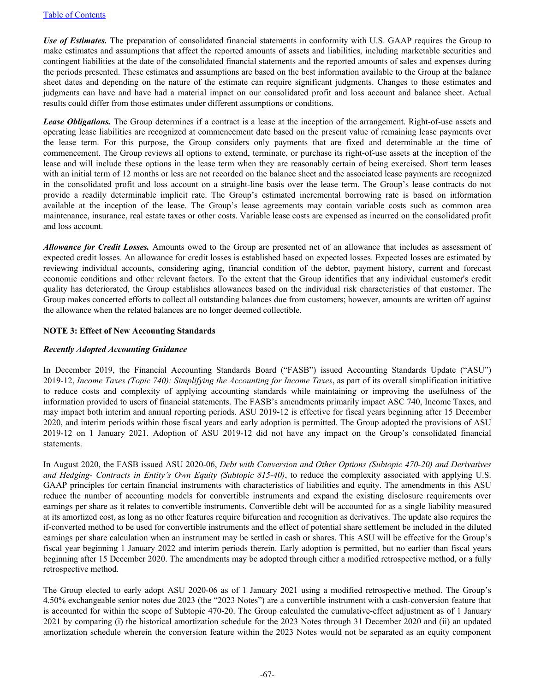*Use of Estimates.* The preparation of consolidated financial statements in conformity with U.S. GAAP requires the Group to make estimates and assumptions that affect the reported amounts of assets and liabilities, including marketable securities and contingent liabilities at the date of the consolidated financial statements and the reported amounts of sales and expenses during the periods presented. These estimates and assumptions are based on the best information available to the Group at the balance sheet dates and depending on the nature of the estimate can require significant judgments. Changes to these estimates and judgments can have and have had a material impact on our consolidated profit and loss account and balance sheet. Actual results could differ from those estimates under different assumptions or conditions.

*Lease Obligations.* The Group determines if a contract is a lease at the inception of the arrangement. Right-of-use assets and operating lease liabilities are recognized at commencement date based on the present value of remaining lease payments over the lease term. For this purpose, the Group considers only payments that are fixed and determinable at the time of commencement. The Group reviews all options to extend, terminate, or purchase its right-of-use assets at the inception of the lease and will include these options in the lease term when they are reasonably certain of being exercised. Short term leases with an initial term of 12 months or less are not recorded on the balance sheet and the associated lease payments are recognized in the consolidated profit and loss account on a straight-line basis over the lease term. The Group's lease contracts do not provide a readily determinable implicit rate. The Group's estimated incremental borrowing rate is based on information available at the inception of the lease. The Group's lease agreements may contain variable costs such as common area maintenance, insurance, real estate taxes or other costs. Variable lease costs are expensed as incurred on the consolidated profit and loss account.

*Allowance for Credit Losses.* Amounts owed to the Group are presented net of an allowance that includes as assessment of expected credit losses. An allowance for credit losses is established based on expected losses. Expected losses are estimated by reviewing individual accounts, considering aging, financial condition of the debtor, payment history, current and forecast economic conditions and other relevant factors. To the extent that the Group identifies that any individual customer's credit quality has deteriorated, the Group establishes allowances based on the individual risk characteristics of that customer. The Group makes concerted efforts to collect all outstanding balances due from customers; however, amounts are written off against the allowance when the related balances are no longer deemed collectible.

## **NOTE 3: Effect of New Accounting Standards**

## *Recently Adopted Accounting Guidance*

In December 2019, the Financial Accounting Standards Board ("FASB") issued Accounting Standards Update ("ASU") 2019-12, *Income Taxes (Topic 740): Simplifying the Accounting for Income Taxes*, as part of its overall simplification initiative to reduce costs and complexity of applying accounting standards while maintaining or improving the usefulness of the information provided to users of financial statements. The FASB's amendments primarily impact ASC 740, Income Taxes, and may impact both interim and annual reporting periods. ASU 2019-12 is effective for fiscal years beginning after 15 December 2020, and interim periods within those fiscal years and early adoption is permitted. The Group adopted the provisions of ASU 2019-12 on 1 January 2021. Adoption of ASU 2019-12 did not have any impact on the Group's consolidated financial statements.

In August 2020, the FASB issued ASU 2020-06, *Debt with Conversion and Other Options (Subtopic 470-20) and Derivatives and Hedging- Contracts in Entity's Own Equity (Subtopic 815-40)*, to reduce the complexity associated with applying U.S. GAAP principles for certain financial instruments with characteristics of liabilities and equity. The amendments in this ASU reduce the number of accounting models for convertible instruments and expand the existing disclosure requirements over earnings per share as it relates to convertible instruments. Convertible debt will be accounted for as a single liability measured at its amortized cost, as long as no other features require bifurcation and recognition as derivatives. The update also requires the if-converted method to be used for convertible instruments and the effect of potential share settlement be included in the diluted earnings per share calculation when an instrument may be settled in cash or shares. This ASU will be effective for the Group's fiscal year beginning 1 January 2022 and interim periods therein. Early adoption is permitted, but no earlier than fiscal years beginning after 15 December 2020. The amendments may be adopted through either a modified retrospective method, or a fully retrospective method.

The Group elected to early adopt ASU 2020-06 as of 1 January 2021 using a modified retrospective method. The Group's 4.50% exchangeable senior notes due 2023 (the "2023 Notes") are a convertible instrument with a cash-conversion feature that is accounted for within the scope of Subtopic 470-20. The Group calculated the cumulative-effect adjustment as of 1 January 2021 by comparing (i) the historical amortization schedule for the 2023 Notes through 31 December 2020 and (ii) an updated amortization schedule wherein the conversion feature within the 2023 Notes would not be separated as an equity component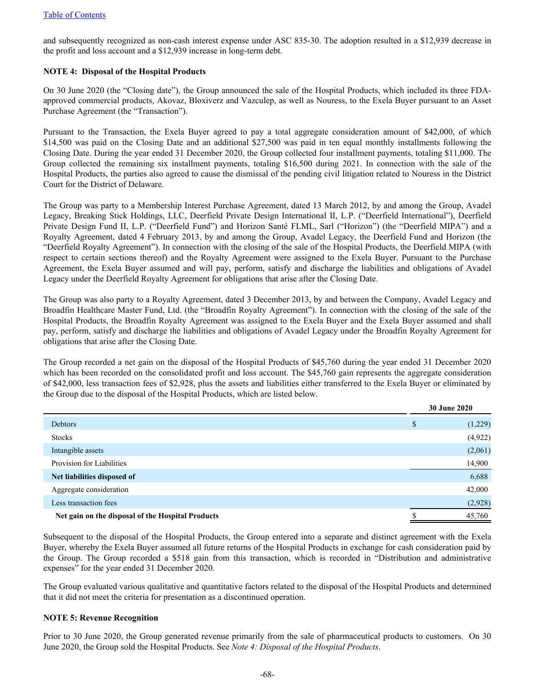and subsequently recognized as non-cash interest expense under ASC 835-30. The adoption resulted in a \$12,939 decrease in the profit and loss account and a \$12,939 increase in long-term debt.

## **NOTE 4: Disposal of the Hospital Products**

On 30 June 2020 (the "Closing date"), the Group announced the sale of the Hospital Products, which included its three FDAapproved commercial products, Akovaz, Bloxiverz and Vazculep, as well as Nouress, to the Exela Buyer pursuant to an Asset Purchase Agreement (the "Transaction").

Pursuant to the Transaction, the Exela Buyer agreed to pay a total aggregate consideration amount of \$42,000, of which \$14,500 was paid on the Closing Date and an additional \$27,500 was paid in ten equal monthly installments following the Closing Date. During the year ended 31 December 2020, the Group collected four installment payments, totaling \$11,000. The Group collected the remaining six installment payments, totaling \$16,500 during 2021. In connection with the sale of the Hospital Products, the parties also agreed to cause the dismissal of the pending civil litigation related to Nouress in the District Court for the District of Delaware.

The Group was party to a Membership Interest Purchase Agreement, dated 13 March 2012, by and among the Group, Avadel Legacy, Breaking Stick Holdings, LLC, Deerfield Private Design International II, L.P. ("Deerfield International"), Deerfield Private Design Fund II, L.P. ("Deerfield Fund") and Horizon Santé FLML, Sarl ("Horizon") (the "Deerfield MIPA") and a Royalty Agreement, dated 4 February 2013, by and among the Group, Avadel Legacy, the Deerfield Fund and Horizon (the "Deerfield Royalty Agreement"). In connection with the closing of the sale of the Hospital Products, the Deerfield MIPA (with respect to certain sections thereof) and the Royalty Agreement were assigned to the Exela Buyer. Pursuant to the Purchase Agreement, the Exela Buyer assumed and will pay, perform, satisfy and discharge the liabilities and obligations of Avadel Legacy under the Deerfield Royalty Agreement for obligations that arise after the Closing Date.

The Group was also party to a Royalty Agreement, dated 3 December 2013, by and between the Company, Avadel Legacy and Broadfin Healthcare Master Fund, Ltd. (the "Broadfin Royalty Agreement"). In connection with the closing of the sale of the Hospital Products, the Broadfin Royalty Agreement was assigned to the Exela Buyer and the Exela Buyer assumed and shall pay, perform, satisfy and discharge the liabilities and obligations of Avadel Legacy under the Broadfin Royalty Agreement for obligations that arise after the Closing Date.

The Group recorded a net gain on the disposal of the Hospital Products of \$45,760 during the year ended 31 December 2020 which has been recorded on the consolidated profit and loss account. The \$45,760 gain represents the aggregate consideration of \$42,000, less transaction fees of \$2,928, plus the assets and liabilities either transferred to the Exela Buyer or eliminated by the Group due to the disposal of the Hospital Products, which are listed below.

|                                                   | <b>30 June 2020</b> |
|---------------------------------------------------|---------------------|
| Debtors                                           | \$<br>(1,229)       |
| <b>Stocks</b>                                     | (4,922)             |
| Intangible assets                                 | (2,061)             |
| Provision for Liabilities                         | 14,900              |
| Net liabilities disposed of                       | 6,688               |
| Aggregate consideration                           | 42,000              |
| Less transaction fees                             | (2,928)             |
| Net gain on the disposal of the Hospital Products | 45,760              |

Subsequent to the disposal of the Hospital Products, the Group entered into a separate and distinct agreement with the Exela Buyer, whereby the Exela Buyer assumed all future returns of the Hospital Products in exchange for cash consideration paid by the Group. The Group recorded a \$518 gain from this transaction, which is recorded in "Distribution and administrative expenses" for the year ended 31 December 2020.

The Group evaluated various qualitative and quantitative factors related to the disposal of the Hospital Products and determined that it did not meet the criteria for presentation as a discontinued operation.

## **NOTE 5: Revenue Recognition**

Prior to 30 June 2020, the Group generated revenue primarily from the sale of pharmaceutical products to customers. On 30 June 2020, the Group sold the Hospital Products. See *Note 4: Disposal of the Hospital Products*.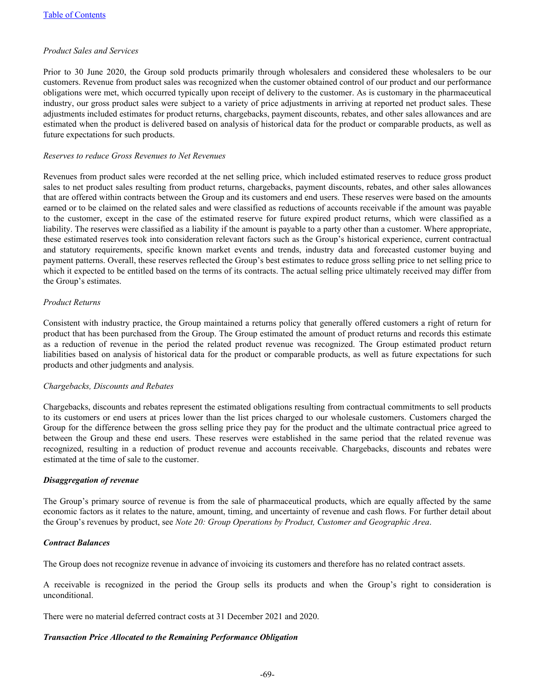## *Product Sales and Services*

Prior to 30 June 2020, the Group sold products primarily through wholesalers and considered these wholesalers to be our customers. Revenue from product sales was recognized when the customer obtained control of our product and our performance obligations were met, which occurred typically upon receipt of delivery to the customer. As is customary in the pharmaceutical industry, our gross product sales were subject to a variety of price adjustments in arriving at reported net product sales. These adjustments included estimates for product returns, chargebacks, payment discounts, rebates, and other sales allowances and are estimated when the product is delivered based on analysis of historical data for the product or comparable products, as well as future expectations for such products.

#### *Reserves to reduce Gross Revenues to Net Revenues*

Revenues from product sales were recorded at the net selling price, which included estimated reserves to reduce gross product sales to net product sales resulting from product returns, chargebacks, payment discounts, rebates, and other sales allowances that are offered within contracts between the Group and its customers and end users. These reserves were based on the amounts earned or to be claimed on the related sales and were classified as reductions of accounts receivable if the amount was payable to the customer, except in the case of the estimated reserve for future expired product returns, which were classified as a liability. The reserves were classified as a liability if the amount is payable to a party other than a customer. Where appropriate, these estimated reserves took into consideration relevant factors such as the Group's historical experience, current contractual and statutory requirements, specific known market events and trends, industry data and forecasted customer buying and payment patterns. Overall, these reserves reflected the Group's best estimates to reduce gross selling price to net selling price to which it expected to be entitled based on the terms of its contracts. The actual selling price ultimately received may differ from the Group's estimates.

## *Product Returns*

Consistent with industry practice, the Group maintained a returns policy that generally offered customers a right of return for product that has been purchased from the Group. The Group estimated the amount of product returns and records this estimate as a reduction of revenue in the period the related product revenue was recognized. The Group estimated product return liabilities based on analysis of historical data for the product or comparable products, as well as future expectations for such products and other judgments and analysis.

## *Chargebacks, Discounts and Rebates*

Chargebacks, discounts and rebates represent the estimated obligations resulting from contractual commitments to sell products to its customers or end users at prices lower than the list prices charged to our wholesale customers. Customers charged the Group for the difference between the gross selling price they pay for the product and the ultimate contractual price agreed to between the Group and these end users. These reserves were established in the same period that the related revenue was recognized, resulting in a reduction of product revenue and accounts receivable. Chargebacks, discounts and rebates were estimated at the time of sale to the customer.

#### *Disaggregation of revenue*

The Group's primary source of revenue is from the sale of pharmaceutical products, which are equally affected by the same economic factors as it relates to the nature, amount, timing, and uncertainty of revenue and cash flows. For further detail about the Group's revenues by product, see *Note 20: Group Operations by Product, Customer and Geographic Area*.

#### *Contract Balances*

The Group does not recognize revenue in advance of invoicing its customers and therefore has no related contract assets.

A receivable is recognized in the period the Group sells its products and when the Group's right to consideration is unconditional.

There were no material deferred contract costs at 31 December 2021 and 2020.

#### *Transaction Price Allocated to the Remaining Performance Obligation*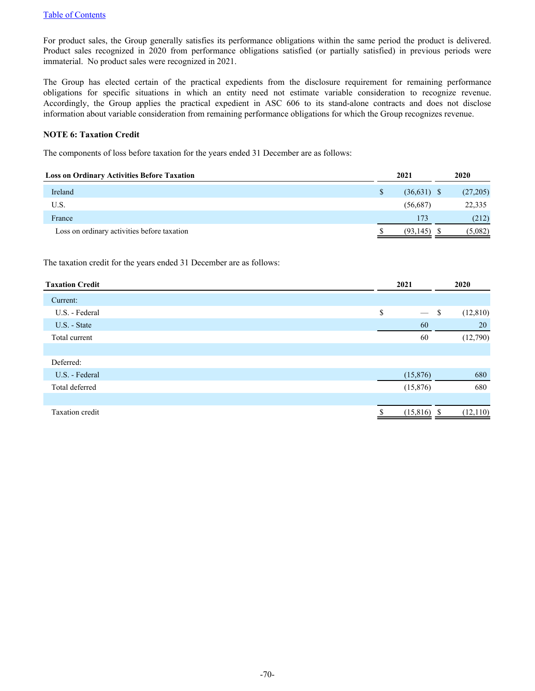For product sales, the Group generally satisfies its performance obligations within the same period the product is delivered. Product sales recognized in 2020 from performance obligations satisfied (or partially satisfied) in previous periods were immaterial. No product sales were recognized in 2021.

The Group has elected certain of the practical expedients from the disclosure requirement for remaining performance obligations for specific situations in which an entity need not estimate variable consideration to recognize revenue. Accordingly, the Group applies the practical expedient in ASC 606 to its stand-alone contracts and does not disclose information about variable consideration from remaining performance obligations for which the Group recognizes revenue.

## **NOTE 6: Taxation Credit**

The components of loss before taxation for the years ended 31 December are as follows:

| <b>Loss on Ordinary Activities Before Taxation</b> | 2021 |               | 2020 |          |
|----------------------------------------------------|------|---------------|------|----------|
| Ireland                                            | S    | $(36,631)$ \$ |      | (27,205) |
| U.S.                                               |      | (56,687)      |      | 22,335   |
| France                                             |      | 173           |      | (212)    |
| Loss on ordinary activities before taxation        |      | (93, 145)     |      | (5,082)  |

The taxation credit for the years ended 31 December are as follows:

| <b>Taxation Credit</b> | 2021                                | 2020 |           |
|------------------------|-------------------------------------|------|-----------|
| Current:               |                                     |      |           |
| U.S. - Federal         | \$<br>$\overbrace{\phantom{12333}}$ | \$   | (12, 810) |
| U.S. - State           | 60                                  |      | 20        |
| Total current          | 60                                  |      | (12,790)  |
|                        |                                     |      |           |
| Deferred:              |                                     |      |           |
| U.S. - Federal         | (15,876)                            |      | 680       |
| Total deferred         | (15,876)                            |      | 680       |
|                        |                                     |      |           |
| <b>Taxation</b> credit | (15, 816)                           |      | (12, 110) |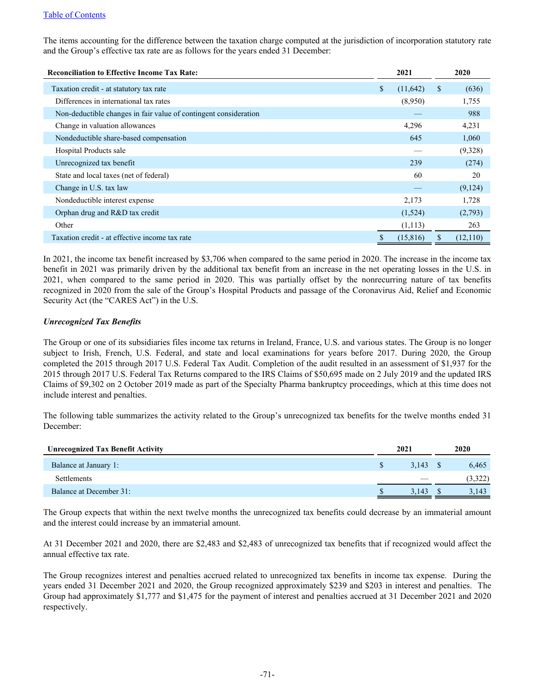The items accounting for the difference between the taxation charge computed at the jurisdiction of incorporation statutory rate and the Group's effective tax rate are as follows for the years ended 31 December:

| <b>Reconciliation to Effective Income Tax Rate:</b>              |              | 2021      |               | 2020     |
|------------------------------------------------------------------|--------------|-----------|---------------|----------|
| Taxation credit - at statutory tax rate                          | $\mathbb{S}$ | (11,642)  | <sup>\$</sup> | (636)    |
| Differences in international tax rates                           |              | (8,950)   |               | 1,755    |
| Non-deductible changes in fair value of contingent consideration |              |           |               | 988      |
| Change in valuation allowances                                   |              | 4,296     |               | 4,231    |
| Nondeductible share-based compensation                           |              | 645       |               | 1,060    |
| Hospital Products sale                                           |              |           |               | (9,328)  |
| Unrecognized tax benefit                                         |              | 239       |               | (274)    |
| State and local taxes (net of federal)                           |              | 60        |               | 20       |
| Change in U.S. tax law                                           |              |           |               | (9,124)  |
| Nondeductible interest expense                                   |              | 2,173     |               | 1,728    |
| Orphan drug and R&D tax credit                                   |              | (1,524)   |               | (2,793)  |
| Other                                                            |              | (1,113)   |               | 263      |
| Taxation credit - at effective income tax rate                   |              | (15, 816) | \$            | (12,110) |

In 2021, the income tax benefit increased by \$3,706 when compared to the same period in 2020. The increase in the income tax benefit in 2021 was primarily driven by the additional tax benefit from an increase in the net operating losses in the U.S. in 2021, when compared to the same period in 2020. This was partially offset by the nonrecurring nature of tax benefits recognized in 2020 from the sale of the Group's Hospital Products and passage of the Coronavirus Aid, Relief and Economic Security Act (the "CARES Act") in the U.S.

## *Unrecognized Tax Benefits*

The Group or one of its subsidiaries files income tax returns in Ireland, France, U.S. and various states. The Group is no longer subject to Irish, French, U.S. Federal, and state and local examinations for years before 2017. During 2020, the Group completed the 2015 through 2017 U.S. Federal Tax Audit. Completion of the audit resulted in an assessment of \$1,937 for the 2015 through 2017 U.S. Federal Tax Returns compared to the IRS Claims of \$50,695 made on 2 July 2019 and the updated IRS Claims of \$9,302 on 2 October 2019 made as part of the Specialty Pharma bankruptcy proceedings, which at this time does not include interest and penalties.

The following table summarizes the activity related to the Group's unrecognized tax benefits for the twelve months ended 31 December:

| <b>Unrecognized Tax Benefit Activity</b> | 2021 |       | 2020 |         |
|------------------------------------------|------|-------|------|---------|
| Balance at January 1:                    |      | 3.143 |      | 6,465   |
| <b>Settlements</b>                       |      |       |      | (3,322) |
| Balance at December 31:                  |      | 3.143 |      | 3,143   |

The Group expects that within the next twelve months the unrecognized tax benefits could decrease by an immaterial amount and the interest could increase by an immaterial amount.

At 31 December 2021 and 2020, there are \$2,483 and \$2,483 of unrecognized tax benefits that if recognized would affect the annual effective tax rate.

The Group recognizes interest and penalties accrued related to unrecognized tax benefits in income tax expense. During the years ended 31 December 2021 and 2020, the Group recognized approximately \$239 and \$203 in interest and penalties. The Group had approximately \$1,777 and \$1,475 for the payment of interest and penalties accrued at 31 December 2021 and 2020 respectively.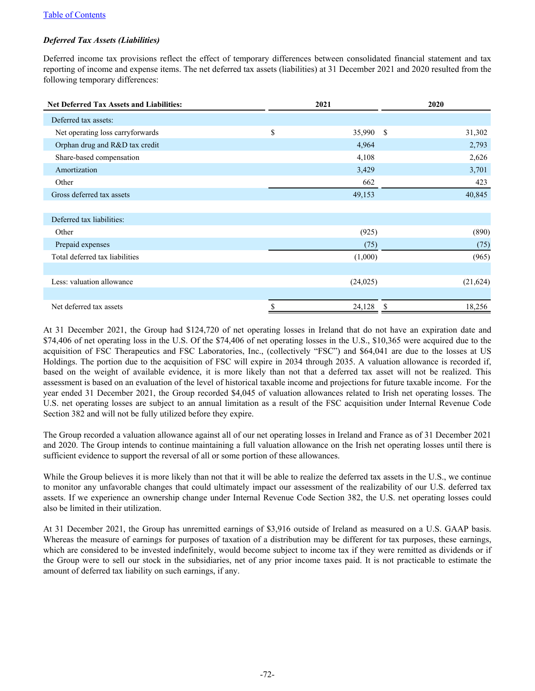## *Deferred Tax Assets (Liabilities)*

Deferred income tax provisions reflect the effect of temporary differences between consolidated financial statement and tax reporting of income and expense items. The net deferred tax assets (liabilities) at 31 December 2021 and 2020 resulted from the following temporary differences:

| <b>Net Deferred Tax Assets and Liabilities:</b> |    | 2021      | 2020                    |
|-------------------------------------------------|----|-----------|-------------------------|
| Deferred tax assets:                            |    |           |                         |
| Net operating loss carryforwards                | \$ | 35,990    | <sup>\$</sup><br>31,302 |
| Orphan drug and R&D tax credit                  |    | 4,964     | 2,793                   |
| Share-based compensation                        |    | 4,108     | 2,626                   |
| Amortization                                    |    | 3,429     | 3,701                   |
| Other                                           |    | 662       | 423                     |
| Gross deferred tax assets                       |    | 49,153    | 40,845                  |
|                                                 |    |           |                         |
| Deferred tax liabilities:                       |    |           |                         |
| Other                                           |    | (925)     | (890)                   |
| Prepaid expenses                                |    | (75)      | (75)                    |
| Total deferred tax liabilities                  |    | (1,000)   | (965)                   |
|                                                 |    |           |                         |
| Less: valuation allowance                       |    | (24, 025) | (21, 624)               |
|                                                 |    |           |                         |
| Net deferred tax assets                         | S  | 24,128    | 18,256<br><sup>8</sup>  |

At 31 December 2021, the Group had \$124,720 of net operating losses in Ireland that do not have an expiration date and \$74,406 of net operating loss in the U.S. Of the \$74,406 of net operating losses in the U.S., \$10,365 were acquired due to the acquisition of FSC Therapeutics and FSC Laboratories, Inc., (collectively "FSC") and \$64,041 are due to the losses at US Holdings. The portion due to the acquisition of FSC will expire in 2034 through 2035. A valuation allowance is recorded if, based on the weight of available evidence, it is more likely than not that a deferred tax asset will not be realized. This assessment is based on an evaluation of the level of historical taxable income and projections for future taxable income. For the year ended 31 December 2021, the Group recorded \$4,045 of valuation allowances related to Irish net operating losses. The U.S. net operating losses are subject to an annual limitation as a result of the FSC acquisition under Internal Revenue Code Section 382 and will not be fully utilized before they expire.

The Group recorded a valuation allowance against all of our net operating losses in Ireland and France as of 31 December 2021 and 2020. The Group intends to continue maintaining a full valuation allowance on the Irish net operating losses until there is sufficient evidence to support the reversal of all or some portion of these allowances.

While the Group believes it is more likely than not that it will be able to realize the deferred tax assets in the U.S., we continue to monitor any unfavorable changes that could ultimately impact our assessment of the realizability of our U.S. deferred tax assets. If we experience an ownership change under Internal Revenue Code Section 382, the U.S. net operating losses could also be limited in their utilization.

At 31 December 2021, the Group has unremitted earnings of \$3,916 outside of Ireland as measured on a U.S. GAAP basis. Whereas the measure of earnings for purposes of taxation of a distribution may be different for tax purposes, these earnings, which are considered to be invested indefinitely, would become subject to income tax if they were remitted as dividends or if the Group were to sell our stock in the subsidiaries, net of any prior income taxes paid. It is not practicable to estimate the amount of deferred tax liability on such earnings, if any.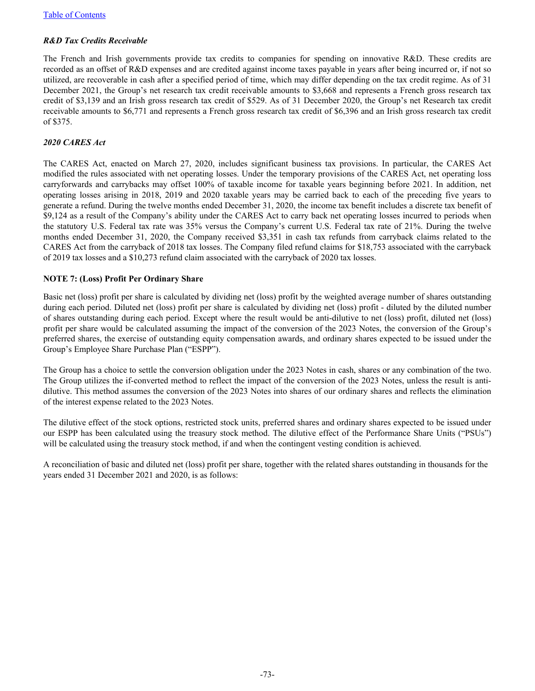# *R&D Tax Credits Receivable*

The French and Irish governments provide tax credits to companies for spending on innovative R&D. These credits are recorded as an offset of R&D expenses and are credited against income taxes payable in years after being incurred or, if not so utilized, are recoverable in cash after a specified period of time, which may differ depending on the tax credit regime. As of 31 December 2021, the Group's net research tax credit receivable amounts to \$3,668 and represents a French gross research tax credit of \$3,139 and an Irish gross research tax credit of \$529. As of 31 December 2020, the Group's net Research tax credit receivable amounts to \$6,771 and represents a French gross research tax credit of \$6,396 and an Irish gross research tax credit of \$375.

# *2020 CARES Act*

The CARES Act, enacted on March 27, 2020, includes significant business tax provisions. In particular, the CARES Act modified the rules associated with net operating losses. Under the temporary provisions of the CARES Act, net operating loss carryforwards and carrybacks may offset 100% of taxable income for taxable years beginning before 2021. In addition, net operating losses arising in 2018, 2019 and 2020 taxable years may be carried back to each of the preceding five years to generate a refund. During the twelve months ended December 31, 2020, the income tax benefit includes a discrete tax benefit of \$9,124 as a result of the Company's ability under the CARES Act to carry back net operating losses incurred to periods when the statutory U.S. Federal tax rate was 35% versus the Company's current U.S. Federal tax rate of 21%. During the twelve months ended December 31, 2020, the Company received \$3,351 in cash tax refunds from carryback claims related to the CARES Act from the carryback of 2018 tax losses. The Company filed refund claims for \$18,753 associated with the carryback of 2019 tax losses and a \$10,273 refund claim associated with the carryback of 2020 tax losses.

# **NOTE 7: (Loss) Profit Per Ordinary Share**

Basic net (loss) profit per share is calculated by dividing net (loss) profit by the weighted average number of shares outstanding during each period. Diluted net (loss) profit per share is calculated by dividing net (loss) profit - diluted by the diluted number of shares outstanding during each period. Except where the result would be anti-dilutive to net (loss) profit, diluted net (loss) profit per share would be calculated assuming the impact of the conversion of the 2023 Notes, the conversion of the Group's preferred shares, the exercise of outstanding equity compensation awards, and ordinary shares expected to be issued under the Group's Employee Share Purchase Plan ("ESPP").

The Group has a choice to settle the conversion obligation under the 2023 Notes in cash, shares or any combination of the two. The Group utilizes the if-converted method to reflect the impact of the conversion of the 2023 Notes, unless the result is antidilutive. This method assumes the conversion of the 2023 Notes into shares of our ordinary shares and reflects the elimination of the interest expense related to the 2023 Notes.

The dilutive effect of the stock options, restricted stock units, preferred shares and ordinary shares expected to be issued under our ESPP has been calculated using the treasury stock method. The dilutive effect of the Performance Share Units ("PSUs") will be calculated using the treasury stock method, if and when the contingent vesting condition is achieved.

A reconciliation of basic and diluted net (loss) profit per share, together with the related shares outstanding in thousands for the years ended 31 December 2021 and 2020, is as follows: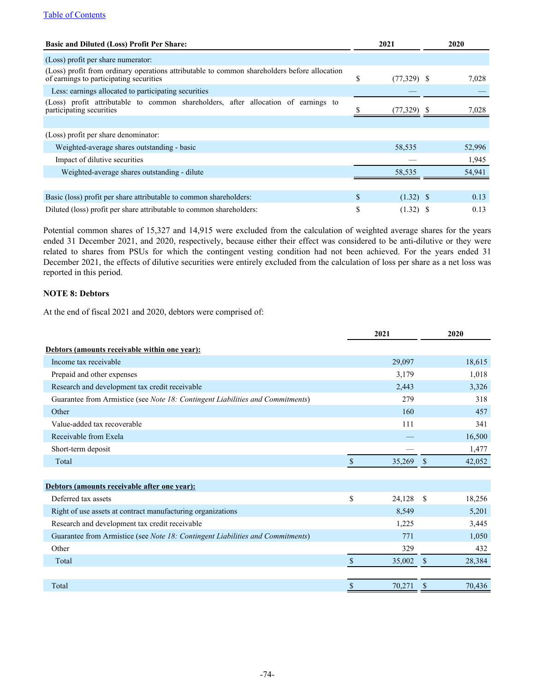| <b>Basic and Diluted (Loss) Profit Per Share:</b>                                                                                                              |    | 2021        |  | 2020   |  |  |  |  |  |  |  |
|----------------------------------------------------------------------------------------------------------------------------------------------------------------|----|-------------|--|--------|--|--|--|--|--|--|--|
| (Loss) profit per share numerator:                                                                                                                             |    |             |  |        |  |  |  |  |  |  |  |
| (Loss) profit from ordinary operations attributable to common shareholders before allocation<br>of earnings to participating securities<br>\$<br>$(77,329)$ \$ |    |             |  |        |  |  |  |  |  |  |  |
| Less: earnings allocated to participating securities                                                                                                           |    |             |  |        |  |  |  |  |  |  |  |
| (Loss) profit attributable to common shareholders, after allocation of earnings to<br>participating securities                                                 |    | (77,329)    |  | 7,028  |  |  |  |  |  |  |  |
|                                                                                                                                                                |    |             |  |        |  |  |  |  |  |  |  |
| (Loss) profit per share denominator:                                                                                                                           |    |             |  |        |  |  |  |  |  |  |  |
| Weighted-average shares outstanding - basic                                                                                                                    |    | 58,535      |  | 52,996 |  |  |  |  |  |  |  |
| Impact of dilutive securities                                                                                                                                  |    |             |  | 1,945  |  |  |  |  |  |  |  |
| Weighted-average shares outstanding - dilute                                                                                                                   |    | 58,535      |  | 54,941 |  |  |  |  |  |  |  |
|                                                                                                                                                                |    |             |  |        |  |  |  |  |  |  |  |
| Basic (loss) profit per share attributable to common shareholders:                                                                                             | \$ | $(1.32)$ \$ |  | 0.13   |  |  |  |  |  |  |  |
| Diluted (loss) profit per share attributable to common shareholders:                                                                                           | \$ | $(1.32)$ \$ |  | 0.13   |  |  |  |  |  |  |  |

Potential common shares of 15,327 and 14,915 were excluded from the calculation of weighted average shares for the years ended 31 December 2021, and 2020, respectively, because either their effect was considered to be anti-dilutive or they were related to shares from PSUs for which the contingent vesting condition had not been achieved. For the years ended 31 December 2021, the effects of dilutive securities were entirely excluded from the calculation of loss per share as a net loss was reported in this period.

# **NOTE 8: Debtors**

At the end of fiscal 2021 and 2020, debtors were comprised of:

|                                                                                | 2021         |               | 2020   |
|--------------------------------------------------------------------------------|--------------|---------------|--------|
| Debtors (amounts receivable within one year):                                  |              |               |        |
| Income tax receivable                                                          | 29,097       |               | 18,615 |
| Prepaid and other expenses                                                     | 3,179        |               | 1,018  |
| Research and development tax credit receivable                                 | 2,443        |               | 3,326  |
| Guarantee from Armistice (see Note 18: Contingent Liabilities and Commitments) | 279          |               | 318    |
| Other                                                                          | 160          |               | 457    |
| Value-added tax recoverable                                                    | 111          |               | 341    |
| Receivable from Exela                                                          |              |               | 16,500 |
| Short-term deposit                                                             |              |               | 1,477  |
| Total                                                                          | \$<br>35,269 | <sup>\$</sup> | 42,052 |
|                                                                                |              |               |        |
| Debtors (amounts receivable after one year):                                   |              |               |        |
| Deferred tax assets                                                            | \$<br>24,128 | -S            | 18,256 |
| Right of use assets at contract manufacturing organizations                    | 8,549        |               | 5,201  |
| Research and development tax credit receivable                                 | 1,225        |               | 3,445  |
| Guarantee from Armistice (see Note 18: Contingent Liabilities and Commitments) | 771          |               | 1,050  |
| Other                                                                          | 329          |               | 432    |
| Total                                                                          | \$<br>35,002 | S             | 28,384 |
|                                                                                |              |               |        |
| Total                                                                          | \$<br>70,271 |               | 70,436 |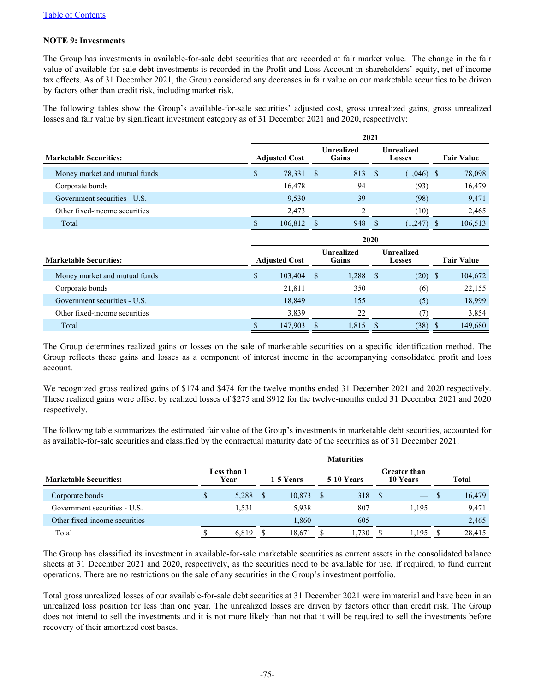# **NOTE 9: Investments**

The Group has investments in available-for-sale debt securities that are recorded at fair market value. The change in the fair value of available-for-sale debt investments is recorded in the Profit and Loss Account in shareholders' equity, net of income tax effects. As of 31 December 2021, the Group considered any decreases in fair value on our marketable securities to be driven by factors other than credit risk, including market risk.

The following tables show the Group's available-for-sale securities' adjusted cost, gross unrealized gains, gross unrealized losses and fair value by significant investment category as of 31 December 2021 and 2020, respectively:

|                               | 2021                 |                      |                            |                            |                             |                             |                   |                   |  |  |  |
|-------------------------------|----------------------|----------------------|----------------------------|----------------------------|-----------------------------|-----------------------------|-------------------|-------------------|--|--|--|
| <b>Marketable Securities:</b> | <b>Adjusted Cost</b> |                      | <b>Unrealized</b><br>Gains |                            | <b>Unrealized</b><br>Losses |                             | <b>Fair Value</b> |                   |  |  |  |
| Money market and mutual funds | \$                   | 78,331               | $\mathbf{s}$               | 813                        | -\$                         | $(1,046)$ \$                |                   | 78,098            |  |  |  |
| Corporate bonds               |                      | 16,478               |                            | 94                         |                             | (93)                        |                   | 16,479            |  |  |  |
| Government securities - U.S.  |                      | 9,530                |                            | 39                         |                             | (98)                        |                   | 9,471             |  |  |  |
| Other fixed-income securities |                      | 2,473                |                            | 2                          |                             | (10)                        |                   | 2,465             |  |  |  |
| Total                         |                      | 106,812              | - S                        | 948                        | -S                          | $(1,247)$ \$                |                   | 106,513           |  |  |  |
|                               | 2020                 |                      |                            |                            |                             |                             |                   |                   |  |  |  |
|                               |                      |                      |                            |                            |                             |                             |                   |                   |  |  |  |
| <b>Marketable Securities:</b> |                      | <b>Adjusted Cost</b> |                            | <b>Unrealized</b><br>Gains |                             | <b>Unrealized</b><br>Losses |                   | <b>Fair Value</b> |  |  |  |
| Money market and mutual funds | \$                   | 103,404              | - \$                       | 1,288                      | - \$                        | $(20)$ \$                   |                   | 104,672           |  |  |  |
| Corporate bonds               |                      | 21,811               |                            | 350                        |                             | (6)                         |                   | 22,155            |  |  |  |
| Government securities - U.S.  |                      | 18,849               |                            | 155                        |                             | (5)                         |                   | 18,999            |  |  |  |
| Other fixed-income securities |                      | 3,839                |                            | 22                         |                             | (7)                         |                   | 3,854             |  |  |  |

The Group determines realized gains or losses on the sale of marketable securities on a specific identification method. The Group reflects these gains and losses as a component of interest income in the accompanying consolidated profit and loss account.

We recognized gross realized gains of \$174 and \$474 for the twelve months ended 31 December 2021 and 2020 respectively. These realized gains were offset by realized losses of \$275 and \$912 for the twelve-months ended 31 December 2021 and 2020 respectively.

The following table summarizes the estimated fair value of the Group's investments in marketable debt securities, accounted for as available-for-sale securities and classified by the contractual maturity date of the securities as of 31 December 2021:

|                               | <b>Maturities</b> |                     |           |        |  |            |                                 |            |  |        |
|-------------------------------|-------------------|---------------------|-----------|--------|--|------------|---------------------------------|------------|--|--------|
| <b>Marketable Securities:</b> |                   | Less than 1<br>Year | 1-5 Years |        |  | 5-10 Years | <b>Greater than</b><br>10 Years |            |  | Total  |
| Corporate bonds               |                   | 5,288               |           | 10,873 |  | 318        | - S                             | <u>— 7</u> |  | 16,479 |
| Government securities - U.S.  |                   | 1.531               |           | 5,938  |  | 807        |                                 | 1.195      |  | 9,471  |
| Other fixed-income securities |                   |                     |           | 1.860  |  | 605        |                                 |            |  | 2,465  |
| Total                         |                   | 6.819               |           | 18,671 |  | 1,730      |                                 | 1,195      |  | 28,415 |

The Group has classified its investment in available-for-sale marketable securities as current assets in the consolidated balance sheets at 31 December 2021 and 2020, respectively, as the securities need to be available for use, if required, to fund current operations. There are no restrictions on the sale of any securities in the Group's investment portfolio.

Total gross unrealized losses of our available-for-sale debt securities at 31 December 2021 were immaterial and have been in an unrealized loss position for less than one year. The unrealized losses are driven by factors other than credit risk. The Group does not intend to sell the investments and it is not more likely than not that it will be required to sell the investments before recovery of their amortized cost bases.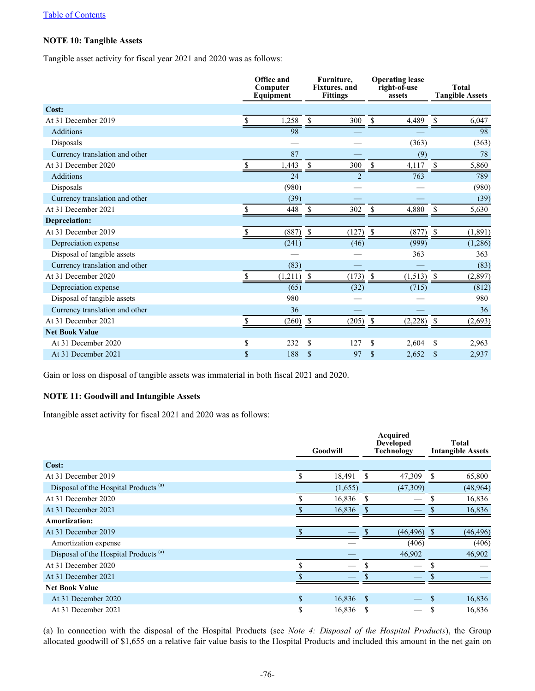# **NOTE 10: Tangible Assets**

Tangible asset activity for fiscal year 2021 and 2020 was as follows:

|                                |    | Office and<br>Computer<br>Equipment | Furniture,<br><b>Fixtures</b> , and<br><b>Fittings</b> |                |               | <b>Operating lease</b><br>right-of-use<br>assets |             | <b>Total</b><br><b>Tangible Assets</b> |
|--------------------------------|----|-------------------------------------|--------------------------------------------------------|----------------|---------------|--------------------------------------------------|-------------|----------------------------------------|
| Cost:                          |    |                                     |                                                        |                |               |                                                  |             |                                        |
| At 31 December 2019            |    | 1,258                               | S                                                      | 300            |               | 4,489                                            | S           | 6,047                                  |
| <b>Additions</b>               |    | 98                                  |                                                        |                |               |                                                  |             | 98                                     |
| Disposals                      |    |                                     |                                                        |                |               | (363)                                            |             | (363)                                  |
| Currency translation and other |    | 87                                  |                                                        |                |               | (9)                                              |             | 78                                     |
| At 31 December 2020            |    | 1,443                               | <sup>\$</sup>                                          | 300            | \$            | 4,117                                            | S.          | 5,860                                  |
| <b>Additions</b>               |    | 24                                  |                                                        | $\overline{2}$ |               | 763                                              |             | 789                                    |
| Disposals                      |    | (980)                               |                                                        |                |               |                                                  |             | (980)                                  |
| Currency translation and other |    | (39)                                |                                                        |                |               |                                                  |             | (39)                                   |
| At 31 December 2021            | S  | 448                                 | \$                                                     | 302            | \$            | 4,880                                            | \$          | 5,630                                  |
| Depreciation:                  |    |                                     |                                                        |                |               |                                                  |             |                                        |
| At 31 December 2019            | \$ | (887)                               | $\mathbb{S}$                                           | (127)          | <sup>\$</sup> | (877)                                            | $\mathbb S$ | (1, 891)                               |
| Depreciation expense           |    | (241)                               |                                                        | (46)           |               | (999)                                            |             | (1,286)                                |
| Disposal of tangible assets    |    |                                     |                                                        |                |               | 363                                              |             | 363                                    |
| Currency translation and other |    | (83)                                |                                                        |                |               |                                                  |             | (83)                                   |
| At 31 December 2020            |    | (1,211)                             | <sup>\$</sup>                                          | (173)          |               | (1, 513)                                         | -S          | (2, 897)                               |
| Depreciation expense           |    | (65)                                |                                                        | (32)           |               | (715)                                            |             | (812)                                  |
| Disposal of tangible assets    |    | 980                                 |                                                        |                |               |                                                  |             | 980                                    |
| Currency translation and other |    | 36                                  |                                                        |                |               |                                                  |             | 36                                     |
| At 31 December 2021            | \$ | (260)                               | $\mathcal{S}$                                          | (205)          | \$            | (2,228)                                          | \$          | (2,693)                                |
| <b>Net Book Value</b>          |    |                                     |                                                        |                |               |                                                  |             |                                        |
| At 31 December 2020            | \$ | 232                                 | <sup>\$</sup>                                          | 127            | S             | 2,604                                            | S           | 2,963                                  |
| At 31 December 2021            | \$ | 188                                 | $\mathbf S$                                            | 97             | S             | 2,652                                            | S           | 2,937                                  |

Gain or loss on disposal of tangible assets was immaterial in both fiscal 2021 and 2020.

# **NOTE 11: Goodwill and Intangible Assets**

Intangible asset activity for fiscal 2021 and 2020 was as follows:

|                                                  |              | Goodwill | Acquired<br><b>Developed</b><br><b>Technology</b> |           |     | <b>Total</b><br><b>Intangible Assets</b> |
|--------------------------------------------------|--------------|----------|---------------------------------------------------|-----------|-----|------------------------------------------|
| Cost:                                            |              |          |                                                   |           |     |                                          |
| At 31 December 2019                              |              | 18,491   |                                                   | 47,309    | S   | 65,800                                   |
| Disposal of the Hospital Products <sup>(a)</sup> |              | (1,655)  |                                                   | (47,309)  |     | (48,964)                                 |
| At 31 December 2020                              |              | 16,836   | -S                                                |           | ъ   | 16,836                                   |
| At 31 December 2021                              |              | 16,836   | <sup>\$</sup>                                     |           |     | 16,836                                   |
| <b>Amortization:</b>                             |              |          |                                                   |           |     |                                          |
| At 31 December 2019                              |              |          |                                                   | (46, 496) |     | (46, 496)                                |
| Amortization expense                             |              |          |                                                   | (406)     |     | (406)                                    |
| Disposal of the Hospital Products <sup>(a)</sup> |              |          |                                                   | 46,902    |     | 46,902                                   |
| At 31 December 2020                              |              |          | \$                                                |           | S   |                                          |
| At 31 December 2021                              |              |          |                                                   |           |     |                                          |
| <b>Net Book Value</b>                            |              |          |                                                   |           |     |                                          |
| At 31 December 2020                              | $\mathbf{s}$ | 16,836   | - \$                                              |           | \$. | 16,836                                   |
| At 31 December 2021                              | \$           | 16,836   | -S                                                |           |     | 16,836                                   |

(a) In connection with the disposal of the Hospital Products (see *Note 4: Disposal of the Hospital Products*), the Group allocated goodwill of \$1,655 on a relative fair value basis to the Hospital Products and included this amount in the net gain on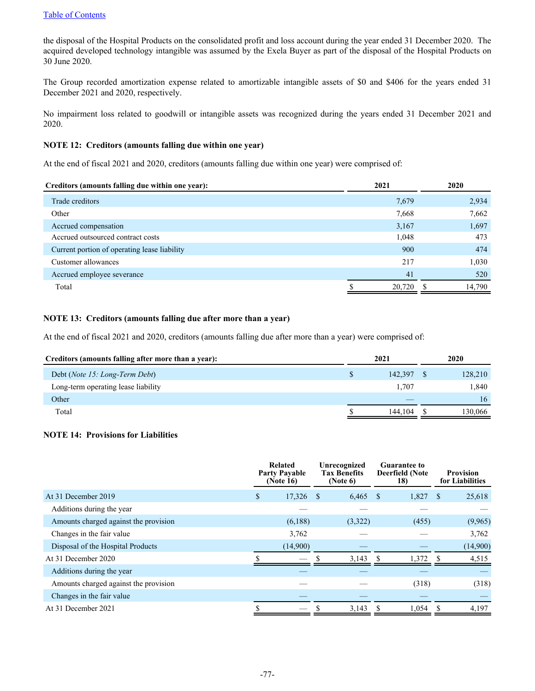the disposal of the Hospital Products on the consolidated profit and loss account during the year ended 31 December 2020. The acquired developed technology intangible was assumed by the Exela Buyer as part of the disposal of the Hospital Products on 30 June 2020.

The Group recorded amortization expense related to amortizable intangible assets of \$0 and \$406 for the years ended 31 December 2021 and 2020, respectively.

No impairment loss related to goodwill or intangible assets was recognized during the years ended 31 December 2021 and 2020.

## **NOTE 12: Creditors (amounts falling due within one year)**

At the end of fiscal 2021 and 2020, creditors (amounts falling due within one year) were comprised of:

| 2,934  |
|--------|
| 7,662  |
| 1,697  |
| 473    |
| 474    |
| 1,030  |
| 520    |
| 14,790 |
|        |

# **NOTE 13: Creditors (amounts falling due after more than a year)**

At the end of fiscal 2021 and 2020, creditors (amounts falling due after more than a year) were comprised of:

| Creditors (amounts falling after more than a year): | 2021    | 2020    |
|-----------------------------------------------------|---------|---------|
| Debt ( <i>Note 15: Long-Term Debt</i> )             | 142.397 | 128,210 |
| Long-term operating lease liability                 | 1,707   | 1,840   |
| Other                                               |         | 16      |
| Total                                               | 144.104 | 130.066 |

# **NOTE 14: Provisions for Liabilities**

|                                       | Related<br><b>Party Payable</b><br>(Note 16) |          |      | Unrecognized<br><b>Tax Benefits</b><br>(Note 6) | <b>Guarantee to</b><br><b>Deerfield (Note</b><br>18) |              | <b>Provision</b><br>for Liabilities |
|---------------------------------------|----------------------------------------------|----------|------|-------------------------------------------------|------------------------------------------------------|--------------|-------------------------------------|
| At 31 December 2019                   | \$                                           | 17,326   | - \$ | 6,465                                           | - \$<br>1,827                                        | <sup>S</sup> | 25,618                              |
| Additions during the year             |                                              |          |      |                                                 |                                                      |              |                                     |
| Amounts charged against the provision |                                              | (6,188)  |      | (3,322)                                         | (455)                                                |              | (9,965)                             |
| Changes in the fair value             |                                              | 3,762    |      |                                                 |                                                      |              | 3,762                               |
| Disposal of the Hospital Products     |                                              | (14,900) |      |                                                 |                                                      |              | (14,900)                            |
| At 31 December 2020                   |                                              |          |      | 3,143                                           | 1,372<br>-\$                                         |              | 4,515                               |
| Additions during the year             |                                              |          |      |                                                 |                                                      |              |                                     |
| Amounts charged against the provision |                                              |          |      |                                                 | (318)                                                |              | (318)                               |
| Changes in the fair value             |                                              |          |      |                                                 |                                                      |              |                                     |
| At 31 December 2021                   |                                              |          |      | 3,143                                           | 1,054                                                | -S           | 4,197                               |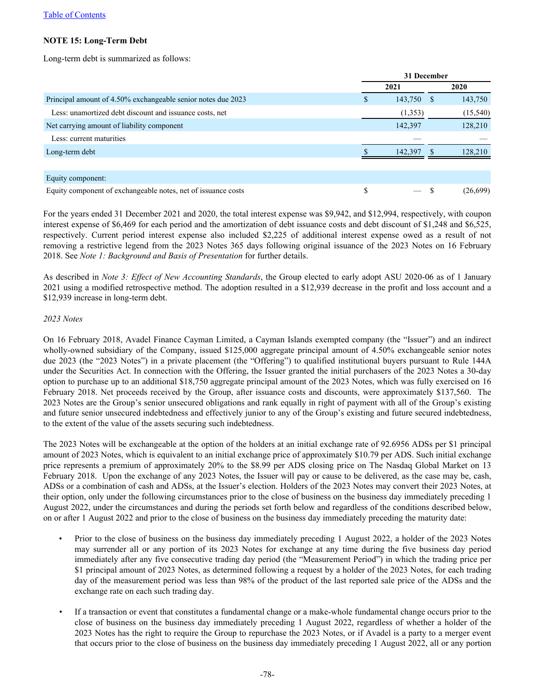# **NOTE 15: Long-Term Debt**

Long-term debt is summarized as follows:

|                                                               |     | 31 December |  |           |  |  |  |
|---------------------------------------------------------------|-----|-------------|--|-----------|--|--|--|
|                                                               |     | 2021        |  |           |  |  |  |
| Principal amount of 4.50% exchangeable senior notes due 2023  | \$. | 143,750     |  | 143,750   |  |  |  |
| Less: unamortized debt discount and issuance costs, net       |     | (1,353)     |  | (15, 540) |  |  |  |
| Net carrying amount of liability component                    |     | 142,397     |  | 128,210   |  |  |  |
| Less: current maturities                                      |     |             |  |           |  |  |  |
| Long-term debt                                                |     | 142,397     |  | 128,210   |  |  |  |
|                                                               |     |             |  |           |  |  |  |
| Equity component:                                             |     |             |  |           |  |  |  |
| Equity component of exchangeable notes, net of issuance costs | S   |             |  | (26,699)  |  |  |  |

For the years ended 31 December 2021 and 2020, the total interest expense was \$9,942, and \$12,994, respectively, with coupon interest expense of \$6,469 for each period and the amortization of debt issuance costs and debt discount of \$1,248 and \$6,525, respectively. Current period interest expense also included \$2,225 of additional interest expense owed as a result of not removing a restrictive legend from the 2023 Notes 365 days following original issuance of the 2023 Notes on 16 February 2018. See *Note 1: Background and Basis of Presentation* for further details.

As described in *Note 3: Effect of New Accounting Standards*, the Group elected to early adopt ASU 2020-06 as of 1 January 2021 using a modified retrospective method. The adoption resulted in a \$12,939 decrease in the profit and loss account and a \$12,939 increase in long-term debt.

## *2023 Notes*

On 16 February 2018, Avadel Finance Cayman Limited, a Cayman Islands exempted company (the "Issuer") and an indirect wholly-owned subsidiary of the Company, issued \$125,000 aggregate principal amount of 4.50% exchangeable senior notes due 2023 (the "2023 Notes") in a private placement (the "Offering") to qualified institutional buyers pursuant to Rule 144A under the Securities Act. In connection with the Offering, the Issuer granted the initial purchasers of the 2023 Notes a 30-day option to purchase up to an additional \$18,750 aggregate principal amount of the 2023 Notes, which was fully exercised on 16 February 2018. Net proceeds received by the Group, after issuance costs and discounts, were approximately \$137,560. The 2023 Notes are the Group's senior unsecured obligations and rank equally in right of payment with all of the Group's existing and future senior unsecured indebtedness and effectively junior to any of the Group's existing and future secured indebtedness, to the extent of the value of the assets securing such indebtedness.

The 2023 Notes will be exchangeable at the option of the holders at an initial exchange rate of 92.6956 ADSs per \$1 principal amount of 2023 Notes, which is equivalent to an initial exchange price of approximately \$10.79 per ADS. Such initial exchange price represents a premium of approximately 20% to the \$8.99 per ADS closing price on The Nasdaq Global Market on 13 February 2018. Upon the exchange of any 2023 Notes, the Issuer will pay or cause to be delivered, as the case may be, cash, ADSs or a combination of cash and ADSs, at the Issuer's election. Holders of the 2023 Notes may convert their 2023 Notes, at their option, only under the following circumstances prior to the close of business on the business day immediately preceding 1 August 2022, under the circumstances and during the periods set forth below and regardless of the conditions described below, on or after 1 August 2022 and prior to the close of business on the business day immediately preceding the maturity date:

- Prior to the close of business on the business day immediately preceding 1 August 2022, a holder of the 2023 Notes may surrender all or any portion of its 2023 Notes for exchange at any time during the five business day period immediately after any five consecutive trading day period (the "Measurement Period") in which the trading price per \$1 principal amount of 2023 Notes, as determined following a request by a holder of the 2023 Notes, for each trading day of the measurement period was less than 98% of the product of the last reported sale price of the ADSs and the exchange rate on each such trading day.
- *•* If a transaction or event that constitutes a fundamental change or a make-whole fundamental change occurs prior to the close of business on the business day immediately preceding 1 August 2022, regardless of whether a holder of the 2023 Notes has the right to require the Group to repurchase the 2023 Notes, or if Avadel is a party to a merger event that occurs prior to the close of business on the business day immediately preceding 1 August 2022, all or any portion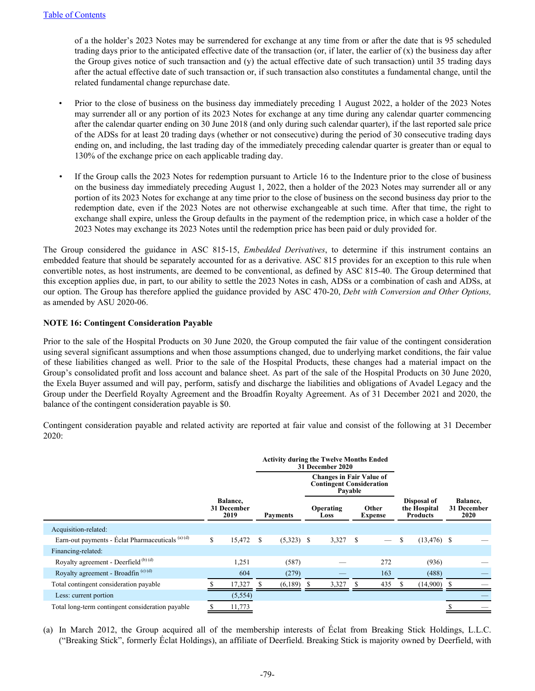of a the holder's 2023 Notes may be surrendered for exchange at any time from or after the date that is 95 scheduled trading days prior to the anticipated effective date of the transaction (or, if later, the earlier of  $(x)$ ) the business day after the Group gives notice of such transaction and (y) the actual effective date of such transaction) until 35 trading days after the actual effective date of such transaction or, if such transaction also constitutes a fundamental change, until the related fundamental change repurchase date.

- Prior to the close of business on the business day immediately preceding 1 August 2022, a holder of the 2023 Notes may surrender all or any portion of its 2023 Notes for exchange at any time during any calendar quarter commencing after the calendar quarter ending on 30 June 2018 (and only during such calendar quarter), if the last reported sale price of the ADSs for at least 20 trading days (whether or not consecutive) during the period of 30 consecutive trading days ending on, and including, the last trading day of the immediately preceding calendar quarter is greater than or equal to 130% of the exchange price on each applicable trading day.
- *•* If the Group calls the 2023 Notes for redemption pursuant to Article 16 to the Indenture prior to the close of business on the business day immediately preceding August 1, 2022, then a holder of the 2023 Notes may surrender all or any portion of its 2023 Notes for exchange at any time prior to the close of business on the second business day prior to the redemption date, even if the 2023 Notes are not otherwise exchangeable at such time. After that time, the right to exchange shall expire, unless the Group defaults in the payment of the redemption price, in which case a holder of the 2023 Notes may exchange its 2023 Notes until the redemption price has been paid or duly provided for.

The Group considered the guidance in ASC 815-15, *Embedded Derivatives*, to determine if this instrument contains an embedded feature that should be separately accounted for as a derivative. ASC 815 provides for an exception to this rule when convertible notes, as host instruments, are deemed to be conventional, as defined by ASC 815-40. The Group determined that this exception applies due, in part, to our ability to settle the 2023 Notes in cash, ADSs or a combination of cash and ADSs, at our option. The Group has therefore applied the guidance provided by ASC 470-20, *Debt with Conversion and Other Options,*  as amended by ASU 2020-06.

# **NOTE 16: Contingent Consideration Payable**

Prior to the sale of the Hospital Products on 30 June 2020, the Group computed the fair value of the contingent consideration using several significant assumptions and when those assumptions changed, due to underlying market conditions, the fair value of these liabilities changed as well. Prior to the sale of the Hospital Products, these changes had a material impact on the Group's consolidated profit and loss account and balance sheet. As part of the sale of the Hospital Products on 30 June 2020, the Exela Buyer assumed and will pay, perform, satisfy and discharge the liabilities and obligations of Avadel Legacy and the Group under the Deerfield Royalty Agreement and the Broadfin Royalty Agreement. As of 31 December 2021 and 2020, the balance of the contingent consideration payable is \$0.

Contingent consideration payable and related activity are reported at fair value and consist of the following at 31 December 2020:

|                                                             |                                 |   | <b>Activity during the Twelve Months Ended</b>                                | 31 December 2020         |            |                         |                          |                                                |                |                                 |
|-------------------------------------------------------------|---------------------------------|---|-------------------------------------------------------------------------------|--------------------------|------------|-------------------------|--------------------------|------------------------------------------------|----------------|---------------------------------|
|                                                             |                                 |   | <b>Changes in Fair Value of</b><br><b>Contingent Consideration</b><br>Pavable |                          |            |                         |                          |                                                |                |                                 |
|                                                             | Balance.<br>31 December<br>2019 |   | <b>Payments</b>                                                               | <b>Operating</b><br>Loss |            | Other<br><b>Expense</b> |                          | Disposal of<br>the Hospital<br><b>Products</b> |                | Balance,<br>31 December<br>2020 |
| Acquisition-related:                                        |                                 |   |                                                                               |                          |            |                         |                          |                                                |                |                                 |
| Earn-out payments - Éclat Pharmaceuticals <sup>(a)(d)</sup> | \$<br>15,472                    | S | $(5,323)$ \$                                                                  |                          | $3,327$ \$ |                         | $\overline{\phantom{m}}$ | S                                              | $(13, 476)$ \$ |                                 |
| Financing-related:                                          |                                 |   |                                                                               |                          |            |                         |                          |                                                |                |                                 |
| Royalty agreement - Deerfield $(b)$ (d)                     | 1,251                           |   | (587)                                                                         |                          |            |                         | 272                      |                                                | (936)          |                                 |
| Royalty agreement - Broadfin <sup>(c)(d)</sup>              | 604                             |   | (279)                                                                         |                          |            |                         | 163                      |                                                | (488)          |                                 |
| Total contingent consideration payable                      | 17,327                          |   | (6,189)                                                                       | -8                       | 3,327      |                         | 435                      |                                                | $(14,900)$ \$  |                                 |
| Less: current portion                                       | (5, 554)                        |   |                                                                               |                          |            |                         |                          |                                                |                |                                 |
| Total long-term contingent consideration payable            | 11,773                          |   |                                                                               |                          |            |                         |                          |                                                |                |                                 |

(a) In March 2012, the Group acquired all of the membership interests of Éclat from Breaking Stick Holdings, L.L.C. ("Breaking Stick", formerly Éclat Holdings), an affiliate of Deerfield. Breaking Stick is majority owned by Deerfield, with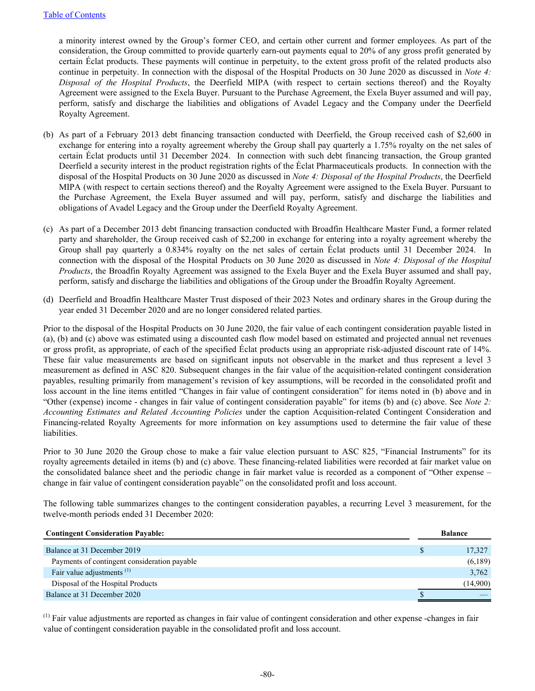a minority interest owned by the Group's former CEO, and certain other current and former employees. As part of the consideration, the Group committed to provide quarterly earn-out payments equal to 20% of any gross profit generated by certain Éclat products. These payments will continue in perpetuity, to the extent gross profit of the related products also continue in perpetuity. In connection with the disposal of the Hospital Products on 30 June 2020 as discussed in *Note 4: Disposal of the Hospital Products*, the Deerfield MIPA (with respect to certain sections thereof) and the Royalty Agreement were assigned to the Exela Buyer. Pursuant to the Purchase Agreement, the Exela Buyer assumed and will pay, perform, satisfy and discharge the liabilities and obligations of Avadel Legacy and the Company under the Deerfield Royalty Agreement.

- (b) As part of a February 2013 debt financing transaction conducted with Deerfield, the Group received cash of \$2,600 in exchange for entering into a royalty agreement whereby the Group shall pay quarterly a 1.75% royalty on the net sales of certain Éclat products until 31 December 2024. In connection with such debt financing transaction, the Group granted Deerfield a security interest in the product registration rights of the Éclat Pharmaceuticals products. In connection with the disposal of the Hospital Products on 30 June 2020 as discussed in *Note 4: Disposal of the Hospital Products*, the Deerfield MIPA (with respect to certain sections thereof) and the Royalty Agreement were assigned to the Exela Buyer. Pursuant to the Purchase Agreement, the Exela Buyer assumed and will pay, perform, satisfy and discharge the liabilities and obligations of Avadel Legacy and the Group under the Deerfield Royalty Agreement.
- (c) As part of a December 2013 debt financing transaction conducted with Broadfin Healthcare Master Fund, a former related party and shareholder, the Group received cash of \$2,200 in exchange for entering into a royalty agreement whereby the Group shall pay quarterly a 0.834% royalty on the net sales of certain Éclat products until 31 December 2024. In connection with the disposal of the Hospital Products on 30 June 2020 as discussed in *Note 4: Disposal of the Hospital Products*, the Broadfin Royalty Agreement was assigned to the Exela Buyer and the Exela Buyer assumed and shall pay, perform, satisfy and discharge the liabilities and obligations of the Group under the Broadfin Royalty Agreement.
- (d) Deerfield and Broadfin Healthcare Master Trust disposed of their 2023 Notes and ordinary shares in the Group during the year ended 31 December 2020 and are no longer considered related parties.

Prior to the disposal of the Hospital Products on 30 June 2020, the fair value of each contingent consideration payable listed in (a), (b) and (c) above was estimated using a discounted cash flow model based on estimated and projected annual net revenues or gross profit, as appropriate, of each of the specified Éclat products using an appropriate risk-adjusted discount rate of 14%. These fair value measurements are based on significant inputs not observable in the market and thus represent a level 3 measurement as defined in ASC 820. Subsequent changes in the fair value of the acquisition-related contingent consideration payables, resulting primarily from management's revision of key assumptions, will be recorded in the consolidated profit and loss account in the line items entitled "Changes in fair value of contingent consideration" for items noted in (b) above and in "Other (expense) income - changes in fair value of contingent consideration payable" for items (b) and (c) above. See *Note 2: Accounting Estimates and Related Accounting Policies* under the caption Acquisition-related Contingent Consideration and Financing-related Royalty Agreements for more information on key assumptions used to determine the fair value of these liabilities.

Prior to 30 June 2020 the Group chose to make a fair value election pursuant to ASC 825, "Financial Instruments" for its royalty agreements detailed in items (b) and (c) above. These financing-related liabilities were recorded at fair market value on the consolidated balance sheet and the periodic change in fair market value is recorded as a component of "Other expense – change in fair value of contingent consideration payable" on the consolidated profit and loss account.

The following table summarizes changes to the contingent consideration payables, a recurring Level 3 measurement, for the twelve-month periods ended 31 December 2020:

| <b>Contingent Consideration Payable:</b>     | <b>Balance</b> |          |  |  |
|----------------------------------------------|----------------|----------|--|--|
| Balance at 31 December 2019                  |                | 17,327   |  |  |
|                                              |                |          |  |  |
| Payments of contingent consideration payable |                | (6,189)  |  |  |
| Fair value adjustments <sup>(1)</sup>        |                | 3,762    |  |  |
| Disposal of the Hospital Products            |                | (14,900) |  |  |
| Balance at 31 December 2020                  |                |          |  |  |

 $<sup>(1)</sup>$  Fair value adjustments are reported as changes in fair value of contingent consideration and other expense -changes in fair</sup> value of contingent consideration payable in the consolidated profit and loss account.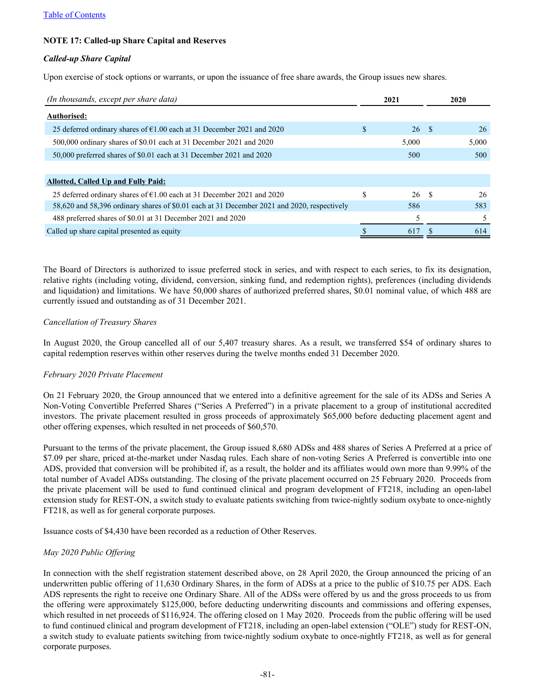# **NOTE 17: Called-up Share Capital and Reserves**

## *Called-up Share Capital*

Upon exercise of stock options or warrants, or upon the issuance of free share awards, the Group issues new shares.

| (In thousands, except per share data)                                                       | 2021 |       |      |       |
|---------------------------------------------------------------------------------------------|------|-------|------|-------|
| Authorised:                                                                                 |      |       |      |       |
| 25 deferred ordinary shares of $\epsilon$ 1.00 each at 31 December 2021 and 2020            | \$.  | 26 \$ |      | 26    |
| 500,000 ordinary shares of \$0.01 each at 31 December 2021 and 2020                         |      | 5,000 |      | 5,000 |
| 50,000 preferred shares of \$0.01 each at 31 December 2021 and 2020                         |      | 500   |      | 500   |
|                                                                                             |      |       |      |       |
| <b>Allotted, Called Up and Fully Paid:</b>                                                  |      |       |      |       |
| 25 deferred ordinary shares of $\epsilon$ 1.00 each at 31 December 2021 and 2020            | S    | 26    | - \$ | 26    |
| 58,620 and 58,396 ordinary shares of \$0.01 each at 31 December 2021 and 2020, respectively |      | 586   |      | 583   |
| 488 preferred shares of \$0.01 at 31 December 2021 and 2020                                 |      |       |      | 5.    |
| Called up share capital presented as equity                                                 |      | 617   |      | 614   |

The Board of Directors is authorized to issue preferred stock in series, and with respect to each series, to fix its designation, relative rights (including voting, dividend, conversion, sinking fund, and redemption rights), preferences (including dividends and liquidation) and limitations. We have 50,000 shares of authorized preferred shares, \$0.01 nominal value, of which 488 are currently issued and outstanding as of 31 December 2021.

## *Cancellation of Treasury Shares*

In August 2020, the Group cancelled all of our 5,407 treasury shares. As a result, we transferred \$54 of ordinary shares to capital redemption reserves within other reserves during the twelve months ended 31 December 2020.

# *February 2020 Private Placement*

On 21 February 2020, the Group announced that we entered into a definitive agreement for the sale of its ADSs and Series A Non-Voting Convertible Preferred Shares ("Series A Preferred") in a private placement to a group of institutional accredited investors. The private placement resulted in gross proceeds of approximately \$65,000 before deducting placement agent and other offering expenses, which resulted in net proceeds of \$60,570.

Pursuant to the terms of the private placement, the Group issued 8,680 ADSs and 488 shares of Series A Preferred at a price of \$7.09 per share, priced at-the-market under Nasdaq rules. Each share of non-voting Series A Preferred is convertible into one ADS, provided that conversion will be prohibited if, as a result, the holder and its affiliates would own more than 9.99% of the total number of Avadel ADSs outstanding. The closing of the private placement occurred on 25 February 2020. Proceeds from the private placement will be used to fund continued clinical and program development of FT218, including an open-label extension study for REST-ON, a switch study to evaluate patients switching from twice-nightly sodium oxybate to once-nightly FT218, as well as for general corporate purposes.

Issuance costs of \$4,430 have been recorded as a reduction of Other Reserves.

# *May 2020 Public Offering*

In connection with the shelf registration statement described above, on 28 April 2020, the Group announced the pricing of an underwritten public offering of 11,630 Ordinary Shares, in the form of ADSs at a price to the public of \$10.75 per ADS. Each ADS represents the right to receive one Ordinary Share. All of the ADSs were offered by us and the gross proceeds to us from the offering were approximately \$125,000, before deducting underwriting discounts and commissions and offering expenses, which resulted in net proceeds of \$116,924. The offering closed on 1 May 2020. Proceeds from the public offering will be used to fund continued clinical and program development of FT218, including an open-label extension ("OLE") study for REST-ON, a switch study to evaluate patients switching from twice-nightly sodium oxybate to once-nightly FT218, as well as for general corporate purposes.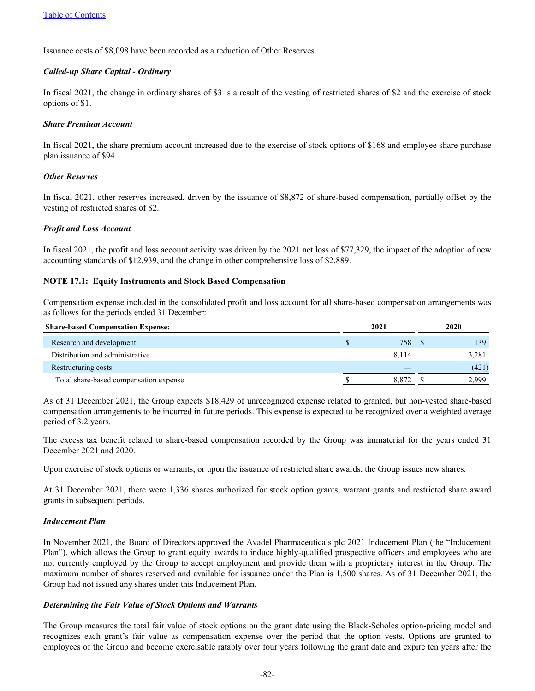Issuance costs of \$8,098 have been recorded as a reduction of Other Reserves.

## *Called-up Share Capital - Ordinary*

In fiscal 2021, the change in ordinary shares of \$3 is a result of the vesting of restricted shares of \$2 and the exercise of stock options of \$1.

## *Share Premium Account*

In fiscal 2021, the share premium account increased due to the exercise of stock options of \$168 and employee share purchase plan issuance of \$94.

## *Other Reserves*

In fiscal 2021, other reserves increased, driven by the issuance of \$8,872 of share-based compensation, partially offset by the vesting of restricted shares of \$2.

## *Profit and Loss Account*

In fiscal 2021, the profit and loss account activity was driven by the 2021 net loss of \$77,329, the impact of the adoption of new accounting standards of \$12,939, and the change in other comprehensive loss of \$2,889.

# **NOTE 17.1: Equity Instruments and Stock Based Compensation**

Compensation expense included in the consolidated profit and loss account for all share-based compensation arrangements was as follows for the periods ended 31 December:

| <b>Share-based Compensation Expense:</b> | 2021 |       |  | 2020  |
|------------------------------------------|------|-------|--|-------|
| Research and development                 |      | 758   |  | 139   |
| Distribution and administrative          |      | 8.114 |  | 3,281 |
| Restructuring costs                      |      |       |  | (421) |
| Total share-based compensation expense   |      | 8.872 |  | 2.999 |

As of 31 December 2021, the Group expects \$18,429 of unrecognized expense related to granted, but non-vested share-based compensation arrangements to be incurred in future periods. This expense is expected to be recognized over a weighted average period of 3.2 years.

The excess tax benefit related to share-based compensation recorded by the Group was immaterial for the years ended 31 December 2021 and 2020.

Upon exercise of stock options or warrants, or upon the issuance of restricted share awards, the Group issues new shares.

At 31 December 2021, there were 1,336 shares authorized for stock option grants, warrant grants and restricted share award grants in subsequent periods.

#### *Inducement Plan*

In November 2021, the Board of Directors approved the Avadel Pharmaceuticals plc 2021 Inducement Plan (the "Inducement Plan"), which allows the Group to grant equity awards to induce highly-qualified prospective officers and employees who are not currently employed by the Group to accept employment and provide them with a proprietary interest in the Group. The maximum number of shares reserved and available for issuance under the Plan is 1,500 shares. As of 31 December 2021, the Group had not issued any shares under this Inducement Plan.

#### *Determining the Fair Value of Stock Options and Warrants*

The Group measures the total fair value of stock options on the grant date using the Black-Scholes option-pricing model and recognizes each grant's fair value as compensation expense over the period that the option vests. Options are granted to employees of the Group and become exercisable ratably over four years following the grant date and expire ten years after the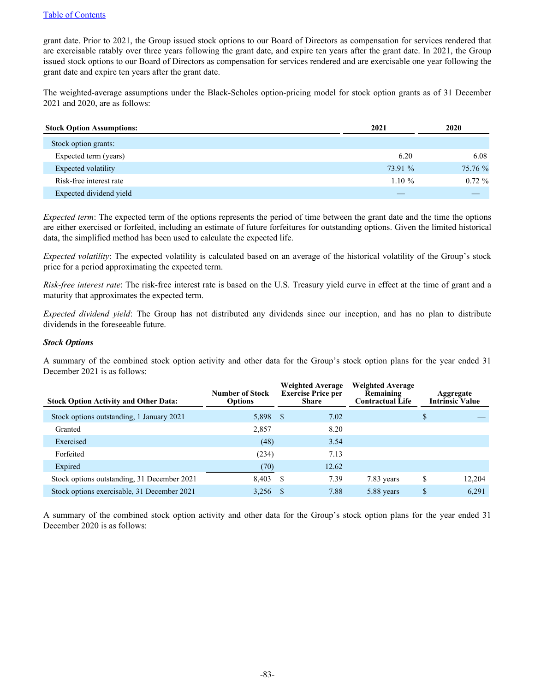grant date. Prior to 2021, the Group issued stock options to our Board of Directors as compensation for services rendered that are exercisable ratably over three years following the grant date, and expire ten years after the grant date. In 2021, the Group issued stock options to our Board of Directors as compensation for services rendered and are exercisable one year following the grant date and expire ten years after the grant date.

The weighted-average assumptions under the Black-Scholes option-pricing model for stock option grants as of 31 December 2021 and 2020, are as follows:

| <b>Stock Option Assumptions:</b> | 2021      | 2020      |
|----------------------------------|-----------|-----------|
| Stock option grants:             |           |           |
| Expected term (years)            | 6.20      | 6.08      |
| Expected volatility              | 73.91 %   | 75.76 %   |
| Risk-free interest rate          | $1.10 \%$ | $0.72 \%$ |
| Expected dividend yield          |           |           |

*Expected term*: The expected term of the options represents the period of time between the grant date and the time the options are either exercised or forfeited, including an estimate of future forfeitures for outstanding options. Given the limited historical data, the simplified method has been used to calculate the expected life.

*Expected volatility*: The expected volatility is calculated based on an average of the historical volatility of the Group's stock price for a period approximating the expected term.

*Risk-free interest rate*: The risk-free interest rate is based on the U.S. Treasury yield curve in effect at the time of grant and a maturity that approximates the expected term.

*Expected dividend yield*: The Group has not distributed any dividends since our inception, and has no plan to distribute dividends in the foreseeable future.

## *Stock Options*

A summary of the combined stock option activity and other data for the Group's stock option plans for the year ended 31 December 2021 is as follows:

| <b>Stock Option Activity and Other Data:</b> | Number of Stock<br><b>Options</b> | <b>Weighted Average</b><br><b>Exercise Price per</b><br><b>Share</b> |       |            |              | <b>Weighted Average</b><br>Remaining<br><b>Contractual Life</b> | Aggregate<br><b>Intrinsic Value</b> |
|----------------------------------------------|-----------------------------------|----------------------------------------------------------------------|-------|------------|--------------|-----------------------------------------------------------------|-------------------------------------|
| Stock options outstanding, 1 January 2021    | 5,898 \$                          |                                                                      | 7.02  |            | \$           |                                                                 |                                     |
| Granted                                      | 2,857                             |                                                                      | 8.20  |            |              |                                                                 |                                     |
| Exercised                                    | (48)                              |                                                                      | 3.54  |            |              |                                                                 |                                     |
| Forfeited                                    | (234)                             |                                                                      | 7.13  |            |              |                                                                 |                                     |
| Expired                                      | (70)                              |                                                                      | 12.62 |            |              |                                                                 |                                     |
| Stock options outstanding, 31 December 2021  | 8,403                             | - S                                                                  | 7.39  | 7.83 years | \$<br>12,204 |                                                                 |                                     |
| Stock options exercisable, 31 December 2021  | 3,256                             |                                                                      | 7.88  | 5.88 years | \$<br>6,291  |                                                                 |                                     |

A summary of the combined stock option activity and other data for the Group's stock option plans for the year ended 31 December 2020 is as follows: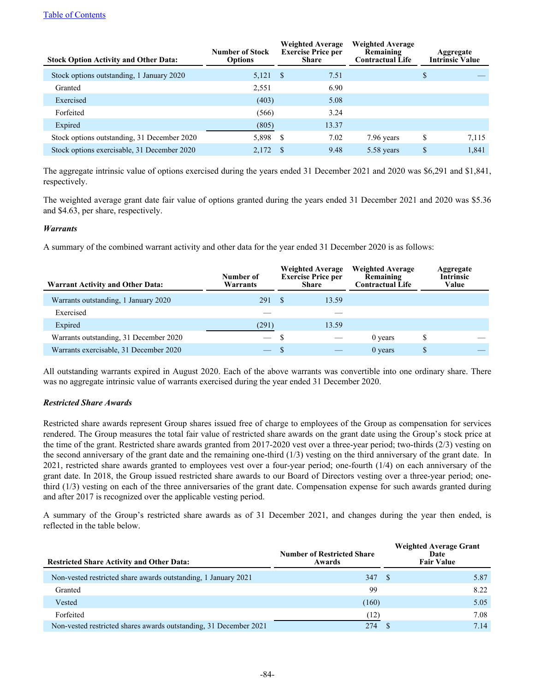# [Table of Contents](#page-2-0)

| <b>Stock Option Activity and Other Data:</b> | Number of Stock<br><b>Options</b> | <b>Weighted Average</b><br><b>Exercise Price per</b><br>Share |       |            |    |       |  |  |  |  |  | <b>Weighted Average</b><br>Remaining<br><b>Contractual Life</b> |  | Aggregate<br><b>Intrinsic Value</b> |
|----------------------------------------------|-----------------------------------|---------------------------------------------------------------|-------|------------|----|-------|--|--|--|--|--|-----------------------------------------------------------------|--|-------------------------------------|
| Stock options outstanding, 1 January 2020    | 5,121 \$                          |                                                               | 7.51  |            | \$ |       |  |  |  |  |  |                                                                 |  |                                     |
| Granted                                      | 2,551                             |                                                               | 6.90  |            |    |       |  |  |  |  |  |                                                                 |  |                                     |
| Exercised                                    | (403)                             |                                                               | 5.08  |            |    |       |  |  |  |  |  |                                                                 |  |                                     |
| Forfeited                                    | (566)                             |                                                               | 3.24  |            |    |       |  |  |  |  |  |                                                                 |  |                                     |
| Expired                                      | (805)                             |                                                               | 13.37 |            |    |       |  |  |  |  |  |                                                                 |  |                                     |
| Stock options outstanding, 31 December 2020  | 5,898 \$                          |                                                               | 7.02  | 7.96 years | \$ | 7,115 |  |  |  |  |  |                                                                 |  |                                     |
| Stock options exercisable, 31 December 2020  | 2,172                             |                                                               | 9.48  | 5.58 years | \$ | 1,841 |  |  |  |  |  |                                                                 |  |                                     |

The aggregate intrinsic value of options exercised during the years ended 31 December 2021 and 2020 was \$6,291 and \$1,841, respectively.

The weighted average grant date fair value of options granted during the years ended 31 December 2021 and 2020 was \$5.36 and \$4.63, per share, respectively.

# *Warrants*

A summary of the combined warrant activity and other data for the year ended 31 December 2020 is as follows:

| <b>Warrant Activity and Other Data:</b> | Number of<br>Warrants |  | <b>Weighted Average</b><br><b>Exercise Price per</b><br>Share | <b>Weighted Average</b><br>Remaining<br><b>Contractual Life</b> |   | Aggregate<br><b>Intrinsic</b><br>Value |
|-----------------------------------------|-----------------------|--|---------------------------------------------------------------|-----------------------------------------------------------------|---|----------------------------------------|
| Warrants outstanding, 1 January 2020    | 291 \$                |  | 13.59                                                         |                                                                 |   |                                        |
| Exercised                               |                       |  |                                                               |                                                                 |   |                                        |
| Expired                                 | (291)                 |  | 13.59                                                         |                                                                 |   |                                        |
| Warrants outstanding, 31 December 2020  | $-$ \$                |  |                                                               | 0 years                                                         | S |                                        |
| Warrants exercisable, 31 December 2020  |                       |  |                                                               | $0$ years                                                       |   |                                        |

All outstanding warrants expired in August 2020. Each of the above warrants was convertible into one ordinary share. There was no aggregate intrinsic value of warrants exercised during the year ended 31 December 2020.

# *Restricted Share Awards*

Restricted share awards represent Group shares issued free of charge to employees of the Group as compensation for services rendered. The Group measures the total fair value of restricted share awards on the grant date using the Group's stock price at the time of the grant. Restricted share awards granted from 2017-2020 vest over a three-year period; two-thirds (2/3) vesting on the second anniversary of the grant date and the remaining one-third (1/3) vesting on the third anniversary of the grant date. In 2021, restricted share awards granted to employees vest over a four-year period; one-fourth (1/4) on each anniversary of the grant date. In 2018, the Group issued restricted share awards to our Board of Directors vesting over a three-year period; onethird (1/3) vesting on each of the three anniversaries of the grant date. Compensation expense for such awards granted during and after 2017 is recognized over the applicable vesting period.

A summary of the Group's restricted share awards as of 31 December 2021, and changes during the year then ended, is reflected in the table below.

| <b>Restricted Share Activity and Other Data:</b>                  | <b>Number of Restricted Share</b><br>Awards | <b>Weighted Average Grant</b><br>Date<br><b>Fair Value</b> |
|-------------------------------------------------------------------|---------------------------------------------|------------------------------------------------------------|
| Non-vested restricted share awards outstanding, 1 January 2021    | 347                                         | 5.87<br>- S                                                |
| Granted                                                           | 99                                          | 8.22                                                       |
| Vested                                                            | (160)                                       | 5.05                                                       |
| Forfeited                                                         | (12)                                        | 7.08                                                       |
| Non-vested restricted shares awards outstanding, 31 December 2021 | 274                                         | 7.14                                                       |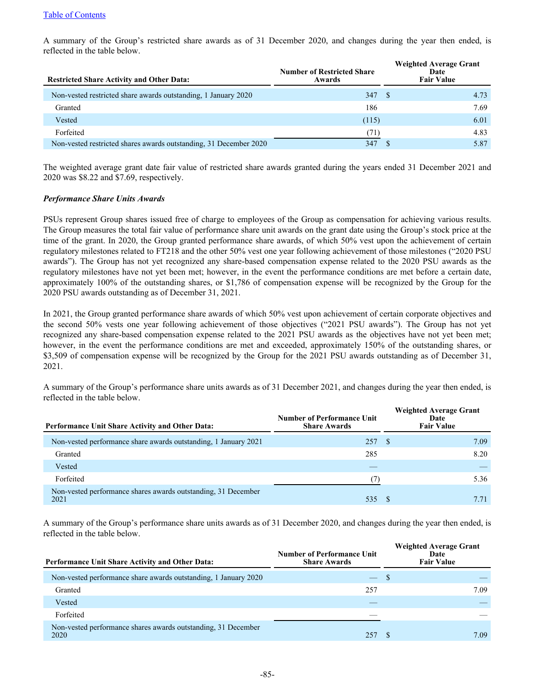A summary of the Group's restricted share awards as of 31 December 2020, and changes during the year then ended, is reflected in the table below.

| <b>Restricted Share Activity and Other Data:</b>                  | <b>Number of Restricted Share</b><br>Awards | <b>Weighted Average Grant</b><br>Date<br><b>Fair Value</b> |
|-------------------------------------------------------------------|---------------------------------------------|------------------------------------------------------------|
| Non-vested restricted share awards outstanding, 1 January 2020    | 347                                         | 4.73<br>-8                                                 |
| Granted                                                           | 186                                         | 7.69                                                       |
| Vested                                                            | (115)                                       | 6.01                                                       |
| Forfeited                                                         | (71)                                        | 4.83                                                       |
| Non-vested restricted shares awards outstanding, 31 December 2020 | 347                                         | 5.87                                                       |

The weighted average grant date fair value of restricted share awards granted during the years ended 31 December 2021 and 2020 was \$8.22 and \$7.69, respectively.

# *Performance Share Units Awards*

PSUs represent Group shares issued free of charge to employees of the Group as compensation for achieving various results. The Group measures the total fair value of performance share unit awards on the grant date using the Group's stock price at the time of the grant. In 2020, the Group granted performance share awards, of which 50% vest upon the achievement of certain regulatory milestones related to FT218 and the other 50% vest one year following achievement of those milestones ("2020 PSU awards"). The Group has not yet recognized any share-based compensation expense related to the 2020 PSU awards as the regulatory milestones have not yet been met; however, in the event the performance conditions are met before a certain date, approximately 100% of the outstanding shares, or \$1,786 of compensation expense will be recognized by the Group for the 2020 PSU awards outstanding as of December 31, 2021.

In 2021, the Group granted performance share awards of which 50% vest upon achievement of certain corporate objectives and the second 50% vests one year following achievement of those objectives ("2021 PSU awards"). The Group has not yet recognized any share-based compensation expense related to the 2021 PSU awards as the objectives have not yet been met; however, in the event the performance conditions are met and exceeded, approximately 150% of the outstanding shares, or \$3,509 of compensation expense will be recognized by the Group for the 2021 PSU awards outstanding as of December 31, 2021.

A summary of the Group's performance share units awards as of 31 December 2021, and changes during the year then ended, is reflected in the table below.

| <b>Performance Unit Share Activity and Other Data:</b>                | <b>Number of Performance Unit</b><br><b>Share Awards</b> | <b>Weighted Average Grant</b><br>Date<br><b>Fair Value</b> |      |
|-----------------------------------------------------------------------|----------------------------------------------------------|------------------------------------------------------------|------|
| Non-vested performance share awards outstanding, 1 January 2021       | 257                                                      | - S                                                        | 7.09 |
| Granted                                                               | 285                                                      |                                                            | 8.20 |
| Vested                                                                |                                                          |                                                            |      |
| Forfeited                                                             |                                                          |                                                            | 5.36 |
| Non-vested performance shares awards outstanding, 31 December<br>2021 | 535                                                      |                                                            |      |

A summary of the Group's performance share units awards as of 31 December 2020, and changes during the year then ended, is reflected in the table below.

| <b>Performance Unit Share Activity and Other Data:</b>                | <b>Number of Performance Unit</b><br><b>Share Awards</b> | <b>Weighted Average Grant</b><br>Date<br><b>Fair Value</b> |
|-----------------------------------------------------------------------|----------------------------------------------------------|------------------------------------------------------------|
| Non-vested performance share awards outstanding, 1 January 2020       | $\overline{\phantom{0}}$                                 | -S                                                         |
| Granted                                                               | 257                                                      | 7.09                                                       |
| Vested                                                                |                                                          |                                                            |
| Forfeited                                                             |                                                          |                                                            |
| Non-vested performance shares awards outstanding, 31 December<br>2020 | 257                                                      | 7.09                                                       |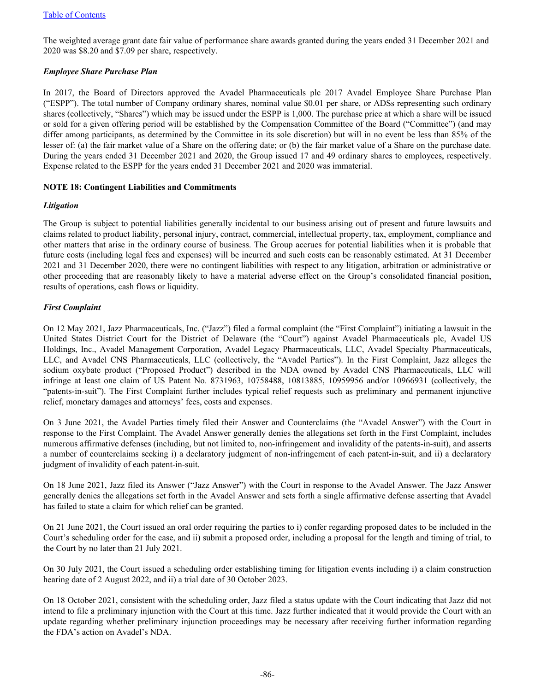The weighted average grant date fair value of performance share awards granted during the years ended 31 December 2021 and 2020 was \$8.20 and \$7.09 per share, respectively.

# *Employee Share Purchase Plan*

In 2017, the Board of Directors approved the Avadel Pharmaceuticals plc 2017 Avadel Employee Share Purchase Plan ("ESPP"). The total number of Company ordinary shares, nominal value \$0.01 per share, or ADSs representing such ordinary shares (collectively, "Shares") which may be issued under the ESPP is 1,000. The purchase price at which a share will be issued or sold for a given offering period will be established by the Compensation Committee of the Board ("Committee") (and may differ among participants, as determined by the Committee in its sole discretion) but will in no event be less than 85% of the lesser of: (a) the fair market value of a Share on the offering date; or (b) the fair market value of a Share on the purchase date. During the years ended 31 December 2021 and 2020, the Group issued 17 and 49 ordinary shares to employees, respectively. Expense related to the ESPP for the years ended 31 December 2021 and 2020 was immaterial.

# **NOTE 18: Contingent Liabilities and Commitments**

# *Litigation*

The Group is subject to potential liabilities generally incidental to our business arising out of present and future lawsuits and claims related to product liability, personal injury, contract, commercial, intellectual property, tax, employment, compliance and other matters that arise in the ordinary course of business. The Group accrues for potential liabilities when it is probable that future costs (including legal fees and expenses) will be incurred and such costs can be reasonably estimated. At 31 December 2021 and 31 December 2020, there were no contingent liabilities with respect to any litigation, arbitration or administrative or other proceeding that are reasonably likely to have a material adverse effect on the Group's consolidated financial position, results of operations, cash flows or liquidity.

# *First Complaint*

On 12 May 2021, Jazz Pharmaceuticals, Inc. ("Jazz") filed a formal complaint (the "First Complaint") initiating a lawsuit in the United States District Court for the District of Delaware (the "Court") against Avadel Pharmaceuticals plc, Avadel US Holdings, Inc., Avadel Management Corporation, Avadel Legacy Pharmaceuticals, LLC, Avadel Specialty Pharmaceuticals, LLC, and Avadel CNS Pharmaceuticals, LLC (collectively, the "Avadel Parties"). In the First Complaint, Jazz alleges the sodium oxybate product ("Proposed Product") described in the NDA owned by Avadel CNS Pharmaceuticals, LLC will infringe at least one claim of US Patent No. 8731963, 10758488, 10813885, 10959956 and/or 10966931 (collectively, the "patents-in-suit"). The First Complaint further includes typical relief requests such as preliminary and permanent injunctive relief, monetary damages and attorneys' fees, costs and expenses.

On 3 June 2021, the Avadel Parties timely filed their Answer and Counterclaims (the "Avadel Answer") with the Court in response to the First Complaint. The Avadel Answer generally denies the allegations set forth in the First Complaint, includes numerous affirmative defenses (including, but not limited to, non-infringement and invalidity of the patents-in-suit), and asserts a number of counterclaims seeking i) a declaratory judgment of non-infringement of each patent-in-suit, and ii) a declaratory judgment of invalidity of each patent-in-suit.

On 18 June 2021, Jazz filed its Answer ("Jazz Answer") with the Court in response to the Avadel Answer. The Jazz Answer generally denies the allegations set forth in the Avadel Answer and sets forth a single affirmative defense asserting that Avadel has failed to state a claim for which relief can be granted.

On 21 June 2021, the Court issued an oral order requiring the parties to i) confer regarding proposed dates to be included in the Court's scheduling order for the case, and ii) submit a proposed order, including a proposal for the length and timing of trial, to the Court by no later than 21 July 2021.

On 30 July 2021, the Court issued a scheduling order establishing timing for litigation events including i) a claim construction hearing date of 2 August 2022, and ii) a trial date of 30 October 2023.

On 18 October 2021, consistent with the scheduling order, Jazz filed a status update with the Court indicating that Jazz did not intend to file a preliminary injunction with the Court at this time. Jazz further indicated that it would provide the Court with an update regarding whether preliminary injunction proceedings may be necessary after receiving further information regarding the FDA's action on Avadel's NDA.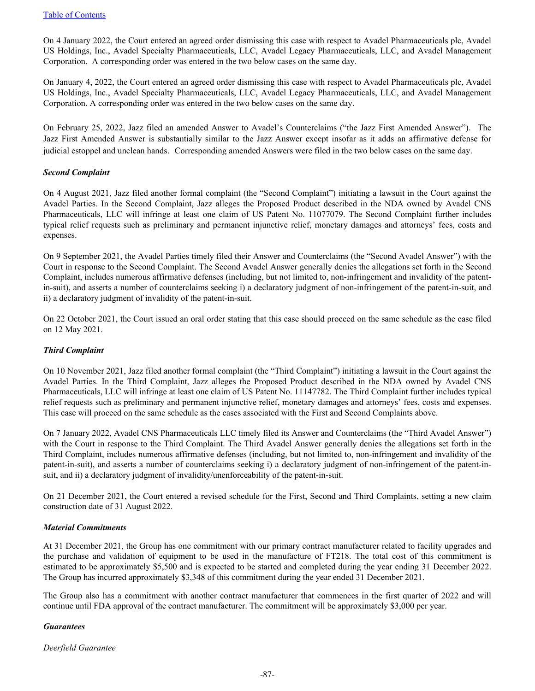On 4 January 2022, the Court entered an agreed order dismissing this case with respect to Avadel Pharmaceuticals plc, Avadel US Holdings, Inc., Avadel Specialty Pharmaceuticals, LLC, Avadel Legacy Pharmaceuticals, LLC, and Avadel Management Corporation. A corresponding order was entered in the two below cases on the same day.

On January 4, 2022, the Court entered an agreed order dismissing this case with respect to Avadel Pharmaceuticals plc, Avadel US Holdings, Inc., Avadel Specialty Pharmaceuticals, LLC, Avadel Legacy Pharmaceuticals, LLC, and Avadel Management Corporation. A corresponding order was entered in the two below cases on the same day.

On February 25, 2022, Jazz filed an amended Answer to Avadel's Counterclaims ("the Jazz First Amended Answer"). The Jazz First Amended Answer is substantially similar to the Jazz Answer except insofar as it adds an affirmative defense for judicial estoppel and unclean hands. Corresponding amended Answers were filed in the two below cases on the same day.

# *Second Complaint*

On 4 August 2021, Jazz filed another formal complaint (the "Second Complaint") initiating a lawsuit in the Court against the Avadel Parties. In the Second Complaint, Jazz alleges the Proposed Product described in the NDA owned by Avadel CNS Pharmaceuticals, LLC will infringe at least one claim of US Patent No. 11077079. The Second Complaint further includes typical relief requests such as preliminary and permanent injunctive relief, monetary damages and attorneys' fees, costs and expenses.

On 9 September 2021, the Avadel Parties timely filed their Answer and Counterclaims (the "Second Avadel Answer") with the Court in response to the Second Complaint. The Second Avadel Answer generally denies the allegations set forth in the Second Complaint, includes numerous affirmative defenses (including, but not limited to, non-infringement and invalidity of the patentin-suit), and asserts a number of counterclaims seeking i) a declaratory judgment of non-infringement of the patent-in-suit, and ii) a declaratory judgment of invalidity of the patent-in-suit.

On 22 October 2021, the Court issued an oral order stating that this case should proceed on the same schedule as the case filed on 12 May 2021.

# *Third Complaint*

On 10 November 2021, Jazz filed another formal complaint (the "Third Complaint") initiating a lawsuit in the Court against the Avadel Parties. In the Third Complaint, Jazz alleges the Proposed Product described in the NDA owned by Avadel CNS Pharmaceuticals, LLC will infringe at least one claim of US Patent No. 11147782. The Third Complaint further includes typical relief requests such as preliminary and permanent injunctive relief, monetary damages and attorneys' fees, costs and expenses. This case will proceed on the same schedule as the cases associated with the First and Second Complaints above.

On 7 January 2022, Avadel CNS Pharmaceuticals LLC timely filed its Answer and Counterclaims (the "Third Avadel Answer") with the Court in response to the Third Complaint. The Third Avadel Answer generally denies the allegations set forth in the Third Complaint, includes numerous affirmative defenses (including, but not limited to, non-infringement and invalidity of the patent-in-suit), and asserts a number of counterclaims seeking i) a declaratory judgment of non-infringement of the patent-insuit, and ii) a declaratory judgment of invalidity/unenforceability of the patent-in-suit.

On 21 December 2021, the Court entered a revised schedule for the First, Second and Third Complaints, setting a new claim construction date of 31 August 2022.

# *Material Commitments*

At 31 December 2021, the Group has one commitment with our primary contract manufacturer related to facility upgrades and the purchase and validation of equipment to be used in the manufacture of FT218. The total cost of this commitment is estimated to be approximately \$5,500 and is expected to be started and completed during the year ending 31 December 2022. The Group has incurred approximately \$3,348 of this commitment during the year ended 31 December 2021.

The Group also has a commitment with another contract manufacturer that commences in the first quarter of 2022 and will continue until FDA approval of the contract manufacturer. The commitment will be approximately \$3,000 per year.

# *Guarantees*

*Deerfield Guarantee*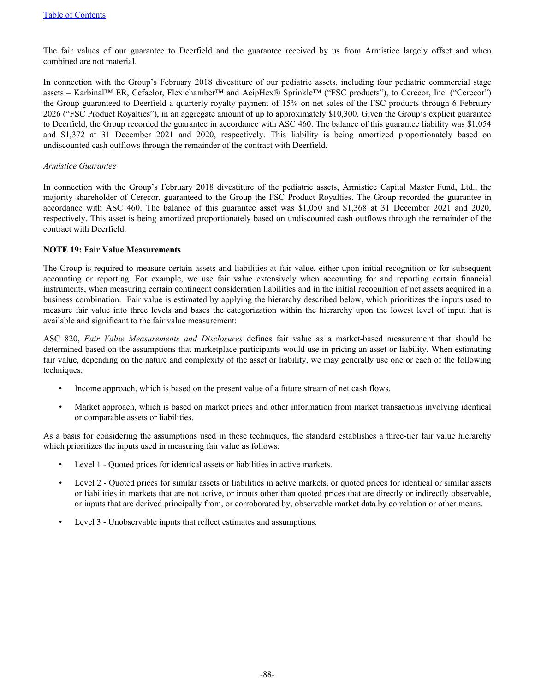The fair values of our guarantee to Deerfield and the guarantee received by us from Armistice largely offset and when combined are not material.

In connection with the Group's February 2018 divestiture of our pediatric assets, including four pediatric commercial stage assets – Karbinal™ ER, Cefaclor, Flexichamber™ and AcipHex® Sprinkle™ ("FSC products"), to Cerecor, Inc. ("Cerecor") the Group guaranteed to Deerfield a quarterly royalty payment of 15% on net sales of the FSC products through 6 February 2026 ("FSC Product Royalties"), in an aggregate amount of up to approximately \$10,300. Given the Group's explicit guarantee to Deerfield, the Group recorded the guarantee in accordance with ASC 460. The balance of this guarantee liability was \$1,054 and \$1,372 at 31 December 2021 and 2020, respectively. This liability is being amortized proportionately based on undiscounted cash outflows through the remainder of the contract with Deerfield.

#### *Armistice Guarantee*

In connection with the Group's February 2018 divestiture of the pediatric assets, Armistice Capital Master Fund, Ltd., the majority shareholder of Cerecor, guaranteed to the Group the FSC Product Royalties. The Group recorded the guarantee in accordance with ASC 460. The balance of this guarantee asset was \$1,050 and \$1,368 at 31 December 2021 and 2020, respectively. This asset is being amortized proportionately based on undiscounted cash outflows through the remainder of the contract with Deerfield.

## **NOTE 19: Fair Value Measurements**

The Group is required to measure certain assets and liabilities at fair value, either upon initial recognition or for subsequent accounting or reporting. For example, we use fair value extensively when accounting for and reporting certain financial instruments, when measuring certain contingent consideration liabilities and in the initial recognition of net assets acquired in a business combination. Fair value is estimated by applying the hierarchy described below, which prioritizes the inputs used to measure fair value into three levels and bases the categorization within the hierarchy upon the lowest level of input that is available and significant to the fair value measurement:

ASC 820, *Fair Value Measurements and Disclosures* defines fair value as a market-based measurement that should be determined based on the assumptions that marketplace participants would use in pricing an asset or liability. When estimating fair value, depending on the nature and complexity of the asset or liability, we may generally use one or each of the following techniques:

- Income approach, which is based on the present value of a future stream of net cash flows.
- Market approach, which is based on market prices and other information from market transactions involving identical or comparable assets or liabilities.

As a basis for considering the assumptions used in these techniques, the standard establishes a three-tier fair value hierarchy which prioritizes the inputs used in measuring fair value as follows:

- Level 1 Quoted prices for identical assets or liabilities in active markets.
- Level 2 Quoted prices for similar assets or liabilities in active markets, or quoted prices for identical or similar assets or liabilities in markets that are not active, or inputs other than quoted prices that are directly or indirectly observable, or inputs that are derived principally from, or corroborated by, observable market data by correlation or other means.
- Level 3 Unobservable inputs that reflect estimates and assumptions.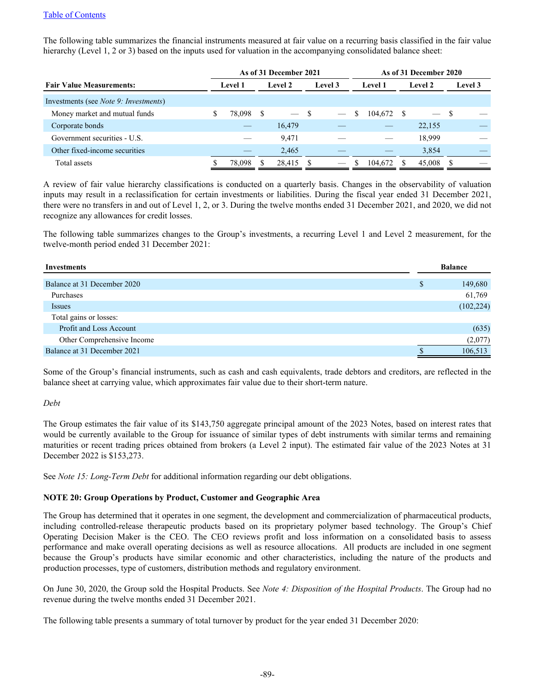The following table summarizes the financial instruments measured at fair value on a recurring basis classified in the fair value hierarchy (Level 1, 2 or 3) based on the inputs used for valuation in the accompanying consolidated balance sheet:

|                                               | As of 31 December 2021 |                |     |                          |     | As of 31 December 2020 |   |                |   |                          |      |         |
|-----------------------------------------------|------------------------|----------------|-----|--------------------------|-----|------------------------|---|----------------|---|--------------------------|------|---------|
| <b>Fair Value Measurements:</b>               |                        | <b>Level 1</b> |     | Level 2                  |     | Level 3                |   | <b>Level 1</b> |   | Level 2                  |      | Level 3 |
| Investments (see <i>Note 9: Investments</i> ) |                        |                |     |                          |     |                        |   |                |   |                          |      |         |
| Money market and mutual funds                 | S                      | 78,098         | - S | $\overline{\phantom{0}}$ | - S |                        | S | 104,672        | S | $\overline{\phantom{0}}$ | - \$ |         |
| Corporate bonds                               |                        |                |     | 16,479                   |     |                        |   |                |   | 22,155                   |      |         |
| Government securities - U.S.                  |                        |                |     | 9,471                    |     |                        |   |                |   | 18,999                   |      |         |
| Other fixed-income securities                 |                        |                |     | 2,465                    |     |                        |   |                |   | 3,854                    |      |         |
| Total assets                                  |                        | 78,098         |     | 28,415                   |     |                        |   | 104,672        |   | 45,008                   |      |         |

A review of fair value hierarchy classifications is conducted on a quarterly basis. Changes in the observability of valuation inputs may result in a reclassification for certain investments or liabilities. During the fiscal year ended 31 December 2021, there were no transfers in and out of Level 1, 2, or 3. During the twelve months ended 31 December 2021, and 2020, we did not recognize any allowances for credit losses.

The following table summarizes changes to the Group's investments, a recurring Level 1 and Level 2 measurement, for the twelve-month period ended 31 December 2021:

| Investments                 |   | <b>Balance</b> |
|-----------------------------|---|----------------|
| Balance at 31 December 2020 | ъ | 149,680        |
| Purchases                   |   | 61,769         |
| <i>Issues</i>               |   | (102, 224)     |
| Total gains or losses:      |   |                |
| Profit and Loss Account     |   | (635)          |
| Other Comprehensive Income  |   | (2,077)        |
| Balance at 31 December 2021 |   | 106,513        |

Some of the Group's financial instruments, such as cash and cash equivalents, trade debtors and creditors, are reflected in the balance sheet at carrying value, which approximates fair value due to their short-term nature.

# *Debt*

The Group estimates the fair value of its \$143,750 aggregate principal amount of the 2023 Notes, based on interest rates that would be currently available to the Group for issuance of similar types of debt instruments with similar terms and remaining maturities or recent trading prices obtained from brokers (a Level 2 input). The estimated fair value of the 2023 Notes at 31 December 2022 is \$153,273.

See *Note 15: Long-Term Debt* for additional information regarding our debt obligations.

# **NOTE 20: Group Operations by Product, Customer and Geographic Area**

The Group has determined that it operates in one segment, the development and commercialization of pharmaceutical products, including controlled-release therapeutic products based on its proprietary polymer based technology. The Group's Chief Operating Decision Maker is the CEO. The CEO reviews profit and loss information on a consolidated basis to assess performance and make overall operating decisions as well as resource allocations. All products are included in one segment because the Group's products have similar economic and other characteristics, including the nature of the products and production processes, type of customers, distribution methods and regulatory environment.

On June 30, 2020, the Group sold the Hospital Products. See *Note 4: Disposition of the Hospital Products*. The Group had no revenue during the twelve months ended 31 December 2021.

The following table presents a summary of total turnover by product for the year ended 31 December 2020: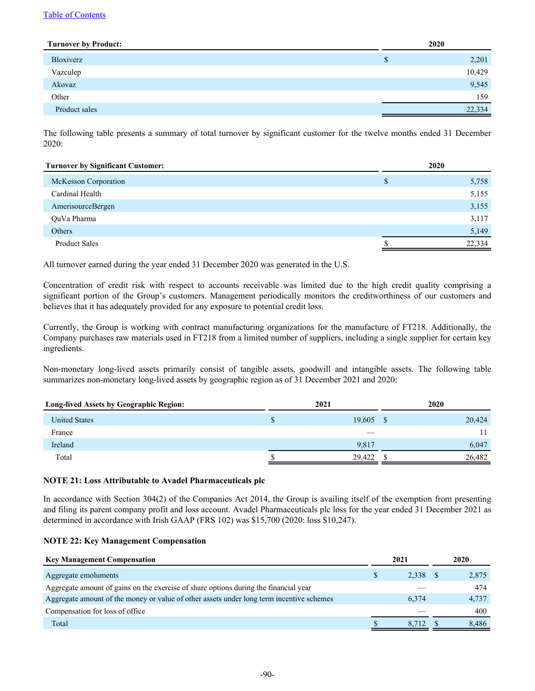## [Table of Contents](#page-2-0)

| <b>Turnover by Product:</b> | 2020       |
|-----------------------------|------------|
| Bloxiverz                   | 2,201<br>S |
| Vazculep                    | 10,429     |
| Akovaz                      | 9,545      |
| Other                       | 159        |
| Product sales               | 22,334     |
|                             |            |

The following table presents a summary of total turnover by significant customer for the twelve months ended 31 December 2020:

| <b>Turnover by Significant Customer:</b> | 2020 |        |
|------------------------------------------|------|--------|
| McKesson Corporation                     | \$   | 5,758  |
| Cardinal Health                          |      | 5,155  |
| AmerisourceBergen                        |      | 3,155  |
| OuVa Pharma                              |      | 3,117  |
| <b>Others</b>                            |      | 5,149  |
| <b>Product Sales</b>                     |      | 22,334 |

All turnover earned during the year ended 31 December 2020 was generated in the U.S.

Concentration of credit risk with respect to accounts receivable was limited due to the high credit quality comprising a significant portion of the Group's customers. Management periodically monitors the creditworthiness of our customers and believes that it has adequately provided for any exposure to potential credit loss.

Currently, the Group is working with contract manufacturing organizations for the manufacture of FT218. Additionally, the Company purchases raw materials used in FT218 from a limited number of suppliers, including a single supplier for certain key ingredients.

Non-monetary long-lived assets primarily consist of tangible assets, goodwill and intangible assets. The following table summarizes non-monetary long-lived assets by geographic region as of 31 December 2021 and 2020:

| <b>Long-lived Assets by Geographic Region:</b> | 2021 |        |              | 2020   |
|------------------------------------------------|------|--------|--------------|--------|
| <b>United States</b>                           | ъ    | 19,605 | <sup>S</sup> | 20,424 |
| France                                         |      | _      |              | 11     |
| Ireland                                        |      | 9,817  |              | 6,047  |
| Total                                          |      | 29.422 |              | 26,482 |

# **NOTE 21: Loss Attributable to Avadel Pharmaceuticals plc**

In accordance with Section 304(2) of the Companies Act 2014, the Group is availing itself of the exemption from presenting and filing its parent company profit and loss account. Avadel Pharmaceuticals plc loss for the year ended 31 December 2021 as determined in accordance with Irish GAAP (FRS 102) was \$15,700 (2020: loss \$10,247).

#### **NOTE 22: Key Management Compensation**

| <b>Key Management Compensation</b>                                                       | 2021 |          | 2020 |       |
|------------------------------------------------------------------------------------------|------|----------|------|-------|
| Aggregate emoluments                                                                     |      | 2.338 \$ |      | 2,875 |
| Aggregate amount of gains on the exercise of share options during the financial year     |      |          |      | 474   |
| Aggregate amount of the money or value of other assets under long term incentive schemes |      | 6,374    |      | 4,737 |
| Compensation for loss of office                                                          |      |          |      | 400   |
| Total                                                                                    |      | 8.712    |      | 8,486 |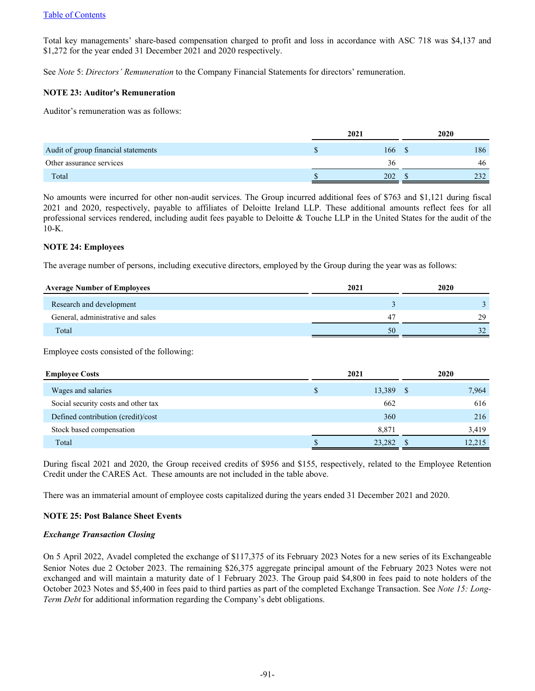Total key managements' share-based compensation charged to profit and loss in accordance with ASC 718 was \$4,137 and \$1,272 for the year ended 31 December 2021 and 2020 respectively.

See *Note* 5: *Directors' Remuneration* to the Company Financial Statements for directors' remuneration.

## **NOTE 23: Auditor's Remuneration**

Auditor's remuneration was as follows:

|                                     | 2021 |     | 2020 |     |  |
|-------------------------------------|------|-----|------|-----|--|
| Audit of group financial statements |      | 166 |      | 186 |  |
| Other assurance services            |      | 36  |      | 46  |  |
| Total                               |      | 202 |      | າາາ |  |

No amounts were incurred for other non-audit services. The Group incurred additional fees of \$763 and \$1,121 during fiscal 2021 and 2020, respectively, payable to affiliates of Deloitte Ireland LLP. These additional amounts reflect fees for all professional services rendered, including audit fees payable to Deloitte & Touche LLP in the United States for the audit of the 10-K.

## **NOTE 24: Employees**

The average number of persons, including executive directors, employed by the Group during the year was as follows:

| 2021<br><b>Average Number of Employees</b> |    | 2020 |  |
|--------------------------------------------|----|------|--|
| Research and development                   |    |      |  |
| General, administrative and sales          | 47 | 29   |  |
| Total                                      | 50 |      |  |

Employee costs consisted of the following:

| <b>Employee Costs</b>               | 2021 |        |        |  | 2020 |
|-------------------------------------|------|--------|--------|--|------|
| Wages and salaries                  | S    | 13,389 | 7,964  |  |      |
| Social security costs and other tax |      | 662    | 616    |  |      |
| Defined contribution (credit)/cost  |      | 360    | 216    |  |      |
| Stock based compensation            |      | 8,871  | 3,419  |  |      |
| Total                               |      | 23,282 | 12,215 |  |      |

During fiscal 2021 and 2020, the Group received credits of \$956 and \$155, respectively, related to the Employee Retention Credit under the CARES Act. These amounts are not included in the table above.

There was an immaterial amount of employee costs capitalized during the years ended 31 December 2021 and 2020.

# **NOTE 25: Post Balance Sheet Events**

# *Exchange Transaction Closing*

On 5 April 2022, Avadel completed the exchange of \$117,375 of its February 2023 Notes for a new series of its Exchangeable Senior Notes due 2 October 2023. The remaining \$26,375 aggregate principal amount of the February 2023 Notes were not exchanged and will maintain a maturity date of 1 February 2023. The Group paid \$4,800 in fees paid to note holders of the October 2023 Notes and \$5,400 in fees paid to third parties as part of the completed Exchange Transaction. See *Note 15: Long-Term Debt* for additional information regarding the Company's debt obligations.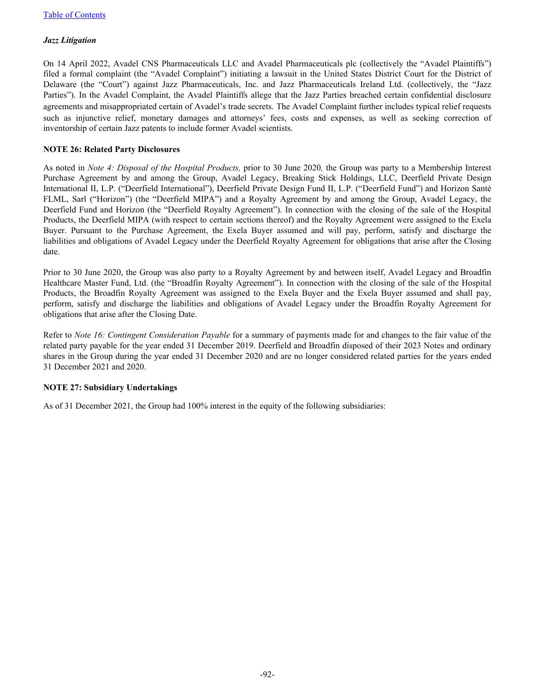# *Jazz Litigation*

On 14 April 2022, Avadel CNS Pharmaceuticals LLC and Avadel Pharmaceuticals plc (collectively the "Avadel Plaintiffs") filed a formal complaint (the "Avadel Complaint") initiating a lawsuit in the United States District Court for the District of Delaware (the "Court") against Jazz Pharmaceuticals, Inc. and Jazz Pharmaceuticals Ireland Ltd. (collectively, the "Jazz Parties"). In the Avadel Complaint, the Avadel Plaintiffs allege that the Jazz Parties breached certain confidential disclosure agreements and misappropriated certain of Avadel's trade secrets. The Avadel Complaint further includes typical relief requests such as injunctive relief, monetary damages and attorneys' fees, costs and expenses, as well as seeking correction of inventorship of certain Jazz patents to include former Avadel scientists.

# **NOTE 26: Related Party Disclosures**

As noted in *Note 4: Disposal of the Hospital Products,* prior to 30 June 2020*,* the Group was party to a Membership Interest Purchase Agreement by and among the Group, Avadel Legacy, Breaking Stick Holdings, LLC, Deerfield Private Design International II, L.P. ("Deerfield International"), Deerfield Private Design Fund II, L.P. ("Deerfield Fund") and Horizon Santé FLML, Sarl ("Horizon") (the "Deerfield MIPA") and a Royalty Agreement by and among the Group, Avadel Legacy, the Deerfield Fund and Horizon (the "Deerfield Royalty Agreement"). In connection with the closing of the sale of the Hospital Products, the Deerfield MIPA (with respect to certain sections thereof) and the Royalty Agreement were assigned to the Exela Buyer. Pursuant to the Purchase Agreement, the Exela Buyer assumed and will pay, perform, satisfy and discharge the liabilities and obligations of Avadel Legacy under the Deerfield Royalty Agreement for obligations that arise after the Closing date.

Prior to 30 June 2020, the Group was also party to a Royalty Agreement by and between itself, Avadel Legacy and Broadfin Healthcare Master Fund, Ltd. (the "Broadfin Royalty Agreement"). In connection with the closing of the sale of the Hospital Products, the Broadfin Royalty Agreement was assigned to the Exela Buyer and the Exela Buyer assumed and shall pay, perform, satisfy and discharge the liabilities and obligations of Avadel Legacy under the Broadfin Royalty Agreement for obligations that arise after the Closing Date.

Refer to *Note 16: Contingent Consideration Payable* for a summary of payments made for and changes to the fair value of the related party payable for the year ended 31 December 2019. Deerfield and Broadfin disposed of their 2023 Notes and ordinary shares in the Group during the year ended 31 December 2020 and are no longer considered related parties for the years ended 31 December 2021 and 2020.

# **NOTE 27: Subsidiary Undertakings**

As of 31 December 2021, the Group had 100% interest in the equity of the following subsidiaries: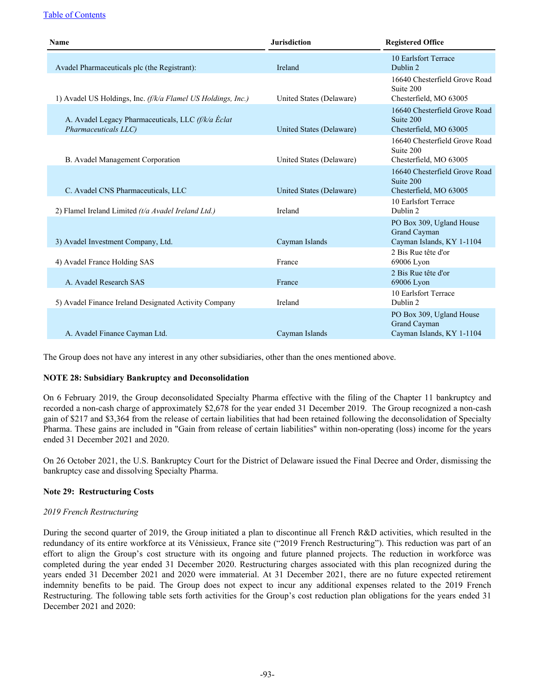# [Table of Contents](#page-2-0)

| <b>Jurisdiction</b><br><b>Name</b>                                         |                          | <b>Registered Office</b>                                                                     |
|----------------------------------------------------------------------------|--------------------------|----------------------------------------------------------------------------------------------|
| Avadel Pharmaceuticals plc (the Registrant):                               | Ireland                  | 10 Earlsfort Terrace<br>Dublin 2                                                             |
| 1) Avadel US Holdings, Inc. (f/k/a Flamel US Holdings, Inc.)               | United States (Delaware) | 16640 Chesterfield Grove Road<br>Suite 200<br>Chesterfield, MO 63005                         |
| A. Avadel Legacy Pharmaceuticals, LLC (f/k/a Éclat<br>Pharmaceuticals LLC) | United States (Delaware) | 16640 Chesterfield Grove Road<br>Suite 200<br>Chesterfield, MO 63005                         |
| B. Avadel Management Corporation                                           | United States (Delaware) | 16640 Chesterfield Grove Road<br>Suite 200<br>Chesterfield, MO 63005                         |
| C. Avadel CNS Pharmaceuticals, LLC                                         | United States (Delaware) | 16640 Chesterfield Grove Road<br>Suite 200<br>Chesterfield, MO 63005                         |
| 2) Flamel Ireland Limited $(t/a \text{ } A$ vadel Ireland Ltd.)            | Ireland                  | 10 Earlsfort Terrace<br>Dublin 2                                                             |
| 3) Avadel Investment Company, Ltd.                                         | Cayman Islands           | PO Box 309, Ugland House<br>Grand Cayman<br>Cayman Islands, KY 1-1104<br>2 Bis Rue tête d'or |
| 4) Avadel France Holding SAS                                               | France                   | 69006 Lyon                                                                                   |
| A. Avadel Research SAS                                                     | France                   | 2 Bis Rue tête d'or<br>69006 Lyon                                                            |
| 5) Avadel Finance Ireland Designated Activity Company                      | Ireland                  | 10 Earlsfort Terrace<br>Dublin 2                                                             |
| A. Avadel Finance Cayman Ltd.                                              | Cayman Islands           | PO Box 309, Ugland House<br>Grand Cayman<br>Cayman Islands, KY 1-1104                        |

The Group does not have any interest in any other subsidiaries, other than the ones mentioned above.

# **NOTE 28: Subsidiary Bankruptcy and Deconsolidation**

On 6 February 2019, the Group deconsolidated Specialty Pharma effective with the filing of the Chapter 11 bankruptcy and recorded a non-cash charge of approximately \$2,678 for the year ended 31 December 2019. The Group recognized a non-cash gain of \$217 and \$3,364 from the release of certain liabilities that had been retained following the deconsolidation of Specialty Pharma. These gains are included in "Gain from release of certain liabilities" within non-operating (loss) income for the years ended 31 December 2021 and 2020.

On 26 October 2021, the U.S. Bankruptcy Court for the District of Delaware issued the Final Decree and Order, dismissing the bankruptcy case and dissolving Specialty Pharma.

# **Note 29: Restructuring Costs**

# *2019 French Restructuring*

During the second quarter of 2019, the Group initiated a plan to discontinue all French R&D activities, which resulted in the redundancy of its entire workforce at its Vénissieux, France site ("2019 French Restructuring"). This reduction was part of an effort to align the Group's cost structure with its ongoing and future planned projects. The reduction in workforce was completed during the year ended 31 December 2020. Restructuring charges associated with this plan recognized during the years ended 31 December 2021 and 2020 were immaterial. At 31 December 2021, there are no future expected retirement indemnity benefits to be paid. The Group does not expect to incur any additional expenses related to the 2019 French Restructuring. The following table sets forth activities for the Group's cost reduction plan obligations for the years ended 31 December 2021 and 2020: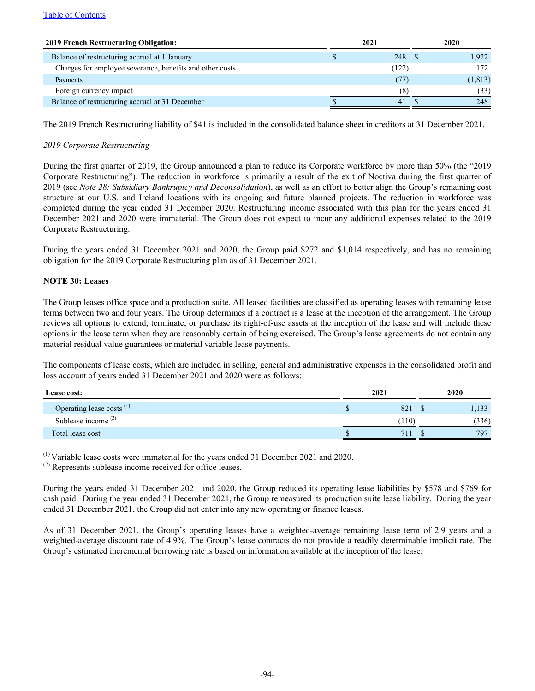| <b>2019 French Restructuring Obligation:</b>             | 2021  |                | 2020 |          |
|----------------------------------------------------------|-------|----------------|------|----------|
| Balance of restructuring accrual at 1 January            |       | 248 \$         |      | 1.922    |
| Charges for employee severance, benefits and other costs | (122) |                | 172. |          |
| Payments                                                 |       | (77)           |      | (1, 813) |
| Foreign currency impact                                  |       | (8)            |      | (33)     |
| Balance of restructuring accrual at 31 December          |       | 4 <sub>1</sub> |      | 248      |

The 2019 French Restructuring liability of \$41 is included in the consolidated balance sheet in creditors at 31 December 2021.

# *2019 Corporate Restructuring*

During the first quarter of 2019, the Group announced a plan to reduce its Corporate workforce by more than 50% (the "2019 Corporate Restructuring"). The reduction in workforce is primarily a result of the exit of Noctiva during the first quarter of 2019 (see *Note 28: Subsidiary Bankruptcy and Deconsolidation*), as well as an effort to better align the Group's remaining cost structure at our U.S. and Ireland locations with its ongoing and future planned projects. The reduction in workforce was completed during the year ended 31 December 2020. Restructuring income associated with this plan for the years ended 31 December 2021 and 2020 were immaterial. The Group does not expect to incur any additional expenses related to the 2019 Corporate Restructuring.

During the years ended 31 December 2021 and 2020, the Group paid \$272 and \$1,014 respectively, and has no remaining obligation for the 2019 Corporate Restructuring plan as of 31 December 2021.

## **NOTE 30: Leases**

The Group leases office space and a production suite. All leased facilities are classified as operating leases with remaining lease terms between two and four years. The Group determines if a contract is a lease at the inception of the arrangement. The Group reviews all options to extend, terminate, or purchase its right-of-use assets at the inception of the lease and will include these options in the lease term when they are reasonably certain of being exercised. The Group's lease agreements do not contain any material residual value guarantees or material variable lease payments.

The components of lease costs, which are included in selling, general and administrative expenses in the consolidated profit and loss account of years ended 31 December 2021 and 2020 were as follows:

| <b>Lease cost:</b>                   | 2021  | 2020 |       |
|--------------------------------------|-------|------|-------|
| Operating lease costs <sup>(1)</sup> | 821   |      | .133  |
| Sublease income <sup>(2)</sup>       | (110) |      | (336) |
| Total lease cost                     | 71.   |      | 797   |

 $^{(1)}$  Variable lease costs were immaterial for the years ended 31 December 2021 and 2020.

(2) Represents sublease income received for office leases.

During the years ended 31 December 2021 and 2020, the Group reduced its operating lease liabilities by \$578 and \$769 for cash paid. During the year ended 31 December 2021, the Group remeasured its production suite lease liability. During the year ended 31 December 2021, the Group did not enter into any new operating or finance leases.

As of 31 December 2021, the Group's operating leases have a weighted-average remaining lease term of 2.9 years and a weighted-average discount rate of 4.9%. The Group's lease contracts do not provide a readily determinable implicit rate. The Group's estimated incremental borrowing rate is based on information available at the inception of the lease.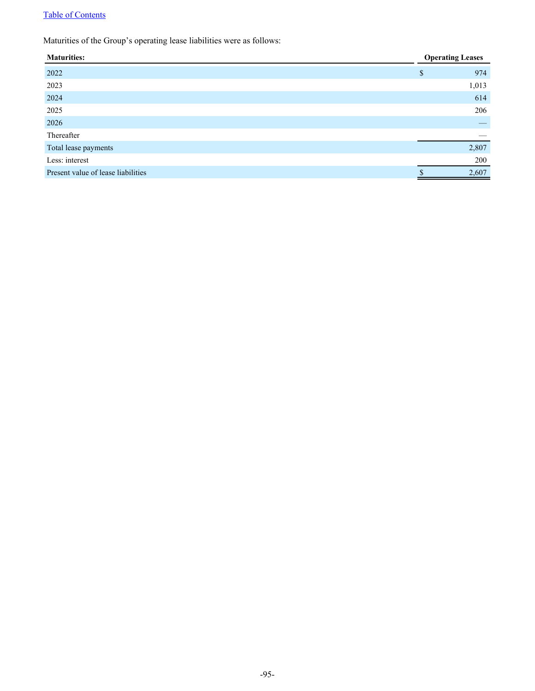# [Table of Contents](#page-2-0)

Maturities of the Group's operating lease liabilities were as follows:

| <b>Operating Leases</b>         |
|---------------------------------|
| 974                             |
| 1,013                           |
| 614                             |
| 206                             |
| $\hspace{0.1mm}-\hspace{0.1mm}$ |
|                                 |
| 2,807                           |
| 200                             |
| 2,607                           |
|                                 |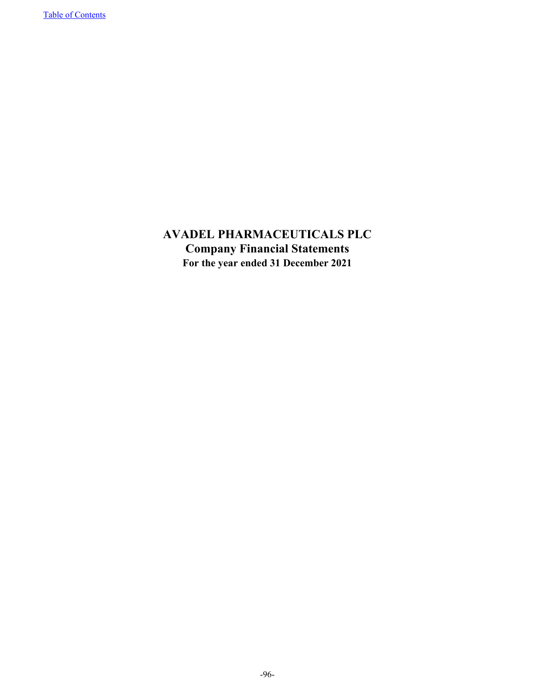**AVADEL PHARMACEUTICALS PLC Company Financial Statements For the year ended 31 December 2021**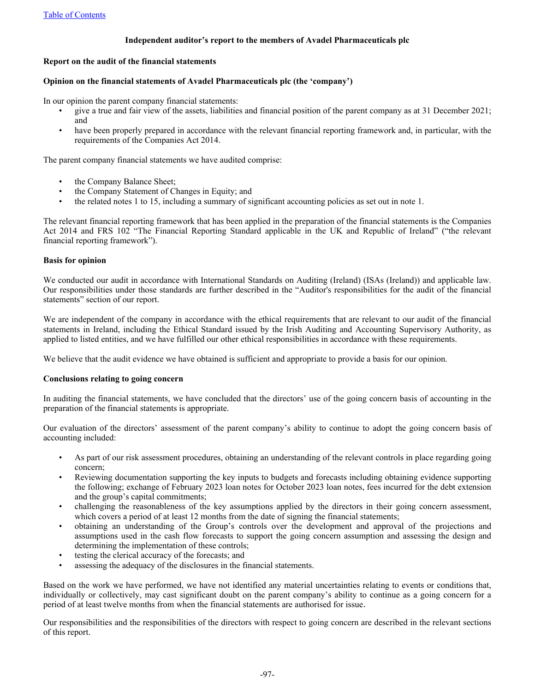## **Independent auditor's report to the members of Avadel Pharmaceuticals plc**

#### **Report on the audit of the financial statements**

## **Opinion on the financial statements of Avadel Pharmaceuticals plc (the 'company')**

In our opinion the parent company financial statements:

- give a true and fair view of the assets, liabilities and financial position of the parent company as at 31 December 2021; and
- have been properly prepared in accordance with the relevant financial reporting framework and, in particular, with the requirements of the Companies Act 2014.

The parent company financial statements we have audited comprise:

- the Company Balance Sheet;
- the Company Statement of Changes in Equity; and
- the related notes 1 to 15, including a summary of significant accounting policies as set out in note 1.

The relevant financial reporting framework that has been applied in the preparation of the financial statements is the Companies Act 2014 and FRS 102 "The Financial Reporting Standard applicable in the UK and Republic of Ireland" ("the relevant financial reporting framework").

## **Basis for opinion**

We conducted our audit in accordance with International Standards on Auditing (Ireland) (ISAs (Ireland)) and applicable law. Our responsibilities under those standards are further described in the "Auditor's responsibilities for the audit of the financial statements" section of our report.

We are independent of the company in accordance with the ethical requirements that are relevant to our audit of the financial statements in Ireland, including the Ethical Standard issued by the Irish Auditing and Accounting Supervisory Authority, as applied to listed entities, and we have fulfilled our other ethical responsibilities in accordance with these requirements.

We believe that the audit evidence we have obtained is sufficient and appropriate to provide a basis for our opinion.

#### **Conclusions relating to going concern**

In auditing the financial statements, we have concluded that the directors' use of the going concern basis of accounting in the preparation of the financial statements is appropriate.

Our evaluation of the directors' assessment of the parent company's ability to continue to adopt the going concern basis of accounting included:

- As part of our risk assessment procedures, obtaining an understanding of the relevant controls in place regarding going concern;
- Reviewing documentation supporting the key inputs to budgets and forecasts including obtaining evidence supporting the following; exchange of February 2023 loan notes for October 2023 loan notes, fees incurred for the debt extension and the group's capital commitments;
- challenging the reasonableness of the key assumptions applied by the directors in their going concern assessment, which covers a period of at least 12 months from the date of signing the financial statements;
- obtaining an understanding of the Group's controls over the development and approval of the projections and assumptions used in the cash flow forecasts to support the going concern assumption and assessing the design and determining the implementation of these controls;
- testing the clerical accuracy of the forecasts; and
- assessing the adequacy of the disclosures in the financial statements.

Based on the work we have performed, we have not identified any material uncertainties relating to events or conditions that, individually or collectively, may cast significant doubt on the parent company's ability to continue as a going concern for a period of at least twelve months from when the financial statements are authorised for issue.

Our responsibilities and the responsibilities of the directors with respect to going concern are described in the relevant sections of this report.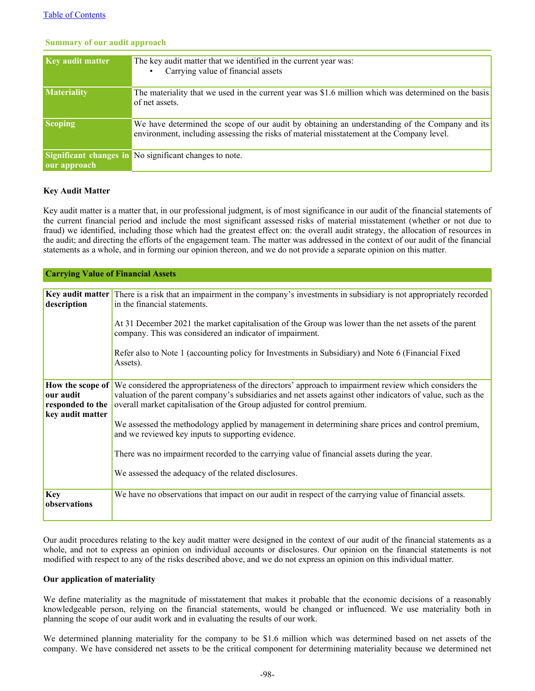| <b>Key audit matter</b> | The key audit matter that we identified in the current year was:                                     |
|-------------------------|------------------------------------------------------------------------------------------------------|
|                         |                                                                                                      |
|                         | Carrying value of financial assets                                                                   |
|                         |                                                                                                      |
| <b>Materiality</b>      | The materiality that we used in the current year was \$1.6 million which was determined on the basis |
|                         |                                                                                                      |
|                         | of net assets.                                                                                       |
|                         |                                                                                                      |
|                         |                                                                                                      |
| <b>Scoping</b>          | We have determined the scope of our audit by obtaining an understanding of the Company and its       |
|                         | environment, including assessing the risks of material misstatement at the Company level.            |
|                         |                                                                                                      |
|                         |                                                                                                      |
|                         | Significant changes in No significant changes to note.                                               |
|                         |                                                                                                      |
| our approach            |                                                                                                      |
|                         |                                                                                                      |

#### **Summary of our audit approach**

#### **Key Audit Matter**

Key audit matter is a matter that, in our professional judgment, is of most significance in our audit of the financial statements of the current financial period and include the most significant assessed risks of material misstatement (whether or not due to fraud) we identified, including those which had the greatest effect on: the overall audit strategy, the allocation of resources in the audit; and directing the efforts of the engagement team. The matter was addressed in the context of our audit of the financial statements as a whole, and in forming our opinion thereon, and we do not provide a separate opinion on this matter.

| <b>Carrying Value of Financial Assets</b>         |                                                                                                                                                                                                                                                                                                                           |
|---------------------------------------------------|---------------------------------------------------------------------------------------------------------------------------------------------------------------------------------------------------------------------------------------------------------------------------------------------------------------------------|
|                                                   |                                                                                                                                                                                                                                                                                                                           |
| description                                       | <b>Key audit matter</b> There is a risk that an impairment in the company's investments in subsidiary is not appropriately recorded<br>in the financial statements.                                                                                                                                                       |
|                                                   | At 31 December 2021 the market capitalisation of the Group was lower than the net assets of the parent<br>company. This was considered an indicator of impairment.                                                                                                                                                        |
|                                                   | Refer also to Note 1 (accounting policy for Investments in Subsidiary) and Note 6 (Financial Fixed<br>Assets).                                                                                                                                                                                                            |
| our audit<br>responded to the<br>key audit matter | <b>How the scope of</b> We considered the appropriateness of the directors' approach to impairment review which considers the<br>valuation of the parent company's subsidiaries and net assets against other indicators of value, such as the<br>overall market capitalisation of the Group adjusted for control premium. |
|                                                   | We assessed the methodology applied by management in determining share prices and control premium,<br>and we reviewed key inputs to supporting evidence.                                                                                                                                                                  |
|                                                   | There was no impairment recorded to the carrying value of financial assets during the year.                                                                                                                                                                                                                               |
|                                                   | We assessed the adequacy of the related disclosures.                                                                                                                                                                                                                                                                      |
| <b>Key</b><br>observations                        | We have no observations that impact on our audit in respect of the carrying value of financial assets.                                                                                                                                                                                                                    |

Our audit procedures relating to the key audit matter were designed in the context of our audit of the financial statements as a whole, and not to express an opinion on individual accounts or disclosures. Our opinion on the financial statements is not modified with respect to any of the risks described above, and we do not express an opinion on this individual matter.

#### **Our application of materiality**

We define materiality as the magnitude of misstatement that makes it probable that the economic decisions of a reasonably knowledgeable person, relying on the financial statements, would be changed or influenced. We use materiality both in planning the scope of our audit work and in evaluating the results of our work.

We determined planning materiality for the company to be \$1.6 million which was determined based on net assets of the company. We have considered net assets to be the critical component for determining materiality because we determined net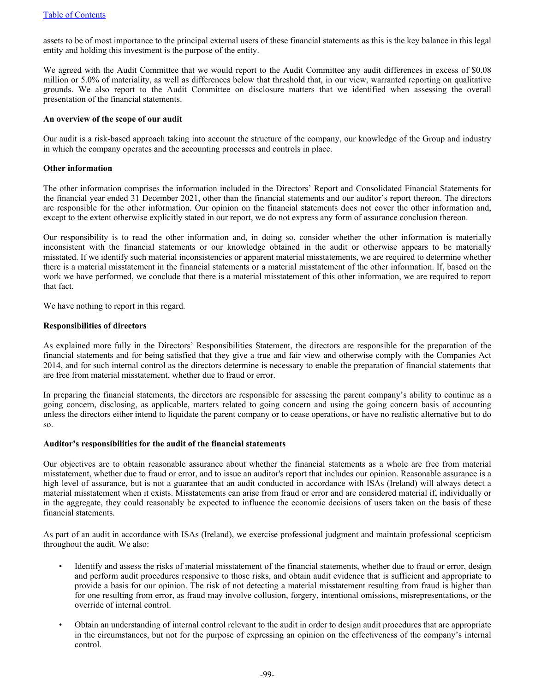assets to be of most importance to the principal external users of these financial statements as this is the key balance in this legal entity and holding this investment is the purpose of the entity.

We agreed with the Audit Committee that we would report to the Audit Committee any audit differences in excess of \$0.08 million or 5.0% of materiality, as well as differences below that threshold that, in our view, warranted reporting on qualitative grounds. We also report to the Audit Committee on disclosure matters that we identified when assessing the overall presentation of the financial statements.

#### **An overview of the scope of our audit**

Our audit is a risk-based approach taking into account the structure of the company, our knowledge of the Group and industry in which the company operates and the accounting processes and controls in place.

#### **Other information**

The other information comprises the information included in the Directors' Report and Consolidated Financial Statements for the financial year ended 31 December 2021, other than the financial statements and our auditor's report thereon. The directors are responsible for the other information. Our opinion on the financial statements does not cover the other information and, except to the extent otherwise explicitly stated in our report, we do not express any form of assurance conclusion thereon.

Our responsibility is to read the other information and, in doing so, consider whether the other information is materially inconsistent with the financial statements or our knowledge obtained in the audit or otherwise appears to be materially misstated. If we identify such material inconsistencies or apparent material misstatements, we are required to determine whether there is a material misstatement in the financial statements or a material misstatement of the other information. If, based on the work we have performed, we conclude that there is a material misstatement of this other information, we are required to report that fact.

We have nothing to report in this regard.

#### **Responsibilities of directors**

As explained more fully in the Directors' Responsibilities Statement, the directors are responsible for the preparation of the financial statements and for being satisfied that they give a true and fair view and otherwise comply with the Companies Act 2014, and for such internal control as the directors determine is necessary to enable the preparation of financial statements that are free from material misstatement, whether due to fraud or error.

In preparing the financial statements, the directors are responsible for assessing the parent company's ability to continue as a going concern, disclosing, as applicable, matters related to going concern and using the going concern basis of accounting unless the directors either intend to liquidate the parent company or to cease operations, or have no realistic alternative but to do so.

#### **Auditor's responsibilities for the audit of the financial statements**

Our objectives are to obtain reasonable assurance about whether the financial statements as a whole are free from material misstatement, whether due to fraud or error, and to issue an auditor's report that includes our opinion. Reasonable assurance is a high level of assurance, but is not a guarantee that an audit conducted in accordance with ISAs (Ireland) will always detect a material misstatement when it exists. Misstatements can arise from fraud or error and are considered material if, individually or in the aggregate, they could reasonably be expected to influence the economic decisions of users taken on the basis of these financial statements.

As part of an audit in accordance with ISAs (Ireland), we exercise professional judgment and maintain professional scepticism throughout the audit. We also:

- Identify and assess the risks of material misstatement of the financial statements, whether due to fraud or error, design and perform audit procedures responsive to those risks, and obtain audit evidence that is sufficient and appropriate to provide a basis for our opinion. The risk of not detecting a material misstatement resulting from fraud is higher than for one resulting from error, as fraud may involve collusion, forgery, intentional omissions, misrepresentations, or the override of internal control.
- Obtain an understanding of internal control relevant to the audit in order to design audit procedures that are appropriate in the circumstances, but not for the purpose of expressing an opinion on the effectiveness of the company's internal control.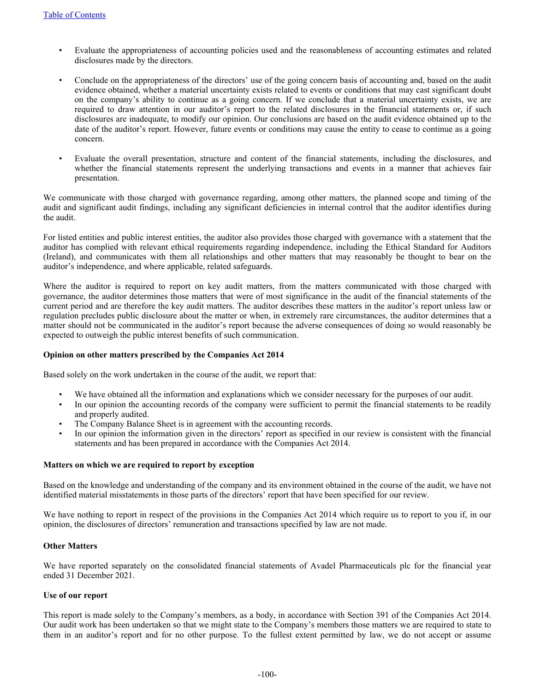- Evaluate the appropriateness of accounting policies used and the reasonableness of accounting estimates and related disclosures made by the directors.
- Conclude on the appropriateness of the directors' use of the going concern basis of accounting and, based on the audit evidence obtained, whether a material uncertainty exists related to events or conditions that may cast significant doubt on the company's ability to continue as a going concern. If we conclude that a material uncertainty exists, we are required to draw attention in our auditor's report to the related disclosures in the financial statements or, if such disclosures are inadequate, to modify our opinion. Our conclusions are based on the audit evidence obtained up to the date of the auditor's report. However, future events or conditions may cause the entity to cease to continue as a going concern.
- Evaluate the overall presentation, structure and content of the financial statements, including the disclosures, and whether the financial statements represent the underlying transactions and events in a manner that achieves fair presentation.

We communicate with those charged with governance regarding, among other matters, the planned scope and timing of the audit and significant audit findings, including any significant deficiencies in internal control that the auditor identifies during the audit.

For listed entities and public interest entities, the auditor also provides those charged with governance with a statement that the auditor has complied with relevant ethical requirements regarding independence, including the Ethical Standard for Auditors (Ireland), and communicates with them all relationships and other matters that may reasonably be thought to bear on the auditor's independence, and where applicable, related safeguards.

Where the auditor is required to report on key audit matters, from the matters communicated with those charged with governance, the auditor determines those matters that were of most significance in the audit of the financial statements of the current period and are therefore the key audit matters. The auditor describes these matters in the auditor's report unless law or regulation precludes public disclosure about the matter or when, in extremely rare circumstances, the auditor determines that a matter should not be communicated in the auditor's report because the adverse consequences of doing so would reasonably be expected to outweigh the public interest benefits of such communication.

# **Opinion on other matters prescribed by the Companies Act 2014**

Based solely on the work undertaken in the course of the audit, we report that:

- We have obtained all the information and explanations which we consider necessary for the purposes of our audit.
- In our opinion the accounting records of the company were sufficient to permit the financial statements to be readily and properly audited.
- The Company Balance Sheet is in agreement with the accounting records.
- In our opinion the information given in the directors' report as specified in our review is consistent with the financial statements and has been prepared in accordance with the Companies Act 2014.

#### **Matters on which we are required to report by exception**

Based on the knowledge and understanding of the company and its environment obtained in the course of the audit, we have not identified material misstatements in those parts of the directors' report that have been specified for our review.

We have nothing to report in respect of the provisions in the Companies Act 2014 which require us to report to you if, in our opinion, the disclosures of directors' remuneration and transactions specified by law are not made.

## **Other Matters**

We have reported separately on the consolidated financial statements of Avadel Pharmaceuticals plc for the financial year ended 31 December 2021.

#### **Use of our report**

This report is made solely to the Company's members, as a body, in accordance with Section 391 of the Companies Act 2014. Our audit work has been undertaken so that we might state to the Company's members those matters we are required to state to them in an auditor's report and for no other purpose. To the fullest extent permitted by law, we do not accept or assume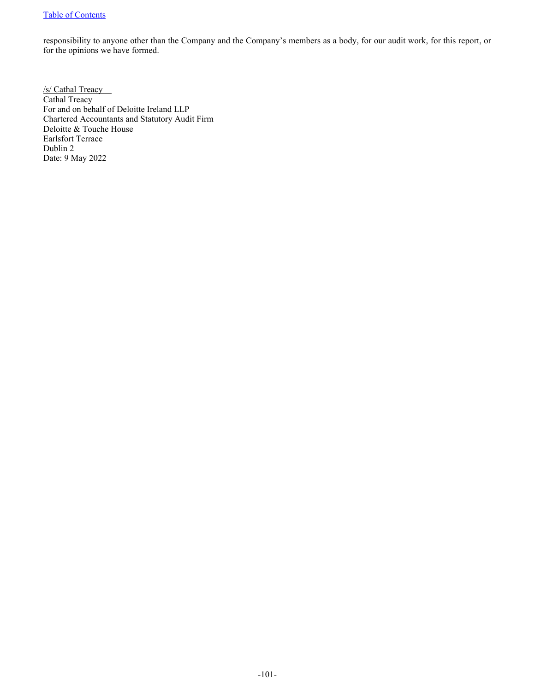# [Table of Contents](#page-2-0)

responsibility to anyone other than the Company and the Company's members as a body, for our audit work, for this report, or for the opinions we have formed.

/s/ Cathal Treacy Cathal Treacy For and on behalf of Deloitte Ireland LLP Chartered Accountants and Statutory Audit Firm Deloitte & Touche House Earlsfort Terrace Dublin 2 Date: 9 May 2022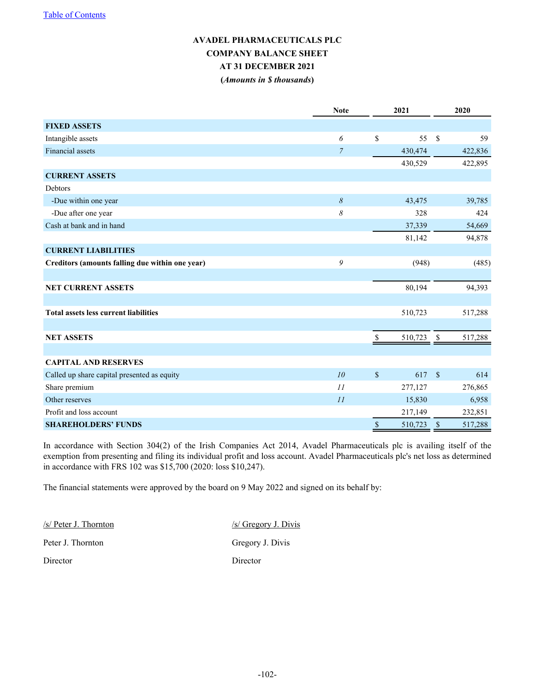# **AVADEL PHARMACEUTICALS PLC COMPANY BALANCE SHEET AT 31 DECEMBER 2021 (***Amounts in \$ thousands***)**

|                                                 | <b>Note</b>    | 2021                      |            | 2020                 |         |  |
|-------------------------------------------------|----------------|---------------------------|------------|----------------------|---------|--|
| <b>FIXED ASSETS</b>                             |                |                           |            |                      |         |  |
| Intangible assets                               | 6              | \$                        | 55         | $\mathcal{S}$        | 59      |  |
| Financial assets                                | $\overline{7}$ |                           | 430,474    |                      | 422,836 |  |
|                                                 |                |                           | 430,529    |                      | 422,895 |  |
| <b>CURRENT ASSETS</b>                           |                |                           |            |                      |         |  |
| Debtors                                         |                |                           |            |                      |         |  |
| -Due within one year                            | 8              |                           | 43,475     |                      | 39,785  |  |
| -Due after one year                             | 8              |                           | 328        |                      | 424     |  |
| Cash at bank and in hand                        |                |                           | 37,339     |                      | 54,669  |  |
|                                                 |                |                           | 81,142     |                      | 94,878  |  |
| <b>CURRENT LIABILITIES</b>                      |                |                           |            |                      |         |  |
| Creditors (amounts falling due within one year) | 9              |                           | (948)      |                      | (485)   |  |
|                                                 |                |                           |            |                      |         |  |
| <b>NET CURRENT ASSETS</b>                       |                |                           | 80,194     |                      | 94,393  |  |
|                                                 |                |                           |            |                      |         |  |
| <b>Total assets less current liabilities</b>    |                |                           | 510,723    |                      | 517,288 |  |
|                                                 |                |                           |            |                      |         |  |
| <b>NET ASSETS</b>                               |                | \$                        | 510,723 \$ |                      | 517,288 |  |
|                                                 |                |                           |            |                      |         |  |
| <b>CAPITAL AND RESERVES</b>                     |                |                           |            |                      |         |  |
| Called up share capital presented as equity     | 10             | $\boldsymbol{\mathsf{S}}$ | 617        | $\sqrt{\frac{2}{5}}$ | 614     |  |
| Share premium                                   | 11             |                           | 277,127    |                      | 276,865 |  |
| Other reserves                                  | 11             |                           | 15,830     |                      | 6,958   |  |
| Profit and loss account                         |                |                           | 217,149    |                      | 232,851 |  |
| <b>SHAREHOLDERS' FUNDS</b>                      |                | \$                        | 510,723    | $\mathbf S$          | 517,288 |  |

In accordance with Section 304(2) of the Irish Companies Act 2014, Avadel Pharmaceuticals plc is availing itself of the exemption from presenting and filing its individual profit and loss account. Avadel Pharmaceuticals plc's net loss as determined in accordance with FRS 102 was \$15,700 (2020: loss \$10,247).

The financial statements were approved by the board on 9 May 2022 and signed on its behalf by:

/s/ Peter J. Thornton /s/ Gregory J. Divis Peter J. Thornton Gregory J. Divis Director Director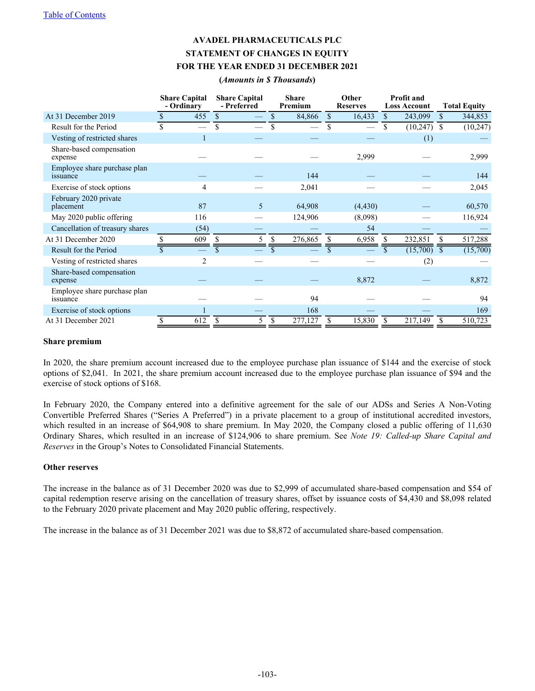# **AVADEL PHARMACEUTICALS PLC STATEMENT OF CHANGES IN EQUITY FOR THE YEAR ENDED 31 DECEMBER 2021**

**(***Amounts in \$ Thousands***)**

|                                          | <b>Share Capital</b><br>- Ordinary | <b>Share Capital</b><br>- Preferred |               | <b>Share</b><br>Premium |                         | Other<br><b>Reserves</b> |     | <b>Profit and</b><br><b>Loss Account</b> |                          | <b>Total Equity</b> |
|------------------------------------------|------------------------------------|-------------------------------------|---------------|-------------------------|-------------------------|--------------------------|-----|------------------------------------------|--------------------------|---------------------|
| At 31 December 2019                      | 455                                | \$                                  | \$            | 84,866                  | <sup>\$</sup>           | 16,433                   | \$. | 243,099                                  | $\mathbf{s}$             | 344,853             |
| Result for the Period                    | \$                                 | \$                                  | \$            |                         | \$                      |                          | \$  | (10, 247)                                | <sup>\$</sup>            | (10, 247)           |
| Vesting of restricted shares             |                                    |                                     |               |                         |                         |                          |     | (1)                                      |                          |                     |
| Share-based compensation<br>expense      |                                    |                                     |               |                         |                         | 2,999                    |     |                                          |                          | 2,999               |
| Employee share purchase plan<br>issuance |                                    |                                     |               | 144                     |                         |                          |     |                                          |                          | 144                 |
| Exercise of stock options                | 4                                  |                                     |               | 2,041                   |                         |                          |     |                                          |                          | 2,045               |
| February 2020 private<br>placement       | 87                                 | 5                                   |               | 64,908                  |                         | (4, 430)                 |     |                                          |                          | 60,570              |
| May 2020 public offering                 | 116                                |                                     |               | 124,906                 |                         | (8,098)                  |     |                                          |                          | 116,924             |
| Cancellation of treasury shares          | (54)                               |                                     |               |                         |                         | 54                       |     |                                          |                          |                     |
| At 31 December 2020                      | 609                                | 5                                   | S             | 276,865                 |                         | 6,958                    |     | 232,851                                  | S                        | 517,288             |
| Result for the Period                    |                                    |                                     |               |                         | $\overline{\mathbf{S}}$ |                          |     | (15,700)                                 | $\overline{\mathcal{S}}$ | (15,700)            |
| Vesting of restricted shares             | $\overline{2}$                     |                                     |               |                         |                         |                          |     | (2)                                      |                          |                     |
| Share-based compensation<br>expense      |                                    |                                     |               |                         |                         | 8,872                    |     |                                          |                          | 8,872               |
| Employee share purchase plan<br>issuance |                                    |                                     |               | 94                      |                         |                          |     |                                          |                          | 94                  |
| Exercise of stock options                |                                    |                                     |               | 168                     |                         |                          |     |                                          |                          | 169                 |
| At 31 December 2021                      | \$<br>612                          | \$<br>5                             | <sup>\$</sup> | 277,127                 | <sup>\$</sup>           | 15,830                   | \$  | 217,149                                  | \$                       | 510,723             |

#### **Share premium**

In 2020, the share premium account increased due to the employee purchase plan issuance of \$144 and the exercise of stock options of \$2,041. In 2021, the share premium account increased due to the employee purchase plan issuance of \$94 and the exercise of stock options of \$168.

In February 2020, the Company entered into a definitive agreement for the sale of our ADSs and Series A Non-Voting Convertible Preferred Shares ("Series A Preferred") in a private placement to a group of institutional accredited investors, which resulted in an increase of \$64,908 to share premium. In May 2020, the Company closed a public offering of 11,630 Ordinary Shares, which resulted in an increase of \$124,906 to share premium. See *Note 19: Called-up Share Capital and Reserves* in the Group's Notes to Consolidated Financial Statements.

#### **Other reserves**

The increase in the balance as of 31 December 2020 was due to \$2,999 of accumulated share-based compensation and \$54 of capital redemption reserve arising on the cancellation of treasury shares, offset by issuance costs of \$4,430 and \$8,098 related to the February 2020 private placement and May 2020 public offering, respectively.

The increase in the balance as of 31 December 2021 was due to \$8,872 of accumulated share-based compensation.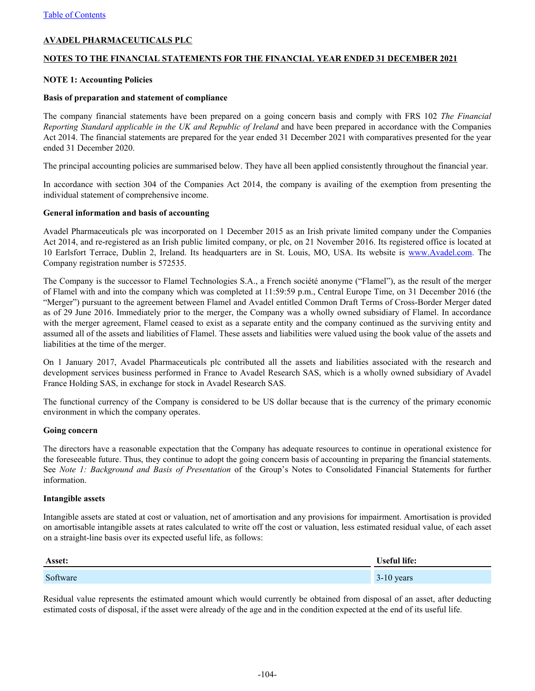# **AVADEL PHARMACEUTICALS PLC**

## **NOTES TO THE FINANCIAL STATEMENTS FOR THE FINANCIAL YEAR ENDED 31 DECEMBER 2021**

## **NOTE 1: Accounting Policies**

#### **Basis of preparation and statement of compliance**

The company financial statements have been prepared on a going concern basis and comply with FRS 102 *The Financial Reporting Standard applicable in the UK and Republic of Ireland* and have been prepared in accordance with the Companies Act 2014. The financial statements are prepared for the year ended 31 December 2021 with comparatives presented for the year ended 31 December 2020.

The principal accounting policies are summarised below. They have all been applied consistently throughout the financial year.

In accordance with section 304 of the Companies Act 2014, the company is availing of the exemption from presenting the individual statement of comprehensive income.

#### **General information and basis of accounting**

Avadel Pharmaceuticals plc was incorporated on 1 December 2015 as an Irish private limited company under the Companies Act 2014, and re-registered as an Irish public limited company, or plc, on 21 November 2016. Its registered office is located at 10 Earlsfort Terrace, Dublin 2, Ireland. Its headquarters are in St. Louis, MO, USA. Its website is www.Avadel.com. The Company registration number is 572535.

The Company is the successor to Flamel Technologies S.A., a French société anonyme ("Flamel"), as the result of the merger of Flamel with and into the company which was completed at 11:59:59 p.m., Central Europe Time, on 31 December 2016 (the "Merger") pursuant to the agreement between Flamel and Avadel entitled Common Draft Terms of Cross-Border Merger dated as of 29 June 2016. Immediately prior to the merger, the Company was a wholly owned subsidiary of Flamel. In accordance with the merger agreement, Flamel ceased to exist as a separate entity and the company continued as the surviving entity and assumed all of the assets and liabilities of Flamel. These assets and liabilities were valued using the book value of the assets and liabilities at the time of the merger.

On 1 January 2017, Avadel Pharmaceuticals plc contributed all the assets and liabilities associated with the research and development services business performed in France to Avadel Research SAS, which is a wholly owned subsidiary of Avadel France Holding SAS, in exchange for stock in Avadel Research SAS.

The functional currency of the Company is considered to be US dollar because that is the currency of the primary economic environment in which the company operates.

#### **Going concern**

The directors have a reasonable expectation that the Company has adequate resources to continue in operational existence for the foreseeable future. Thus, they continue to adopt the going concern basis of accounting in preparing the financial statements. See *Note 1: Background and Basis of Presentation* of the Group's Notes to Consolidated Financial Statements for further information.

#### **Intangible assets**

Intangible assets are stated at cost or valuation, net of amortisation and any provisions for impairment. Amortisation is provided on amortisable intangible assets at rates calculated to write off the cost or valuation, less estimated residual value, of each asset on a straight-line basis over its expected useful life, as follows:

| Asset:   | <b>Useful life:</b> |  |  |  |
|----------|---------------------|--|--|--|
| Software | $3-10$ years        |  |  |  |

Residual value represents the estimated amount which would currently be obtained from disposal of an asset, after deducting estimated costs of disposal, if the asset were already of the age and in the condition expected at the end of its useful life.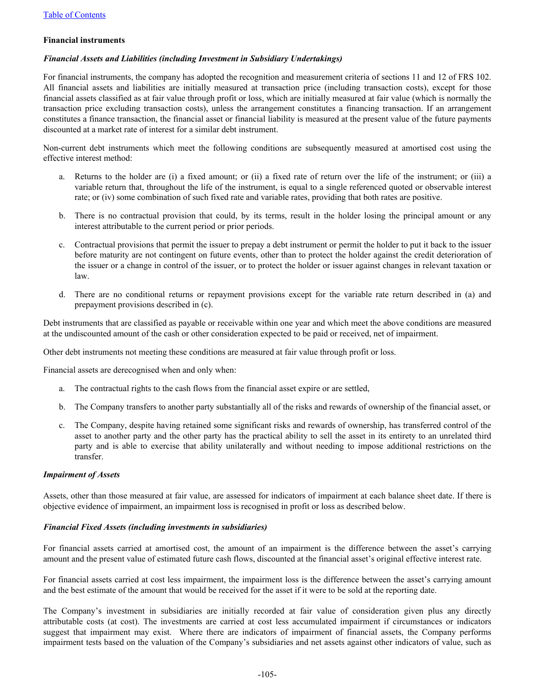#### **Financial instruments**

## *Financial Assets and Liabilities (including Investment in Subsidiary Undertakings)*

For financial instruments, the company has adopted the recognition and measurement criteria of sections 11 and 12 of FRS 102. All financial assets and liabilities are initially measured at transaction price (including transaction costs), except for those financial assets classified as at fair value through profit or loss, which are initially measured at fair value (which is normally the transaction price excluding transaction costs), unless the arrangement constitutes a financing transaction. If an arrangement constitutes a finance transaction, the financial asset or financial liability is measured at the present value of the future payments discounted at a market rate of interest for a similar debt instrument.

Non-current debt instruments which meet the following conditions are subsequently measured at amortised cost using the effective interest method:

- a. Returns to the holder are (i) a fixed amount; or (ii) a fixed rate of return over the life of the instrument; or (iii) a variable return that, throughout the life of the instrument, is equal to a single referenced quoted or observable interest rate; or (iv) some combination of such fixed rate and variable rates, providing that both rates are positive.
- b. There is no contractual provision that could, by its terms, result in the holder losing the principal amount or any interest attributable to the current period or prior periods.
- c. Contractual provisions that permit the issuer to prepay a debt instrument or permit the holder to put it back to the issuer before maturity are not contingent on future events, other than to protect the holder against the credit deterioration of the issuer or a change in control of the issuer, or to protect the holder or issuer against changes in relevant taxation or law.
- d. There are no conditional returns or repayment provisions except for the variable rate return described in (a) and prepayment provisions described in (c).

Debt instruments that are classified as payable or receivable within one year and which meet the above conditions are measured at the undiscounted amount of the cash or other consideration expected to be paid or received, net of impairment.

Other debt instruments not meeting these conditions are measured at fair value through profit or loss.

Financial assets are derecognised when and only when:

- a. The contractual rights to the cash flows from the financial asset expire or are settled,
- b. The Company transfers to another party substantially all of the risks and rewards of ownership of the financial asset, or
- c. The Company, despite having retained some significant risks and rewards of ownership, has transferred control of the asset to another party and the other party has the practical ability to sell the asset in its entirety to an unrelated third party and is able to exercise that ability unilaterally and without needing to impose additional restrictions on the transfer.

## *Impairment of Assets*

Assets, other than those measured at fair value, are assessed for indicators of impairment at each balance sheet date. If there is objective evidence of impairment, an impairment loss is recognised in profit or loss as described below.

#### *Financial Fixed Assets (including investments in subsidiaries)*

For financial assets carried at amortised cost, the amount of an impairment is the difference between the asset's carrying amount and the present value of estimated future cash flows, discounted at the financial asset's original effective interest rate.

For financial assets carried at cost less impairment, the impairment loss is the difference between the asset's carrying amount and the best estimate of the amount that would be received for the asset if it were to be sold at the reporting date.

The Company's investment in subsidiaries are initially recorded at fair value of consideration given plus any directly attributable costs (at cost). The investments are carried at cost less accumulated impairment if circumstances or indicators suggest that impairment may exist. Where there are indicators of impairment of financial assets, the Company performs impairment tests based on the valuation of the Company's subsidiaries and net assets against other indicators of value, such as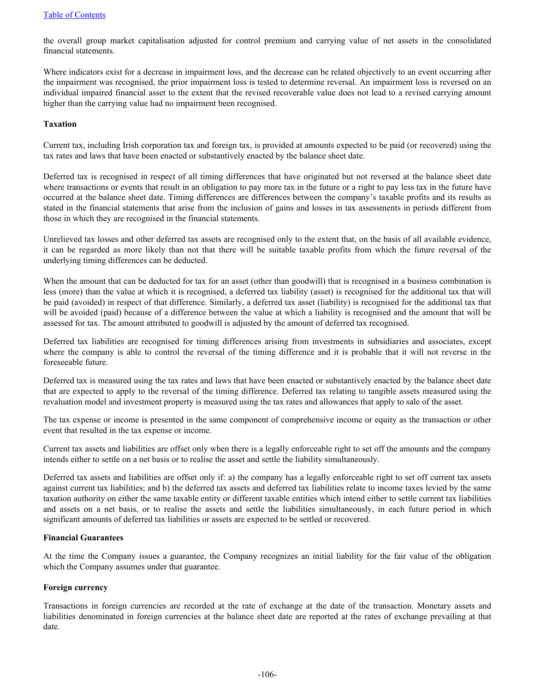the overall group market capitalisation adjusted for control premium and carrying value of net assets in the consolidated financial statements.

Where indicators exist for a decrease in impairment loss, and the decrease can be related objectively to an event occurring after the impairment was recognised, the prior impairment loss is tested to determine reversal. An impairment loss is reversed on an individual impaired financial asset to the extent that the revised recoverable value does not lead to a revised carrying amount higher than the carrying value had no impairment been recognised.

#### **Taxation**

Current tax, including Irish corporation tax and foreign tax, is provided at amounts expected to be paid (or recovered) using the tax rates and laws that have been enacted or substantively enacted by the balance sheet date.

Deferred tax is recognised in respect of all timing differences that have originated but not reversed at the balance sheet date where transactions or events that result in an obligation to pay more tax in the future or a right to pay less tax in the future have occurred at the balance sheet date. Timing differences are differences between the company's taxable profits and its results as stated in the financial statements that arise from the inclusion of gains and losses in tax assessments in periods different from those in which they are recognised in the financial statements.

Unrelieved tax losses and other deferred tax assets are recognised only to the extent that, on the basis of all available evidence, it can be regarded as more likely than not that there will be suitable taxable profits from which the future reversal of the underlying timing differences can be deducted.

When the amount that can be deducted for tax for an asset (other than goodwill) that is recognised in a business combination is less (more) than the value at which it is recognised, a deferred tax liability (asset) is recognised for the additional tax that will be paid (avoided) in respect of that difference. Similarly, a deferred tax asset (liability) is recognised for the additional tax that will be avoided (paid) because of a difference between the value at which a liability is recognised and the amount that will be assessed for tax. The amount attributed to goodwill is adjusted by the amount of deferred tax recognised.

Deferred tax liabilities are recognised for timing differences arising from investments in subsidiaries and associates, except where the company is able to control the reversal of the timing difference and it is probable that it will not reverse in the foreseeable future.

Deferred tax is measured using the tax rates and laws that have been enacted or substantively enacted by the balance sheet date that are expected to apply to the reversal of the timing difference. Deferred tax relating to tangible assets measured using the revaluation model and investment property is measured using the tax rates and allowances that apply to sale of the asset.

The tax expense or income is presented in the same component of comprehensive income or equity as the transaction or other event that resulted in the tax expense or income.

Current tax assets and liabilities are offset only when there is a legally enforceable right to set off the amounts and the company intends either to settle on a net basis or to realise the asset and settle the liability simultaneously.

Deferred tax assets and liabilities are offset only if: a) the company has a legally enforceable right to set off current tax assets against current tax liabilities; and b) the deferred tax assets and deferred tax liabilities relate to income taxes levied by the same taxation authority on either the same taxable entity or different taxable entities which intend either to settle current tax liabilities and assets on a net basis, or to realise the assets and settle the liabilities simultaneously, in each future period in which significant amounts of deferred tax liabilities or assets are expected to be settled or recovered.

# **Financial Guarantees**

At the time the Company issues a guarantee, the Company recognizes an initial liability for the fair value of the obligation which the Company assumes under that guarantee.

#### **Foreign currency**

Transactions in foreign currencies are recorded at the rate of exchange at the date of the transaction. Monetary assets and liabilities denominated in foreign currencies at the balance sheet date are reported at the rates of exchange prevailing at that date.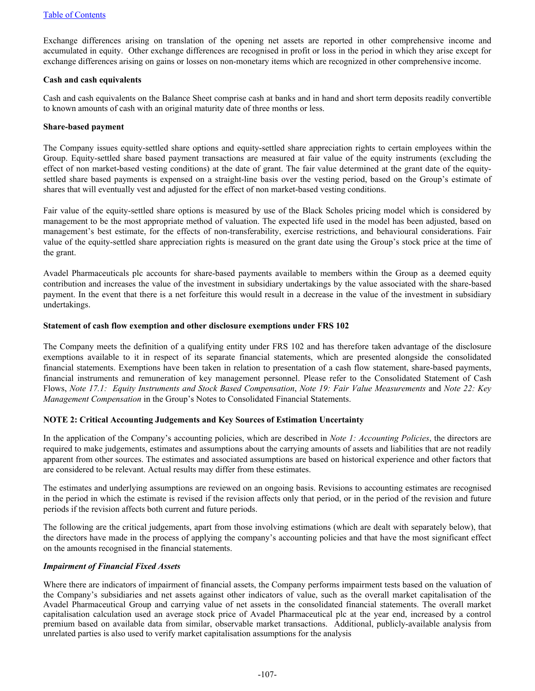Exchange differences arising on translation of the opening net assets are reported in other comprehensive income and accumulated in equity. Other exchange differences are recognised in profit or loss in the period in which they arise except for exchange differences arising on gains or losses on non-monetary items which are recognized in other comprehensive income.

## **Cash and cash equivalents**

Cash and cash equivalents on the Balance Sheet comprise cash at banks and in hand and short term deposits readily convertible to known amounts of cash with an original maturity date of three months or less.

#### **Share-based payment**

The Company issues equity-settled share options and equity-settled share appreciation rights to certain employees within the Group. Equity-settled share based payment transactions are measured at fair value of the equity instruments (excluding the effect of non market-based vesting conditions) at the date of grant. The fair value determined at the grant date of the equitysettled share based payments is expensed on a straight-line basis over the vesting period, based on the Group's estimate of shares that will eventually vest and adjusted for the effect of non market-based vesting conditions.

Fair value of the equity-settled share options is measured by use of the Black Scholes pricing model which is considered by management to be the most appropriate method of valuation. The expected life used in the model has been adjusted, based on management's best estimate, for the effects of non-transferability, exercise restrictions, and behavioural considerations. Fair value of the equity-settled share appreciation rights is measured on the grant date using the Group's stock price at the time of the grant.

Avadel Pharmaceuticals plc accounts for share-based payments available to members within the Group as a deemed equity contribution and increases the value of the investment in subsidiary undertakings by the value associated with the share-based payment. In the event that there is a net forfeiture this would result in a decrease in the value of the investment in subsidiary undertakings.

## **Statement of cash flow exemption and other disclosure exemptions under FRS 102**

The Company meets the definition of a qualifying entity under FRS 102 and has therefore taken advantage of the disclosure exemptions available to it in respect of its separate financial statements, which are presented alongside the consolidated financial statements. Exemptions have been taken in relation to presentation of a cash flow statement, share-based payments, financial instruments and remuneration of key management personnel. Please refer to the Consolidated Statement of Cash Flows, *Note 17.1: Equity Instruments and Stock Based Compensation*, *Note 19: Fair Value Measurements* and *Note 22: Key Management Compensation* in the Group's Notes to Consolidated Financial Statements.

# **NOTE 2: Critical Accounting Judgements and Key Sources of Estimation Uncertainty**

In the application of the Company's accounting policies, which are described in *Note 1: Accounting Policies*, the directors are required to make judgements, estimates and assumptions about the carrying amounts of assets and liabilities that are not readily apparent from other sources. The estimates and associated assumptions are based on historical experience and other factors that are considered to be relevant. Actual results may differ from these estimates.

The estimates and underlying assumptions are reviewed on an ongoing basis. Revisions to accounting estimates are recognised in the period in which the estimate is revised if the revision affects only that period, or in the period of the revision and future periods if the revision affects both current and future periods.

The following are the critical judgements, apart from those involving estimations (which are dealt with separately below), that the directors have made in the process of applying the company's accounting policies and that have the most significant effect on the amounts recognised in the financial statements.

# *Impairment of Financial Fixed Assets*

Where there are indicators of impairment of financial assets, the Company performs impairment tests based on the valuation of the Company's subsidiaries and net assets against other indicators of value, such as the overall market capitalisation of the Avadel Pharmaceutical Group and carrying value of net assets in the consolidated financial statements. The overall market capitalisation calculation used an average stock price of Avadel Pharmaceutical plc at the year end, increased by a control premium based on available data from similar, observable market transactions. Additional, publicly-available analysis from unrelated parties is also used to verify market capitalisation assumptions for the analysis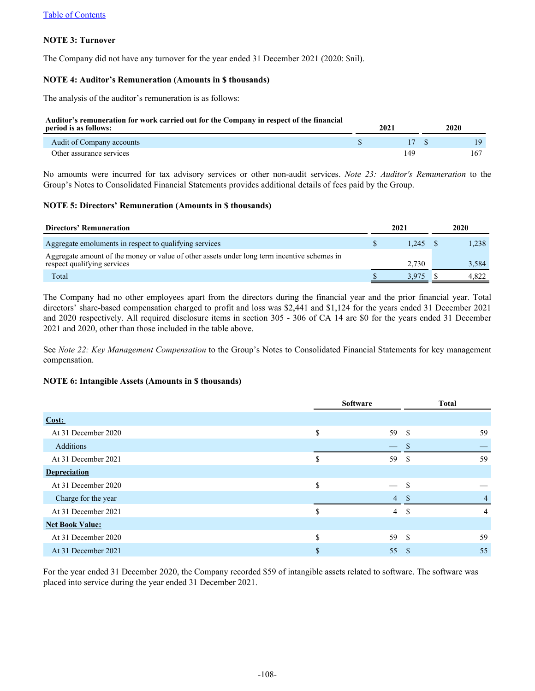# **NOTE 3: Turnover**

The Company did not have any turnover for the year ended 31 December 2021 (2020: \$nil).

## **NOTE 4: Auditor's Remuneration (Amounts in \$ thousands)**

The analysis of the auditor's remuneration is as follows:

#### **Auditor's remuneration for work carried out for the Company in respect of the financial**

| period is as follows:     | 2021 | 2020 |
|---------------------------|------|------|
| Audit of Company accounts |      | 19   |
| Other assurance services  |      | 167  |

No amounts were incurred for tax advisory services or other non-audit services. *Note 23: Auditor's Remuneration* to the Group's Notes to Consolidated Financial Statements provides additional details of fees paid by the Group.

## **NOTE 5: Directors' Remuneration (Amounts in \$ thousands)**

| Directors' Remuneration                                                                                                    | 2021  | 2020 |       |
|----------------------------------------------------------------------------------------------------------------------------|-------|------|-------|
| Aggregate emoluments in respect to qualifying services                                                                     | 1.245 |      | 1.238 |
| Aggregate amount of the money or value of other assets under long term incentive schemes in<br>respect qualifying services | 2.730 |      | 3,584 |
| Total                                                                                                                      | 3.975 |      | 4.822 |

The Company had no other employees apart from the directors during the financial year and the prior financial year. Total directors' share-based compensation charged to profit and loss was \$2,441 and \$1,124 for the years ended 31 December 2021 and 2020 respectively. All required disclosure items in section 305 - 306 of CA 14 are \$0 for the years ended 31 December 2021 and 2020, other than those included in the table above.

See *Note 22: Key Management Compensation* to the Group's Notes to Consolidated Financial Statements for key management compensation.

#### **NOTE 6: Intangible Assets (Amounts in \$ thousands)**

|                        | <b>Software</b> |                          | <b>Total</b>  |                |  |
|------------------------|-----------------|--------------------------|---------------|----------------|--|
| Cost:                  |                 |                          |               |                |  |
| At 31 December 2020    | \$              | 59                       | -S            | 59             |  |
| Additions              |                 | $\overline{\phantom{0}}$ | -S            |                |  |
| At 31 December 2021    | \$              | 59                       | <sup>\$</sup> | 59             |  |
| <b>Depreciation</b>    |                 |                          |               |                |  |
| At 31 December 2020    | \$              | $\overline{\phantom{0}}$ | <sup>\$</sup> |                |  |
| Charge for the year    |                 | 4S                       |               | 4              |  |
| At 31 December 2021    | S               | $\overline{4}$           | -S            | $\overline{4}$ |  |
| <b>Net Book Value:</b> |                 |                          |               |                |  |
| At 31 December 2020    | \$              | 59                       | - \$          | 59             |  |
| At 31 December 2021    | \$              | 55                       | -S            | 55             |  |

For the year ended 31 December 2020, the Company recorded \$59 of intangible assets related to software. The software was placed into service during the year ended 31 December 2021.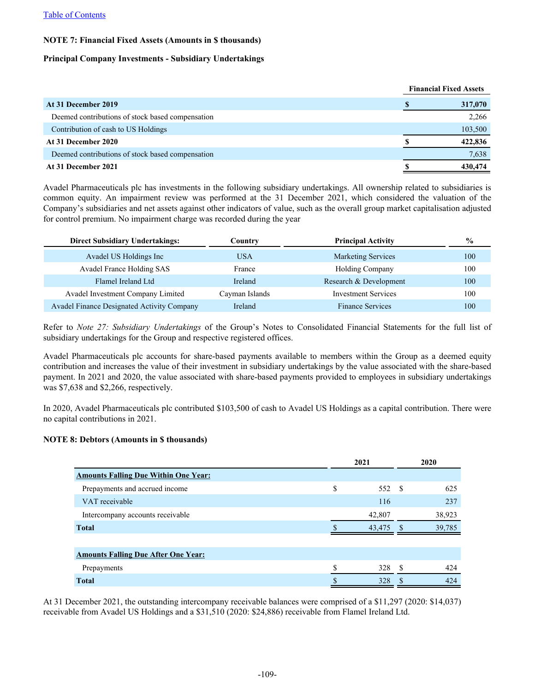#### [Table of Contents](#page-2-0)

## **NOTE 7: Financial Fixed Assets (Amounts in \$ thousands)**

### **Principal Company Investments - Subsidiary Undertakings**

|                                                  | <b>Financial Fixed Assets</b> |         |
|--------------------------------------------------|-------------------------------|---------|
| At 31 December 2019                              |                               | 317,070 |
| Deemed contributions of stock based compensation |                               | 2,266   |
| Contribution of cash to US Holdings              |                               | 103,500 |
| At 31 December 2020                              |                               | 422,836 |
| Deemed contributions of stock based compensation |                               | 7,638   |
| At 31 December 2021                              |                               | 430,474 |

Avadel Pharmaceuticals plc has investments in the following subsidiary undertakings. All ownership related to subsidiaries is common equity. An impairment review was performed at the 31 December 2021, which considered the valuation of the Company's subsidiaries and net assets against other indicators of value, such as the overall group market capitalisation adjusted for control premium. No impairment charge was recorded during the year

| <b>Direct Subsidiary Undertakings:</b>     | Countrv        | <b>Principal Activity</b>  | $\frac{6}{6}$ |
|--------------------------------------------|----------------|----------------------------|---------------|
| Avadel US Holdings Inc                     | <b>USA</b>     | <b>Marketing Services</b>  | 100           |
| Avadel France Holding SAS                  | France         | <b>Holding Company</b>     | 100           |
| Flamel Ireland Ltd                         | Ireland        | Research & Development     | 100           |
| Avadel Investment Company Limited          | Cayman Islands | <b>Investment Services</b> | 100           |
| Avadel Finance Designated Activity Company | Ireland        | <b>Finance Services</b>    | 100           |

Refer to *Note 27: Subsidiary Undertakings* of the Group's Notes to Consolidated Financial Statements for the full list of subsidiary undertakings for the Group and respective registered offices.

Avadel Pharmaceuticals plc accounts for share-based payments available to members within the Group as a deemed equity contribution and increases the value of their investment in subsidiary undertakings by the value associated with the share-based payment. In 2021 and 2020, the value associated with share-based payments provided to employees in subsidiary undertakings was \$7,638 and \$2,266, respectively.

In 2020, Avadel Pharmaceuticals plc contributed \$103,500 of cash to Avadel US Holdings as a capital contribution. There were no capital contributions in 2021.

## **NOTE 8: Debtors (Amounts in \$ thousands)**

|                                             |    | 2021   |  | 2020   |  |
|---------------------------------------------|----|--------|--|--------|--|
| <b>Amounts Falling Due Within One Year:</b> |    |        |  |        |  |
| Prepayments and accrued income              | \$ | 552 \$ |  | 625    |  |
| VAT receivable                              |    | 116    |  | 237    |  |
| Intercompany accounts receivable            |    | 42,807 |  | 38,923 |  |
| <b>Total</b>                                |    | 43.475 |  | 39,785 |  |
|                                             |    |        |  |        |  |
| <b>Amounts Falling Due After One Year:</b>  |    |        |  |        |  |
| Prepayments                                 | ¢  | 328 \$ |  | 424    |  |
| <b>Total</b>                                | \$ | 328    |  | 424    |  |

At 31 December 2021, the outstanding intercompany receivable balances were comprised of a \$11,297 (2020: \$14,037) receivable from Avadel US Holdings and a \$31,510 (2020: \$24,886) receivable from Flamel Ireland Ltd.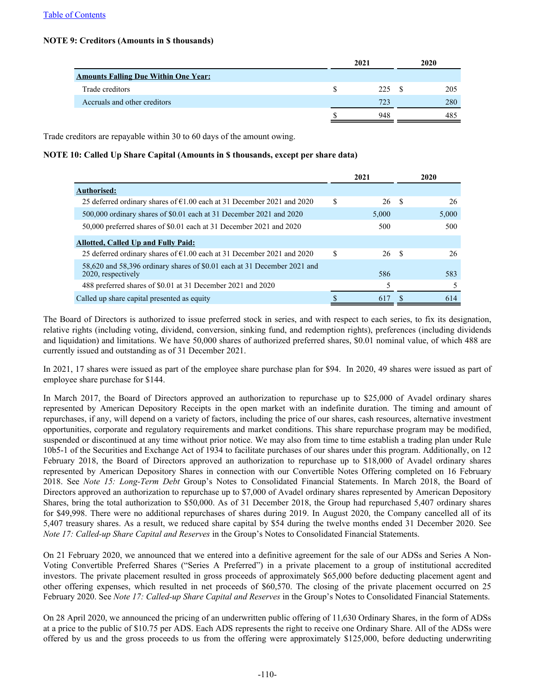## **NOTE 9: Creditors (Amounts in \$ thousands)**

|                                             | 2021 | 2020 |
|---------------------------------------------|------|------|
| <b>Amounts Falling Due Within One Year:</b> |      |      |
| Trade creditors                             | 225S | 205  |
| Accruals and other creditors                | 723  | 280  |
|                                             | 948  | 485  |

Trade creditors are repayable within 30 to 60 days of the amount owing.

## **NOTE 10: Called Up Share Capital (Amounts in \$ thousands, except per share data)**

|                                                                                                |    | 2021  |      | 2020  |
|------------------------------------------------------------------------------------------------|----|-------|------|-------|
| <b>Authorised:</b>                                                                             |    |       |      |       |
| 25 deferred ordinary shares of $\epsilon$ 1.00 each at 31 December 2021 and 2020               | \$ | 26    | - \$ | 26    |
| 500,000 ordinary shares of \$0.01 each at 31 December 2021 and 2020                            |    | 5,000 |      | 5,000 |
| 50,000 preferred shares of \$0.01 each at 31 December 2021 and 2020                            |    | 500   |      | 500   |
| <b>Allotted, Called Up and Fully Paid:</b>                                                     |    |       |      |       |
| 25 deferred ordinary shares of $\epsilon$ 1.00 each at 31 December 2021 and 2020               | S  | 26 \$ |      | 26    |
| 58,620 and 58,396 ordinary shares of \$0.01 each at 31 December 2021 and<br>2020, respectively |    | 586   |      | 583   |
| 488 preferred shares of \$0.01 at 31 December 2021 and 2020                                    |    | 5     |      |       |
| Called up share capital presented as equity                                                    |    | 617   |      | 614   |

The Board of Directors is authorized to issue preferred stock in series, and with respect to each series, to fix its designation, relative rights (including voting, dividend, conversion, sinking fund, and redemption rights), preferences (including dividends and liquidation) and limitations. We have 50,000 shares of authorized preferred shares, \$0.01 nominal value, of which 488 are currently issued and outstanding as of 31 December 2021.

In 2021, 17 shares were issued as part of the employee share purchase plan for \$94. In 2020, 49 shares were issued as part of employee share purchase for \$144.

In March 2017, the Board of Directors approved an authorization to repurchase up to \$25,000 of Avadel ordinary shares represented by American Depository Receipts in the open market with an indefinite duration. The timing and amount of repurchases, if any, will depend on a variety of factors, including the price of our shares, cash resources, alternative investment opportunities, corporate and regulatory requirements and market conditions. This share repurchase program may be modified, suspended or discontinued at any time without prior notice. We may also from time to time establish a trading plan under Rule 10b5-1 of the Securities and Exchange Act of 1934 to facilitate purchases of our shares under this program. Additionally, on 12 February 2018, the Board of Directors approved an authorization to repurchase up to \$18,000 of Avadel ordinary shares represented by American Depository Shares in connection with our Convertible Notes Offering completed on 16 February 2018. See *Note 15: Long-Term Debt* Group's Notes to Consolidated Financial Statements. In March 2018, the Board of Directors approved an authorization to repurchase up to \$7,000 of Avadel ordinary shares represented by American Depository Shares, bring the total authorization to \$50,000. As of 31 December 2018, the Group had repurchased 5,407 ordinary shares for \$49,998. There were no additional repurchases of shares during 2019. In August 2020, the Company cancelled all of its 5,407 treasury shares. As a result, we reduced share capital by \$54 during the twelve months ended 31 December 2020. See *Note 17: Called-up Share Capital and Reserves* in the Group's Notes to Consolidated Financial Statements.

On 21 February 2020, we announced that we entered into a definitive agreement for the sale of our ADSs and Series A Non-Voting Convertible Preferred Shares ("Series A Preferred") in a private placement to a group of institutional accredited investors. The private placement resulted in gross proceeds of approximately \$65,000 before deducting placement agent and other offering expenses, which resulted in net proceeds of \$60,570. The closing of the private placement occurred on 25 February 2020. See *Note 17: Called-up Share Capital and Reserves* in the Group's Notes to Consolidated Financial Statements.

On 28 April 2020, we announced the pricing of an underwritten public offering of 11,630 Ordinary Shares, in the form of ADSs at a price to the public of \$10.75 per ADS. Each ADS represents the right to receive one Ordinary Share. All of the ADSs were offered by us and the gross proceeds to us from the offering were approximately \$125,000, before deducting underwriting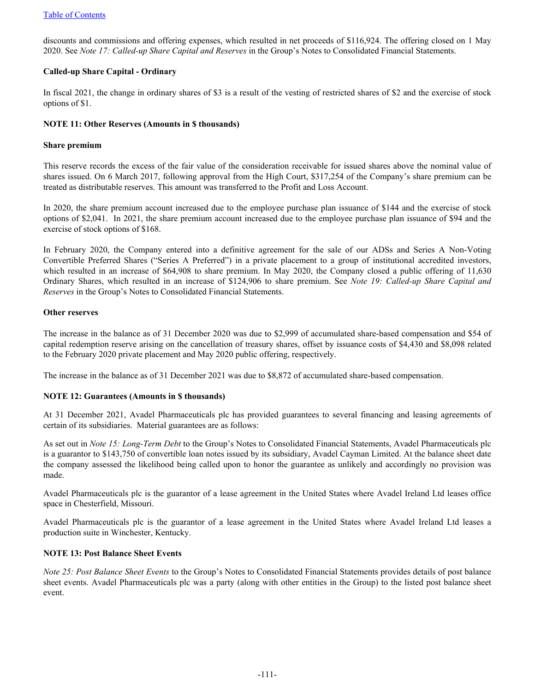discounts and commissions and offering expenses, which resulted in net proceeds of \$116,924. The offering closed on 1 May 2020. See *Note 17: Called-up Share Capital and Reserves* in the Group's Notes to Consolidated Financial Statements.

## **Called-up Share Capital - Ordinary**

In fiscal 2021, the change in ordinary shares of \$3 is a result of the vesting of restricted shares of \$2 and the exercise of stock options of \$1.

## **NOTE 11: Other Reserves (Amounts in \$ thousands)**

#### **Share premium**

This reserve records the excess of the fair value of the consideration receivable for issued shares above the nominal value of shares issued. On 6 March 2017, following approval from the High Court, \$317,254 of the Company's share premium can be treated as distributable reserves. This amount was transferred to the Profit and Loss Account.

In 2020, the share premium account increased due to the employee purchase plan issuance of \$144 and the exercise of stock options of \$2,041. In 2021, the share premium account increased due to the employee purchase plan issuance of \$94 and the exercise of stock options of \$168.

In February 2020, the Company entered into a definitive agreement for the sale of our ADSs and Series A Non-Voting Convertible Preferred Shares ("Series A Preferred") in a private placement to a group of institutional accredited investors, which resulted in an increase of \$64,908 to share premium. In May 2020, the Company closed a public offering of 11,630 Ordinary Shares, which resulted in an increase of \$124,906 to share premium. See *Note 19: Called-up Share Capital and Reserves* in the Group's Notes to Consolidated Financial Statements.

### **Other reserves**

The increase in the balance as of 31 December 2020 was due to \$2,999 of accumulated share-based compensation and \$54 of capital redemption reserve arising on the cancellation of treasury shares, offset by issuance costs of \$4,430 and \$8,098 related to the February 2020 private placement and May 2020 public offering, respectively.

The increase in the balance as of 31 December 2021 was due to \$8,872 of accumulated share-based compensation.

## **NOTE 12: Guarantees (Amounts in \$ thousands)**

At 31 December 2021, Avadel Pharmaceuticals plc has provided guarantees to several financing and leasing agreements of certain of its subsidiaries. Material guarantees are as follows:

As set out in *Note 15: Long-Term Debt* to the Group's Notes to Consolidated Financial Statements, Avadel Pharmaceuticals plc is a guarantor to \$143,750 of convertible loan notes issued by its subsidiary, Avadel Cayman Limited. At the balance sheet date the company assessed the likelihood being called upon to honor the guarantee as unlikely and accordingly no provision was made.

Avadel Pharmaceuticals plc is the guarantor of a lease agreement in the United States where Avadel Ireland Ltd leases office space in Chesterfield, Missouri.

Avadel Pharmaceuticals plc is the guarantor of a lease agreement in the United States where Avadel Ireland Ltd leases a production suite in Winchester, Kentucky.

#### **NOTE 13: Post Balance Sheet Events**

*Note 25: Post Balance Sheet Events* to the Group's Notes to Consolidated Financial Statements provides details of post balance sheet events. Avadel Pharmaceuticals plc was a party (along with other entities in the Group) to the listed post balance sheet event.